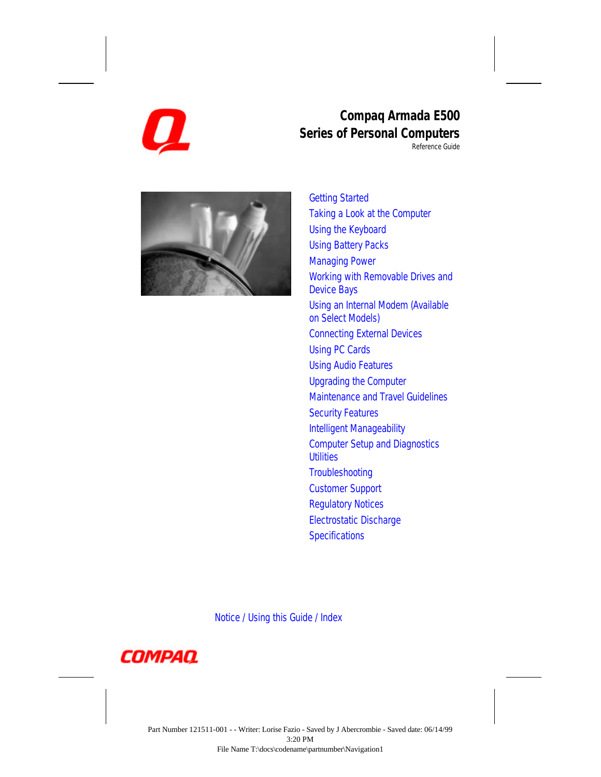

### **Compaq Armada E500 Series of Personal Computers**

Reference Guide



[Getting Started](#page-1-0) [Taking a Look at the Computer](#page-2-0) [Using the Keyboard](#page-3-0) [Using Battery Packs](#page-4-0) [Managing Power](#page-5-0) [Working with Removable Drives and](#page-6-0) Device Bays [Using an Internal Modem \(Available](#page-7-0) on Select Models) [Connecting External Devices](#page-8-0) [Using PC Cards](#page-9-0) [Using Audio Features](#page-10-0) [Upgrading the Computer](#page-11-0) [Maintenance and Travel Guidelines](#page-12-0) [Security Features](#page-13-0) [Intelligent Manageability](#page-14-0) [Computer Setup and Diagnostics](#page-15-0) **Utilities [Troubleshooting](#page-16-0)** [Customer Support](#page-172-0) [Regulatory Notices](#page-181-0) [Electrostatic Discharge](#page-193-0) **[Specifications](#page-195-0)** 

[Notice /](#page-17-0) [Using this Guide /](#page-25-0) [Index](#page-196-0)

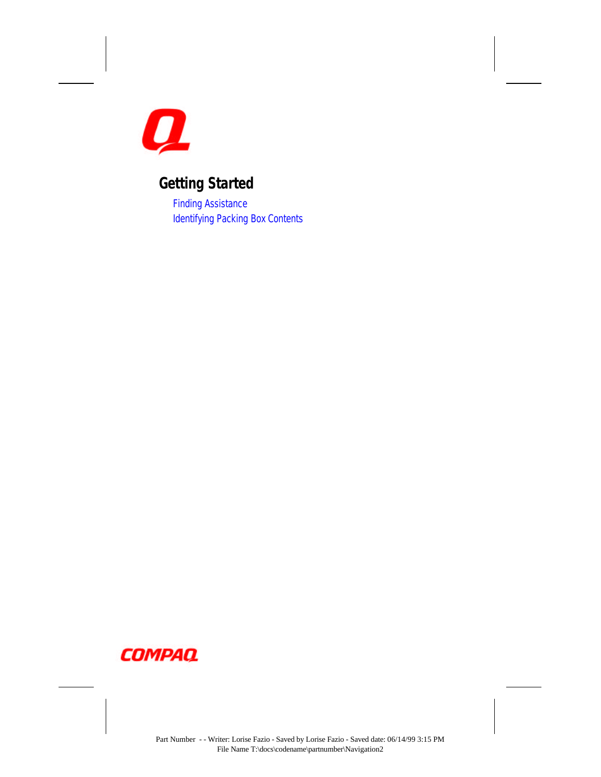<span id="page-1-0"></span>

# **Getting Started**

[Finding Assistance](#page-26-0) [Identifying Packing Box Contents](#page-27-0)

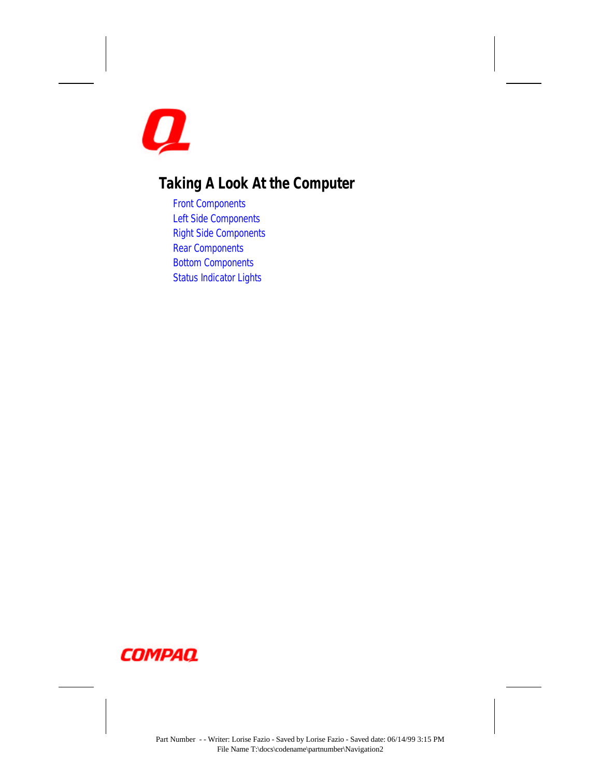<span id="page-2-0"></span>

# **Taking A Look At the Computer**

[Front Components](#page-30-0) [Left Side Components](#page-32-0) [Right Side Components](#page-33-0) [Rear Components](#page-35-0) [Bottom Components](#page-36-0) [Status Indicator Lights](#page-37-0)

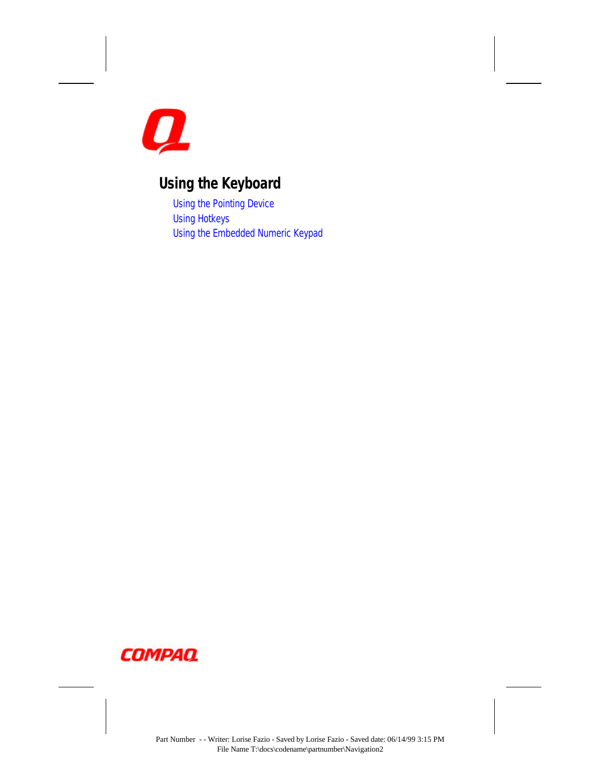<span id="page-3-0"></span>

## **Using the Keyboard**

[Using the Pointing Device](#page-38-0) [Using Hotkeys](#page-44-0) [Using the Embedded Numeric Keypad](#page-48-0)

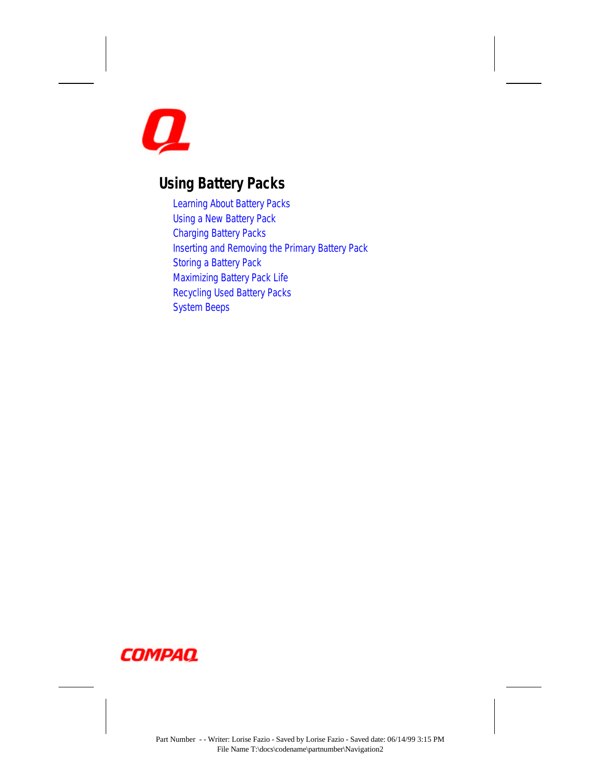<span id="page-4-0"></span>

### **Using Battery Packs**

[Learning About Battery Packs](#page-50-0) [Using a New Battery Pack](#page-51-0) [Charging Battery Packs](#page-51-0) [Inserting and Removing the Primary Battery Pack](#page-52-0) [Storing a Battery Pack](#page-54-0) [Maximizing Battery Pack Life](#page-54-0) [Recycling Used Battery Packs](#page-55-0) [System Beeps](#page-55-0)

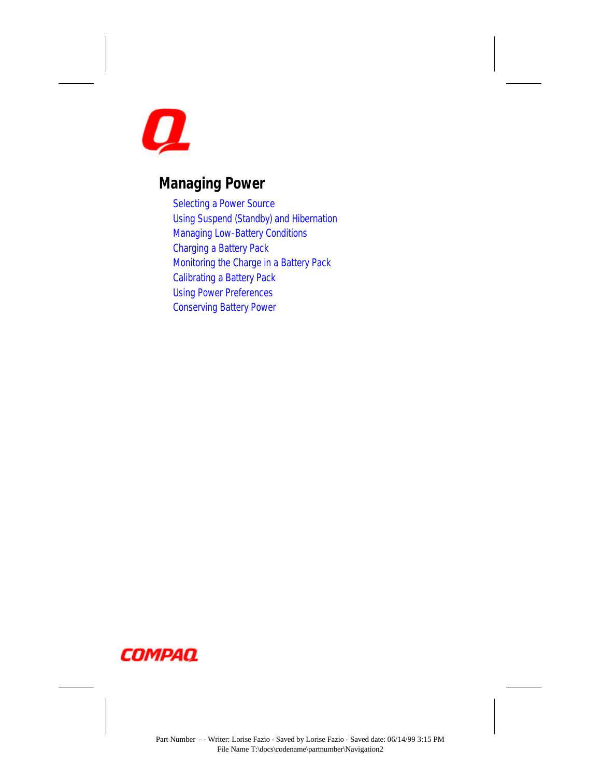<span id="page-5-0"></span>

## **Managing Power**

[Selecting a Power Source](#page-57-0) [Using Suspend \(Standby\) and Hibernation](#page-58-0) [Managing Low-Battery Conditions](#page-60-0) [Charging a Battery Pack](#page-63-0) [Monitoring the Charge in a Battery Pack](#page-64-0) [Calibrating a Battery Pack](#page-66-0) [Using Power Preferences](#page-68-0) [Conserving Battery Power](#page-72-0)

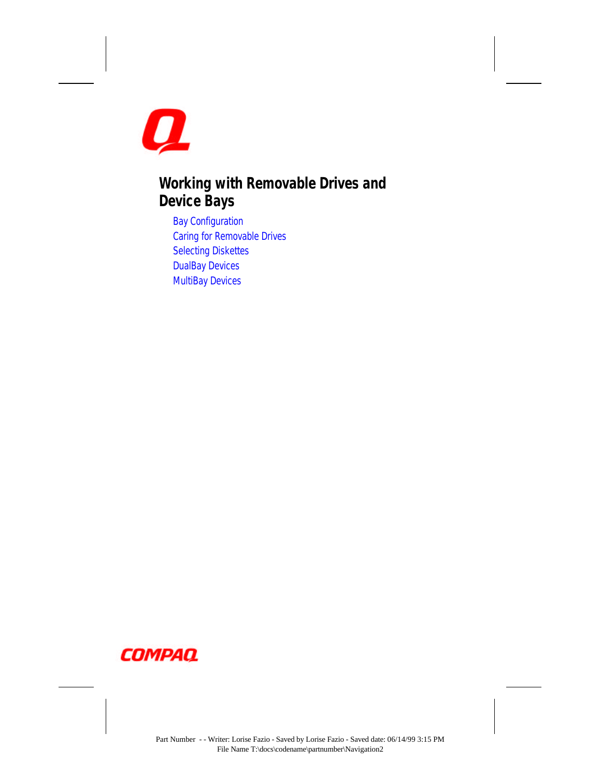<span id="page-6-0"></span>

### **Working with Removable Drives and Device Bays**

[Bay Configuration](#page-75-0) [Caring for Removable Drives](#page-76-0) [Selecting Diskettes](#page-78-0) [DualBay Devices](#page-79-0) [MultiBay Devices](#page-81-0)

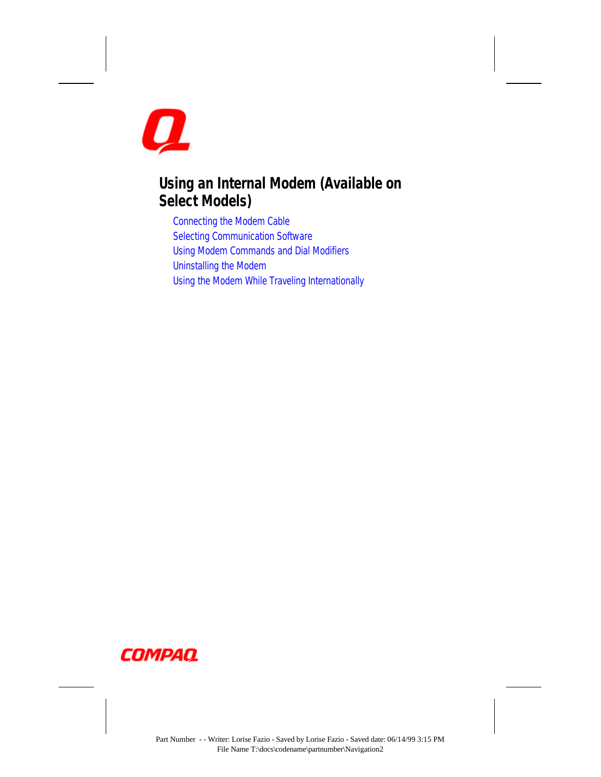<span id="page-7-0"></span>

### **Using an Internal Modem (Available on Select Models)**

[Connecting the Modem Cable](#page-85-0) [Selecting Communication Software](#page-86-0) [Using Modem Commands and Dial Modifiers](#page-87-0) [Uninstalling the Modem](#page-87-0) [Using the Modem While Traveling Internationally](#page-87-0)

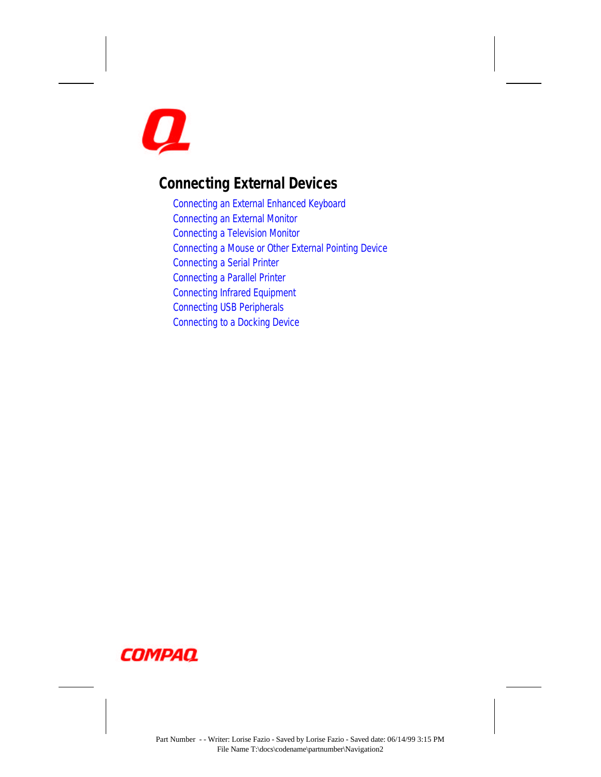<span id="page-8-0"></span>

### **Connecting External Devices**

[Connecting an External Enhanced Keyboard](#page-91-0) [Connecting an External Monitor](#page-91-0) [Connecting a Television Monitor](#page-92-0) [Connecting a Mouse or Other External Pointing Device](#page-93-0) [Connecting a Serial Printer](#page-93-0) [Connecting a Parallel Printer](#page-93-0) [Connecting Infrared Equipment](#page-94-0) [Connecting USB Peripherals](#page-96-0) [Connecting to a Docking Device](#page-96-0)

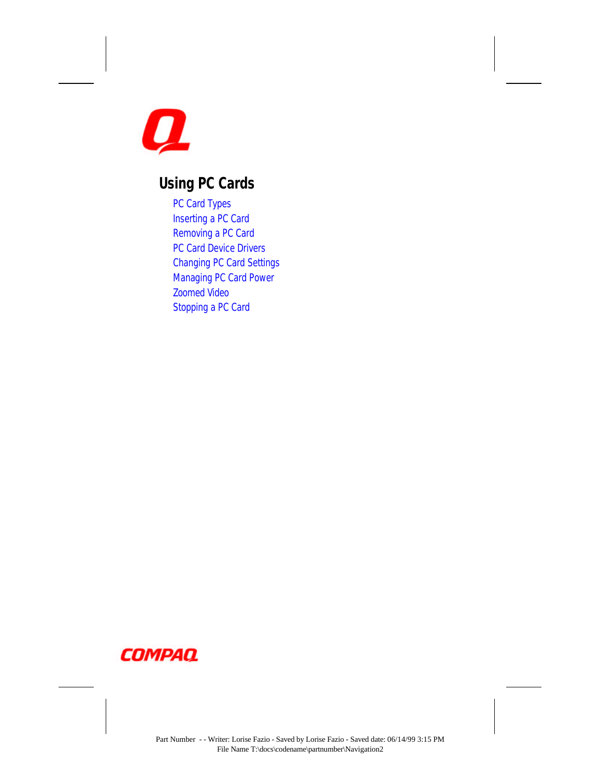<span id="page-9-0"></span>

### **Using PC Cards**

[PC Card Types](#page-97-0) [Inserting a PC Card](#page-97-0) [Removing a PC Card](#page-99-0) [PC Card Device Drivers](#page-100-0) [Changing PC Card Settings](#page-100-0) [Managing PC Card Power](#page-100-0) [Zoomed Video](#page-101-0) [Stopping a PC Card](#page-101-0)

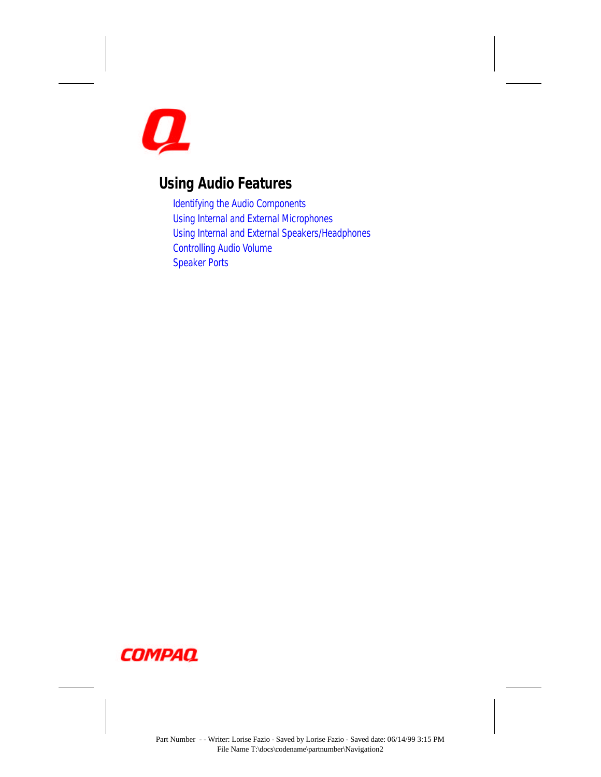<span id="page-10-0"></span>

### **Using Audio Features**

[Identifying the Audio Components](#page-102-0) [Using Internal and External Microphones](#page-103-0) [Using Internal and External Speakers/Headphones](#page-104-0) [Controlling Audio Volume](#page-104-0) [Speaker Ports](#page-105-0)

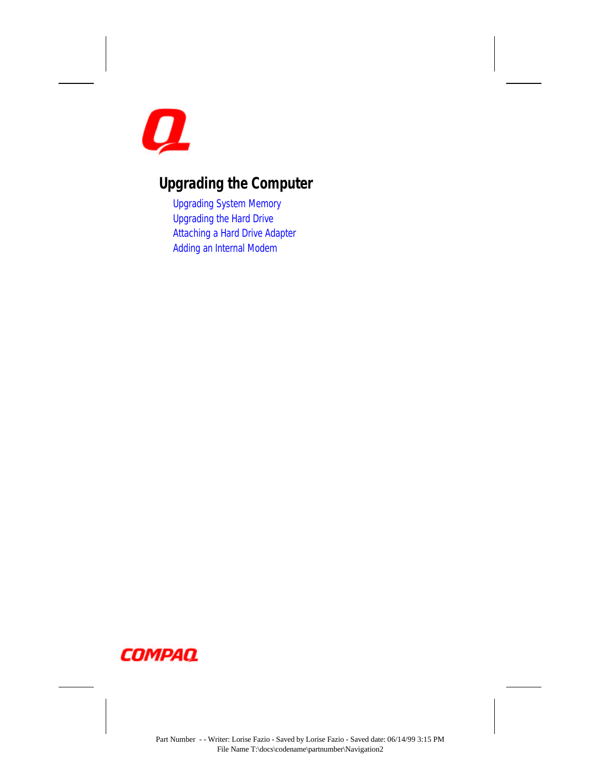<span id="page-11-0"></span>

# **Upgrading the Computer**

[Upgrading System Memory](#page-106-0) [Upgrading the Hard Drive](#page-111-0) [Attaching a Hard Drive Adapter](#page-111-0) [Adding an Internal Modem](#page-111-0)

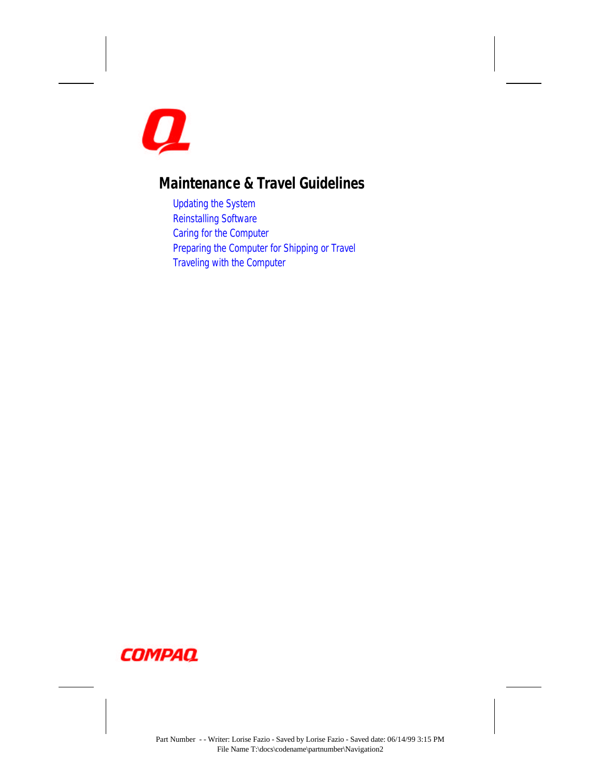<span id="page-12-0"></span>

### **Maintenance & Travel Guidelines**

[Updating the System](#page-112-0) [Reinstalling Software](#page-115-0) [Caring for the Computer](#page-115-0) [Preparing the Computer for Shipping or Travel](#page-116-0) [Traveling with the Computer](#page-116-0)

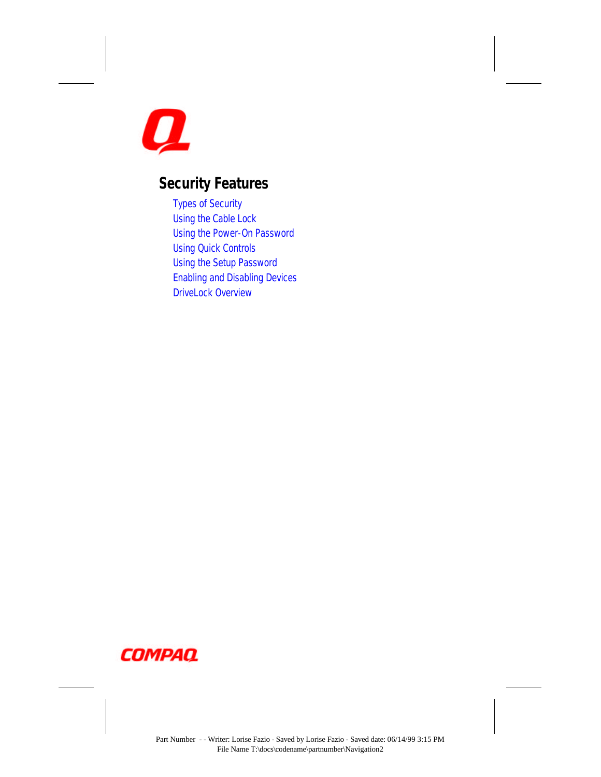<span id="page-13-0"></span>

### **Security Features**

[Types of Security](#page-118-0) [Using the Cable Lock](#page-119-0) [Using the Power-On Password](#page-120-0) [Using Quick Controls](#page-123-0) [Using the Setup Password](#page-124-0) [Enabling and Disabling Devices](#page-126-0) [DriveLock Overview](#page-127-0)

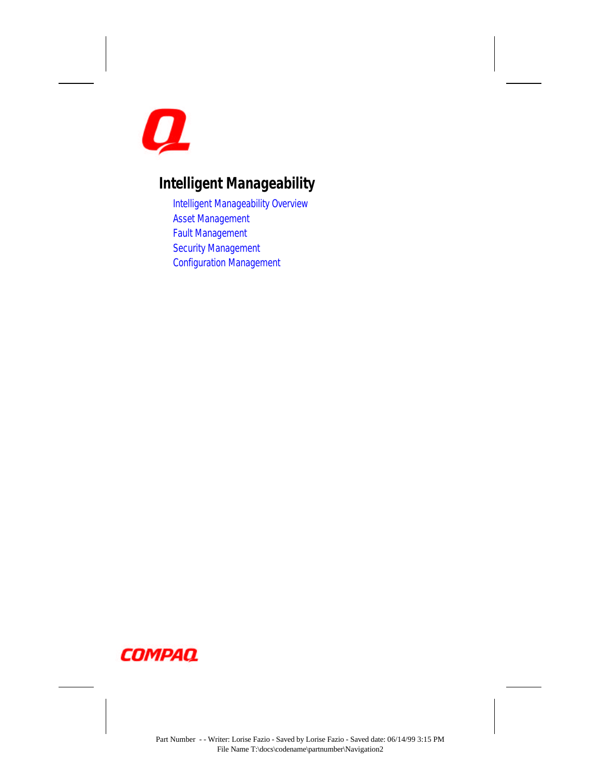<span id="page-14-0"></span>

# **Intelligent Manageability**

[Intelligent Manageability Overview](#page-131-0) [Asset Management](#page-132-0) [Fault Management](#page-133-0) [Security Management](#page-134-0) [Configuration Management](#page-134-0)

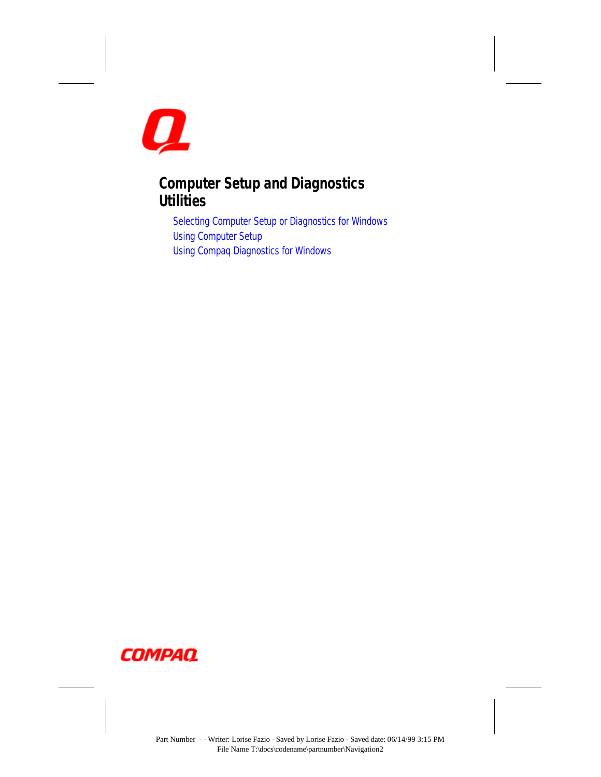<span id="page-15-0"></span>

### **Computer Setup and Diagnostics Utilities**

[Selecting Computer Setup or Diagnostics for Windows](#page-135-0) [Using Computer Setup](#page-136-0) [Using Compaq Diagnostics for Windows](#page-140-0)

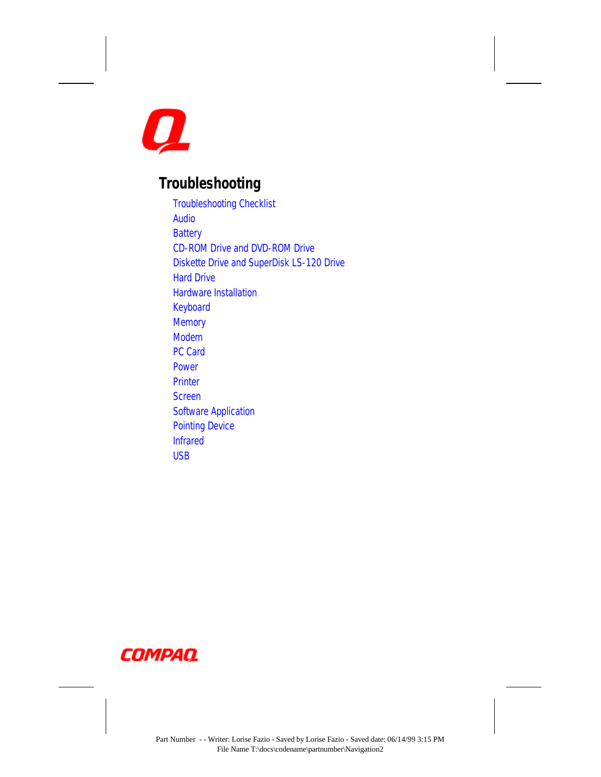<span id="page-16-0"></span>

### **Troubleshooting**

[Troubleshooting Checklist](#page-142-0) [Audio](#page-143-0) **[Battery](#page-146-0)** [CD-ROM Drive and DVD-ROM Drive](#page-148-0) [Diskette Drive and SuperDisk LS-120 Drive](#page-149-0) [Hard Drive](#page-151-0) [Hardware Installation](#page-152-0) [Keyboard](#page-153-0) **[Memory](#page-153-0)** [Modem](#page-154-0) [PC Card](#page-160-0) [Power](#page-163-0) **[Printer](#page-164-0) [Screen](#page-165-0)** [Software Application](#page-167-0) [Pointing Device](#page-168-0) [Infrared](#page-169-0) [USB](#page-171-0)

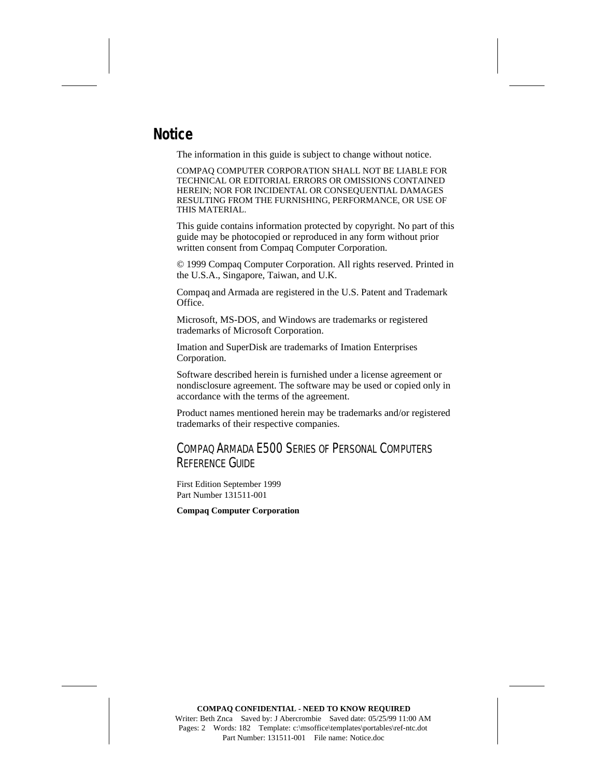### <span id="page-17-0"></span>**Notice**

The information in this guide is subject to change without notice.

COMPAQ COMPUTER CORPORATION SHALL NOT BE LIABLE FOR TECHNICAL OR EDITORIAL ERRORS OR OMISSIONS CONTAINED HEREIN; NOR FOR INCIDENTAL OR CONSEQUENTIAL DAMAGES RESULTING FROM THE FURNISHING, PERFORMANCE, OR USE OF THIS MATERIAL.

This guide contains information protected by copyright. No part of this guide may be photocopied or reproduced in any form without prior written consent from Compaq Computer Corporation.

© 1999 Compaq Computer Corporation. All rights reserved. Printed in the U.S.A., Singapore, Taiwan, and U.K.

Compaq and Armada are registered in the U.S. Patent and Trademark Office.

Microsoft, MS-DOS, and Windows are trademarks or registered trademarks of Microsoft Corporation.

Imation and SuperDisk are trademarks of Imation Enterprises Corporation.

Software described herein is furnished under a license agreement or nondisclosure agreement. The software may be used or copied only in accordance with the terms of the agreement.

Product names mentioned herein may be trademarks and/or registered trademarks of their respective companies.

#### COMPAQ ARMADA E500 SERIES OF PERSONAL COMPUTERS REFERENCE GUIDE

First Edition September 1999 Part Number 131511-001

**Compaq Computer Corporation**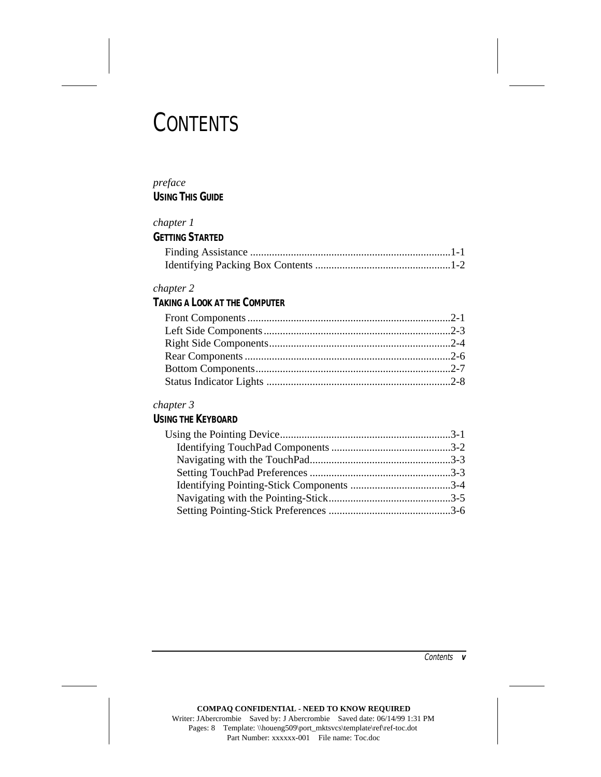# **CONTENTS**

#### *preface* **USING THIS GUIDE**

#### *chapter 1*

#### **GETTING STARTED**

#### *chapter 2*

### **TAKING A LOOK AT THE COMPUTER**

#### *chapter 3*

#### **USING THE KEYBOARD**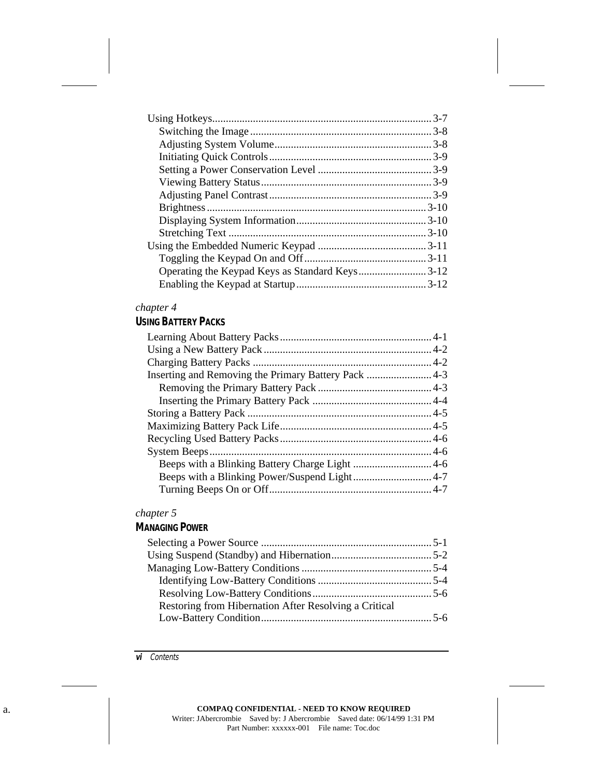| Operating the Keypad Keys as Standard Keys3-12 |  |
|------------------------------------------------|--|
|                                                |  |

#### **USING BATTERY PACKS**

| Inserting and Removing the Primary Battery Pack 4-3 |  |
|-----------------------------------------------------|--|
|                                                     |  |
|                                                     |  |
|                                                     |  |
|                                                     |  |
|                                                     |  |
|                                                     |  |
|                                                     |  |
|                                                     |  |
|                                                     |  |
|                                                     |  |

### *chapter 5*

### **MANAGING POWER**

| Restoring from Hibernation After Resolving a Critical |  |
|-------------------------------------------------------|--|
|                                                       |  |
|                                                       |  |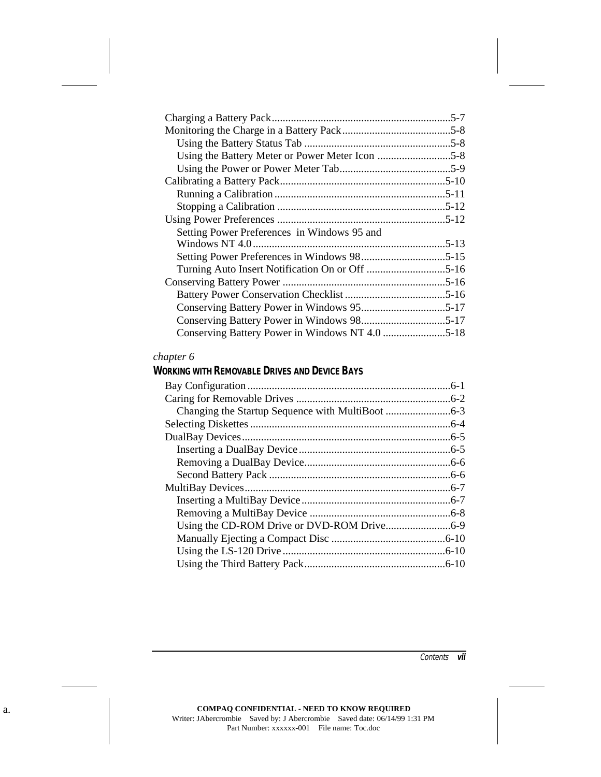| Setting Power Preferences in Windows 95 and |  |
|---------------------------------------------|--|
|                                             |  |
|                                             |  |
|                                             |  |
|                                             |  |
|                                             |  |
|                                             |  |
|                                             |  |
|                                             |  |

#### **WORKING WITH REMOVABLE DRIVES AND DEVICE BAYS**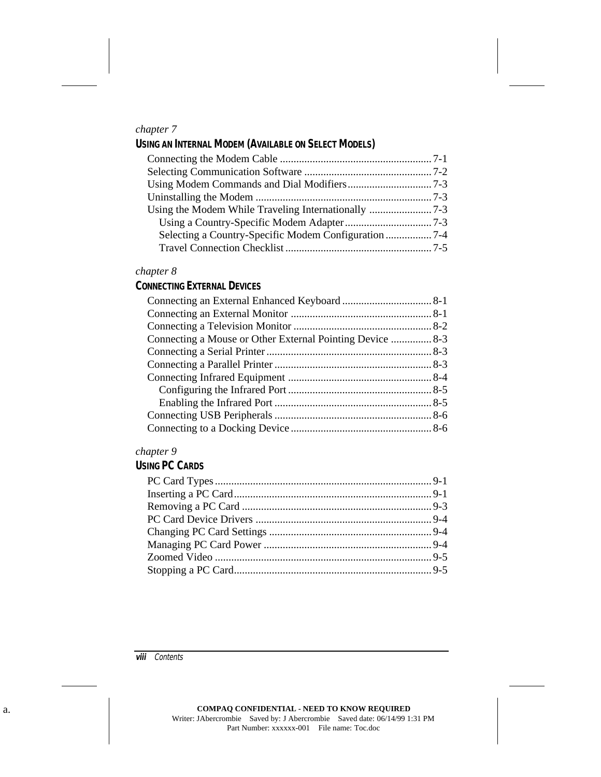#### **USING AN INTERNAL MODEM (AVAILABLE ON SELECT MODELS)**

#### *chapter 8*

#### **CONNECTING EXTERNAL DEVICES**

| Connecting a Mouse or Other External Pointing Device  8-3 |  |
|-----------------------------------------------------------|--|
|                                                           |  |
|                                                           |  |
|                                                           |  |
|                                                           |  |
|                                                           |  |
|                                                           |  |
|                                                           |  |

#### *chapter 9*

#### **USING PC CARDS**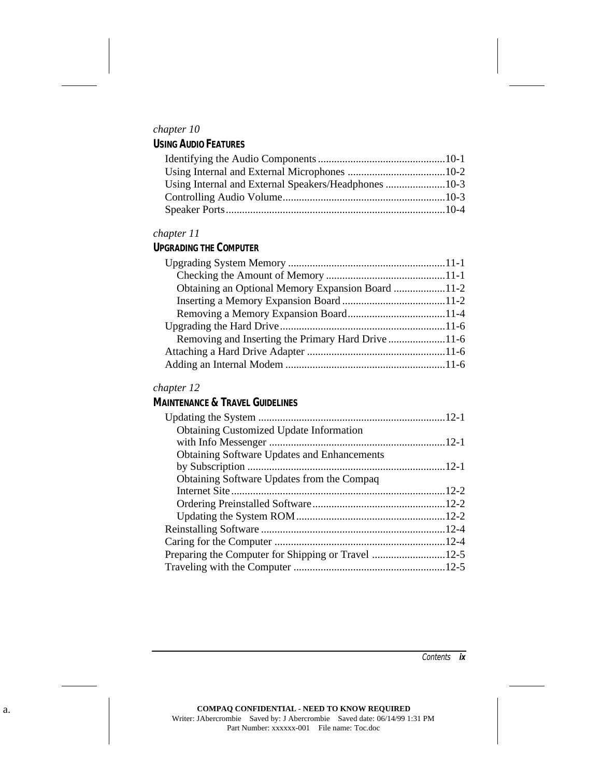#### *chapter 10* **USING AUDIO FEATURES**

#### *chapter 11*

#### **UPGRADING THE COMPUTER**

| Obtaining an Optional Memory Expansion Board 11-2  |  |
|----------------------------------------------------|--|
|                                                    |  |
|                                                    |  |
|                                                    |  |
| Removing and Inserting the Primary Hard Drive 11-6 |  |
|                                                    |  |
|                                                    |  |
|                                                    |  |

#### *chapter 12*

#### **MAINTENANCE & TRAVEL GUIDELINES**

| <b>Obtaining Customized Update Information</b>     |  |
|----------------------------------------------------|--|
|                                                    |  |
| <b>Obtaining Software Updates and Enhancements</b> |  |
|                                                    |  |
| Obtaining Software Updates from the Compaq         |  |
|                                                    |  |
|                                                    |  |
|                                                    |  |
|                                                    |  |
|                                                    |  |
|                                                    |  |
|                                                    |  |
|                                                    |  |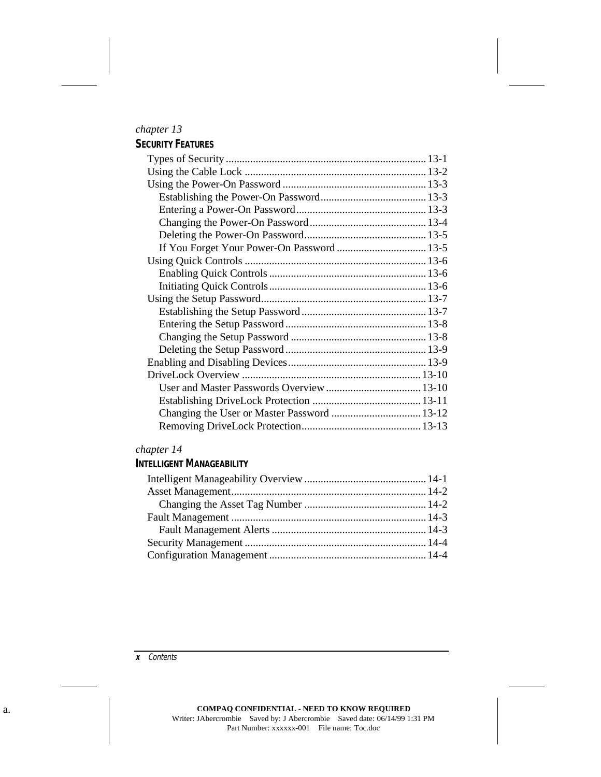#### *chapter 13* **SECURITY FEATURES**

#### *chapter 14*

#### **INTELLIGENT MANAGEABILITY**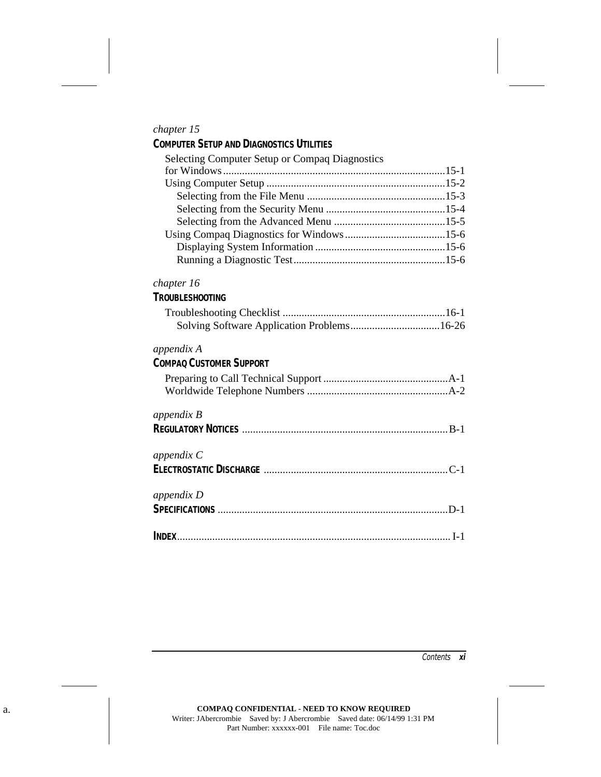| <b>COMPUTER SETUP AND DIAGNOSTICS UTILITIES</b> |  |
|-------------------------------------------------|--|
| Selecting Computer Setup or Compaq Diagnostics  |  |
|                                                 |  |
|                                                 |  |
|                                                 |  |
|                                                 |  |
|                                                 |  |
| Leing Compaction Diagnostics for Windows 15 6   |  |

#### Using Compaq Diagnostics for Windows.....................................15-6 Displaying System Information ................................................15-6 Running a Diagnostic Test........................................................15-6

#### *chapter 16*

#### **TROUBLESHOOTING**

#### *appendix A*

### **COMPAQ CUSTOMER SUPPORT**

| appendix B |  |
|------------|--|
|            |  |
|            |  |

### *appendix C*

#### *appendix D*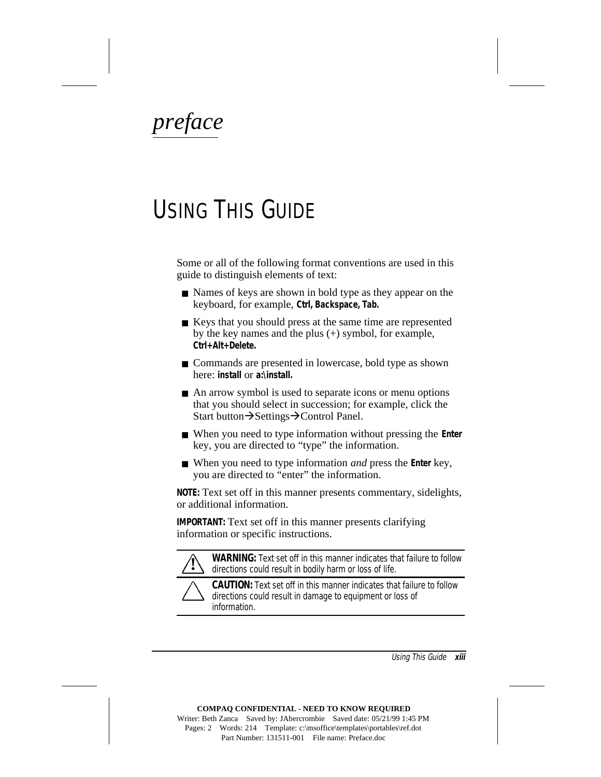<span id="page-25-0"></span>*preface*

# USING THIS GUIDE

Some or all of the following format conventions are used in this guide to distinguish elements of text:

- Names of keys are shown in bold type as they appear on the keyboard, for example, **Ctrl, Backspace, Tab.**
- Keys that you should press at the same time are represented by the key names and the plus  $(+)$  symbol, for example, **Ctrl+Alt+Delete.**
- Commands are presented in lowercase, bold type as shown here: **install** or **a:\install.**
- An arrow symbol is used to separate icons or menu options that you should select in succession; for example, click the Start button $\rightarrow$ Settings $\rightarrow$ Control Panel.
- When you need to type information without pressing the **Enter** key, you are directed to "type" the information.
- When you need to type information *and* press the **Enter** key, you are directed to "enter" the information.

**NOTE:** Text set off in this manner presents commentary, sidelights, or additional information.

**IMPORTANT:** Text set off in this manner presents clarifying information or specific instructions.



**! WARNING:** Text set off in this manner indicates that failure to follow directions could result in bodily harm or loss of life.

**CAUTION:** Text set off in this manner indicates that failure to follow directions could result in damage to equipment or loss of information.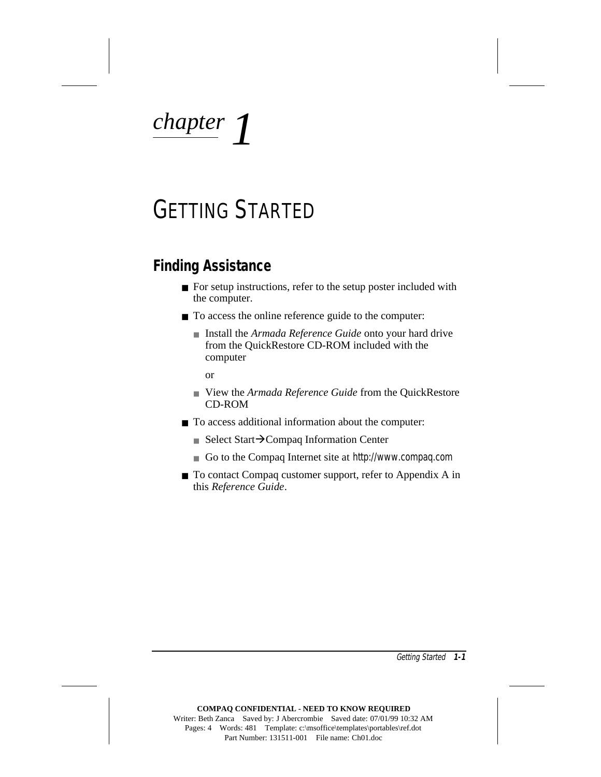<span id="page-26-0"></span>*chapter 1*

# GETTING STARTED

### **Finding Assistance**

- For setup instructions, refer to the setup poster included with the computer.
- To access the online reference guide to the computer:
	- Install the *Armada Reference Guide* onto your hard drive from the QuickRestore CD-ROM included with the computer

or

- View the *Armada Reference Guide* from the OuickRestore CD-ROM
- To access additional information about the computer:
	- Select Start $\rightarrow$ Compaq Information Center
	- Go to the Compaq Internet site at http://www.compaq.com
- To contact Compaq customer support, refer to Appendix A in this *Reference Guide*.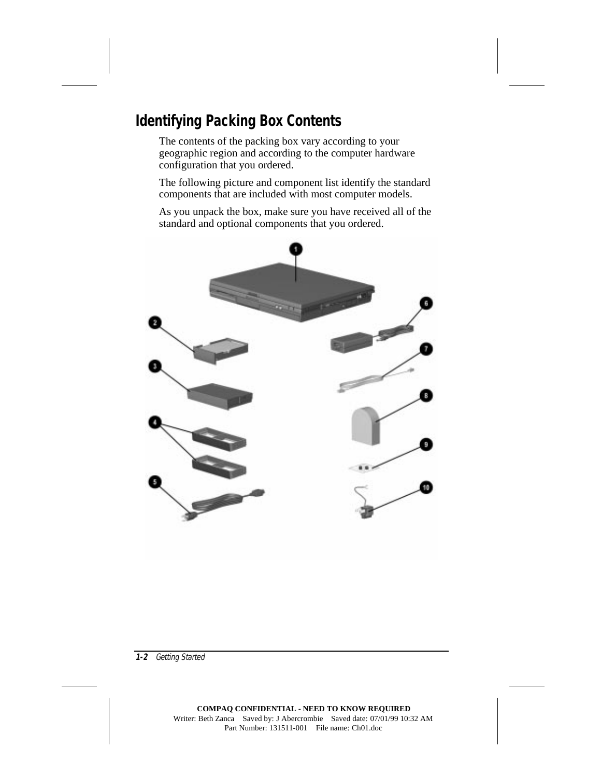## <span id="page-27-0"></span>**Identifying Packing Box Contents**

The contents of the packing box vary according to your geographic region and according to the computer hardware configuration that you ordered.

The following picture and component list identify the standard components that are included with most computer models.

As you unpack the box, make sure you have received all of the standard and optional components that you ordered.

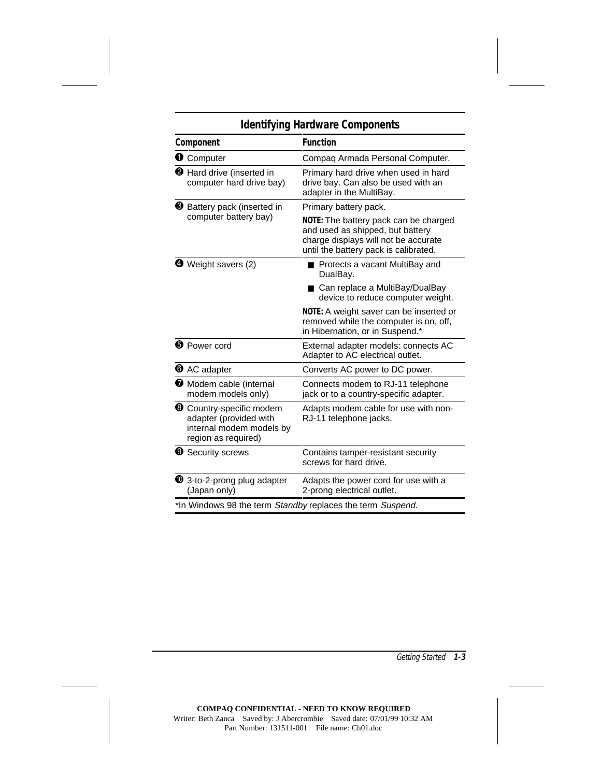### **Identifying Hardware Components**

|  | Component                                                                                                        | <b>Function</b>                                                                                                                                            |  |
|--|------------------------------------------------------------------------------------------------------------------|------------------------------------------------------------------------------------------------------------------------------------------------------------|--|
|  | <b>O</b> Computer                                                                                                | Compaq Armada Personal Computer.                                                                                                                           |  |
|  | <b>2</b> Hard drive (inserted in<br>computer hard drive bay)                                                     | Primary hard drive when used in hard<br>drive bay. Can also be used with an<br>adapter in the MultiBay.                                                    |  |
|  | <b>6</b> Battery pack (inserted in                                                                               | Primary battery pack.                                                                                                                                      |  |
|  | computer battery bay)                                                                                            | NOTE: The battery pack can be charged<br>and used as shipped, but battery<br>charge displays will not be accurate<br>until the battery pack is calibrated. |  |
|  | <b>4</b> Weight savers (2)                                                                                       | ■ Protects a vacant MultiBay and<br>DualBay.                                                                                                               |  |
|  |                                                                                                                  | ■ Can replace a MultiBay/DualBay<br>device to reduce computer weight.                                                                                      |  |
|  |                                                                                                                  | NOTE: A weight saver can be inserted or<br>removed while the computer is on, off,<br>in Hibernation, or in Suspend.*                                       |  |
|  | <b>O</b> Power cord                                                                                              | External adapter models: connects AC<br>Adapter to AC electrical outlet.                                                                                   |  |
|  | <b>O</b> AC adapter                                                                                              | Converts AC power to DC power.                                                                                                                             |  |
|  | Modem cable (internal<br>modem models only)                                                                      | Connects modem to RJ-11 telephone<br>jack or to a country-specific adapter.                                                                                |  |
|  | <sup>6</sup> Country-specific modem<br>adapter (provided with<br>internal modem models by<br>region as required) | Adapts modem cable for use with non-<br>RJ-11 telephone jacks.                                                                                             |  |
|  | <b>9</b> Security screws                                                                                         | Contains tamper-resistant security<br>screws for hard drive.                                                                                               |  |
|  | 13-to-2-prong plug adapter<br>(Japan only)                                                                       | Adapts the power cord for use with a<br>2-prong electrical outlet.                                                                                         |  |
|  | *In Windows 98 the term Standby replaces the term Suspend.                                                       |                                                                                                                                                            |  |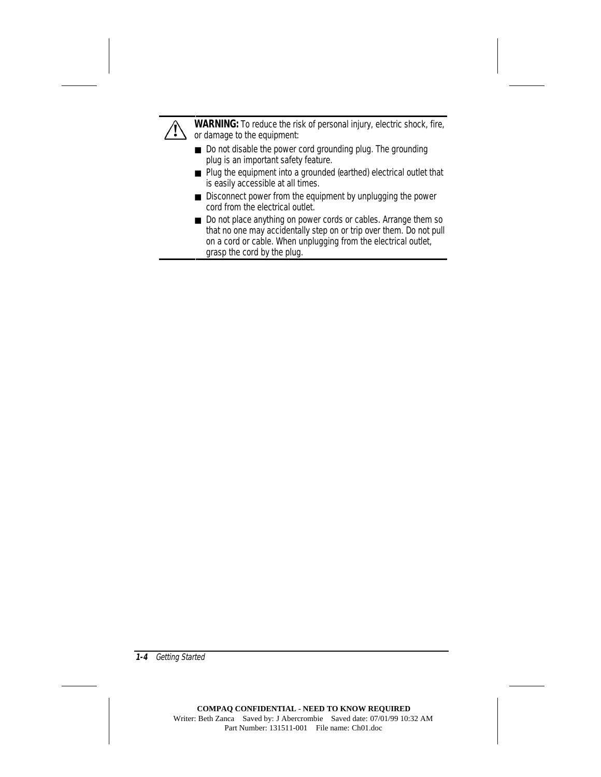

**! WARNING:** To reduce the risk of personal injury, electric shock, fire, or damage to the equipment:

- Do not disable the power cord grounding plug. The grounding plug is an important safety feature.
- Plug the equipment into a grounded (earthed) electrical outlet that is easily accessible at all times.
- Disconnect power from the equipment by unplugging the power cord from the electrical outlet.
- Do not place anything on power cords or cables. Arrange them so that no one may accidentally step on or trip over them. Do not pull on a cord or cable. When unplugging from the electrical outlet, grasp the cord by the plug.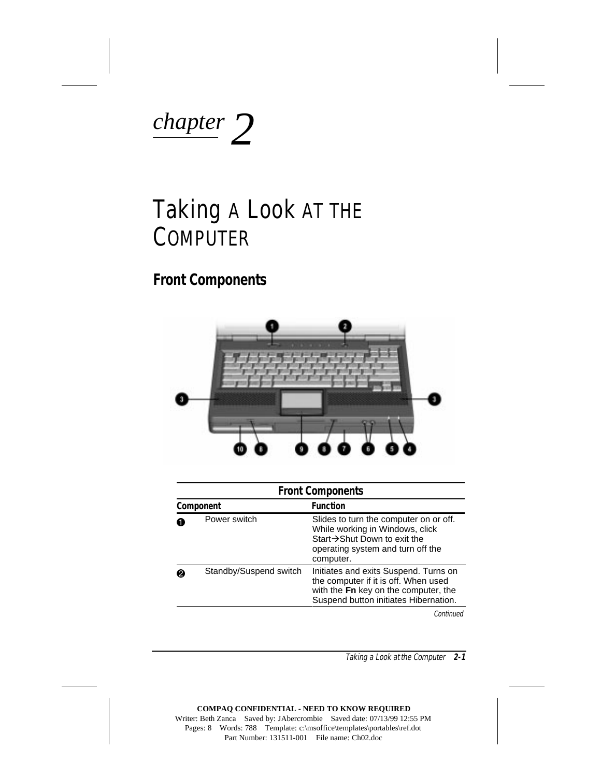<span id="page-30-0"></span>

# Taking A Look AT THE COMPUTER

## **Front Components**



|           | <b>Front Components</b> |                                                                                                                                                                |  |
|-----------|-------------------------|----------------------------------------------------------------------------------------------------------------------------------------------------------------|--|
| Component |                         | <b>Function</b>                                                                                                                                                |  |
|           | Power switch            | Slides to turn the computer on or off.<br>While working in Windows, click<br>Start→Shut Down to exit the<br>operating system and turn off the<br>computer.     |  |
|           | Standby/Suspend switch  | Initiates and exits Suspend. Turns on<br>the computer if it is off. When used<br>with the Fn key on the computer, the<br>Suspend button initiates Hibernation. |  |

Continued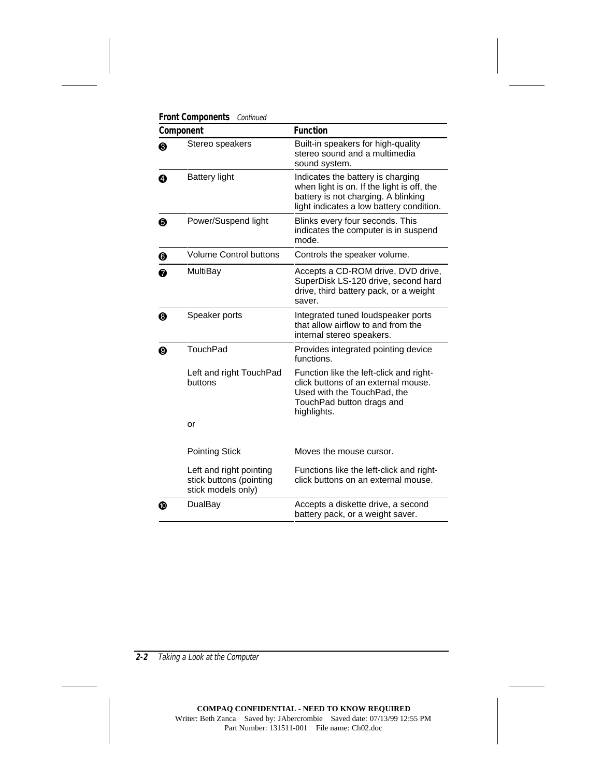| Component |                                                                          | <b>Function</b>                                                                                                                                                    |  |
|-----------|--------------------------------------------------------------------------|--------------------------------------------------------------------------------------------------------------------------------------------------------------------|--|
| ❸         | Stereo speakers                                                          | Built-in speakers for high-quality<br>stereo sound and a multimedia<br>sound system.                                                                               |  |
| ❹         | Battery light                                                            | Indicates the battery is charging<br>when light is on. If the light is off, the<br>battery is not charging. A blinking<br>light indicates a low battery condition. |  |
| ❺         | Power/Suspend light                                                      | Blinks every four seconds. This<br>indicates the computer is in suspend<br>mode.                                                                                   |  |
| ❻         | <b>Volume Control buttons</b>                                            | Controls the speaker volume.                                                                                                                                       |  |
| ❼         | MultiBay                                                                 | Accepts a CD-ROM drive, DVD drive,<br>SuperDisk LS-120 drive, second hard<br>drive, third battery pack, or a weight<br>saver.                                      |  |
| ❸         | Speaker ports                                                            | Integrated tuned loudspeaker ports<br>that allow airflow to and from the<br>internal stereo speakers.                                                              |  |
| ◉         | TouchPad                                                                 | Provides integrated pointing device<br>functions.                                                                                                                  |  |
|           | Left and right TouchPad<br>buttons                                       | Function like the left-click and right-<br>click buttons of an external mouse.<br>Used with the TouchPad, the<br>TouchPad button drags and<br>highlights.          |  |
|           | or                                                                       |                                                                                                                                                                    |  |
|           | <b>Pointing Stick</b>                                                    | Moves the mouse cursor.                                                                                                                                            |  |
|           | Left and right pointing<br>stick buttons (pointing<br>stick models only) | Functions like the left-click and right-<br>click buttons on an external mouse.                                                                                    |  |
|           | DualBay                                                                  | Accepts a diskette drive, a second<br>battery pack, or a weight saver.                                                                                             |  |

**Front Components Continued**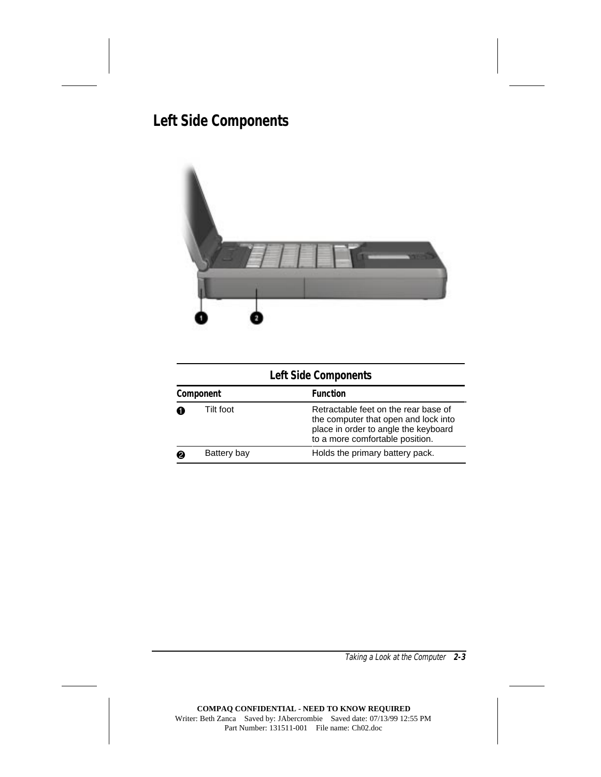# <span id="page-32-0"></span>**Left Side Components**



| <b>Left Side Components</b> |             |                                                                                                                                                         |  |  |
|-----------------------------|-------------|---------------------------------------------------------------------------------------------------------------------------------------------------------|--|--|
|                             | Component   | <b>Function</b>                                                                                                                                         |  |  |
|                             | Tilt foot   | Retractable feet on the rear base of<br>the computer that open and lock into<br>place in order to angle the keyboard<br>to a more comfortable position. |  |  |
|                             | Battery bay | Holds the primary battery pack.                                                                                                                         |  |  |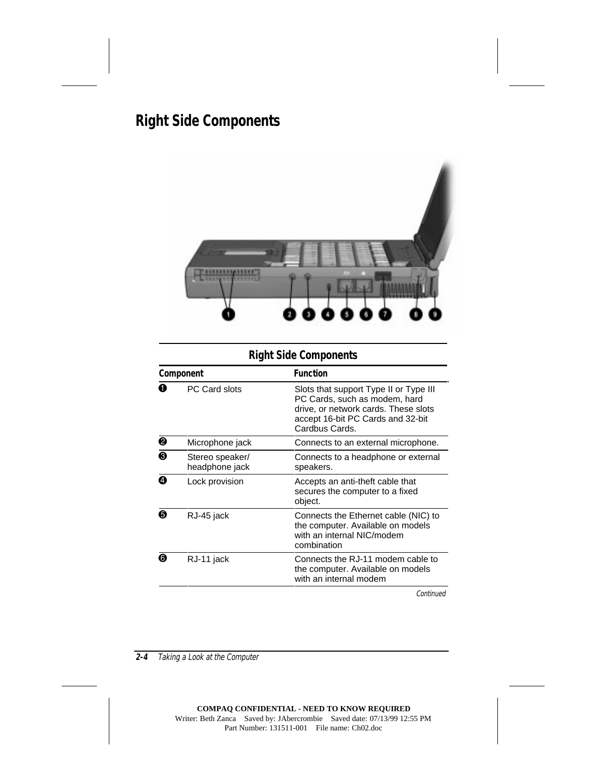# <span id="page-33-0"></span>**Right Side Components**



### **Right Side Components**

| Component |                                   | <b>Function</b>                                                                                                                                                        |  |
|-----------|-----------------------------------|------------------------------------------------------------------------------------------------------------------------------------------------------------------------|--|
| O         | PC Card slots                     | Slots that support Type II or Type III<br>PC Cards, such as modem, hard<br>drive, or network cards. These slots<br>accept 16-bit PC Cards and 32-bit<br>Cardbus Cards. |  |
| ❷         | Microphone jack                   | Connects to an external microphone.                                                                                                                                    |  |
| ❸         | Stereo speaker/<br>headphone jack | Connects to a headphone or external<br>speakers.                                                                                                                       |  |
| ❹         | Lock provision                    | Accepts an anti-theft cable that<br>secures the computer to a fixed<br>object.                                                                                         |  |
| 6         | RJ-45 jack                        | Connects the Ethernet cable (NIC) to<br>the computer. Available on models<br>with an internal NIC/modem<br>combination                                                 |  |
| ❻         | RJ-11 jack                        | Connects the RJ-11 modem cable to<br>the computer. Available on models<br>with an internal modem                                                                       |  |
|           |                                   |                                                                                                                                                                        |  |

**Continued**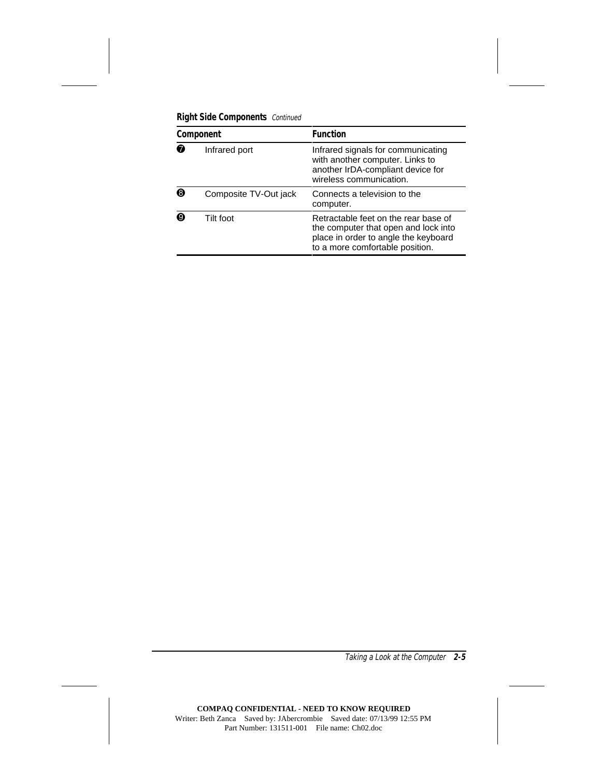| Component |                       | <b>Function</b>                                                                                                                                         |
|-----------|-----------------------|---------------------------------------------------------------------------------------------------------------------------------------------------------|
| ⋒         | Infrared port         | Infrared signals for communicating<br>with another computer. Links to<br>another IrDA-compliant device for<br>wireless communication.                   |
| ଈ         | Composite TV-Out jack | Connects a television to the<br>computer.                                                                                                               |
| Ø         | Tilt foot             | Retractable feet on the rear base of<br>the computer that open and lock into<br>place in order to angle the keyboard<br>to a more comfortable position. |

**Right Side Components** Continued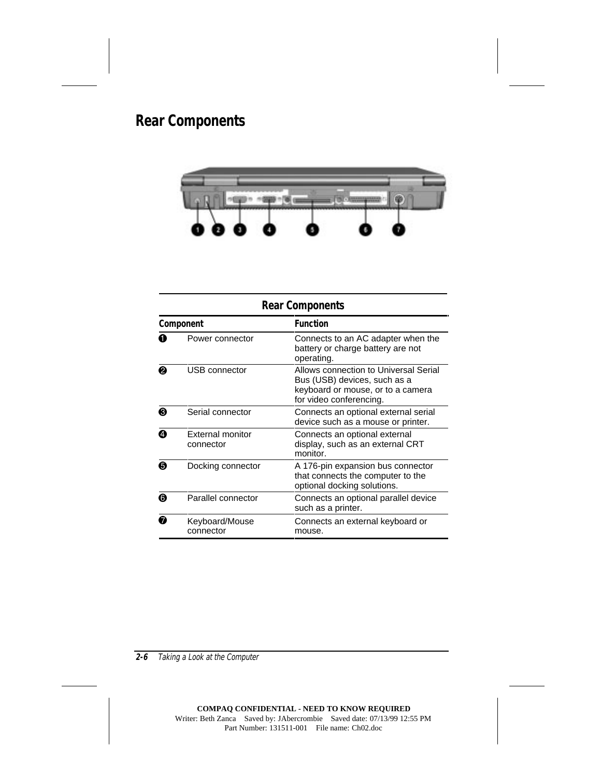# <span id="page-35-0"></span>**Rear Components**



| <b>Rear Components</b> |                               |                                                                                                                                       |  |  |
|------------------------|-------------------------------|---------------------------------------------------------------------------------------------------------------------------------------|--|--|
| Component              |                               | <b>Function</b>                                                                                                                       |  |  |
| 0                      | Power connector               | Connects to an AC adapter when the<br>battery or charge battery are not<br>operating.                                                 |  |  |
| 0                      | USB connector                 | Allows connection to Universal Serial<br>Bus (USB) devices, such as a<br>keyboard or mouse, or to a camera<br>for video conferencing. |  |  |
| ❸                      | Serial connector              | Connects an optional external serial<br>device such as a mouse or printer.                                                            |  |  |
| ❹                      | External monitor<br>connector | Connects an optional external<br>display, such as an external CRT<br>monitor.                                                         |  |  |
| ❺                      | Docking connector             | A 176-pin expansion bus connector<br>that connects the computer to the<br>optional docking solutions.                                 |  |  |
| ❺                      | Parallel connector            | Connects an optional parallel device<br>such as a printer.                                                                            |  |  |
| ⋒                      | Keyboard/Mouse<br>connector   | Connects an external keyboard or<br>mouse.                                                                                            |  |  |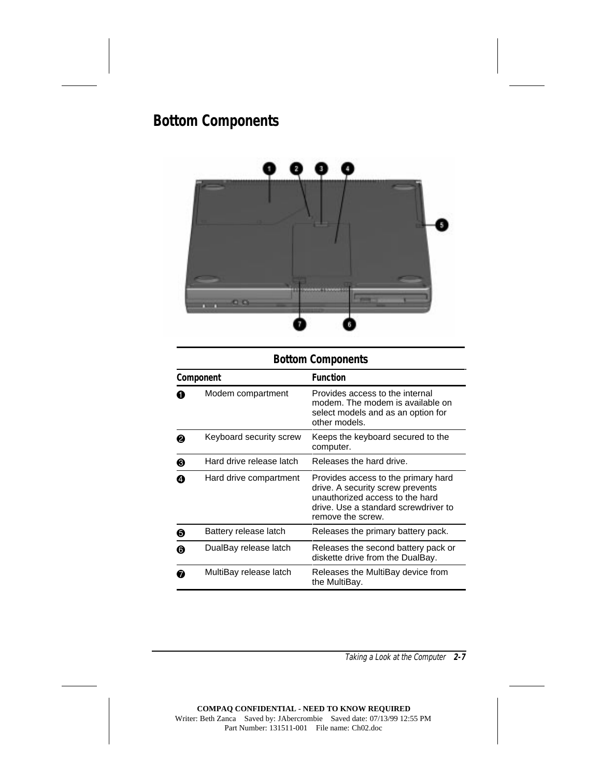# **Bottom Components**



### **Bottom Components**

| Component |                          | <b>Function</b>                                                                                                                                                         |
|-----------|--------------------------|-------------------------------------------------------------------------------------------------------------------------------------------------------------------------|
|           | Modem compartment        | Provides access to the internal<br>modem. The modem is available on<br>select models and as an option for<br>other models.                                              |
| 0         | Keyboard security screw  | Keeps the keyboard secured to the<br>computer.                                                                                                                          |
| ❸         | Hard drive release latch | Releases the hard drive.                                                                                                                                                |
| A         | Hard drive compartment   | Provides access to the primary hard<br>drive. A security screw prevents<br>unauthorized access to the hard<br>drive. Use a standard screwdriver to<br>remove the screw. |
| ❺         | Battery release latch    | Releases the primary battery pack.                                                                                                                                      |
| 6         | DualBay release latch    | Releases the second battery pack or<br>diskette drive from the DualBay.                                                                                                 |
| Ø         | MultiBay release latch   | Releases the MultiBay device from<br>the MultiBay.                                                                                                                      |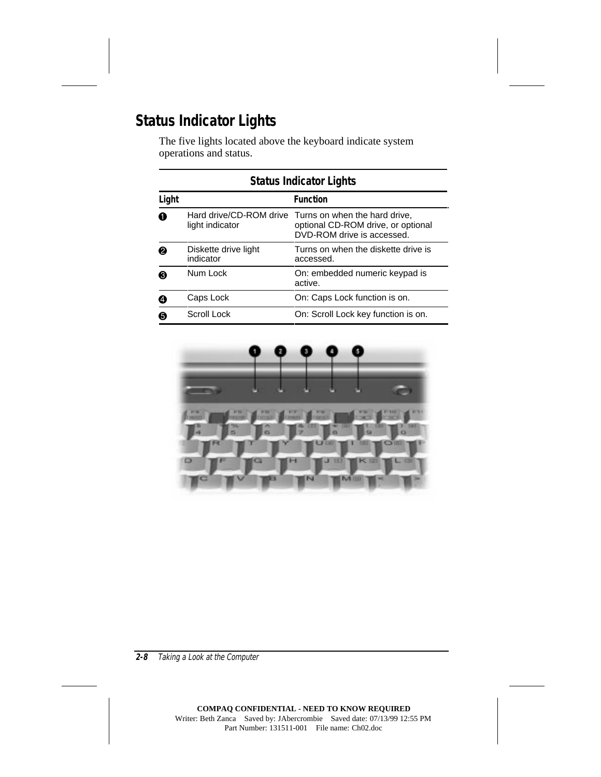# **Status Indicator Lights**

The five lights located above the keyboard indicate system operations and status.

| <b>Status Indicator Lights</b> |                                   |                                                                                                                           |
|--------------------------------|-----------------------------------|---------------------------------------------------------------------------------------------------------------------------|
| Light                          |                                   | <b>Function</b>                                                                                                           |
| 0                              | light indicator                   | Hard drive/CD-ROM drive Turns on when the hard drive,<br>optional CD-ROM drive, or optional<br>DVD-ROM drive is accessed. |
| ❷                              | Diskette drive light<br>indicator | Turns on when the diskette drive is<br>accessed.                                                                          |
| 0                              | Num Lock                          | On: embedded numeric keypad is<br>active.                                                                                 |
| ❹                              | Caps Lock                         | On: Caps Lock function is on.                                                                                             |
| 6                              | Scroll Lock                       | On: Scroll Lock key function is on.                                                                                       |

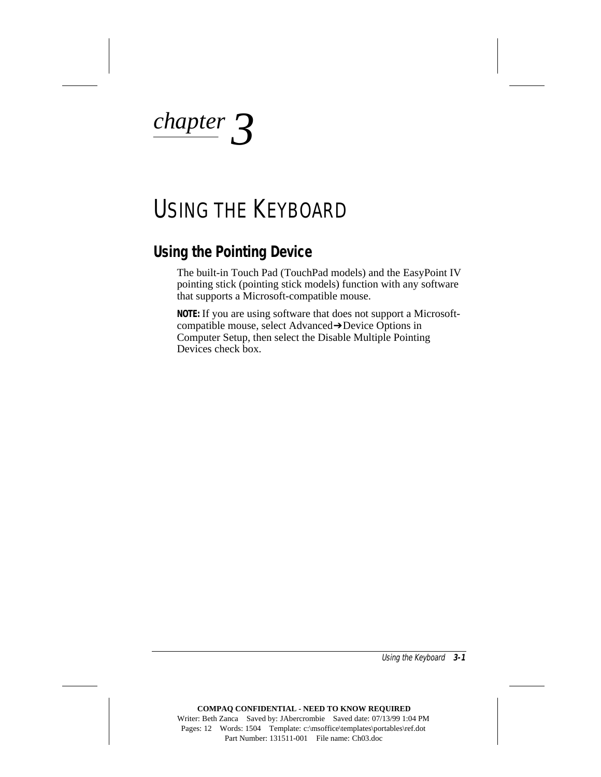*chapter 3*

# USING THE KEYBOARD

### **Using the Pointing Device**

The built-in Touch Pad (TouchPad models) and the EasyPoint IV pointing stick (pointing stick models) function with any software that supports a Microsoft-compatible mouse.

**NOTE:** If you are using software that does not support a Microsoftcompatible mouse, select Advanced➔Device Options in Computer Setup, then select the Disable Multiple Pointing Devices check box.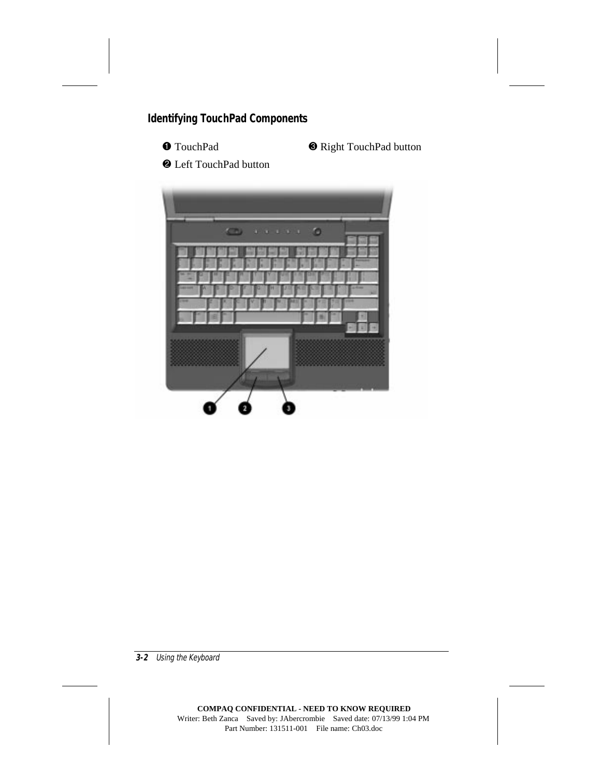### **Identifying TouchPad Components**



**1 TouchPad 3 Right TouchPad button** 

2 Left TouchPad button

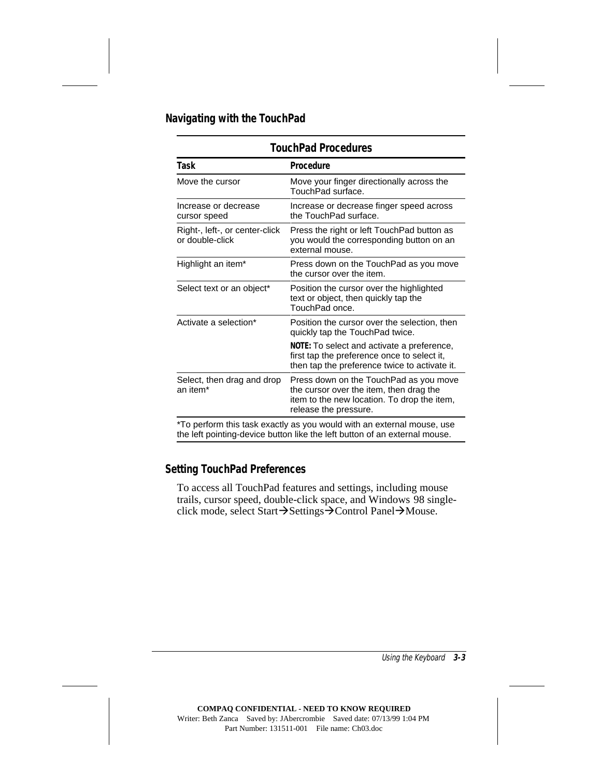#### **Navigating with the TouchPad**

| <b>TouchPad Procedures</b>                                            |                                                                                                                                                           |  |
|-----------------------------------------------------------------------|-----------------------------------------------------------------------------------------------------------------------------------------------------------|--|
| Task                                                                  | <b>Procedure</b>                                                                                                                                          |  |
| Move the cursor                                                       | Move your finger directionally across the<br>TouchPad surface.                                                                                            |  |
| Increase or decrease<br>cursor speed                                  | Increase or decrease finger speed across<br>the TouchPad surface.                                                                                         |  |
| Right-, left-, or center-click<br>or double-click                     | Press the right or left TouchPad button as<br>you would the corresponding button on an<br>external mouse.                                                 |  |
| Highlight an item*                                                    | Press down on the TouchPad as you move<br>the cursor over the item.                                                                                       |  |
| Select text or an object*                                             | Position the cursor over the highlighted<br>text or object, then quickly tap the<br>TouchPad once.                                                        |  |
| Activate a selection*                                                 | Position the cursor over the selection, then<br>quickly tap the TouchPad twice.                                                                           |  |
|                                                                       | NOTE: To select and activate a preference,<br>first tap the preference once to select it,<br>then tap the preference twice to activate it.                |  |
| Select, then drag and drop<br>an item <sup>*</sup>                    | Press down on the TouchPad as you move<br>the cursor over the item, then drag the<br>item to the new location. To drop the item,<br>release the pressure. |  |
| *To perform this task exactly as you would with an external mouse use |                                                                                                                                                           |  |

To perform this task exactly as you would with an external mouse, use the left pointing-device button like the left button of an external mouse.

#### **Setting TouchPad Preferences**

To access all TouchPad features and settings, including mouse trails, cursor speed, double-click space, and Windows 98 singleclick mode, select Start $\rightarrow$ Settings $\rightarrow$ Control Panel $\rightarrow$ Mouse.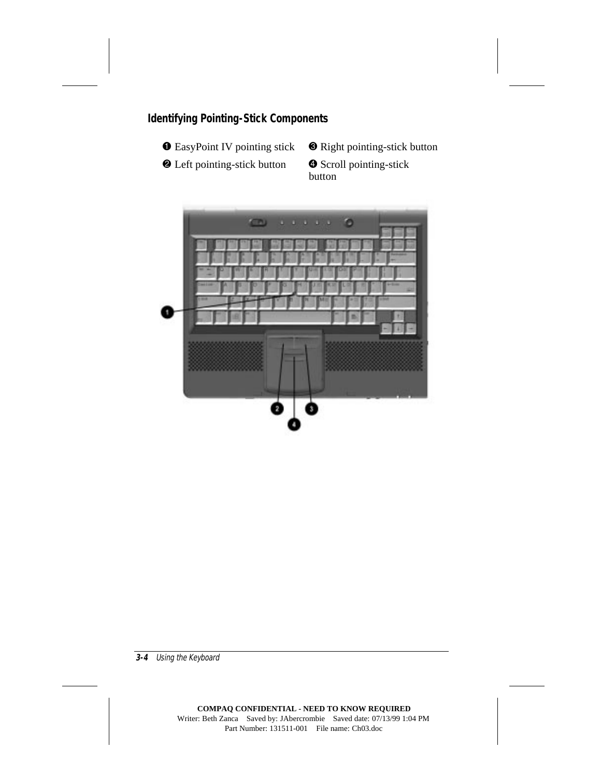### **Identifying Pointing-Stick Components**



- 
- <sup>2</sup> Left pointing-stick button <sup>4</sup> Scroll pointing-stick
- **1 EasyPoint IV pointing stick 3 Right pointing-stick button**

button

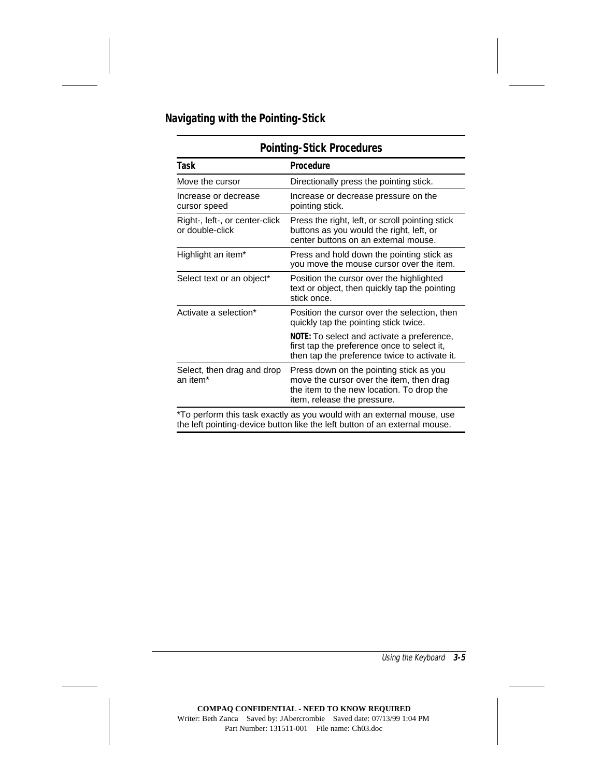### **Navigating with the Pointing-Stick**

| POINUNG-SUCK Procedures                                                          |                                                                                                                                                                 |  |
|----------------------------------------------------------------------------------|-----------------------------------------------------------------------------------------------------------------------------------------------------------------|--|
| Task                                                                             | Procedure                                                                                                                                                       |  |
| Move the cursor                                                                  | Directionally press the pointing stick.                                                                                                                         |  |
| Increase or decrease<br>cursor speed                                             | Increase or decrease pressure on the<br>pointing stick.                                                                                                         |  |
| Right-, left-, or center-click<br>or double-click                                | Press the right, left, or scroll pointing stick<br>buttons as you would the right, left, or<br>center buttons on an external mouse.                             |  |
| Highlight an item*                                                               | Press and hold down the pointing stick as<br>you move the mouse cursor over the item.                                                                           |  |
| Select text or an object*                                                        | Position the cursor over the highlighted<br>text or object, then quickly tap the pointing<br>stick once.                                                        |  |
| Activate a selection*                                                            | Position the cursor over the selection, then<br>quickly tap the pointing stick twice.                                                                           |  |
|                                                                                  | NOTE: To select and activate a preference,<br>first tap the preference once to select it,<br>then tap the preference twice to activate it.                      |  |
| Select, then drag and drop<br>an item*                                           | Press down on the pointing stick as you<br>move the cursor over the item, then drag<br>the item to the new location. To drop the<br>item, release the pressure. |  |
| $*T_{\alpha}$ partern this took evently as you would with an external mouse, you |                                                                                                                                                                 |  |

### **Pointing-Stick Procedures**

\*To perform this task exactly as you would with an external mouse, use the left pointing-device button like the left button of an external mouse.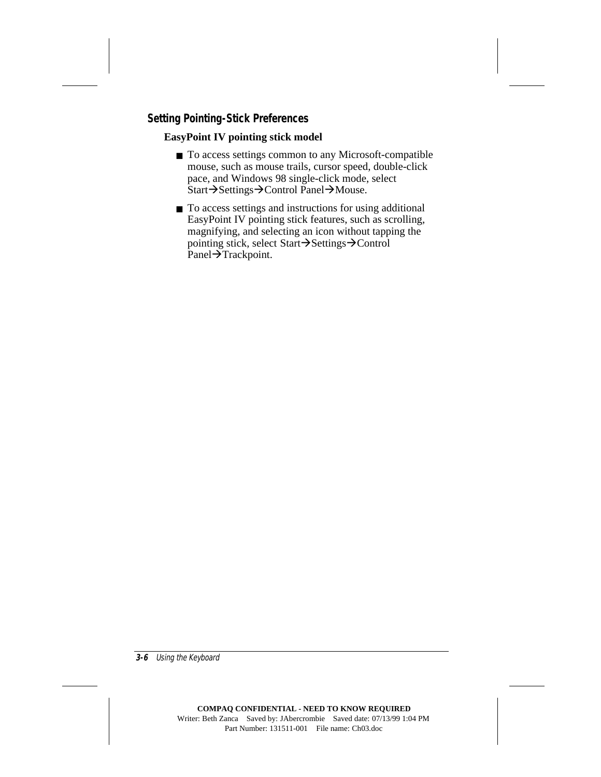### **Setting Pointing-Stick Preferences**

#### **EasyPoint IV pointing stick model**

- To access settings common to any Microsoft-compatible mouse, such as mouse trails, cursor speed, double-click pace, and Windows 98 single-click mode, select  $Start \rightarrow$ Settings $\rightarrow$ Control Panel $\rightarrow$ Mouse.
- To access settings and instructions for using additional EasyPoint IV pointing stick features, such as scrolling, magnifying, and selecting an icon without tapping the pointing stick, select Start $\rightarrow$ Settings $\rightarrow$ Control Panel $\rightarrow$ Trackpoint.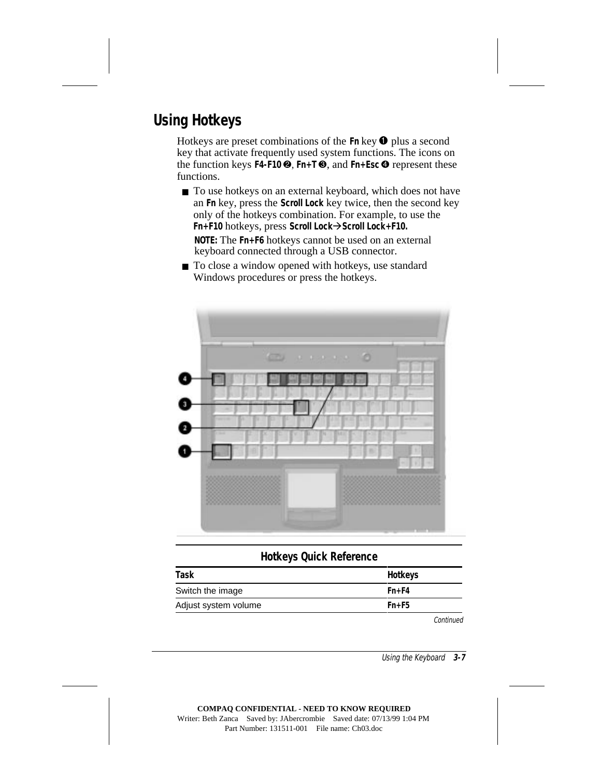# **Using Hotkeys**

Hotkeys are preset combinations of the **Fn** key  $\bullet$  plus a second key that activate frequently used system functions. The icons on the function keys **F4-F10**  $\Theta$ , **Fn+T** $\Theta$ , and **Fn+Esc**  $\Theta$  represent these functions.

- To use hotkeys on an external keyboard, which does not have an **Fn** key, press the **Scroll Lock** key twice, then the second key only of the hotkeys combination. For example, to use the **Fn+F10** hotkeys, press **Scroll Lock**Å**Scroll Lock+F10. NOTE:** The **Fn+F6** hotkeys cannot be used on an external keyboard connected through a USB connector.
- To close a window opened with hotkeys, use standard Windows procedures or press the hotkeys.



#### **Hotkeys Quick Reference**

| Task                 | <b>Hotkeys</b> |
|----------------------|----------------|
| Switch the image     | $Fn + F4$      |
| Adjust system volume | $Fn + F5$      |
|                      | Confini        |

Continued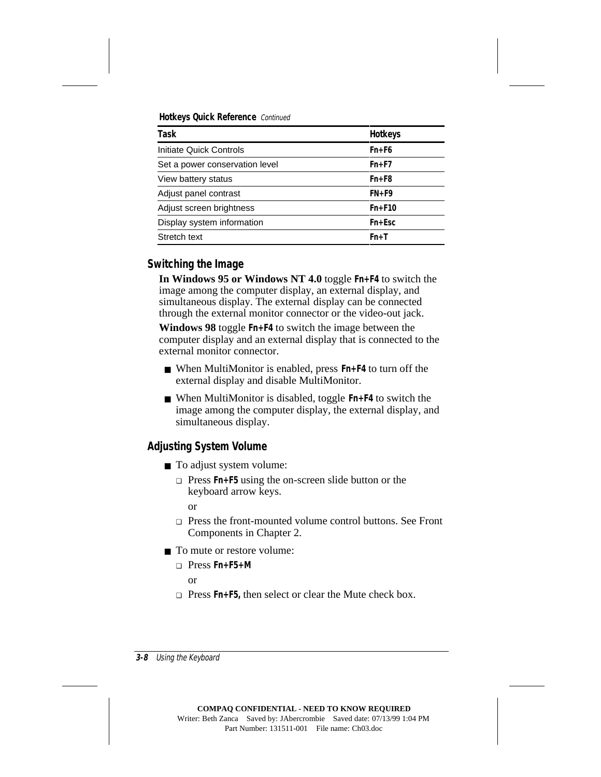**Hotkeys Quick Reference** Continued

| Task                           | <b>Hotkeys</b> |
|--------------------------------|----------------|
| Initiate Quick Controls        | $Fn + F6$      |
| Set a power conservation level | $Fn + F7$      |
| View battery status            | $Fn + F8$      |
| Adjust panel contrast          | $FN + F9$      |
| Adjust screen brightness       | $Fn + F10$     |
| Display system information     | $Fn + Esc$     |
| Stretch text                   | $Fn+T$         |

### **Switching the Image**

**In Windows 95 or Windows NT 4.0** toggle **Fn+F4** to switch the image among the computer display, an external display, and simultaneous display. The external display can be connected through the external monitor connector or the video-out jack.

**Windows 98** toggle **Fn+F4** to switch the image between the computer display and an external display that is connected to the external monitor connector.

- When MultiMonitor is enabled, press **Fn**+F4 to turn off the external display and disable MultiMonitor.
- When MultiMonitor is disabled, toggle **Fn+F4** to switch the image among the computer display, the external display, and simultaneous display.

### **Adjusting System Volume**

- To adjust system volume:
	- ❏ Press **Fn+F5** using the on-screen slide button or the keyboard arrow keys.

or

- ❏ Press the front-mounted volume control buttons. See Front Components in Chapter 2.
- To mute or restore volume:
	- ❏ Press **Fn+F5+M** or
	- ❏ Press **Fn+F5,** then select or clear the Mute check box.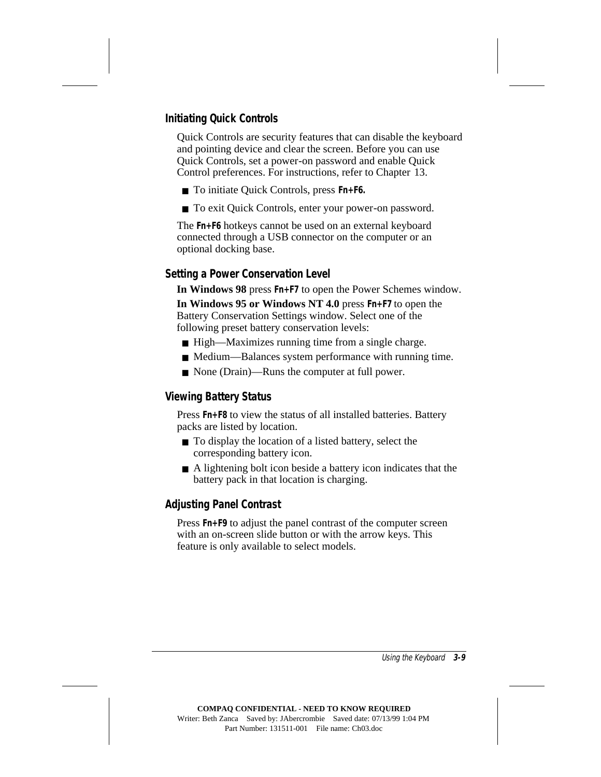### **Initiating Quick Controls**

Quick Controls are security features that can disable the keyboard and pointing device and clear the screen. Before you can use Quick Controls, set a power-on password and enable Quick Control preferences. For instructions, refer to Chapter 13.

- To initiate Quick Controls, press **Fn+F6.**
- To exit Quick Controls, enter your power-on password.

The **Fn+F6** hotkeys cannot be used on an external keyboard connected through a USB connector on the computer or an optional docking base.

#### **Setting a Power Conservation Level**

**In Windows 98** press **Fn+F7** to open the Power Schemes window.

**In Windows 95 or Windows NT 4.0** press **Fn+F7** to open the Battery Conservation Settings window. Select one of the following preset battery conservation levels:

- High—Maximizes running time from a single charge.
- Medium—Balances system performance with running time.
- None (Drain)—Runs the computer at full power.

#### **Viewing Battery Status**

Press **Fn+F8** to view the status of all installed batteries. Battery packs are listed by location.

- To display the location of a listed battery, select the corresponding battery icon.
- A lightening bolt icon beside a battery icon indicates that the battery pack in that location is charging.

### **Adjusting Panel Contrast**

Press **Fn+F9** to adjust the panel contrast of the computer screen with an on-screen slide button or with the arrow keys. This feature is only available to select models.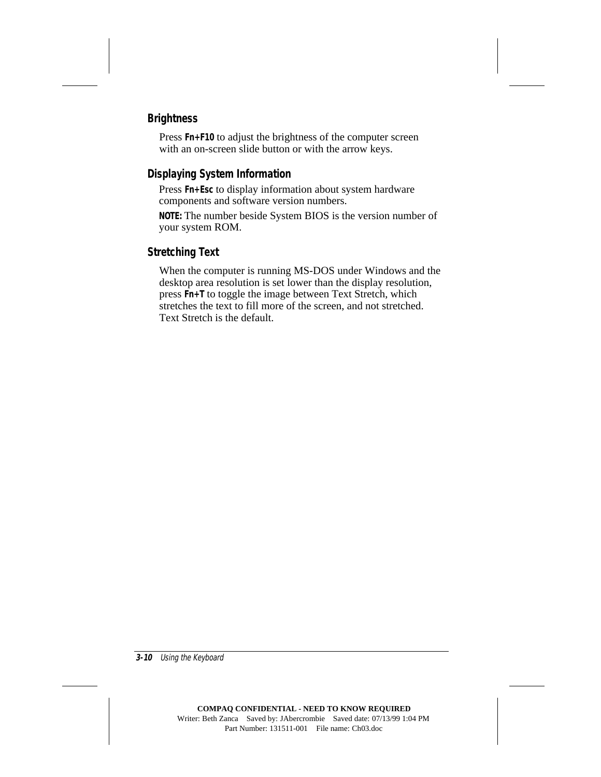### **Brightness**

Press **Fn+F10** to adjust the brightness of the computer screen with an on-screen slide button or with the arrow keys.

### **Displaying System Information**

Press **Fn+Esc** to display information about system hardware components and software version numbers.

**NOTE:** The number beside System BIOS is the version number of your system ROM.

### **Stretching Text**

When the computer is running MS-DOS under Windows and the desktop area resolution is set lower than the display resolution, press **Fn+T** to toggle the image between Text Stretch, which stretches the text to fill more of the screen, and not stretched. Text Stretch is the default.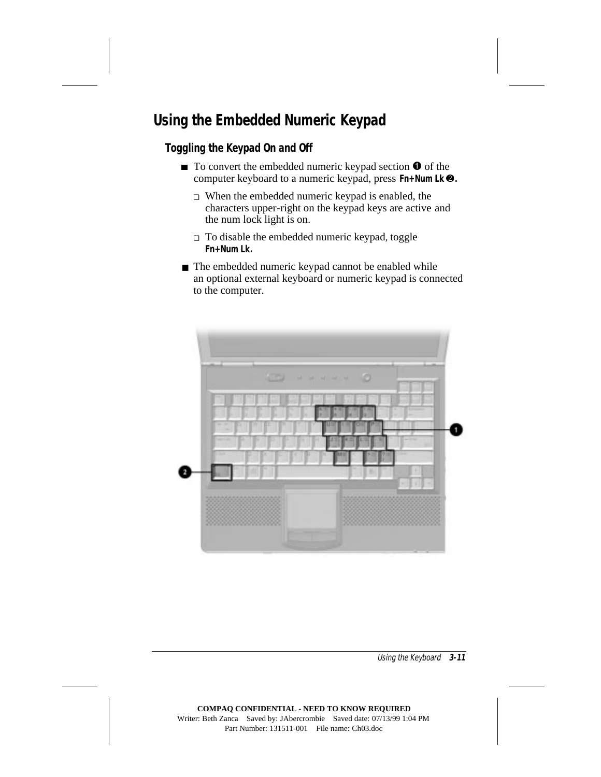# **Using the Embedded Numeric Keypad**

### **Toggling the Keypad On and Off**

- $\blacksquare$  To convert the embedded numeric keypad section  $\blacksquare$  of the computer keyboard to a numeric keypad, press **Fn+Num Lk**  $\bullet$ .
	- ❏ When the embedded numeric keypad is enabled, the characters upper-right on the keypad keys are active and the num lock light is on.
	- ❏ To disable the embedded numeric keypad, toggle **Fn+Num Lk.**
- The embedded numeric keypad cannot be enabled while an optional external keyboard or numeric keypad is connected to the computer.

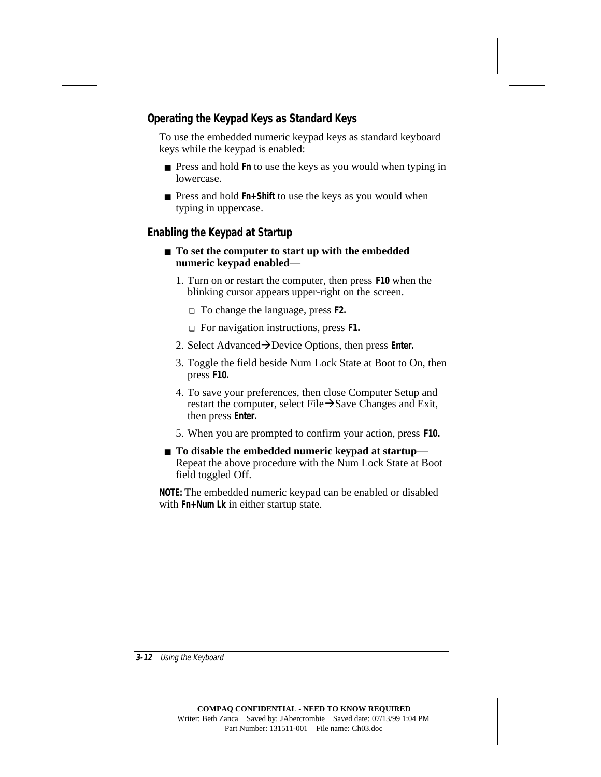### **Operating the Keypad Keys as Standard Keys**

To use the embedded numeric keypad keys as standard keyboard keys while the keypad is enabled:

- Press and hold **Fn** to use the keys as you would when typing in lowercase.
- Press and hold Fn<sup>+</sup>Shift to use the keys as you would when typing in uppercase.

### **Enabling the Keypad at Startup**

- **To set the computer to start up with the embedded numeric keypad enabled**—
	- 1. Turn on or restart the computer, then press **F10** when the blinking cursor appears upper-right on the screen.
		- ❏ To change the language, press **F2.**
		- ❏ For navigation instructions, press **F1.**
	- 2. Select Advanced**→D**evice Options, then press **Enter.**
	- 3. Toggle the field beside Num Lock State at Boot to On, then press **F10.**
	- 4. To save your preferences, then close Computer Setup and restart the computer, select File $\rightarrow$ Save Changes and Exit, then press **Enter.**
	- 5. When you are prompted to confirm your action, press **F10.**
- **To disable the embedded numeric keypad at startup—** Repeat the above procedure with the Num Lock State at Boot field toggled Off.

**NOTE:** The embedded numeric keypad can be enabled or disabled with **Fn+Num Lk** in either startup state.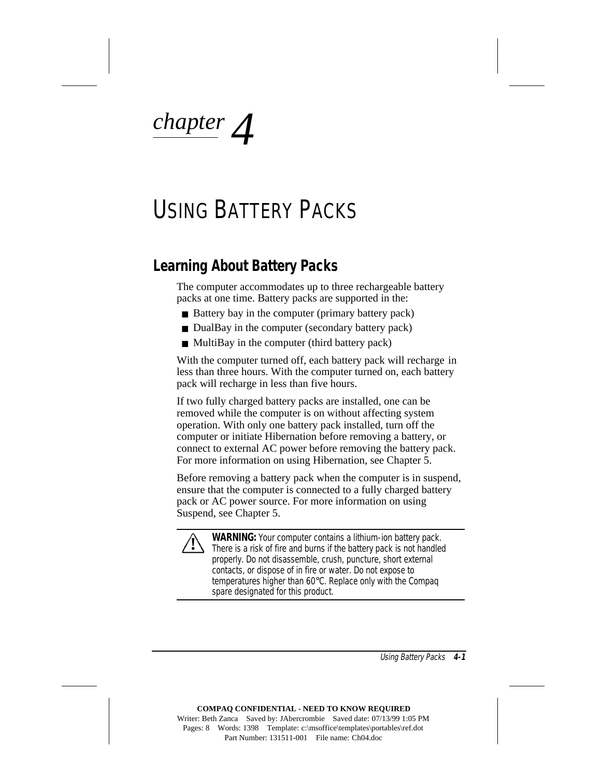*chapter 4*

# USING BATTERY PACKS

### **Learning About Battery Packs**

The computer accommodates up to three rechargeable battery packs at one time. Battery packs are supported in the:

- Battery bay in the computer (primary battery pack)
- DualBay in the computer (secondary battery pack)
- MultiBay in the computer (third battery pack)

With the computer turned off, each battery pack will recharge in less than three hours. With the computer turned on, each battery pack will recharge in less than five hours.

If two fully charged battery packs are installed, one can be removed while the computer is on without affecting system operation. With only one battery pack installed, turn off the computer or initiate Hibernation before removing a battery, or connect to external AC power before removing the battery pack. For more information on using Hibernation, see Chapter 5.

Before removing a battery pack when the computer is in suspend, ensure that the computer is connected to a fully charged battery pack or AC power source. For more information on using Suspend, see Chapter 5.



**WARNING:** Your computer contains a lithium-ion battery pack. There is a risk of fire and burns if the battery pack is not handled properly. Do not disassemble, crush, puncture, short external contacts, or dispose of in fire or water. Do not expose to temperatures higher than 60°C. Replace only with the Compaq spare designated for this product.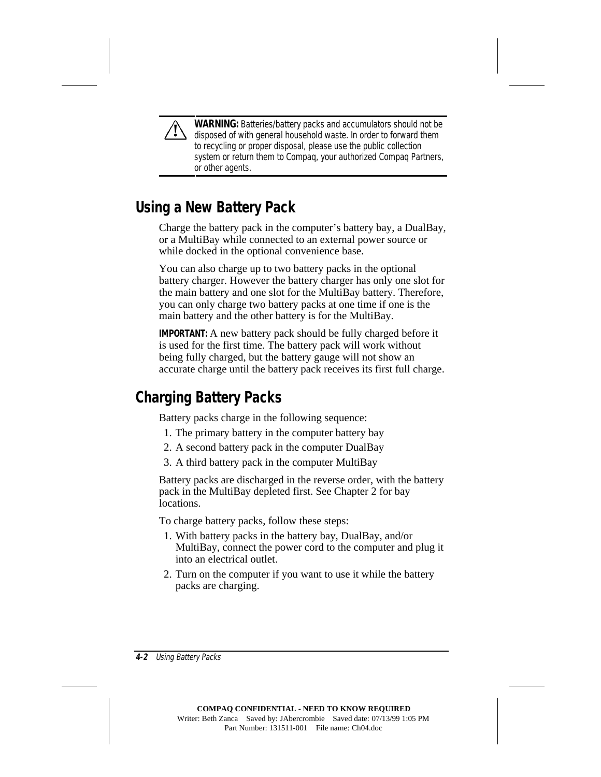**WARNING:** Batteries/battery packs and accumulators should not be disposed of with general household waste. In order to forward them to recycling or proper disposal, please use the public collection system or return them to Compaq, your authorized Compaq Partners, or other agents.

### **Using a New Battery Pack**

Charge the battery pack in the computer's battery bay, a DualBay, or a MultiBay while connected to an external power source or while docked in the optional convenience base.

You can also charge up to two battery packs in the optional battery charger. However the battery charger has only one slot for the main battery and one slot for the MultiBay battery. Therefore, you can only charge two battery packs at one time if one is the main battery and the other battery is for the MultiBay.

**IMPORTANT:** A new battery pack should be fully charged before it is used for the first time. The battery pack will work without being fully charged, but the battery gauge will not show an accurate charge until the battery pack receives its first full charge.

## **Charging Battery Packs**

Battery packs charge in the following sequence:

- 1. The primary battery in the computer battery bay
- 2. A second battery pack in the computer DualBay
- 3. A third battery pack in the computer MultiBay

Battery packs are discharged in the reverse order, with the battery pack in the MultiBay depleted first. See Chapter 2 for bay locations.

To charge battery packs, follow these steps:

- 1. With battery packs in the battery bay, DualBay, and/or MultiBay, connect the power cord to the computer and plug it into an electrical outlet.
- 2. Turn on the computer if you want to use it while the battery packs are charging.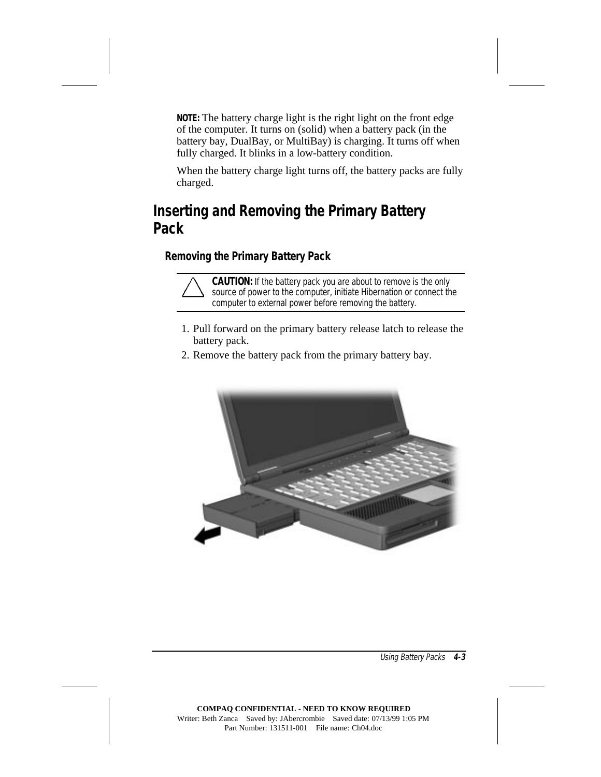**NOTE:** The battery charge light is the right light on the front edge of the computer. It turns on (solid) when a battery pack (in the battery bay, DualBay, or MultiBay) is charging. It turns off when fully charged. It blinks in a low-battery condition.

When the battery charge light turns off, the battery packs are fully charged.

## **Inserting and Removing the Primary Battery Pack**

### **Removing the Primary Battery Pack**



**CAUTION:** If the battery pack you are about to remove is the only source of power to the computer, initiate Hibernation or connect the computer to external power before removing the battery.

- 1. Pull forward on the primary battery release latch to release the battery pack.
- 2. Remove the battery pack from the primary battery bay.

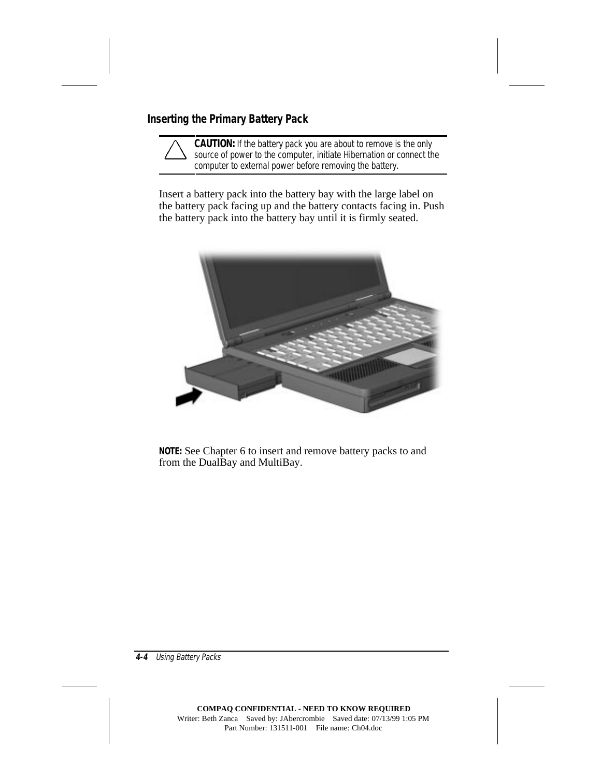### **Inserting the Primary Battery Pack**

**CAUTION:** If the battery pack you are about to remove is the only source of power to the computer, initiate Hibernation or connect the computer to external power before removing the battery.

Insert a battery pack into the battery bay with the large label on the battery pack facing up and the battery contacts facing in. Push the battery pack into the battery bay until it is firmly seated.



**NOTE:** See Chapter 6 to insert and remove battery packs to and from the DualBay and MultiBay.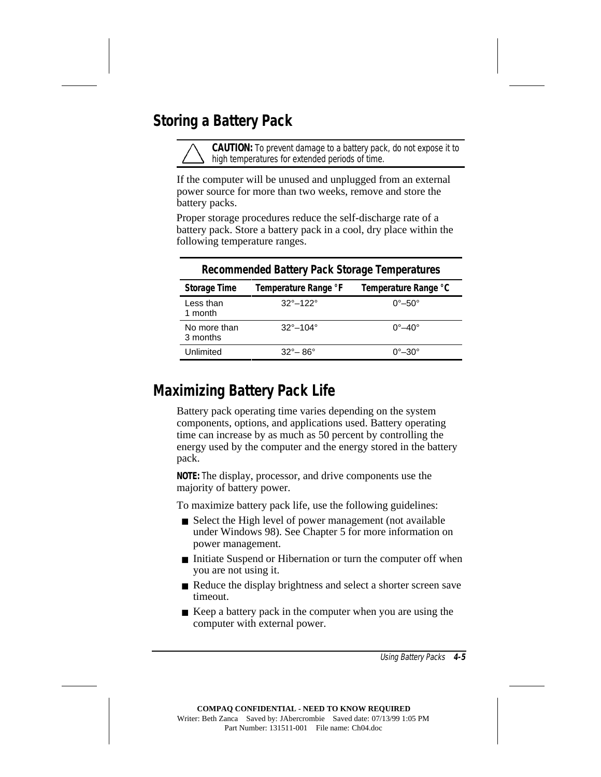### **Storing a Battery Pack**

**CAUTION:** To prevent damage to a battery pack, do not expose it to high temperatures for extended periods of time.

If the computer will be unused and unplugged from an external power source for more than two weeks, remove and store the battery packs.

Proper storage procedures reduce the self-discharge rate of a battery pack. Store a battery pack in a cool, dry place within the following temperature ranges.

| <b>Recommended Battery Pack Storage Temperatures</b> |                            |                            |
|------------------------------------------------------|----------------------------|----------------------------|
| <b>Storage Time</b>                                  | Temperature Range °F       | Temperature Range °C       |
| Less than<br>1 month                                 | $32^{\circ} - 122^{\circ}$ | $0^\circ - 50^\circ$       |
| No more than<br>3 months                             | $32^{\circ} - 104^{\circ}$ | $0^{\circ}$ -40 $^{\circ}$ |
| Unlimited                                            | $32^{\circ} - 86^{\circ}$  | 0°–30°                     |

### **Maximizing Battery Pack Life**

Battery pack operating time varies depending on the system components, options, and applications used. Battery operating time can increase by as much as 50 percent by controlling the energy used by the computer and the energy stored in the battery pack.

**NOTE:** The display, processor, and drive components use the majority of battery power.

To maximize battery pack life, use the following guidelines:

- Select the High level of power management (not available under Windows 98). See Chapter 5 for more information on power management.
- Initiate Suspend or Hibernation or turn the computer off when you are not using it.
- Reduce the display brightness and select a shorter screen save timeout.
- Keep a battery pack in the computer when you are using the computer with external power.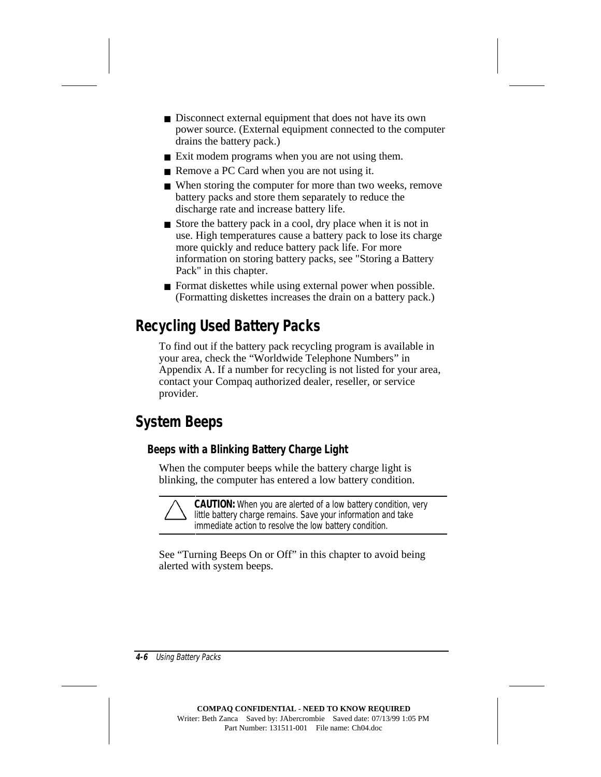- Disconnect external equipment that does not have its own power source. (External equipment connected to the computer drains the battery pack.)
- Exit modem programs when you are not using them.
- Remove a PC Card when you are not using it.
- When storing the computer for more than two weeks, remove battery packs and store them separately to reduce the discharge rate and increase battery life.
- Store the battery pack in a cool, dry place when it is not in use. High temperatures cause a battery pack to lose its charge more quickly and reduce battery pack life. For more information on storing battery packs, see "Storing a Battery Pack" in this chapter.
- Format diskettes while using external power when possible. (Formatting diskettes increases the drain on a battery pack.)

# **Recycling Used Battery Packs**

To find out if the battery pack recycling program is available in your area, check the "Worldwide Telephone Numbers" in Appendix A. If a number for recycling is not listed for your area, contact your Compaq authorized dealer, reseller, or service provider.

# **System Beeps**

### **Beeps with a Blinking Battery Charge Light**

When the computer beeps while the battery charge light is blinking, the computer has entered a low battery condition.

**CAUTION:** When you are alerted of a low battery condition, very little battery charge remains. Save your information and take immediate action to resolve the low battery condition.

See "Turning Beeps On or Off" in this chapter to avoid being alerted with system beeps.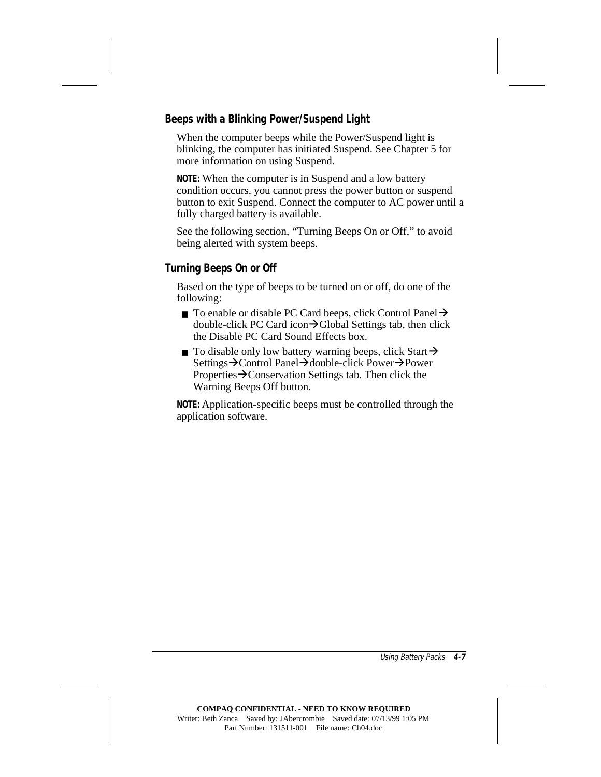### **Beeps with a Blinking Power/Suspend Light**

When the computer beeps while the Power/Suspend light is blinking, the computer has initiated Suspend. See Chapter 5 for more information on using Suspend.

**NOTE:** When the computer is in Suspend and a low battery condition occurs, you cannot press the power button or suspend button to exit Suspend. Connect the computer to AC power until a fully charged battery is available.

See the following section, "Turning Beeps On or Off," to avoid being alerted with system beeps.

#### **Turning Beeps On or Off**

Based on the type of beeps to be turned on or off, do one of the following:

- **To enable or disable PC Card beeps, click Control Panel** double-click PC Card icon $\rightarrow$ Global Settings tab, then click the Disable PC Card Sound Effects box.
- **To disable only low battery warning beeps, click Start** $\rightarrow$ Settings $\rightarrow$ Control Panel $\rightarrow$ double-click Power $\rightarrow$ Power Properties $\rightarrow$ Conservation Settings tab. Then click the Warning Beeps Off button.

**NOTE:** Application-specific beeps must be controlled through the application software.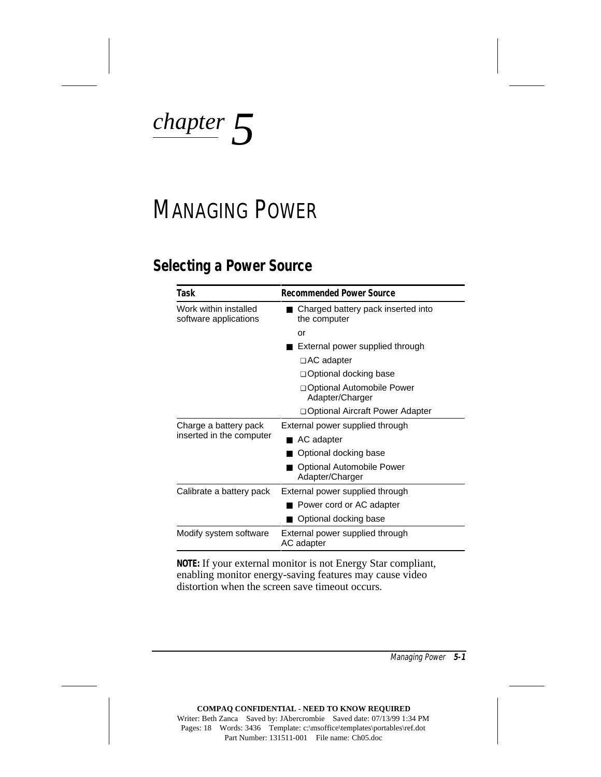*chapter 5*

# MANAGING POWER

### **Selecting a Power Source**

| Task                                           | <b>Recommended Power Source</b>                     |  |
|------------------------------------------------|-----------------------------------------------------|--|
| Work within installed<br>software applications | Charged battery pack inserted into<br>the computer  |  |
|                                                | or                                                  |  |
|                                                | External power supplied through                     |  |
|                                                | □ AC adapter                                        |  |
|                                                | □ Optional docking base                             |  |
|                                                | <b>Qptional Automobile Power</b><br>Adapter/Charger |  |
|                                                | □ Optional Aircraft Power Adapter                   |  |
| Charge a battery pack                          | External power supplied through                     |  |
| inserted in the computer                       | AC adapter                                          |  |
|                                                | Optional docking base                               |  |
|                                                | Optional Automobile Power<br>Adapter/Charger        |  |
| Calibrate a battery pack                       | External power supplied through                     |  |
|                                                | Power cord or AC adapter                            |  |
|                                                | Optional docking base                               |  |
| Modify system software                         | External power supplied through<br>AC adapter       |  |

**NOTE:** If your external monitor is not Energy Star compliant, enabling monitor energy-saving features may cause video distortion when the screen save timeout occurs.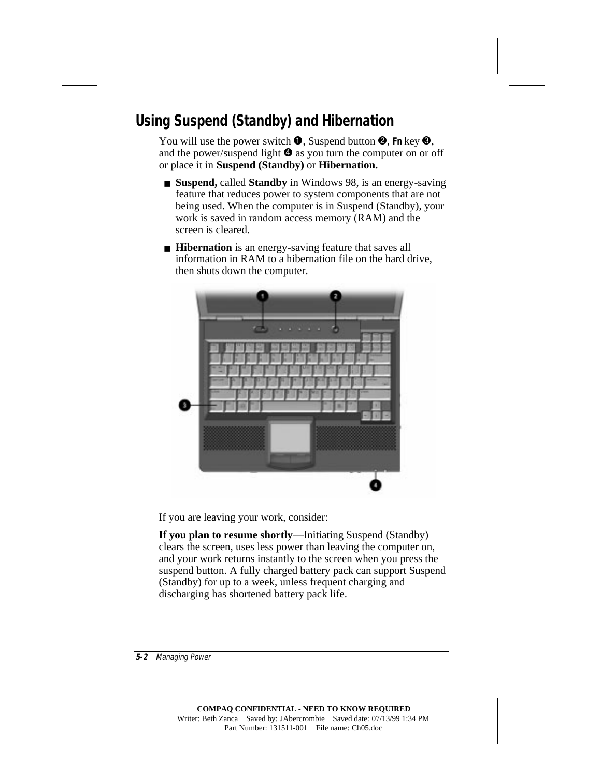# **Using Suspend (Standby) and Hibernation**

You will use the power switch  $\bullet$ , Suspend button  $\bullet$ , Fn key  $\bullet$ , and the power/suspend light  $\Theta$  as you turn the computer on or off or place it in **Suspend (Standby)** or **Hibernation.**

- **Suspend, called Standby** in Windows 98, is an energy-saving feature that reduces power to system components that are not being used. When the computer is in Suspend (Standby), your work is saved in random access memory (RAM) and the screen is cleared.
- **Hibernation** is an energy-saving feature that saves all information in RAM to a hibernation file on the hard drive, then shuts down the computer.



If you are leaving your work, consider:

**If you plan to resume shortly**—Initiating Suspend (Standby) clears the screen, uses less power than leaving the computer on, and your work returns instantly to the screen when you press the suspend button. A fully charged battery pack can support Suspend (Standby) for up to a week, unless frequent charging and discharging has shortened battery pack life.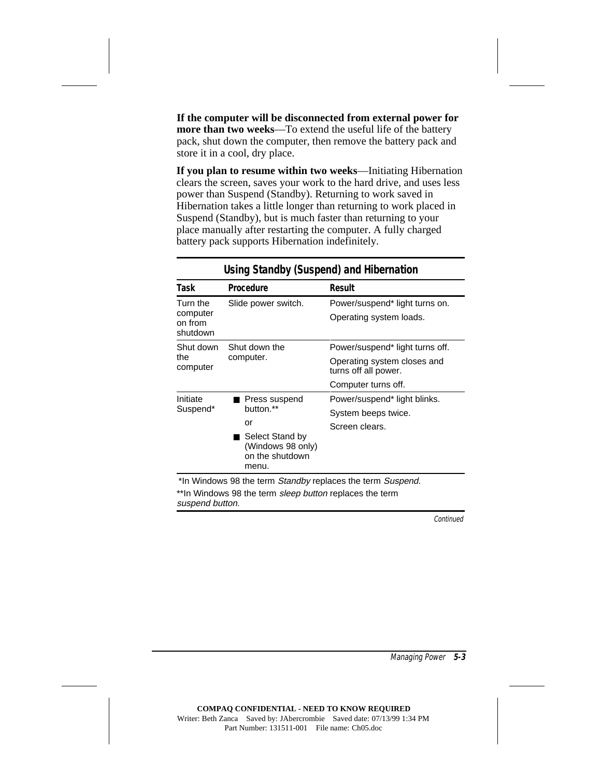**If the computer will be disconnected from external power for more than two weeks**—To extend the useful life of the battery pack, shut down the computer, then remove the battery pack and store it in a cool, dry place.

**If you plan to resume within two weeks**—Initiating Hibernation clears the screen, saves your work to the hard drive, and uses less power than Suspend (Standby). Returning to work saved in Hibernation takes a little longer than returning to work placed in Suspend (Standby), but is much faster than returning to your place manually after restarting the computer. A fully charged battery pack supports Hibernation indefinitely.

|                                             | Procedure                                                                                              | Result                                                                                                        |
|---------------------------------------------|--------------------------------------------------------------------------------------------------------|---------------------------------------------------------------------------------------------------------------|
| Turn the<br>computer<br>on from<br>shutdown | Slide power switch.                                                                                    | Power/suspend* light turns on.<br>Operating system loads.                                                     |
| Shut down<br>the<br>computer                | Shut down the<br>computer.                                                                             | Power/suspend* light turns off.<br>Operating system closes and<br>turns off all power.<br>Computer turns off. |
| Initiate<br>Suspend*                        | Press suspend<br>button.**<br>or<br>■ Select Stand by<br>(Windows 98 only)<br>on the shutdown<br>menu. | Power/suspend* light blinks.<br>System beeps twice.<br>Screen clears.                                         |

#### **Using Standby (Suspend) and Hibernation**

erm *sleep button* rep suspend button.

**Continued**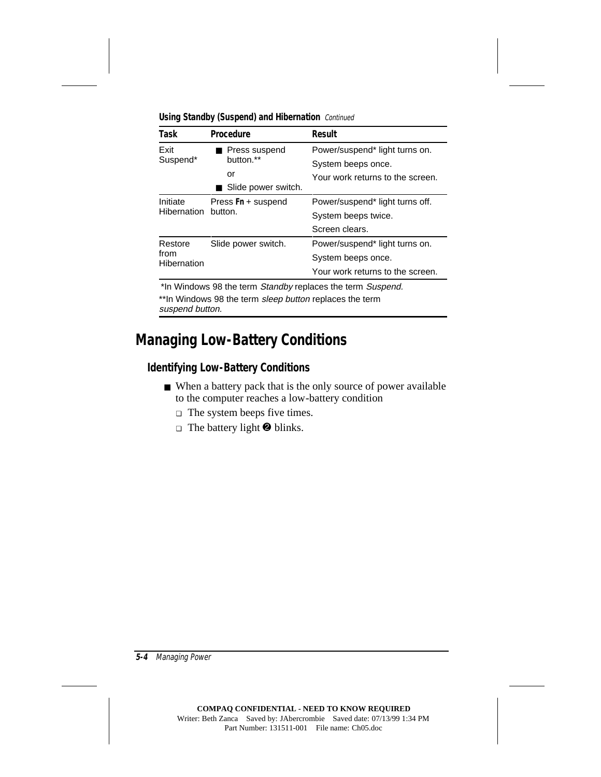| Task                | Procedure                                                  | <b>Result</b>                    |
|---------------------|------------------------------------------------------------|----------------------------------|
| <b>Exit</b>         | Press suspend<br>button.**                                 | Power/suspend* light turns on.   |
| Suspend*            |                                                            | System beeps once.               |
|                     | or                                                         | Your work returns to the screen. |
|                     | Slide power switch.                                        |                                  |
| Initiate            | Press Fn + suspend<br>button.                              | Power/suspend* light turns off.  |
| Hibernation         |                                                            | System beeps twice.              |
|                     |                                                            | Screen clears.                   |
| Restore             | Slide power switch.                                        | Power/suspend* light turns on.   |
| from<br>Hibernation |                                                            | System beeps once.               |
|                     |                                                            | Your work returns to the screen. |
|                     | *In Windows 98 the term Standby replaces the term Suspend. |                                  |
|                     | **In Windows 98 the term sleep button replaces the term    |                                  |

**Using Standby (Suspend) and Hibernation** Continued

ws 98 the term *sleep button* replaces the term suspend button.

### **Managing Low-Battery Conditions**

#### **Identifying Low-Battery Conditions**

- When a battery pack that is the only source of power available to the computer reaches a low-battery condition
	- ❏ The system beeps five times.
	- $\Box$  The battery light  $\Theta$  blinks.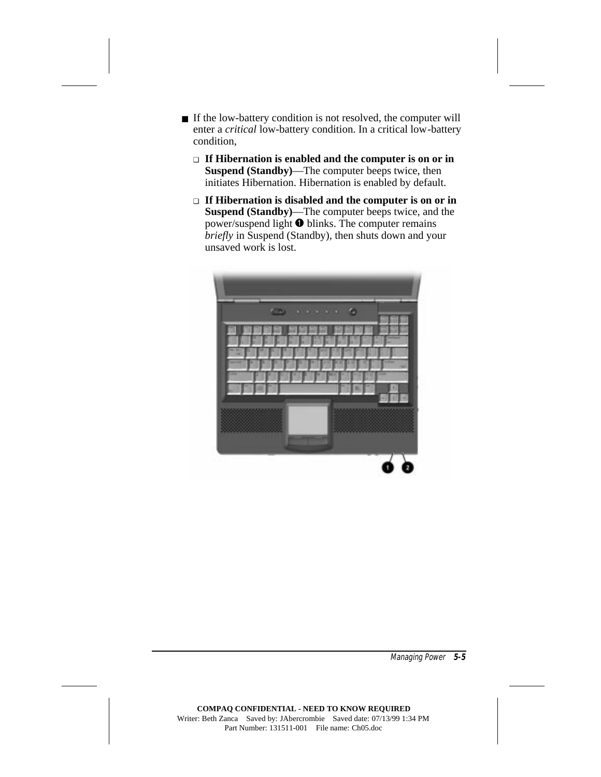- If the low-battery condition is not resolved, the computer will enter a *critical* low-battery condition. In a critical low-battery condition,
	- ❏ **If Hibernation is enabled and the computer is on or in Suspend (Standby)**—The computer beeps twice, then initiates Hibernation. Hibernation is enabled by default.
	- ❏ **If Hibernation is disabled and the computer is on or in Suspend (Standby)**—The computer beeps twice, and the power/suspend light  $\bullet$  blinks. The computer remains *briefly* in Suspend (Standby), then shuts down and your unsaved work is lost.

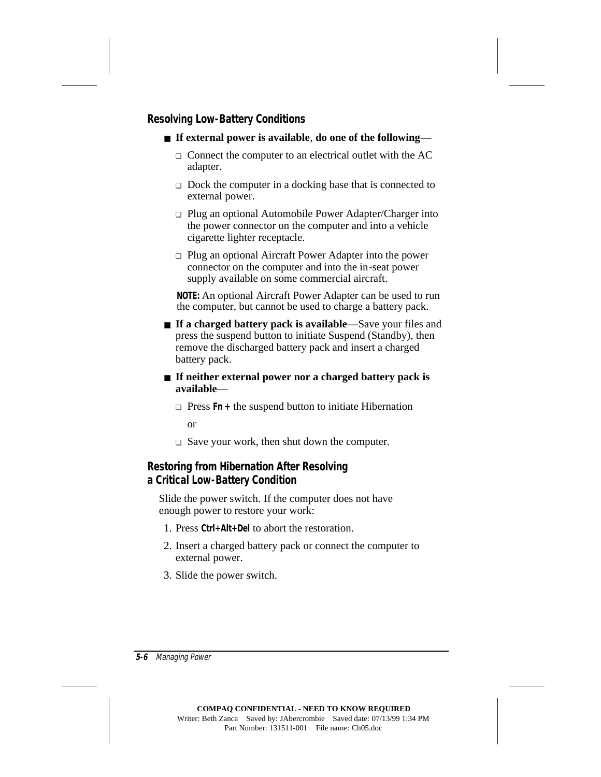### **Resolving Low-Battery Conditions**

- **If external power is available**, **do one of the following**
	- ❏ Connect the computer to an electrical outlet with the AC adapter.
	- ❏ Dock the computer in a docking base that is connected to external power.
	- ❏ Plug an optional Automobile Power Adapter/Charger into the power connector on the computer and into a vehicle cigarette lighter receptacle.
	- ❏ Plug an optional Aircraft Power Adapter into the power connector on the computer and into the in-seat power supply available on some commercial aircraft.

**NOTE:** An optional Aircraft Power Adapter can be used to run the computer, but cannot be used to charge a battery pack.

- **If a charged battery pack is available**—Save your files and press the suspend button to initiate Suspend (Standby), then remove the discharged battery pack and insert a charged battery pack.
- **If neither external power nor a charged battery pack is available**—
	- ❏ Press **Fn +** the suspend button to initiate Hibernation or
	- ❏ Save your work, then shut down the computer.

#### **Restoring from Hibernation After Resolving a Critical Low-Battery Condition**

Slide the power switch. If the computer does not have enough power to restore your work:

- 1. Press **Ctrl+Alt+Del** to abort the restoration.
- 2. Insert a charged battery pack or connect the computer to external power.
- 3. Slide the power switch.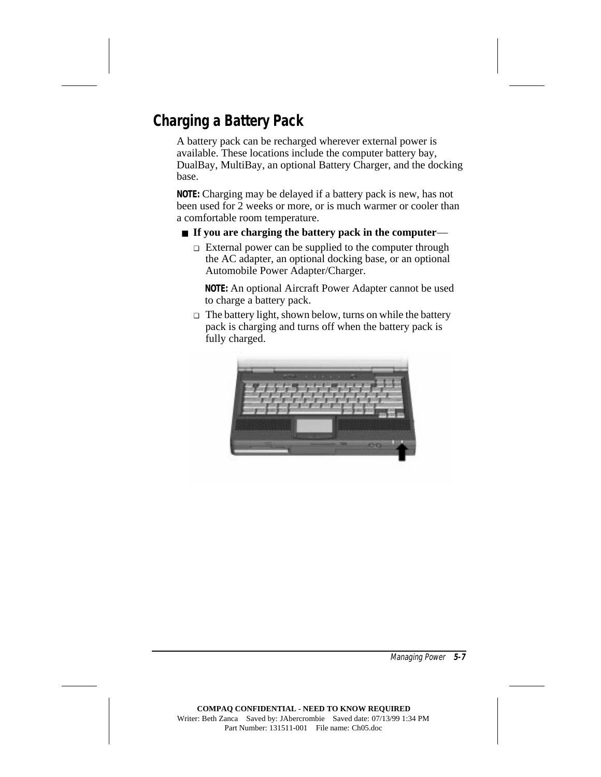# **Charging a Battery Pack**

A battery pack can be recharged wherever external power is available. These locations include the computer battery bay, DualBay, MultiBay, an optional Battery Charger, and the docking base.

**NOTE:** Charging may be delayed if a battery pack is new, has not been used for 2 weeks or more, or is much warmer or cooler than a comfortable room temperature.

#### ■ **If you are charging the battery pack in the computer**—

❏ External power can be supplied to the computer through the AC adapter, an optional docking base, or an optional Automobile Power Adapter/Charger.

**NOTE:** An optional Aircraft Power Adapter cannot be used to charge a battery pack.

❏ The battery light, shown below, turns on while the battery pack is charging and turns off when the battery pack is fully charged.

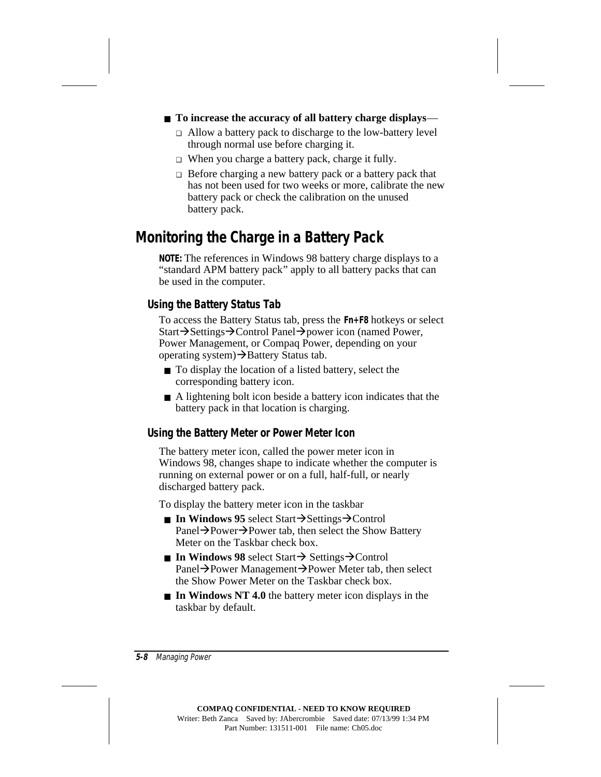#### ■ **To increase the accuracy of all battery charge displays—**

- ❏ Allow a battery pack to discharge to the low-battery level through normal use before charging it.
- ❏ When you charge a battery pack, charge it fully.
- ❏ Before charging a new battery pack or a battery pack that has not been used for two weeks or more, calibrate the new battery pack or check the calibration on the unused battery pack.

## **Monitoring the Charge in a Battery Pack**

**NOTE:** The references in Windows 98 battery charge displays to a "standard APM battery pack" apply to all battery packs that can be used in the computer.

### **Using the Battery Status Tab**

To access the Battery Status tab, press the **Fn+F8** hotkeys or select Start→Settings→Control Panel→power icon (named Power, Power Management, or Compaq Power, depending on your operating system) $\rightarrow$ Battery Status tab.

- To display the location of a listed battery, select the corresponding battery icon.
- A lightening bolt icon beside a battery icon indicates that the battery pack in that location is charging.

### **Using the Battery Meter or Power Meter Icon**

The battery meter icon, called the power meter icon in Windows 98, changes shape to indicate whether the computer is running on external power or on a full, half-full, or nearly discharged battery pack.

To display the battery meter icon in the taskbar

- **In Windows 95** select Start $\rightarrow$ Settings $\rightarrow$ Control Panel→Power→Power tab, then select the Show Battery Meter on the Taskbar check box.
- $\blacksquare$  **In Windows 98** select Start $\rightarrow$  Settings $\rightarrow$ Control Panel→Power Management→Power Meter tab, then select the Show Power Meter on the Taskbar check box.
- **In Windows NT 4.0** the battery meter icon displays in the taskbar by default.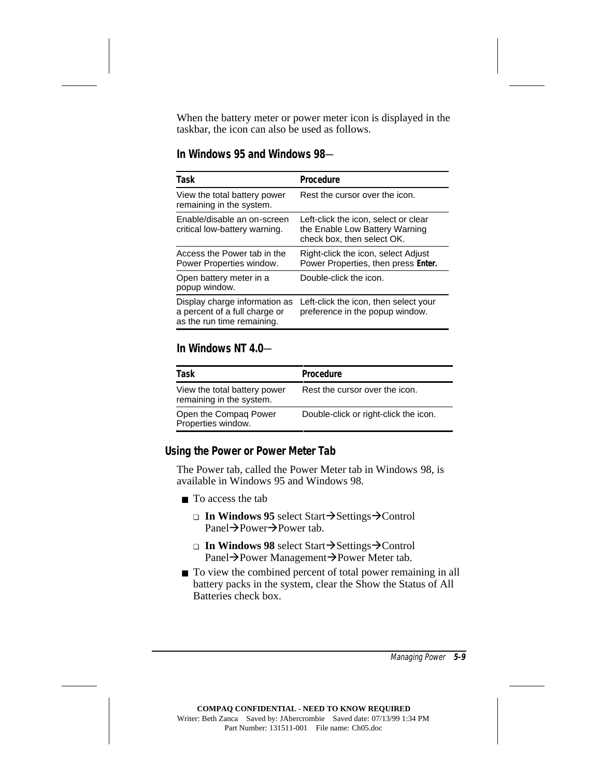When the battery meter or power meter icon is displayed in the taskbar, the icon can also be used as follows.

#### **In Windows 95 and Windows 98**—

| Task                                                                                         | Procedure                                                                                            |
|----------------------------------------------------------------------------------------------|------------------------------------------------------------------------------------------------------|
| View the total battery power<br>remaining in the system.                                     | Rest the cursor over the icon.                                                                       |
| Enable/disable an on-screen<br>critical low-battery warning.                                 | Left-click the icon, select or clear<br>the Enable Low Battery Warning<br>check box, then select OK. |
| Access the Power tab in the<br>Power Properties window.                                      | Right-click the icon, select Adjust<br>Power Properties, then press Enter.                           |
| Open battery meter in a<br>popup window.                                                     | Double-click the icon.                                                                               |
| Display charge information as<br>a percent of a full charge or<br>as the run time remaining. | Left-click the icon, then select your<br>preference in the popup window.                             |

#### **In Windows NT 4.0**—

| Task                                                     | Procedure                             |
|----------------------------------------------------------|---------------------------------------|
| View the total battery power<br>remaining in the system. | Rest the cursor over the icon.        |
| Open the Compaq Power<br>Properties window.              | Double-click or right-click the icon. |

#### **Using the Power or Power Meter Tab**

The Power tab, called the Power Meter tab in Windows 98, is available in Windows 95 and Windows 98.

- To access the tab
	- **□ In Windows 95** select Start→Settings→Control  $Pane1 \rightarrow Power \rightarrow Power$  tab.
	- **□ In Windows 98** select Start→Settings→Control Panel→Power Management→Power Meter tab.
- To view the combined percent of total power remaining in all battery packs in the system, clear the Show the Status of All Batteries check box.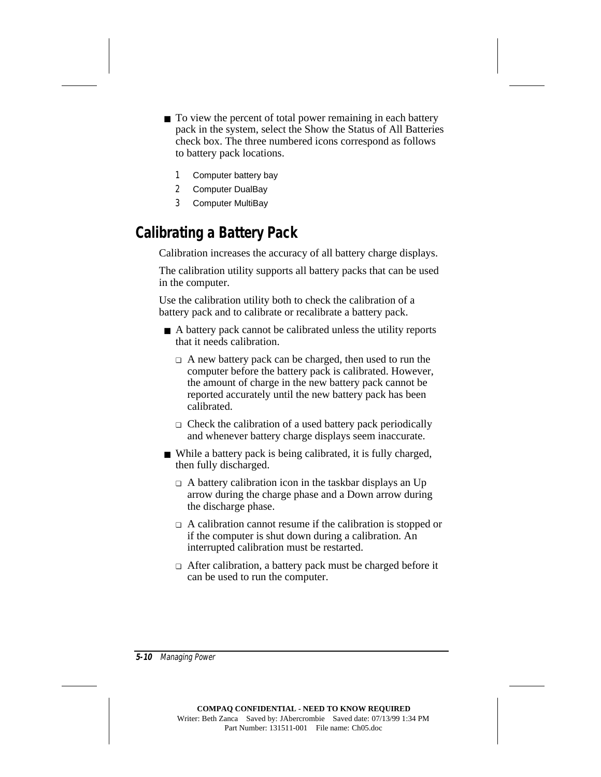■ To view the percent of total power remaining in each battery pack in the system, select the Show the Status of All Batteries check box. The three numbered icons correspond as follows to battery pack locations.

- 1 Computer battery bay
- 2 Computer DualBay
- 3 Computer MultiBay

### **Calibrating a Battery Pack**

Calibration increases the accuracy of all battery charge displays.

The calibration utility supports all battery packs that can be used in the computer.

Use the calibration utility both to check the calibration of a battery pack and to calibrate or recalibrate a battery pack.

- A battery pack cannot be calibrated unless the utility reports that it needs calibration.
	- ❏ A new battery pack can be charged, then used to run the computer before the battery pack is calibrated. However, the amount of charge in the new battery pack cannot be reported accurately until the new battery pack has been calibrated.
	- ❏ Check the calibration of a used battery pack periodically and whenever battery charge displays seem inaccurate.
- While a battery pack is being calibrated, it is fully charged, then fully discharged.
	- ❏ A battery calibration icon in the taskbar displays an Up arrow during the charge phase and a Down arrow during the discharge phase.
	- ❏ A calibration cannot resume if the calibration is stopped or if the computer is shut down during a calibration. An interrupted calibration must be restarted.
	- ❏ After calibration, a battery pack must be charged before it can be used to run the computer.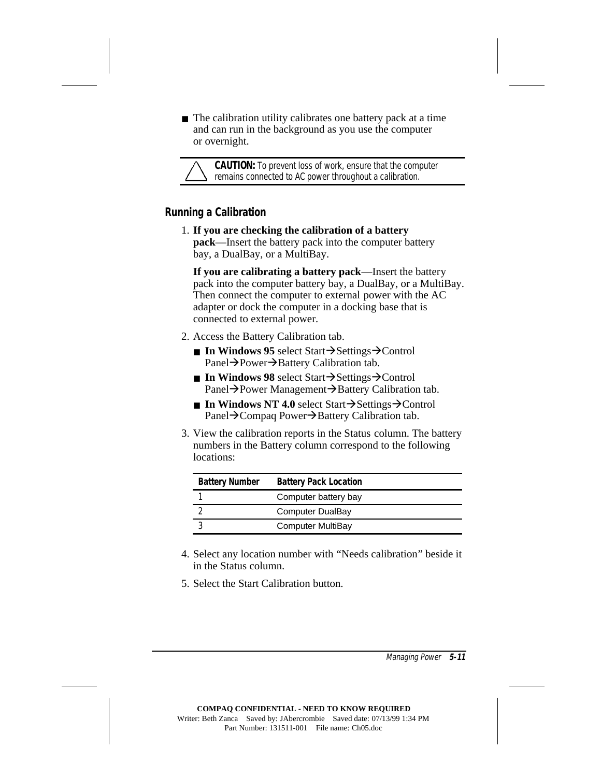$\blacksquare$  The calibration utility calibrates one battery pack at a time and can run in the background as you use the computer or overnight.

**CAUTION:** To prevent loss of work, ensure that the computer remains connected to AC power throughout a calibration.

### **Running a Calibration**

1. **If you are checking the calibration of a battery pack**—Insert the battery pack into the computer battery bay, a DualBay, or a MultiBay.

**If you are calibrating a battery pack**—Insert the battery pack into the computer battery bay, a DualBay, or a MultiBay. Then connect the computer to external power with the AC adapter or dock the computer in a docking base that is connected to external power.

- 2. Access the Battery Calibration tab.
	- **In Windows 95** select Start $\rightarrow$ Settings $\rightarrow$ Control Panel→Power→Battery Calibration tab.
	- $\blacksquare$  **In Windows 98** select Start $\rightarrow$ Settings $\rightarrow$ Control Panel→Power Management→Battery Calibration tab.
	- **In Windows NT 4.0** select Start $\rightarrow$ Settings $\rightarrow$ Control Panel→Compaq Power→Battery Calibration tab.
- 3. View the calibration reports in the Status column. The battery numbers in the Battery column correspond to the following locations:

| <b>Battery Number</b> | <b>Battery Pack Location</b> |
|-----------------------|------------------------------|
|                       | Computer battery bay         |
|                       | Computer DualBay             |
|                       | Computer MultiBay            |

- 4. Select any location number with "Needs calibration" beside it in the Status column.
- 5. Select the Start Calibration button.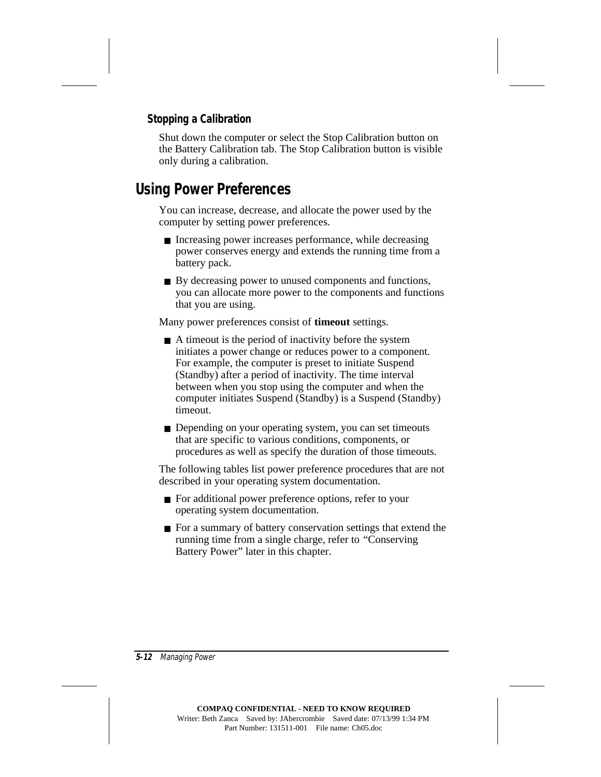### **Stopping a Calibration**

Shut down the computer or select the Stop Calibration button on the Battery Calibration tab. The Stop Calibration button is visible only during a calibration.

### **Using Power Preferences**

You can increase, decrease, and allocate the power used by the computer by setting power preferences.

- Increasing power increases performance, while decreasing power conserves energy and extends the running time from a battery pack.
- By decreasing power to unused components and functions, you can allocate more power to the components and functions that you are using.

Many power preferences consist of **timeout** settings.

- A timeout is the period of inactivity before the system initiates a power change or reduces power to a component. For example, the computer is preset to initiate Suspend (Standby) after a period of inactivity. The time interval between when you stop using the computer and when the computer initiates Suspend (Standby) is a Suspend (Standby) timeout.
- Depending on your operating system, you can set timeouts that are specific to various conditions, components, or procedures as well as specify the duration of those timeouts.

The following tables list power preference procedures that are not described in your operating system documentation.

- For additional power preference options, refer to your operating system documentation.
- For a summary of battery conservation settings that extend the running time from a single charge, refer to "Conserving Battery Power" later in this chapter.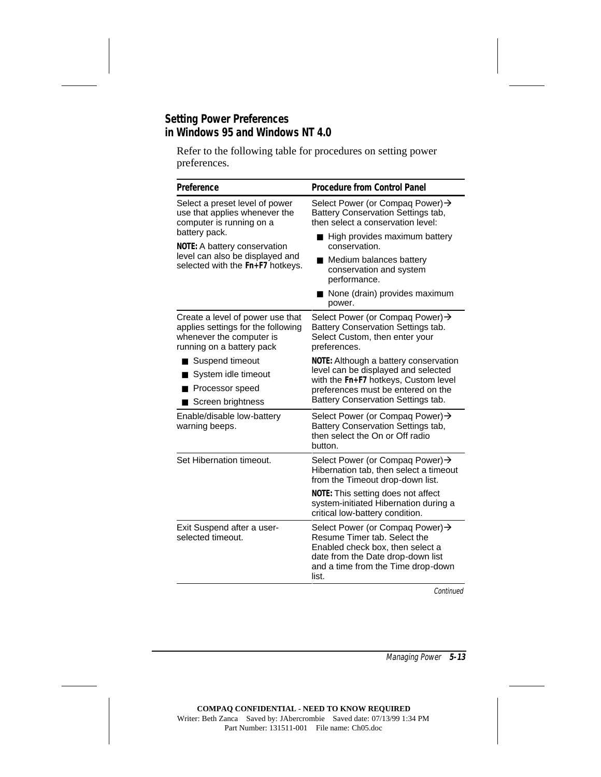### **Setting Power Preferences in Windows 95 and Windows NT 4.0**

Refer to the following table for procedures on setting power preferences.

| Preference                                                                                                                      | <b>Procedure from Control Panel</b>                                                                                                                                                              |
|---------------------------------------------------------------------------------------------------------------------------------|--------------------------------------------------------------------------------------------------------------------------------------------------------------------------------------------------|
| Select a preset level of power<br>use that applies whenever the<br>computer is running on a                                     | Select Power (or Compaq Power) →<br>Battery Conservation Settings tab,<br>then select a conservation level:                                                                                      |
| battery pack.<br>NOTE: A battery conservation                                                                                   | High provides maximum battery<br>conservation.                                                                                                                                                   |
| level can also be displayed and<br>selected with the Fn+F7 hotkeys.                                                             | Medium balances battery<br>conservation and system<br>performance.                                                                                                                               |
|                                                                                                                                 | None (drain) provides maximum<br>power.                                                                                                                                                          |
| Create a level of power use that<br>applies settings for the following<br>whenever the computer is<br>running on a battery pack | Select Power (or Compaq Power) ><br>Battery Conservation Settings tab.<br>Select Custom, then enter your<br>preferences.                                                                         |
| Suspend timeout                                                                                                                 | NOTE: Although a battery conservation<br>level can be displayed and selected<br>with the Fn+F7 hotkeys, Custom level<br>preferences must be entered on the<br>Battery Conservation Settings tab. |
| System idle timeout                                                                                                             |                                                                                                                                                                                                  |
| Processor speed                                                                                                                 |                                                                                                                                                                                                  |
| Screen brightness                                                                                                               |                                                                                                                                                                                                  |
| Enable/disable low-battery<br>warning beeps.                                                                                    | Select Power (or Compaq Power) →<br>Battery Conservation Settings tab,<br>then select the On or Off radio<br>button.                                                                             |
| Set Hibernation timeout.                                                                                                        | Select Power (or Compaq Power) ><br>Hibernation tab, then select a timeout<br>from the Timeout drop-down list.                                                                                   |
|                                                                                                                                 | NOTE: This setting does not affect<br>system-initiated Hibernation during a<br>critical low-battery condition.                                                                                   |
| Exit Suspend after a user-<br>selected timeout.                                                                                 | Select Power (or Compaq Power) →<br>Resume Timer tab. Select the<br>Enabled check box, then select a<br>date from the Date drop-down list<br>and a time from the Time drop-down<br>list.         |

Continued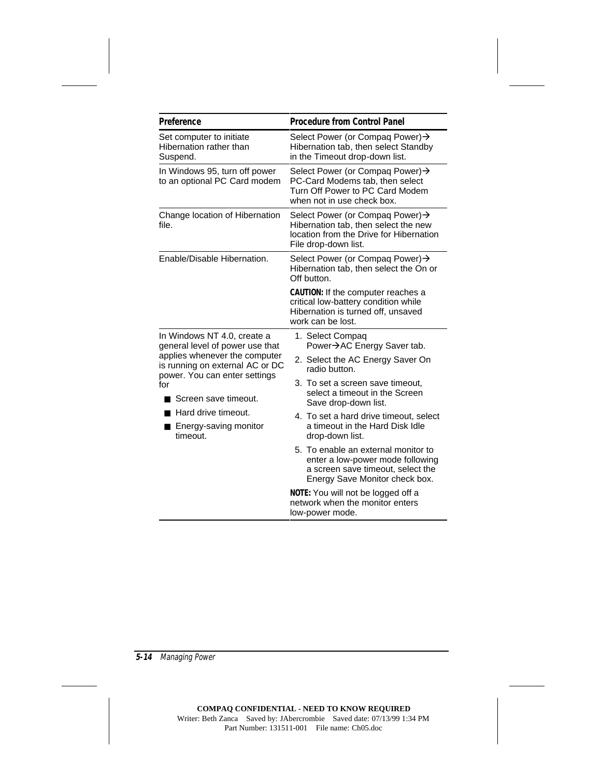| Preference                                                       | <b>Procedure from Control Panel</b>                                                                                                            |
|------------------------------------------------------------------|------------------------------------------------------------------------------------------------------------------------------------------------|
| Set computer to initiate<br>Hibernation rather than<br>Suspend.  | Select Power (or Compaq Power) →<br>Hibernation tab, then select Standby<br>in the Timeout drop-down list.                                     |
| In Windows 95, turn off power<br>to an optional PC Card modem    | Select Power (or Compaq Power) →<br>PC-Card Modems tab, then select<br>Turn Off Power to PC Card Modem<br>when not in use check box.           |
| Change location of Hibernation<br>file.                          | Select Power (or Compaq Power) →<br>Hibernation tab, then select the new<br>location from the Drive for Hibernation<br>File drop-down list.    |
| Enable/Disable Hibernation.                                      | Select Power (or Compaq Power) →<br>Hibernation tab, then select the On or<br>Off button.                                                      |
|                                                                  | CAUTION: If the computer reaches a<br>critical low-battery condition while<br>Hibernation is turned off, unsaved<br>work can be lost.          |
| In Windows NT 4.0, create a<br>general level of power use that   | 1. Select Compaq<br>Power→AC Energy Saver tab.                                                                                                 |
| applies whenever the computer<br>is running on external AC or DC | 2. Select the AC Energy Saver On<br>radio button.                                                                                              |
| power. You can enter settings<br>for<br>Screen save timeout.     | 3. To set a screen save timeout,<br>select a timeout in the Screen<br>Save drop-down list.                                                     |
| ■ Hard drive timeout.<br>Energy-saving monitor<br>timeout.       | 4. To set a hard drive timeout, select<br>a timeout in the Hard Disk Idle<br>drop-down list.                                                   |
|                                                                  | 5. To enable an external monitor to<br>enter a low-power mode following<br>a screen save timeout, select the<br>Energy Save Monitor check box. |
|                                                                  | NOTE: You will not be logged off a<br>network when the monitor enters<br>low-power mode.                                                       |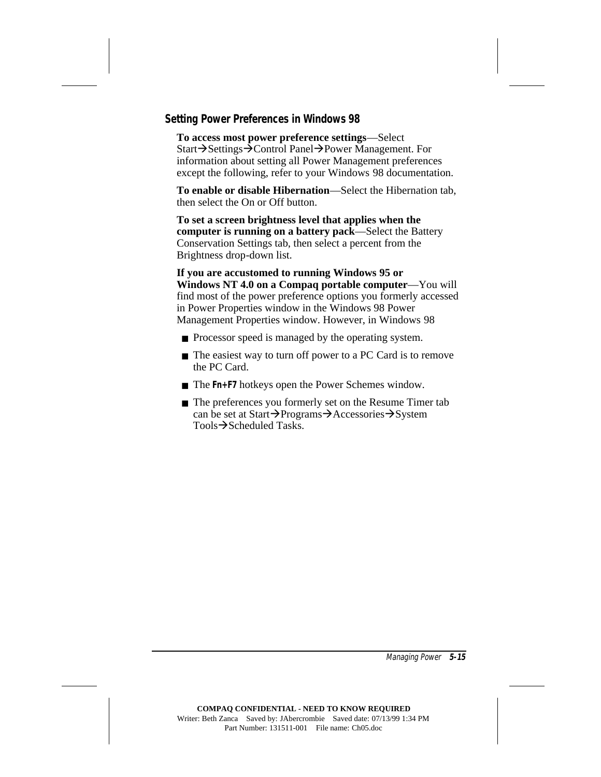#### **Setting Power Preferences in Windows 98**

**To access most power preference settings**—Select Start→Settings→Control Panel→Power Management. For information about setting all Power Management preferences except the following, refer to your Windows 98 documentation.

**To enable or disable Hibernation**—Select the Hibernation tab, then select the On or Off button.

**To set a screen brightness level that applies when the computer is running on a battery pack**—Select the Battery Conservation Settings tab, then select a percent from the Brightness drop-down list.

**If you are accustomed to running Windows 95 or Windows NT 4.0 on a Compaq portable computer**—You will find most of the power preference options you formerly accessed in Power Properties window in the Windows 98 Power Management Properties window. However, in Windows 98

- Processor speed is managed by the operating system.
- The easiest way to turn off power to a PC Card is to remove the PC Card.
- The Fn+F7 hotkeys open the Power Schemes window.
- The preferences you formerly set on the Resume Timer tab can be set at Start $\rightarrow$ Programs $\rightarrow$ Accessories $\rightarrow$ System  $Tools \rightarrow Scheduled$  Tasks.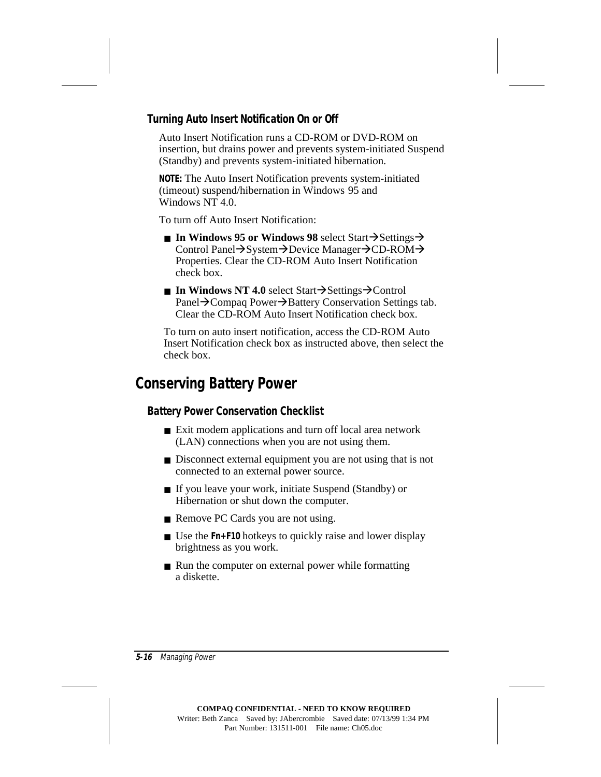#### **Turning Auto Insert Notification On or Off**

Auto Insert Notification runs a CD-ROM or DVD-ROM on insertion, but drains power and prevents system-initiated Suspend (Standby) and prevents system-initiated hibernation.

**NOTE:** The Auto Insert Notification prevents system-initiated (timeout) suspend/hibernation in Windows 95 and Windows NT 4.0.

To turn off Auto Insert Notification:

- **In Windows 95 or Windows 98 select Start**  $\rightarrow$  **Settings**  $\rightarrow$ Control Panel→System→Device Manager→CD-ROM→ Properties. Clear the CD-ROM Auto Insert Notification check box.
- **In Windows NT 4.0** select Start $\rightarrow$ Settings $\rightarrow$ Control Panel→Compaq Power→Battery Conservation Settings tab. Clear the CD-ROM Auto Insert Notification check box.

To turn on auto insert notification, access the CD-ROM Auto Insert Notification check box as instructed above, then select the check box.

## **Conserving Battery Power**

#### **Battery Power Conservation Checklist**

- Exit modem applications and turn off local area network (LAN) connections when you are not using them.
- Disconnect external equipment you are not using that is not connected to an external power source.
- If you leave your work, initiate Suspend (Standby) or Hibernation or shut down the computer.
- Remove PC Cards you are not using.
- Use the **Fn+F10** hotkeys to quickly raise and lower display brightness as you work.
- Run the computer on external power while formatting a diskette.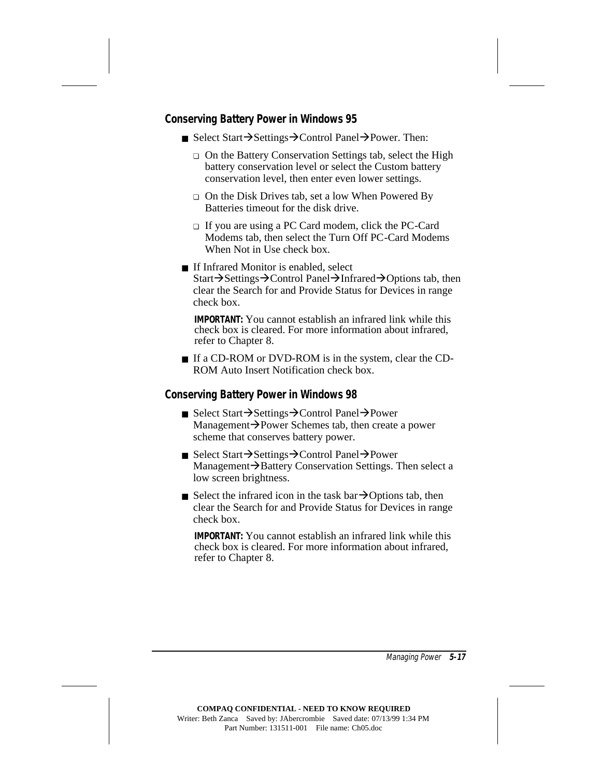#### **Conserving Battery Power in Windows 95**

- Select Start $\rightarrow$ Settings $\rightarrow$ Control Panel $\rightarrow$ Power. Then:
	- ❏ On the Battery Conservation Settings tab, select the High battery conservation level or select the Custom battery conservation level, then enter even lower settings.
	- ❏ On the Disk Drives tab, set a low When Powered By Batteries timeout for the disk drive.
	- ❏ If you are using a PC Card modem, click the PC-Card Modems tab, then select the Turn Off PC-Card Modems When Not in Use check box.
- If Infrared Monitor is enabled, select Start→Settings→Control Panel→Infrared→Options tab, then clear the Search for and Provide Status for Devices in range check box.

**IMPORTANT:** You cannot establish an infrared link while this check box is cleared. For more information about infrared, refer to Chapter 8.

■ If a CD-ROM or DVD-ROM is in the system, clear the CD-ROM Auto Insert Notification check box.

#### **Conserving Battery Power in Windows 98**

- Select Start $\rightarrow$ Settings $\rightarrow$ Control Panel $\rightarrow$ Power Management $\rightarrow$ Power Schemes tab, then create a power scheme that conserves battery power.
- Select Start→Settings→Control Panel→Power Management  $\rightarrow$  Battery Conservation Settings. Then select a low screen brightness.
- Select the infrared icon in the task bar $\rightarrow$ Options tab, then clear the Search for and Provide Status for Devices in range check box.

**IMPORTANT:** You cannot establish an infrared link while this check box is cleared. For more information about infrared, refer to Chapter 8.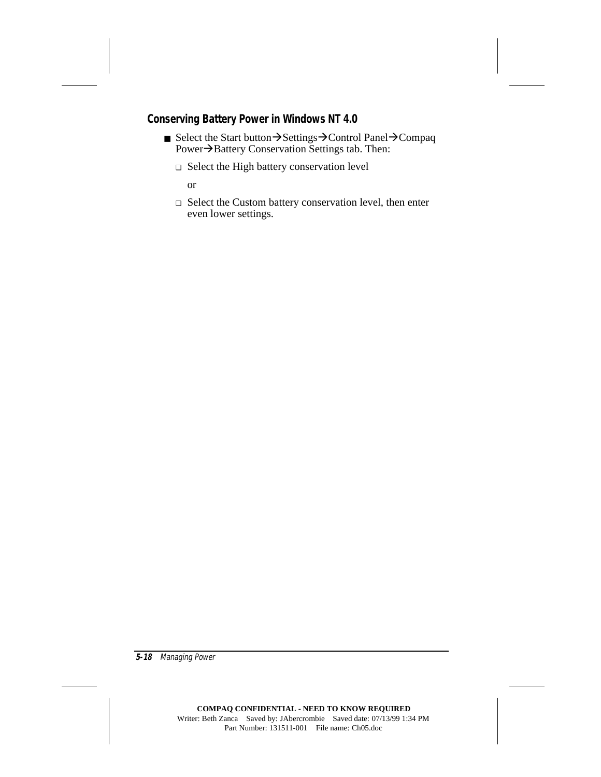#### **Conserving Battery Power in Windows NT 4.0**

- Select the Start button  $\rightarrow$  Settings $\rightarrow$ Control Panel $\rightarrow$ Compaq Power $\rightarrow$ Battery Conservation Settings tab. Then:
	- ❏ Select the High battery conservation level

or

❏ Select the Custom battery conservation level, then enter even lower settings.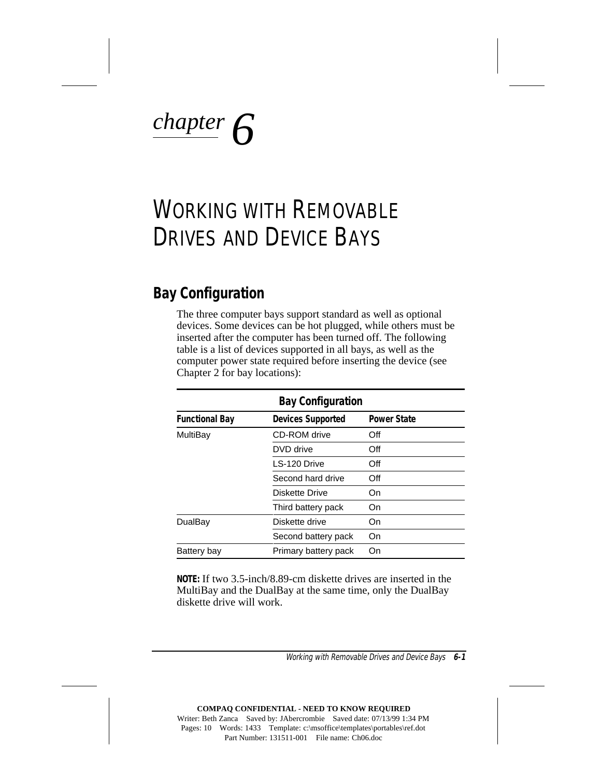# *chapter 6*

## WORKING WITH REMOVABLE DRIVES AND DEVICE BAYS

## **Bay Configuration**

The three computer bays support standard as well as optional devices. Some devices can be hot plugged, while others must be inserted after the computer has been turned off. The following table is a list of devices supported in all bays, as well as the computer power state required before inserting the device (see Chapter 2 for bay locations):

| <b>Bay Configuration</b> |                          |                    |  |  |  |
|--------------------------|--------------------------|--------------------|--|--|--|
| <b>Functional Bay</b>    | <b>Devices Supported</b> | <b>Power State</b> |  |  |  |
| MultiBay                 | CD-ROM drive             | Off                |  |  |  |
|                          | DVD drive                | Off                |  |  |  |
|                          | LS-120 Drive             | Off                |  |  |  |
|                          | Second hard drive        | Off                |  |  |  |
|                          | Diskette Drive           | On                 |  |  |  |
|                          | Third battery pack       | On                 |  |  |  |
| DualBay                  | Diskette drive           | On                 |  |  |  |
|                          | Second battery pack      | On                 |  |  |  |
| Battery bay              | Primary battery pack     | On                 |  |  |  |

**NOTE:** If two 3.5-inch/8.89-cm diskette drives are inserted in the MultiBay and the DualBay at the same time, only the DualBay diskette drive will work.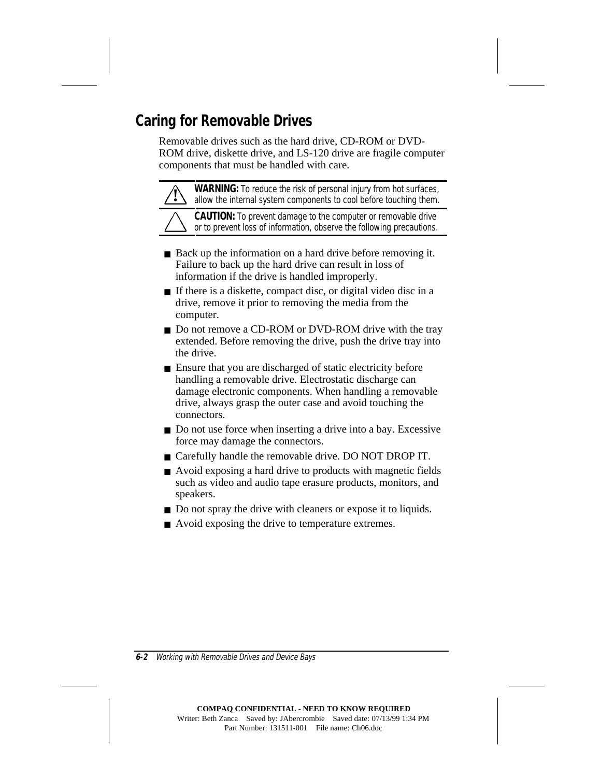## **Caring for Removable Drives**

Removable drives such as the hard drive, CD-ROM or DVD-ROM drive, diskette drive, and LS-120 drive are fragile computer components that must be handled with care.

**WARNING:** To reduce the risk of personal injury from hot surfaces, allow the internal system components to cool before touching them.

**CAUTION:** To prevent damage to the computer or removable drive or to prevent loss of information, observe the following precautions.

- Back up the information on a hard drive before removing it. Failure to back up the hard drive can result in loss of information if the drive is handled improperly.
- If there is a diskette, compact disc, or digital video disc in a drive, remove it prior to removing the media from the computer.
- Do not remove a CD-ROM or DVD-ROM drive with the tray extended. Before removing the drive, push the drive tray into the drive.
- Ensure that you are discharged of static electricity before handling a removable drive. Electrostatic discharge can damage electronic components. When handling a removable drive, always grasp the outer case and avoid touching the connectors.
- Do not use force when inserting a drive into a bay. Excessive force may damage the connectors.
- Carefully handle the removable drive. DO NOT DROP IT.
- Avoid exposing a hard drive to products with magnetic fields such as video and audio tape erasure products, monitors, and speakers.
- Do not spray the drive with cleaners or expose it to liquids.
- Avoid exposing the drive to temperature extremes.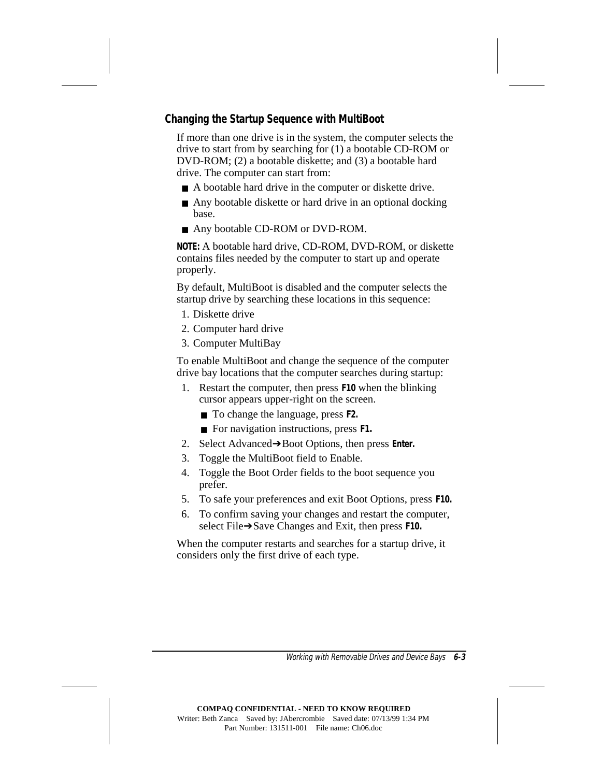#### **Changing the Startup Sequence with MultiBoot**

If more than one drive is in the system, the computer selects the drive to start from by searching for (1) a bootable CD-ROM or DVD-ROM; (2) a bootable diskette; and (3) a bootable hard drive. The computer can start from:

- A bootable hard drive in the computer or diskette drive.
- Any bootable diskette or hard drive in an optional docking base.
- Any bootable CD-ROM or DVD-ROM.

**NOTE:** A bootable hard drive, CD-ROM, DVD-ROM, or diskette contains files needed by the computer to start up and operate properly.

By default, MultiBoot is disabled and the computer selects the startup drive by searching these locations in this sequence:

- 1. Diskette drive
- 2. Computer hard drive
- 3. Computer MultiBay

To enable MultiBoot and change the sequence of the computer drive bay locations that the computer searches during startup:

- 1. Restart the computer, then press **F10** when the blinking cursor appears upper-right on the screen.
	- To change the language, press **F2.**
	- For navigation instructions, press **F1.**
- 2. Select Advanced➔Boot Options, then press **Enter.**
- 3. Toggle the MultiBoot field to Enable.
- 4. Toggle the Boot Order fields to the boot sequence you prefer.
- 5. To safe your preferences and exit Boot Options, press **F10.**
- 6. To confirm saving your changes and restart the computer, select File➔Save Changes and Exit, then press **F10.**

When the computer restarts and searches for a startup drive, it considers only the first drive of each type.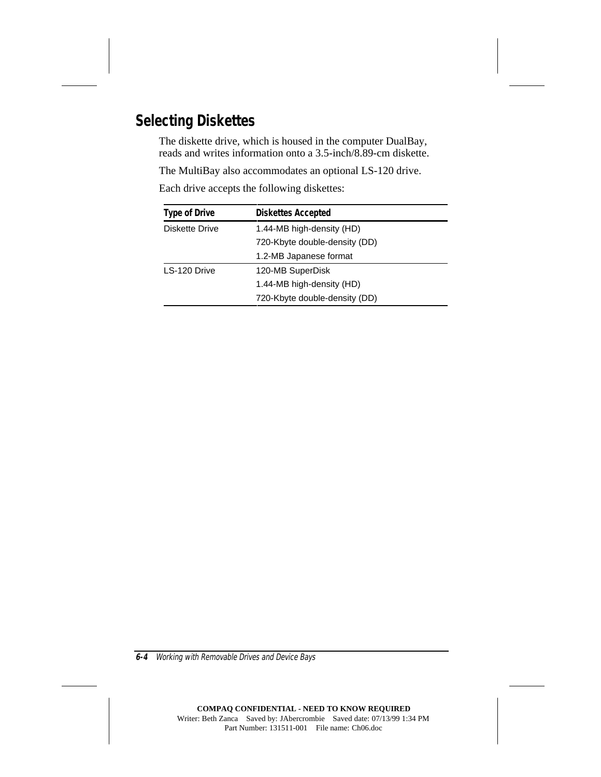## **Selecting Diskettes**

The diskette drive, which is housed in the computer DualBay, reads and writes information onto a 3.5-inch/8.89-cm diskette.

The MultiBay also accommodates an optional LS-120 drive.

Each drive accepts the following diskettes:

| <b>Type of Drive</b>  | <b>Diskettes Accepted</b>     |  |
|-----------------------|-------------------------------|--|
| <b>Diskette Drive</b> | 1.44-MB high-density (HD)     |  |
|                       | 720-Kbyte double-density (DD) |  |
|                       | 1.2-MB Japanese format        |  |
| LS-120 Drive          | 120-MB SuperDisk              |  |
|                       | 1.44-MB high-density (HD)     |  |
|                       | 720-Kbyte double-density (DD) |  |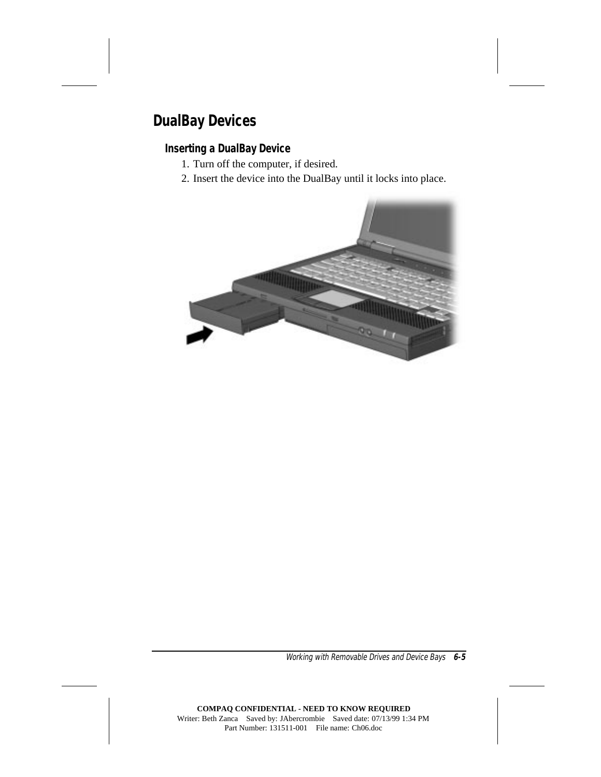## **DualBay Devices**

#### **Inserting a DualBay Device**

- 1. Turn off the computer, if desired.
- 2. Insert the device into the DualBay until it locks into place.

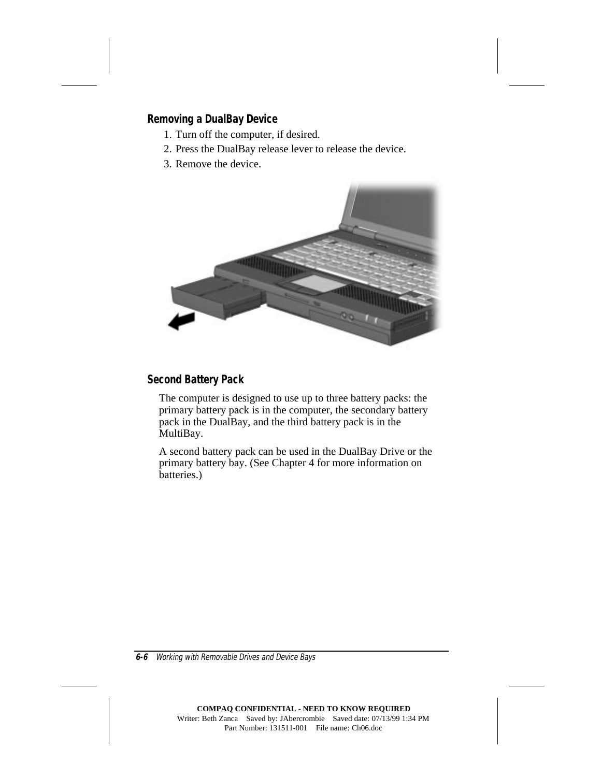#### **Removing a DualBay Device**

- 1. Turn off the computer, if desired.
- 2. Press the DualBay release lever to release the device.
- 3. Remove the device.



#### **Second Battery Pack**

The computer is designed to use up to three battery packs: the primary battery pack is in the computer, the secondary battery pack in the DualBay, and the third battery pack is in the MultiBay.

A second battery pack can be used in the DualBay Drive or the primary battery bay. (See Chapter 4 for more information on batteries.)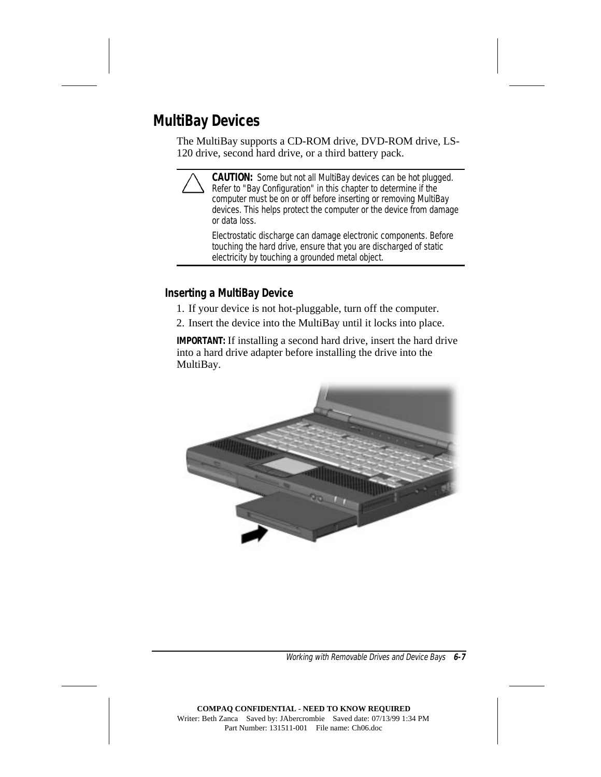## **MultiBay Devices**

The MultiBay supports a CD-ROM drive, DVD-ROM drive, LS-120 drive, second hard drive, or a third battery pack.

**CAUTION:** Some but not all MultiBay devices can be hot plugged. Refer to "Bay Configuration" in this chapter to determine if the computer must be on or off before inserting or removing MultiBay devices. This helps protect the computer or the device from damage or data loss.

Electrostatic discharge can damage electronic components. Before touching the hard drive, ensure that you are discharged of static electricity by touching a grounded metal object.

#### **Inserting a MultiBay Device**

- 1. If your device is not hot-pluggable, turn off the computer.
- 2. Insert the device into the MultiBay until it locks into place.

**IMPORTANT:** If installing a second hard drive, insert the hard drive into a hard drive adapter before installing the drive into the MultiBay.

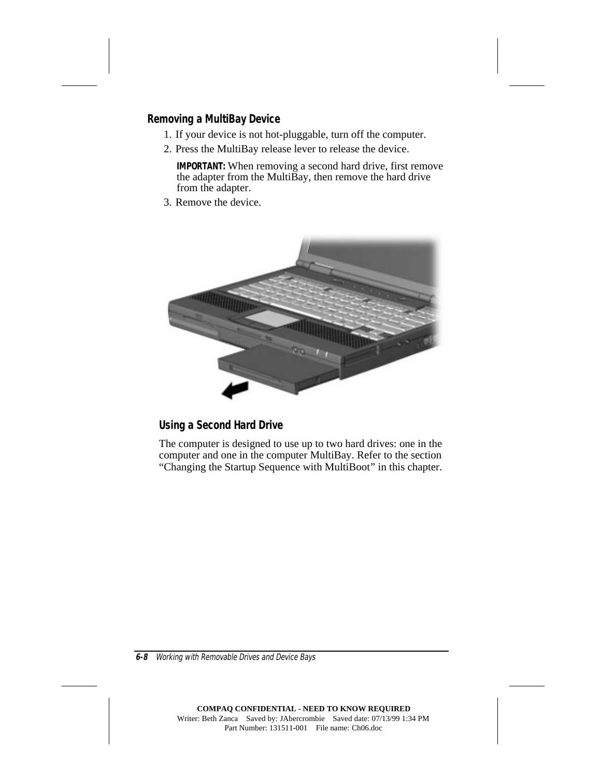#### **Removing a MultiBay Device**

- 1. If your device is not hot-pluggable, turn off the computer.
- 2. Press the MultiBay release lever to release the device.

**IMPORTANT:** When removing a second hard drive, first remove the adapter from the Multi $\tilde{B}$ ay, then remove the hard drive from the adapter.

3. Remove the device.



#### **Using a Second Hard Drive**

The computer is designed to use up to two hard drives: one in the computer and one in the computer MultiBay. Refer to the section "Changing the Startup Sequence with MultiBoot" in this chapter.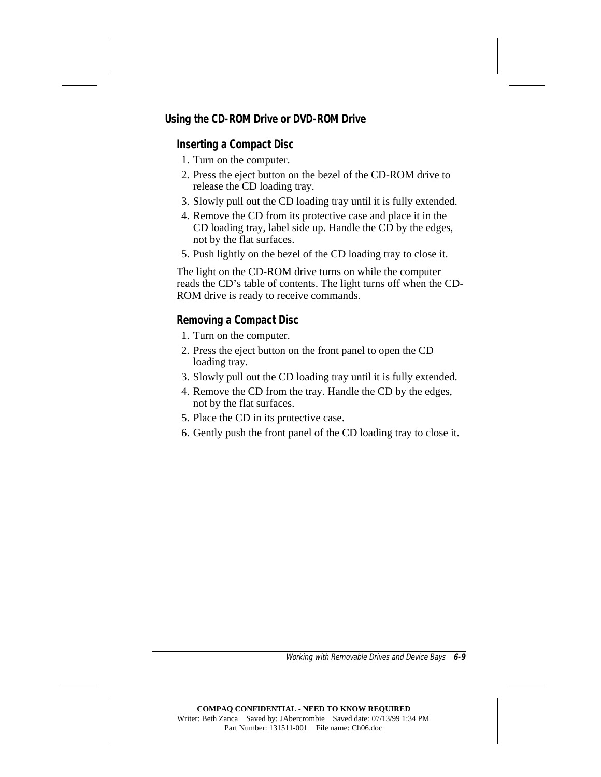#### **Using the CD-ROM Drive or DVD-ROM Drive**

#### **Inserting a Compact Disc**

- 1. Turn on the computer.
- 2. Press the eject button on the bezel of the CD-ROM drive to release the CD loading tray.
- 3. Slowly pull out the CD loading tray until it is fully extended.
- 4. Remove the CD from its protective case and place it in the CD loading tray, label side up. Handle the CD by the edges, not by the flat surfaces.
- 5. Push lightly on the bezel of the CD loading tray to close it.

The light on the CD-ROM drive turns on while the computer reads the CD's table of contents. The light turns off when the CD-ROM drive is ready to receive commands.

#### **Removing a Compact Disc**

- 1. Turn on the computer.
- 2. Press the eject button on the front panel to open the CD loading tray.
- 3. Slowly pull out the CD loading tray until it is fully extended.
- 4. Remove the CD from the tray. Handle the CD by the edges, not by the flat surfaces.
- 5. Place the CD in its protective case.
- 6. Gently push the front panel of the CD loading tray to close it.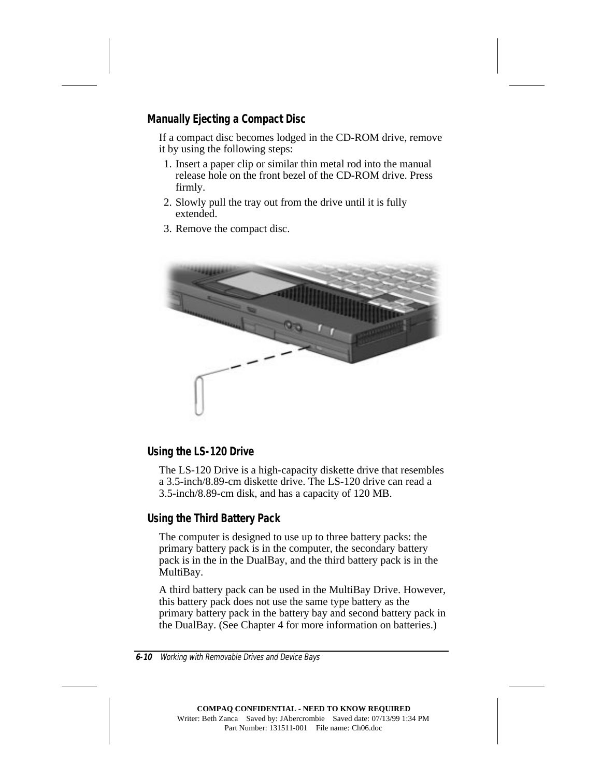#### **Manually Ejecting a Compact Disc**

If a compact disc becomes lodged in the CD-ROM drive, remove it by using the following steps:

- 1. Insert a paper clip or similar thin metal rod into the manual release hole on the front bezel of the CD-ROM drive. Press firmly.
- 2. Slowly pull the tray out from the drive until it is fully extended.
- 3. Remove the compact disc.



#### **Using the LS-120 Drive**

The LS-120 Drive is a high-capacity diskette drive that resembles a 3.5-inch/8.89-cm diskette drive. The LS-120 drive can read a 3.5-inch/8.89-cm disk, and has a capacity of 120 MB.

#### **Using the Third Battery Pack**

The computer is designed to use up to three battery packs: the primary battery pack is in the computer, the secondary battery pack is in the in the DualBay, and the third battery pack is in the MultiBay.

A third battery pack can be used in the MultiBay Drive. However, this battery pack does not use the same type battery as the primary battery pack in the battery bay and second battery pack in the DualBay. (See Chapter 4 for more information on batteries.)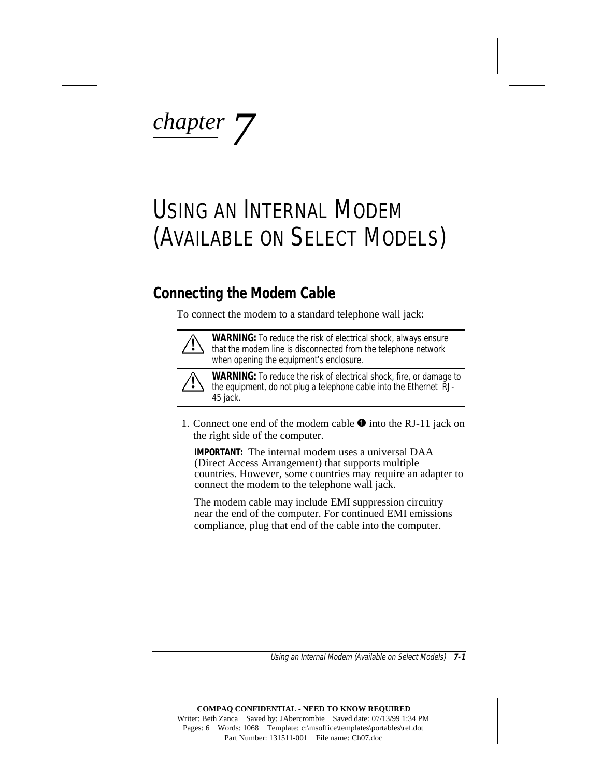*chapter 7*

## USING AN INTERNAL MODEM (AVAILABLE ON SELECT MODELS)

### **Connecting the Modem Cable**

To connect the modem to a standard telephone wall jack:



**WARNING:** To reduce the risk of electrical shock, always ensure that the modem line is disconnected from the telephone network when opening the equipment's enclosure.



**WARNING:** To reduce the risk of electrical shock, fire, or damage to the equipment, do not plug a telephone cable into the Ethernet RJ-45 jack.

1. Connect one end of the modem cable  $\bullet$  into the RJ-11 jack on the right side of the computer.

**IMPORTANT:** The internal modem uses a universal DAA (Direct Access Arrangement) that supports multiple countries. However, some countries may require an adapter to connect the modem to the telephone wall jack.

The modem cable may include EMI suppression circuitry near the end of the computer. For continued EMI emissions compliance, plug that end of the cable into the computer.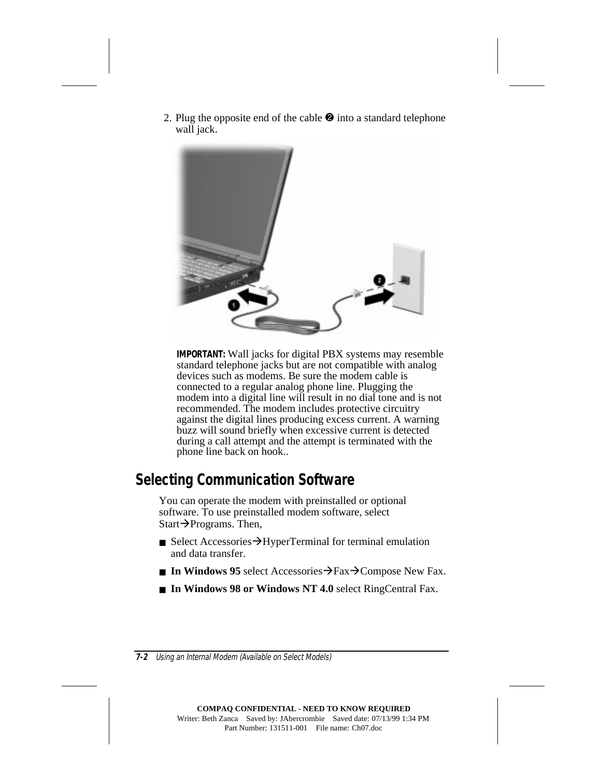2. Plug the opposite end of the cable  $\bullet$  into a standard telephone wall jack.



**IMPORTANT:** Wall jacks for digital PBX systems may resemble standard telephone jacks but are not compatible with analog devices such as modems. Be sure the modem cable is connected to a regular analog phone line. Plugging the modem into a digital line will result in no dial tone and is not recommended. The modem includes protective circuitry against the digital lines producing excess current. A warning buzz will sound briefly when excessive current is detected during a call attempt and the attempt is terminated with the phone line back on hook..

### **Selecting Communication Software**

You can operate the modem with preinstalled or optional software. To use preinstalled modem software, select Start $\rightarrow$ Programs. Then,

- Select Accessories  $\rightarrow$  HyperTerminal for terminal emulation and data transfer.
- **In Windows 95** select Accessories $\rightarrow$ Fax $\rightarrow$ Compose New Fax.
- In Windows 98 or Windows NT 4.0 select RingCentral Fax.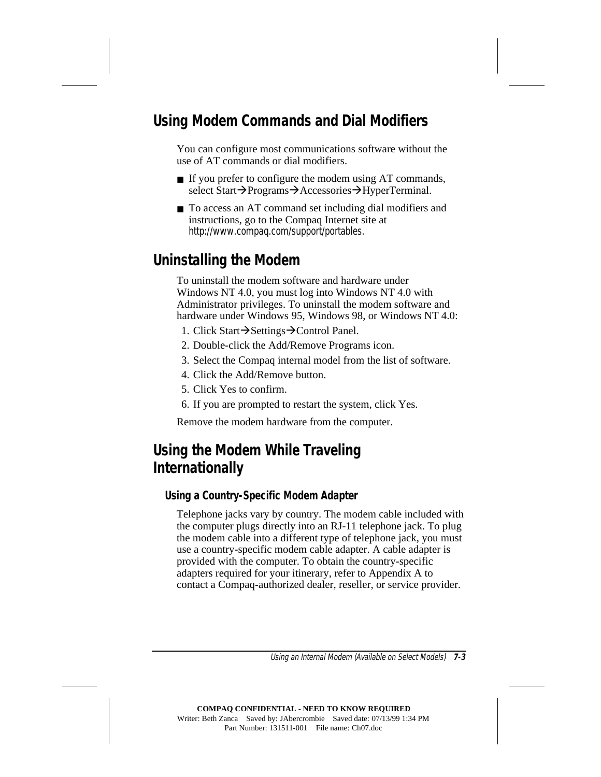## **Using Modem Commands and Dial Modifiers**

You can configure most communications software without the use of AT commands or dial modifiers.

- If you prefer to configure the modem using AT commands, select Start $\rightarrow$ Programs $\rightarrow$ Accessories $\rightarrow$ HyperTerminal.
- To access an AT command set including dial modifiers and instructions, go to the Compaq Internet site at http://www.compaq.com/support/portables.

## **Uninstalling the Modem**

To uninstall the modem software and hardware under Windows NT 4.0, you must log into Windows NT 4.0 with Administrator privileges. To uninstall the modem software and hardware under Windows 95, Windows 98, or Windows NT 4.0:

- 1. Click Start $\rightarrow$ Settings $\rightarrow$ Control Panel.
- 2. Double-click the Add/Remove Programs icon.
- 3. Select the Compaq internal model from the list of software.
- 4. Click the Add/Remove button.
- 5. Click Yes to confirm.
- 6. If you are prompted to restart the system, click Yes.

Remove the modem hardware from the computer.

## **Using the Modem While Traveling Internationally**

#### **Using a Country-Specific Modem Adapter**

Telephone jacks vary by country. The modem cable included with the computer plugs directly into an RJ-11 telephone jack. To plug the modem cable into a different type of telephone jack, you must use a country-specific modem cable adapter. A cable adapter is provided with the computer. To obtain the country-specific adapters required for your itinerary, refer to Appendix A to contact a Compaq-authorized dealer, reseller, or service provider.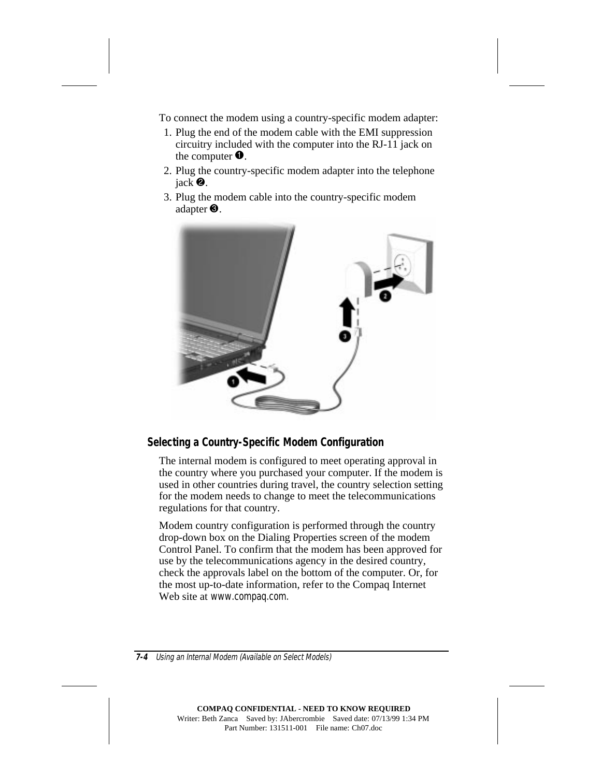To connect the modem using a country-specific modem adapter:

- 1. Plug the end of the modem cable with the EMI suppression circuitry included with the computer into the RJ-11 jack on the computer  $\bullet$ .
- 2. Plug the country-specific modem adapter into the telephone jack  $\bullet$ .
- 3. Plug the modem cable into the country-specific modem adapter  $\mathbf{\Theta}$ .



#### **Selecting a Country-Specific Modem Configuration**

The internal modem is configured to meet operating approval in the country where you purchased your computer. If the modem is used in other countries during travel, the country selection setting for the modem needs to change to meet the telecommunications regulations for that country.

Modem country configuration is performed through the country drop-down box on the Dialing Properties screen of the modem Control Panel. To confirm that the modem has been approved for use by the telecommunications agency in the desired country, check the approvals label on the bottom of the computer. Or, for the most up-to-date information, refer to the Compaq Internet Web site at www.compaq.com.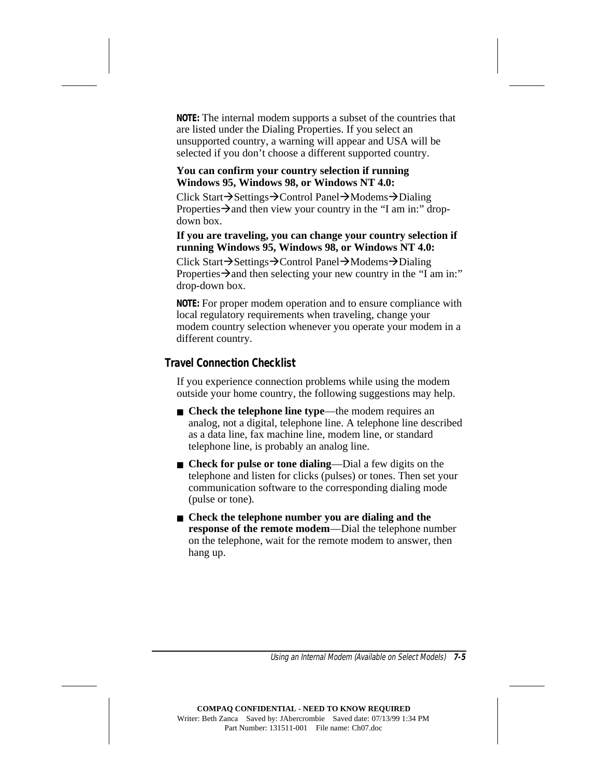**NOTE:** The internal modem supports a subset of the countries that are listed under the Dialing Properties. If you select an unsupported country, a warning will appear and USA will be selected if you don't choose a different supported country.

#### **You can confirm your country selection if running Windows 95, Windows 98, or Windows NT 4.0:**

Click Start→Settings→Control Panel→Modems→Dialing Properties  $\rightarrow$  and then view your country in the "I am in:" dropdown box.

#### **If you are traveling, you can change your country selection if running Windows 95, Windows 98, or Windows NT 4.0:**

Click Start→Settings→Control Panel→Modems→Dialing Properties  $\rightarrow$  and then selecting your new country in the "I am in:" drop-down box.

**NOTE:** For proper modem operation and to ensure compliance with local regulatory requirements when traveling, change your modem country selection whenever you operate your modem in a different country.

#### **Travel Connection Checklist**

If you experience connection problems while using the modem outside your home country, the following suggestions may help.

- **Check the telephone line type—the modem requires an** analog, not a digital, telephone line. A telephone line described as a data line, fax machine line, modem line, or standard telephone line, is probably an analog line.
- **Check for pulse or tone dialing—Dial** a few digits on the telephone and listen for clicks (pulses) or tones. Then set your communication software to the corresponding dialing mode (pulse or tone).
- **Check the telephone number you are dialing and the response of the remote modem**—Dial the telephone number on the telephone, wait for the remote modem to answer, then hang up.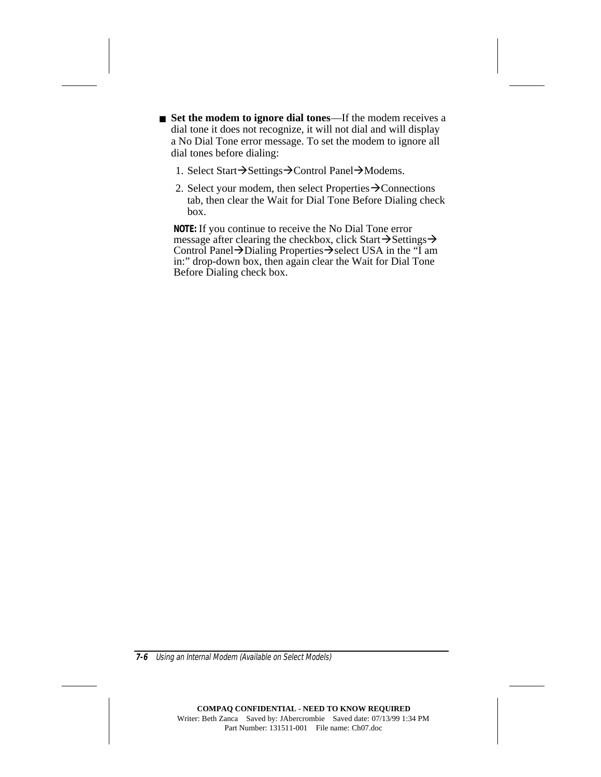■ **Set the modem to ignore dial tones**—If the modem receives a dial tone it does not recognize, it will not dial and will display a No Dial Tone error message. To set the modem to ignore all dial tones before dialing:

- 1. Select Start $\rightarrow$ Settings $\rightarrow$ Control Panel $\rightarrow$ Modems.
- 2. Select your modem, then select Properties  $\rightarrow$ Connections tab, then clear the Wait for Dial Tone Before Dialing check box.

**NOTE:** If you continue to receive the No Dial Tone error message after clearing the checkbox, click Start $\rightarrow$ Settings $\rightarrow$ Control Panel $\rightarrow$ Dialing Properties $\rightarrow$ select USA in the "I am in:" drop-down box, then again clear the Wait for Dial Tone Before Dialing check box.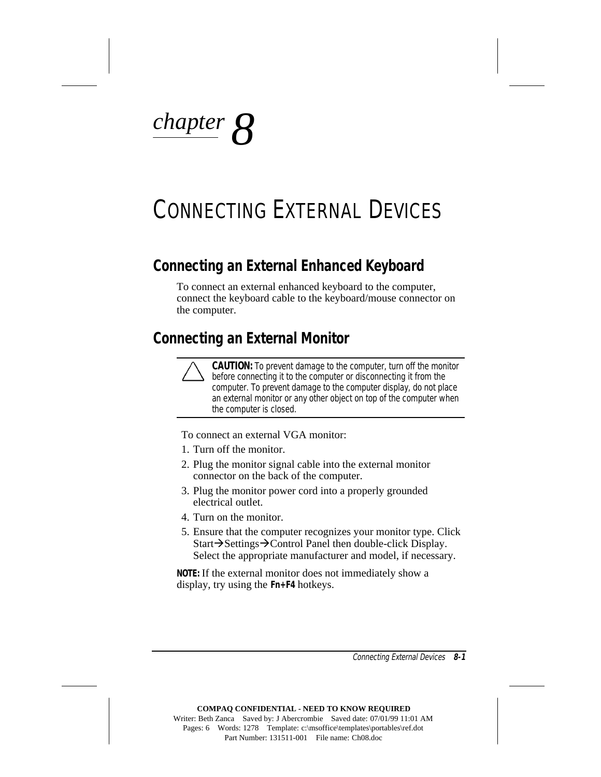*chapter 8*

## CONNECTING EXTERNAL DEVICES

### **Connecting an External Enhanced Keyboard**

To connect an external enhanced keyboard to the computer, connect the keyboard cable to the keyboard/mouse connector on the computer.

#### **Connecting an External Monitor**



**CAUTION:** To prevent damage to the computer, turn off the monitor before connecting it to the computer or disconnecting it from the computer. To prevent damage to the computer display, do not place an external monitor or any other object on top of the computer when the computer is closed.

To connect an external VGA monitor:

- 1. Turn off the monitor.
- 2. Plug the monitor signal cable into the external monitor connector on the back of the computer.
- 3. Plug the monitor power cord into a properly grounded electrical outlet.
- 4. Turn on the monitor.
- 5. Ensure that the computer recognizes your monitor type. Click Start $\rightarrow$ Settings $\rightarrow$ Control Panel then double-click Display. Select the appropriate manufacturer and model, if necessary.

**NOTE:** If the external monitor does not immediately show a display, try using the **Fn+F4** hotkeys.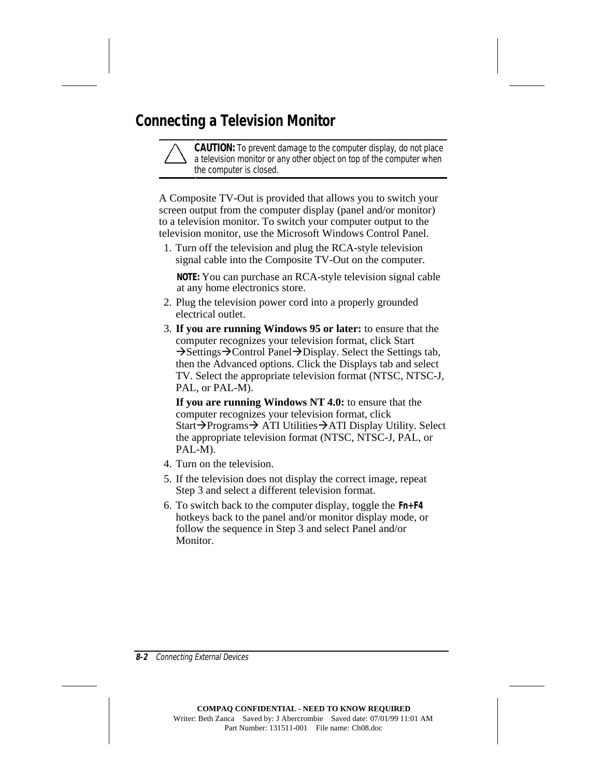## **Connecting a Television Monitor**

**CAUTION:** To prevent damage to the computer display, do not place a television monitor or any other object on top of the computer when the computer is closed.

A Composite TV-Out is provided that allows you to switch your screen output from the computer display (panel and/or monitor) to a television monitor. To switch your computer output to the television monitor, use the Microsoft Windows Control Panel.

1. Turn off the television and plug the RCA-style television signal cable into the Composite TV-Out on the computer.

**NOTE:** You can purchase an RCA-style television signal cable at any home electronics store.

- 2. Plug the television power cord into a properly grounded electrical outlet.
- 3. **If you are running Windows 95 or later:** to ensure that the computer recognizes your television format, click Start  $\rightarrow$ Settings $\rightarrow$ Control Panel $\rightarrow$ Display. Select the Settings tab, then the Advanced options. Click the Displays tab and select TV. Select the appropriate television format (NTSC, NTSC-J, PAL, or PAL-M).

**If you are running Windows NT 4.0:** to ensure that the computer recognizes your television format, click Start $\rightarrow$ Programs $\rightarrow$  ATI Utilities $\rightarrow$ ATI Display Utility. Select the appropriate television format (NTSC, NTSC-J, PAL, or PAL-M).

- 4. Turn on the television.
- 5. If the television does not display the correct image, repeat Step 3 and select a different television format.
- 6. To switch back to the computer display, toggle the **Fn+F4** hotkeys back to the panel and/or monitor display mode, or follow the sequence in Step 3 and select Panel and/or Monitor.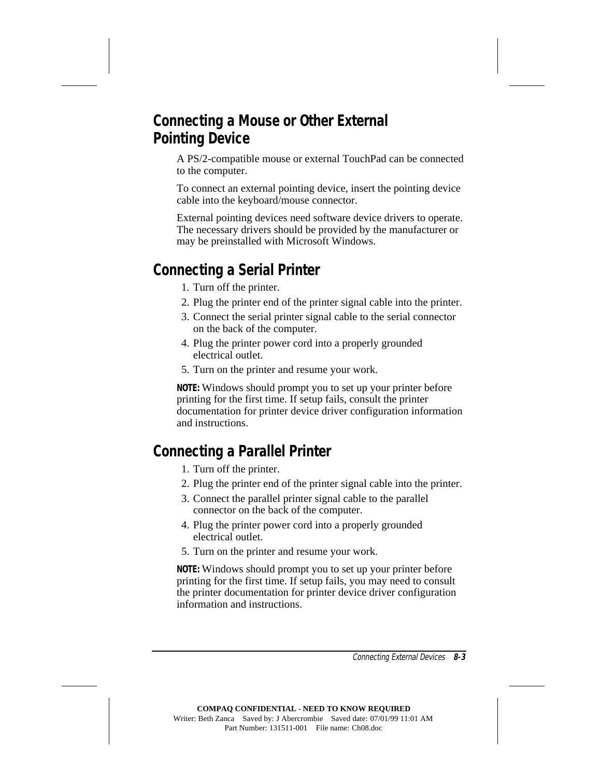## **Connecting a Mouse or Other External Pointing Device**

A PS/2-compatible mouse or external TouchPad can be connected to the computer.

To connect an external pointing device, insert the pointing device cable into the keyboard/mouse connector.

External pointing devices need software device drivers to operate. The necessary drivers should be provided by the manufacturer or may be preinstalled with Microsoft Windows.

## **Connecting a Serial Printer**

- 1. Turn off the printer.
- 2. Plug the printer end of the printer signal cable into the printer.
- 3. Connect the serial printer signal cable to the serial connector on the back of the computer.
- 4. Plug the printer power cord into a properly grounded electrical outlet.
- 5. Turn on the printer and resume your work.

**NOTE:** Windows should prompt you to set up your printer before printing for the first time. If setup fails, consult the printer documentation for printer device driver configuration information and instructions.

## **Connecting a Parallel Printer**

- 1. Turn off the printer.
- 2. Plug the printer end of the printer signal cable into the printer.
- 3. Connect the parallel printer signal cable to the parallel connector on the back of the computer.
- 4. Plug the printer power cord into a properly grounded electrical outlet.
- 5. Turn on the printer and resume your work.

**NOTE:** Windows should prompt you to set up your printer before printing for the first time. If setup fails, you may need to consult the printer documentation for printer device driver configuration information and instructions.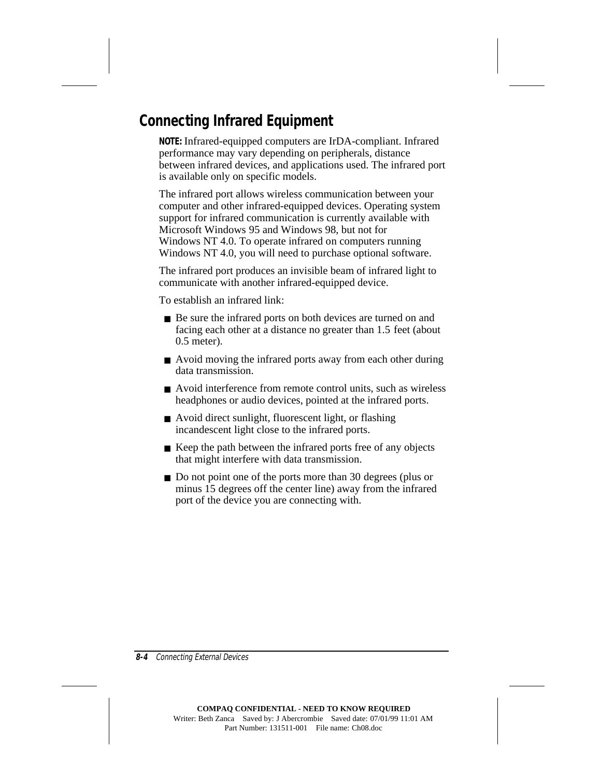## **Connecting Infrared Equipment**

**NOTE:** Infrared-equipped computers are IrDA-compliant. Infrared performance may vary depending on peripherals, distance between infrared devices, and applications used. The infrared port is available only on specific models.

The infrared port allows wireless communication between your computer and other infrared-equipped devices. Operating system support for infrared communication is currently available with Microsoft Windows 95 and Windows 98, but not for Windows NT 4.0. To operate infrared on computers running Windows NT 4.0, you will need to purchase optional software.

The infrared port produces an invisible beam of infrared light to communicate with another infrared-equipped device.

To establish an infrared link:

- Be sure the infrared ports on both devices are turned on and facing each other at a distance no greater than 1.5 feet (about 0.5 meter).
- Avoid moving the infrared ports away from each other during data transmission.
- Avoid interference from remote control units, such as wireless headphones or audio devices, pointed at the infrared ports.
- Avoid direct sunlight, fluorescent light, or flashing incandescent light close to the infrared ports.
- Keep the path between the infrared ports free of any objects that might interfere with data transmission.
- Do not point one of the ports more than 30 degrees (plus or minus 15 degrees off the center line) away from the infrared port of the device you are connecting with.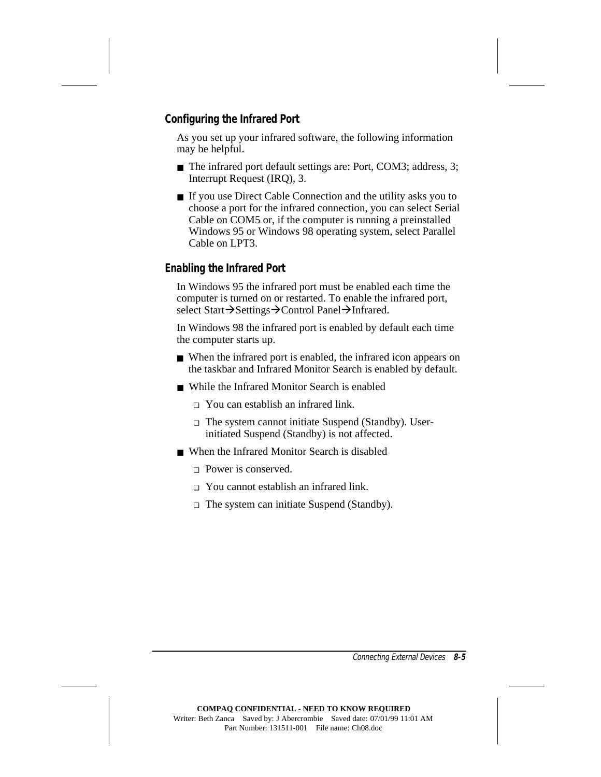#### **Configuring the Infrared Port**

As you set up your infrared software, the following information may be helpful.

- The infrared port default settings are: Port, COM3; address, 3; Interrupt Request (IRQ), 3.
- If you use Direct Cable Connection and the utility asks you to choose a port for the infrared connection, you can select Serial Cable on COM5 or, if the computer is running a preinstalled Windows 95 or Windows 98 operating system, select Parallel Cable on LPT3.

#### **Enabling the Infrared Port**

In Windows 95 the infrared port must be enabled each time the computer is turned on or restarted. To enable the infrared port, select Start→Settings→Control Panel→Infrared.

In Windows 98 the infrared port is enabled by default each time the computer starts up.

- When the infrared port is enabled, the infrared icon appears on the taskbar and Infrared Monitor Search is enabled by default.
- While the Infrared Monitor Search is enabled
	- ❏ You can establish an infrared link.
	- ❏ The system cannot initiate Suspend (Standby). Userinitiated Suspend (Standby) is not affected.
- When the Infrared Monitor Search is disabled
	- ❏ Power is conserved.
	- ❏ You cannot establish an infrared link.
	- ❏ The system can initiate Suspend (Standby).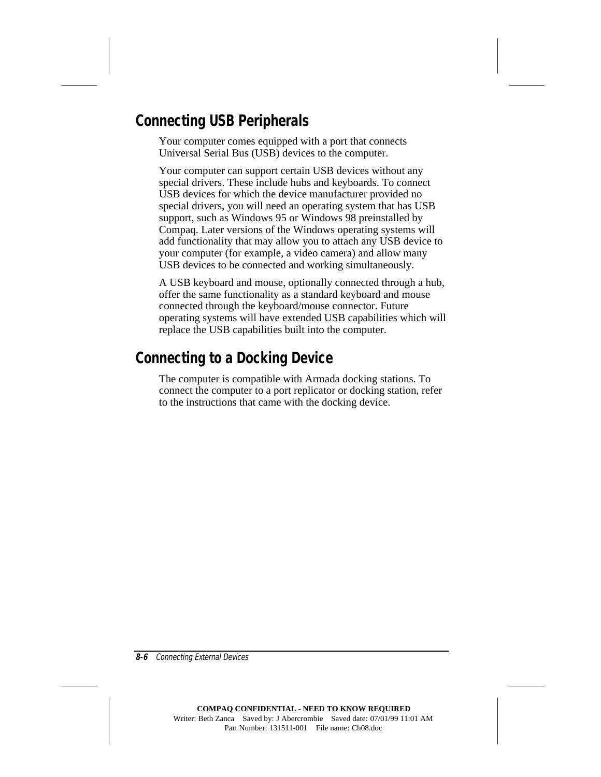## **Connecting USB Peripherals**

Your computer comes equipped with a port that connects Universal Serial Bus (USB) devices to the computer.

Your computer can support certain USB devices without any special drivers. These include hubs and keyboards. To connect USB devices for which the device manufacturer provided no special drivers, you will need an operating system that has USB support, such as Windows 95 or Windows 98 preinstalled by Compaq. Later versions of the Windows operating systems will add functionality that may allow you to attach any USB device to your computer (for example, a video camera) and allow many USB devices to be connected and working simultaneously.

A USB keyboard and mouse, optionally connected through a hub, offer the same functionality as a standard keyboard and mouse connected through the keyboard/mouse connector. Future operating systems will have extended USB capabilities which will replace the USB capabilities built into the computer.

## **Connecting to a Docking Device**

The computer is compatible with Armada docking stations. To connect the computer to a port replicator or docking station, refer to the instructions that came with the docking device.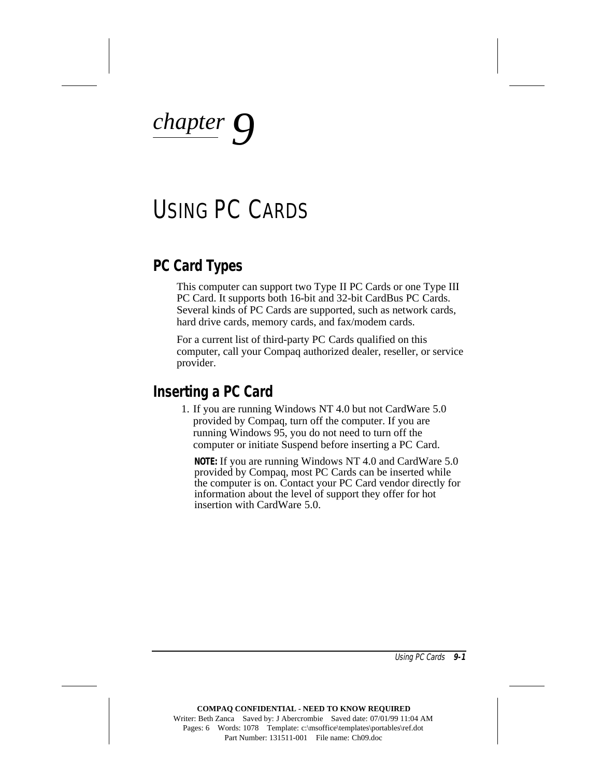*chapter*  $\mathcal{C}$ 

## USING PC CARDS

### **PC Card Types**

This computer can support two Type II PC Cards or one Type III PC Card. It supports both 16-bit and 32-bit CardBus PC Cards. Several kinds of PC Cards are supported, such as network cards, hard drive cards, memory cards, and fax/modem cards.

For a current list of third-party PC Cards qualified on this computer, call your Compaq authorized dealer, reseller, or service provider.

#### **Inserting a PC Card**

1. If you are running Windows NT 4.0 but not CardWare 5.0 provided by Compaq, turn off the computer. If you are running Windows 95, you do not need to turn off the computer or initiate Suspend before inserting a PC Card.

**NOTE:** If you are running Windows NT 4.0 and CardWare 5.0 provided by Compaq, most PC Cards can be inserted while the computer is on. Contact your PC Card vendor directly for information about the level of support they offer for hot insertion with CardWare 5.0.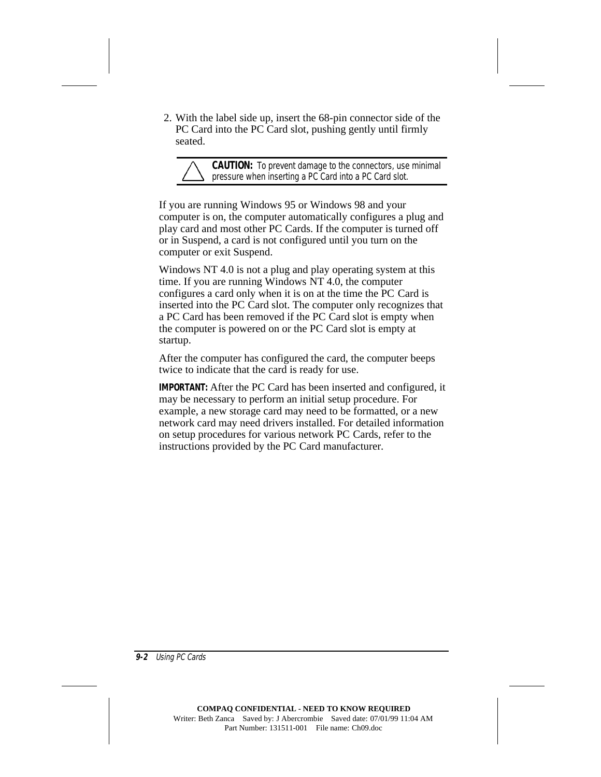2. With the label side up, insert the 68-pin connector side of the PC Card into the PC Card slot, pushing gently until firmly seated.

**CAUTION:** To prevent damage to the connectors, use minimal pressure when inserting a PC Card into a PC Card slot.

If you are running Windows 95 or Windows 98 and your computer is on, the computer automatically configures a plug and play card and most other PC Cards. If the computer is turned off or in Suspend, a card is not configured until you turn on the computer or exit Suspend.

Windows NT 4.0 is not a plug and play operating system at this time. If you are running Windows NT 4.0, the computer configures a card only when it is on at the time the PC Card is inserted into the PC Card slot. The computer only recognizes that a PC Card has been removed if the PC Card slot is empty when the computer is powered on or the PC Card slot is empty at startup.

After the computer has configured the card, the computer beeps twice to indicate that the card is ready for use.

**IMPORTANT:** After the PC Card has been inserted and configured, it may be necessary to perform an initial setup procedure. For example, a new storage card may need to be formatted, or a new network card may need drivers installed. For detailed information on setup procedures for various network PC Cards, refer to the instructions provided by the PC Card manufacturer.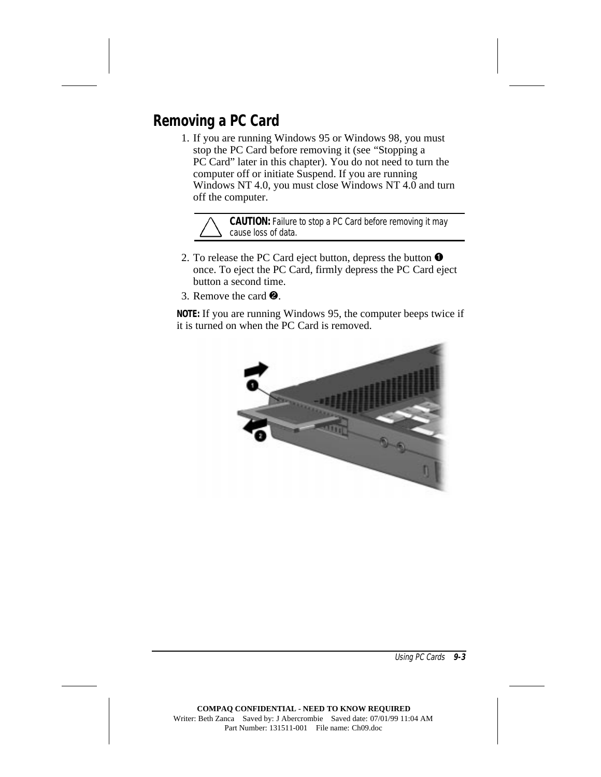## **Removing a PC Card**

1. If you are running Windows 95 or Windows 98, you must stop the PC Card before removing it (see "Stopping a PC Card" later in this chapter). You do not need to turn the computer off or initiate Suspend. If you are running Windows NT 4.0, you must close Windows NT 4.0 and turn off the computer.

**CAUTION:** Failure to stop a PC Card before removing it may cause loss of data.

- 2. To release the PC Card eject button, depress the button  $\bullet$ once. To eject the PC Card, firmly depress the PC Card eject button a second time.
- 3. Remove the card  $\bullet$ .

**NOTE:** If you are running Windows 95, the computer beeps twice if it is turned on when the PC Card is removed.

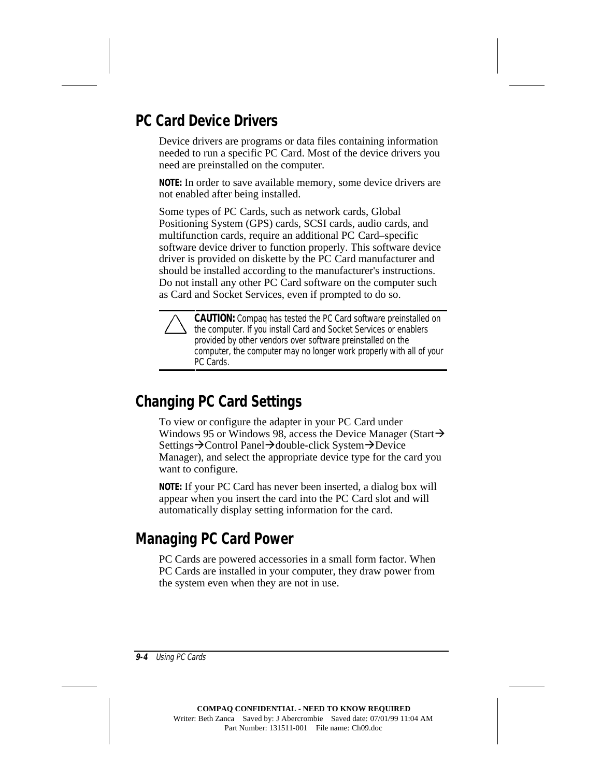## **PC Card Device Drivers**

Device drivers are programs or data files containing information needed to run a specific PC Card. Most of the device drivers you need are preinstalled on the computer.

**NOTE:** In order to save available memory, some device drivers are not enabled after being installed.

Some types of PC Cards, such as network cards, Global Positioning System (GPS) cards, SCSI cards, audio cards, and multifunction cards, require an additional PC Card–specific software device driver to function properly. This software device driver is provided on diskette by the PC Card manufacturer and should be installed according to the manufacturer's instructions. Do not install any other PC Card software on the computer such as Card and Socket Services, even if prompted to do so.

**CAUTION:** Compaq has tested the PC Card software preinstalled on the computer. If you install Card and Socket Services or enablers provided by other vendors over software preinstalled on the computer, the computer may no longer work properly with all of your PC Cards.

### **Changing PC Card Settings**

To view or configure the adapter in your PC Card under Windows 95 or Windows 98, access the Device Manager (Start $\rightarrow$ Settings→Control Panel→double-click System→Device Manager), and select the appropriate device type for the card you want to configure.

**NOTE:** If your PC Card has never been inserted, a dialog box will appear when you insert the card into the PC Card slot and will automatically display setting information for the card.

## **Managing PC Card Power**

PC Cards are powered accessories in a small form factor. When PC Cards are installed in your computer, they draw power from the system even when they are not in use.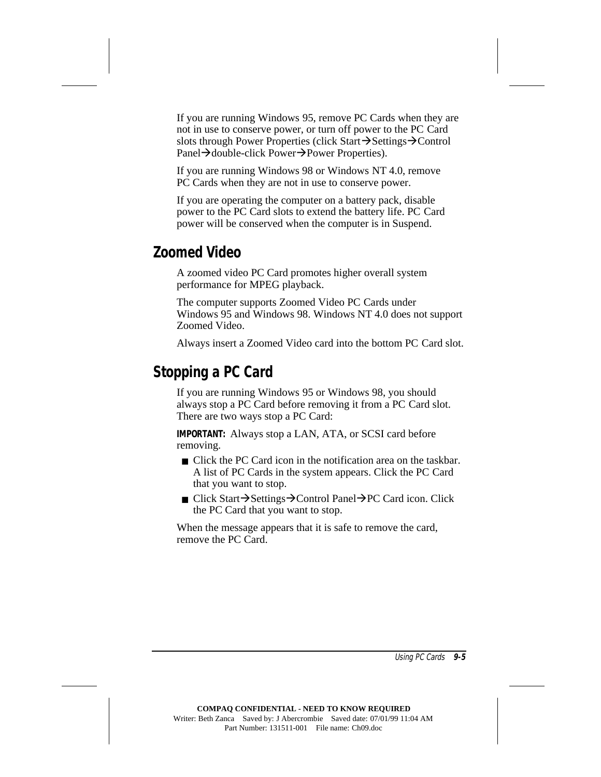If you are running Windows 95, remove PC Cards when they are not in use to conserve power, or turn off power to the PC Card slots through Power Properties (click Start $\rightarrow$ Settings $\rightarrow$ Control Panel $\rightarrow$ double-click Power $\rightarrow$ Power Properties).

If you are running Windows 98 or Windows NT 4.0, remove PC Cards when they are not in use to conserve power.

If you are operating the computer on a battery pack, disable power to the PC Card slots to extend the battery life. PC Card power will be conserved when the computer is in Suspend.

### **Zoomed Video**

A zoomed video PC Card promotes higher overall system performance for MPEG playback.

The computer supports Zoomed Video PC Cards under Windows 95 and Windows 98. Windows NT 4.0 does not support Zoomed Video.

Always insert a Zoomed Video card into the bottom PC Card slot.

## **Stopping a PC Card**

If you are running Windows 95 or Windows 98, you should always stop a PC Card before removing it from a PC Card slot. There are two ways stop a PC Card:

**IMPORTANT:** Always stop a LAN, ATA, or SCSI card before removing.

- Click the PC Card icon in the notification area on the taskbar. A list of PC Cards in the system appears. Click the PC Card that you want to stop.
- Click Start→Settings→Control Panel→PC Card icon. Click the PC Card that you want to stop.

When the message appears that it is safe to remove the card, remove the PC Card.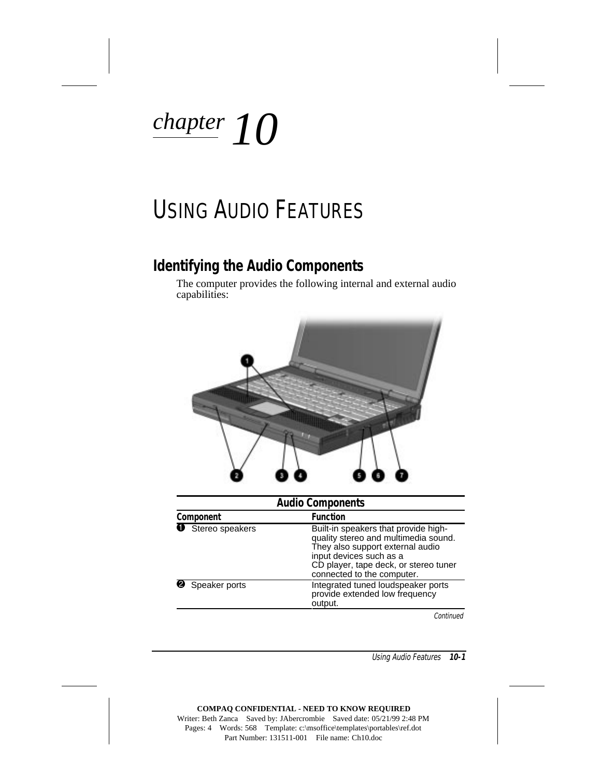

## USING AUDIO FEATURES

### **Identifying the Audio Components**

The computer provides the following internal and external audio capabilities:



| <b>Audio Components</b> |                          |                                                                                                                                                                                                                    |  |
|-------------------------|--------------------------|--------------------------------------------------------------------------------------------------------------------------------------------------------------------------------------------------------------------|--|
|                         | Component                | <b>Function</b>                                                                                                                                                                                                    |  |
|                         | <b>O</b> Stereo speakers | Built-in speakers that provide high-<br>quality stereo and multimedia sound.<br>They also support external audio<br>input devices such as a<br>CD player, tape deck, or stereo tuner<br>connected to the computer. |  |
|                         | Speaker ports            | Integrated tuned loudspeaker ports<br>provide extended low frequency<br>output.                                                                                                                                    |  |

Continued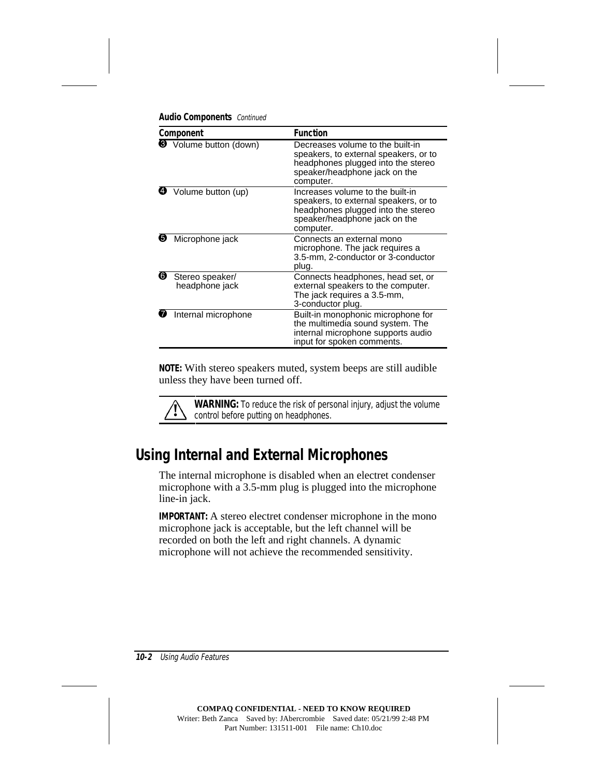|  | <b>Audio Components</b> Continued |  |
|--|-----------------------------------|--|
|--|-----------------------------------|--|

| Component |                                   | <b>Function</b>                                                                                                                                               |  |
|-----------|-----------------------------------|---------------------------------------------------------------------------------------------------------------------------------------------------------------|--|
|           | <b>6</b> Volume button (down)     | Decreases volume to the built-in<br>speakers, to external speakers, or to<br>headphones plugged into the stereo<br>speaker/headphone jack on the<br>computer. |  |
|           | Volume button (up)                | Increases volume to the built-in<br>speakers, to external speakers, or to<br>headphones plugged into the stereo<br>speaker/headphone jack on the<br>computer. |  |
| Ø         | Microphone jack                   | Connects an external mono<br>microphone. The jack requires a<br>3.5-mm, 2-conductor or 3-conductor<br>plug.                                                   |  |
| ❻         | Stereo speaker/<br>headphone jack | Connects headphones, head set, or<br>external speakers to the computer.<br>The jack requires a 3.5-mm,<br>3-conductor plug.                                   |  |
|           | Internal microphone               | Built-in monophonic microphone for<br>the multimedia sound system. The<br>internal microphone supports audio<br>input for spoken comments.                    |  |

**NOTE:** With stereo speakers muted, system beeps are still audible unless they have been turned off.

**WARNING:** To reduce the risk of personal injury, adjust the volume control before putting on headphones.

## **Using Internal and External Microphones**

The internal microphone is disabled when an electret condenser microphone with a 3.5-mm plug is plugged into the microphone line-in jack.

**IMPORTANT:** A stereo electret condenser microphone in the mono microphone jack is acceptable, but the left channel will be recorded on both the left and right channels. A dynamic microphone will not achieve the recommended sensitivity.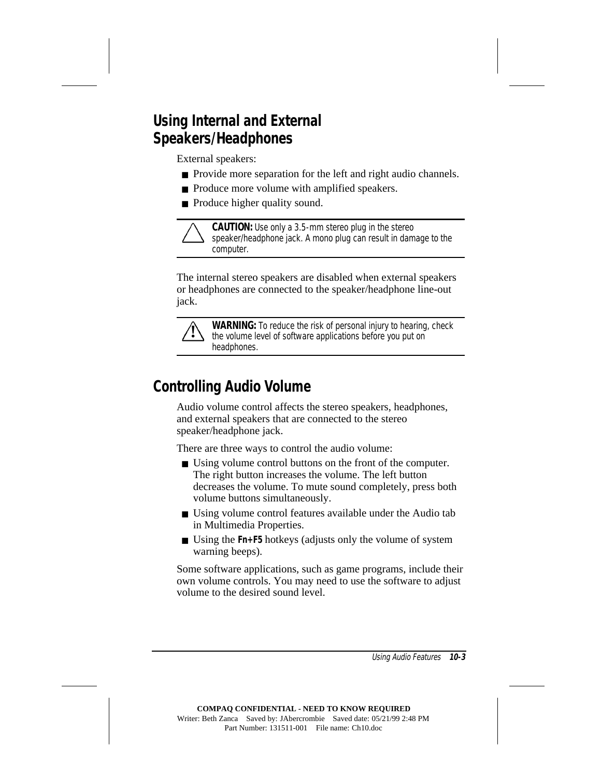## **Using Internal and External Speakers/Headphones**

External speakers:

- Provide more separation for the left and right audio channels.
- Produce more volume with amplified speakers.
- Produce higher quality sound.



**CAUTION:** Use only a 3.5-mm stereo plug in the stereo speaker/headphone jack. A mono plug can result in damage to the computer.

The internal stereo speakers are disabled when external speakers or headphones are connected to the speaker/headphone line-out jack.



**WARNING:** To reduce the risk of personal injury to hearing, check the volume level of software applications before you put on headphones.

## **Controlling Audio Volume**

Audio volume control affects the stereo speakers, headphones, and external speakers that are connected to the stereo speaker/headphone jack.

There are three ways to control the audio volume:

- Using volume control buttons on the front of the computer. The right button increases the volume. The left button decreases the volume. To mute sound completely, press both volume buttons simultaneously.
- Using volume control features available under the Audio tab in Multimedia Properties.
- Using the **Fn+F5** hotkeys (adjusts only the volume of system warning beeps).

Some software applications, such as game programs, include their own volume controls. You may need to use the software to adjust volume to the desired sound level.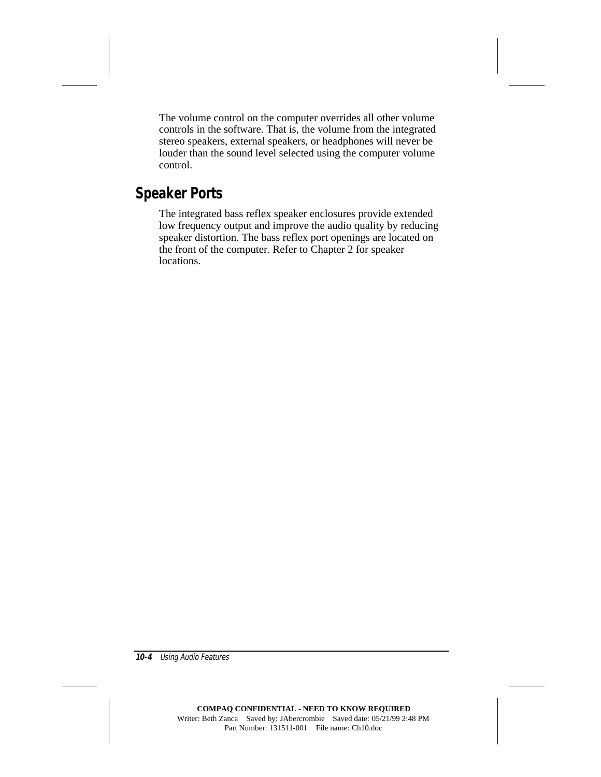The volume control on the computer overrides all other volume controls in the software. That is, the volume from the integrated stereo speakers, external speakers, or headphones will never be louder than the sound level selected using the computer volume control.

## **Speaker Ports**

The integrated bass reflex speaker enclosures provide extended low frequency output and improve the audio quality by reducing speaker distortion. The bass reflex port openings are located on the front of the computer. Refer to Chapter 2 for speaker locations.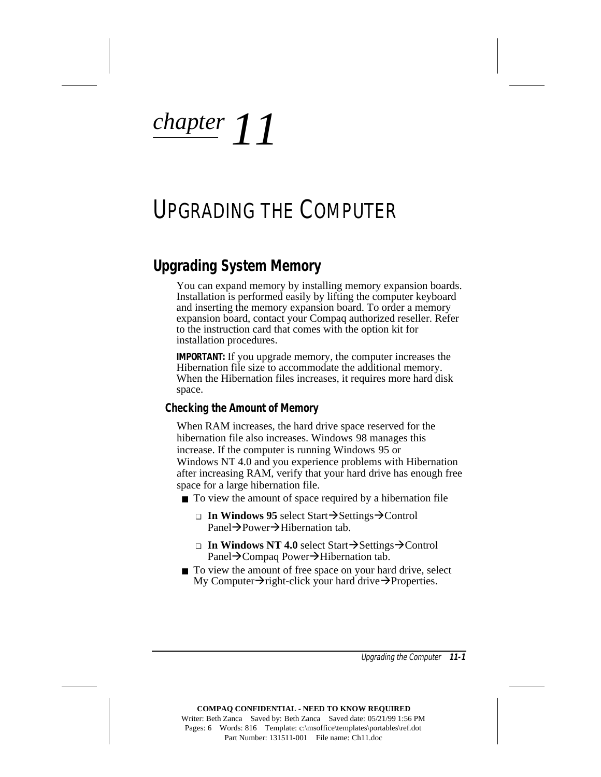# *chapter 11*

## UPGRADING THE COMPUTER

### **Upgrading System Memory**

You can expand memory by installing memory expansion boards. Installation is performed easily by lifting the computer keyboard and inserting the memory expansion board. To order a memory expansion board, contact your Compaq authorized reseller. Refer to the instruction card that comes with the option kit for installation procedures.

**IMPORTANT:** If you upgrade memory, the computer increases the Hibernation file size to accommodate the additional memory. When the Hibernation files increases, it requires more hard disk space.

#### **Checking the Amount of Memory**

When RAM increases, the hard drive space reserved for the hibernation file also increases. Windows 98 manages this increase. If the computer is running Windows 95 or Windows NT 4.0 and you experience problems with Hibernation after increasing RAM, verify that your hard drive has enough free space for a large hibernation file.

- To view the amount of space required by a hibernation file
	- **□ In Windows 95** select Start→Settings→Control Panel $\rightarrow$ Power $\rightarrow$ Hibernation tab.
	- **□ In Windows NT 4.0** select Start→Settings→Control Panel $\rightarrow$ Compaq Power $\rightarrow$ Hibernation tab.
- To view the amount of free space on your hard drive, select My Computer $\rightarrow$ right-click your hard drive $\rightarrow$ Properties.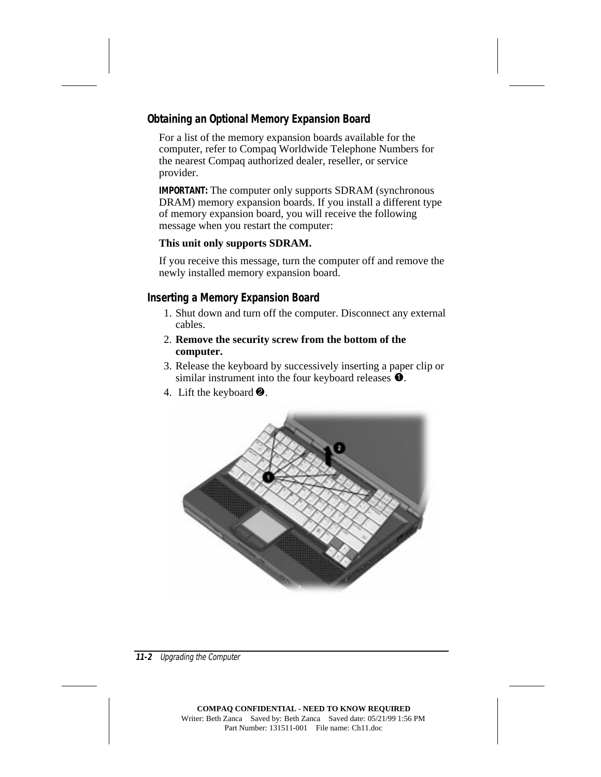#### **Obtaining an Optional Memory Expansion Board**

For a list of the memory expansion boards available for the computer, refer to Compaq Worldwide Telephone Numbers for the nearest Compaq authorized dealer, reseller, or service provider.

**IMPORTANT:** The computer only supports SDRAM (synchronous DRAM) memory expansion boards. If you install a different type of memory expansion board, you will receive the following message when you restart the computer:

#### **This unit only supports SDRAM.**

If you receive this message, turn the computer off and remove the newly installed memory expansion board.

#### **Inserting a Memory Expansion Board**

- 1. Shut down and turn off the computer. Disconnect any external cables.
- 2. **Remove the security screw from the bottom of the computer.**
- 3. Release the keyboard by successively inserting a paper clip or similar instrument into the four keyboard releases  $\hat{\mathbf{O}}$ .
- 4. Lift the keyboard  $\bullet$ .

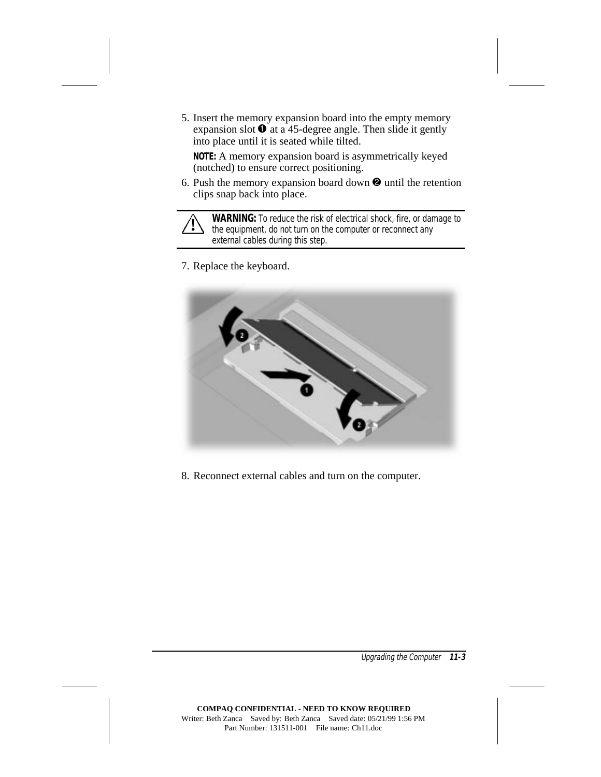5. Insert the memory expansion board into the empty memory expansion slot  $\bullet$  at a 45-degree angle. Then slide it gently into place until it is seated while tilted.

**NOTE:** A memory expansion board is asymmetrically keyed (notched) to ensure correct positioning.

6. Push the memory expansion board down  $\Theta$  until the retention clips snap back into place.



**! WARNING:** To reduce the risk of electrical shock, fire, or damage to the equipment, do not turn on the computer or reconnect any external cables during this step.

7. Replace the keyboard.



8. Reconnect external cables and turn on the computer.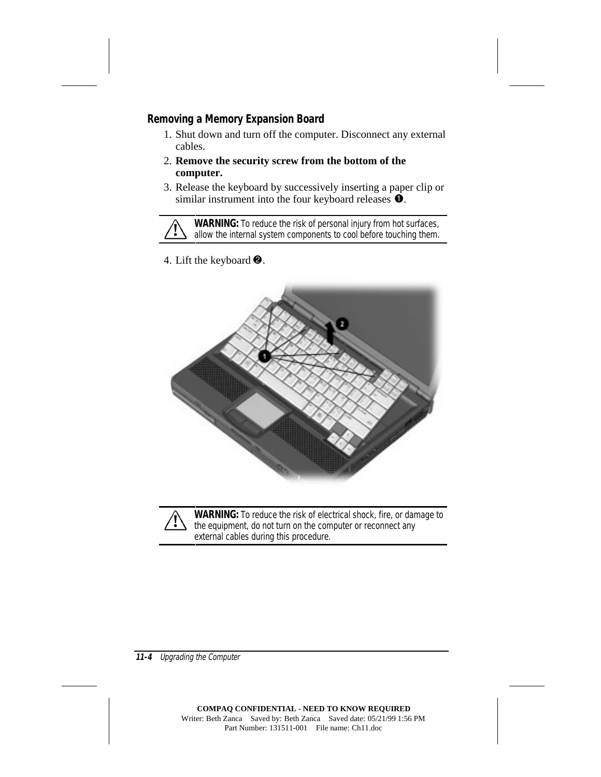#### **Removing a Memory Expansion Board**

- 1. Shut down and turn off the computer. Disconnect any external cables.
- 2. **Remove the security screw from the bottom of the computer.**
- 3. Release the keyboard by successively inserting a paper clip or similar instrument into the four keyboard releases  $\bullet$ .

**WARNING:** To reduce the risk of personal injury from hot surfaces,<br>allow the internal system components to cool before touching them.

4. Lift the keyboard  $\bullet$ .



WARNING: To reduce the risk of electrical shock, fire, or damage to the equipment, do not turn on the computer or reconnect any external cables during this procedure.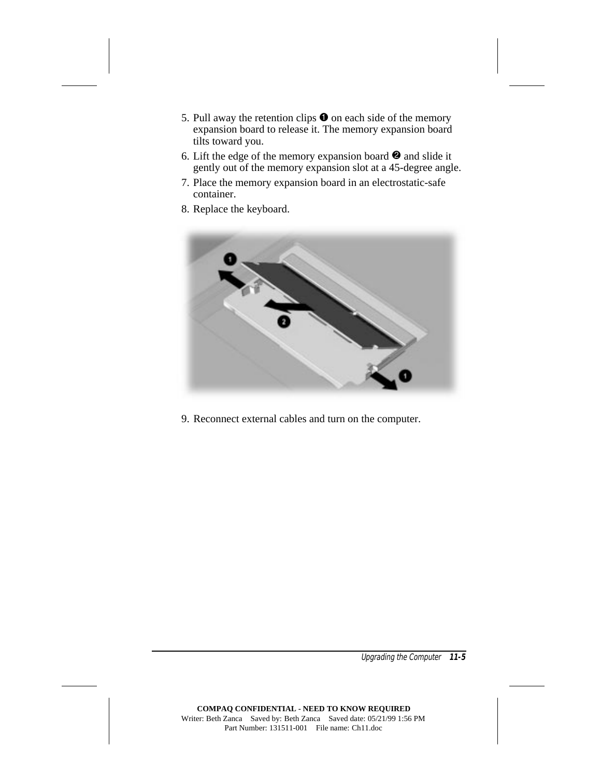- 5. Pull away the retention clips  $\bullet$  on each side of the memory expansion board to release it. The memory expansion board tilts toward you.
- 6. Lift the edge of the memory expansion board  $\Theta$  and slide it gently out of the memory expansion slot at a 45-degree angle.
- 7. Place the memory expansion board in an electrostatic-safe container.
- 8. Replace the keyboard.



9. Reconnect external cables and turn on the computer.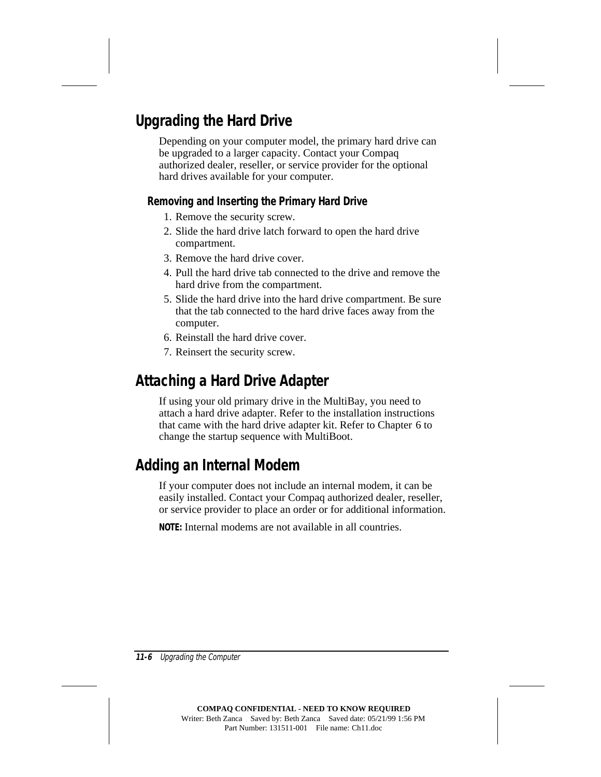## **Upgrading the Hard Drive**

Depending on your computer model, the primary hard drive can be upgraded to a larger capacity. Contact your Compaq authorized dealer, reseller, or service provider for the optional hard drives available for your computer.

#### **Removing and Inserting the Primary Hard Drive**

- 1. Remove the security screw.
- 2. Slide the hard drive latch forward to open the hard drive compartment.
- 3. Remove the hard drive cover.
- 4. Pull the hard drive tab connected to the drive and remove the hard drive from the compartment.
- 5. Slide the hard drive into the hard drive compartment. Be sure that the tab connected to the hard drive faces away from the computer.
- 6. Reinstall the hard drive cover.
- 7. Reinsert the security screw.

## **Attaching a Hard Drive Adapter**

If using your old primary drive in the MultiBay, you need to attach a hard drive adapter. Refer to the installation instructions that came with the hard drive adapter kit. Refer to Chapter 6 to change the startup sequence with MultiBoot.

## **Adding an Internal Modem**

If your computer does not include an internal modem, it can be easily installed. Contact your Compaq authorized dealer, reseller, or service provider to place an order or for additional information.

**NOTE:** Internal modems are not available in all countries.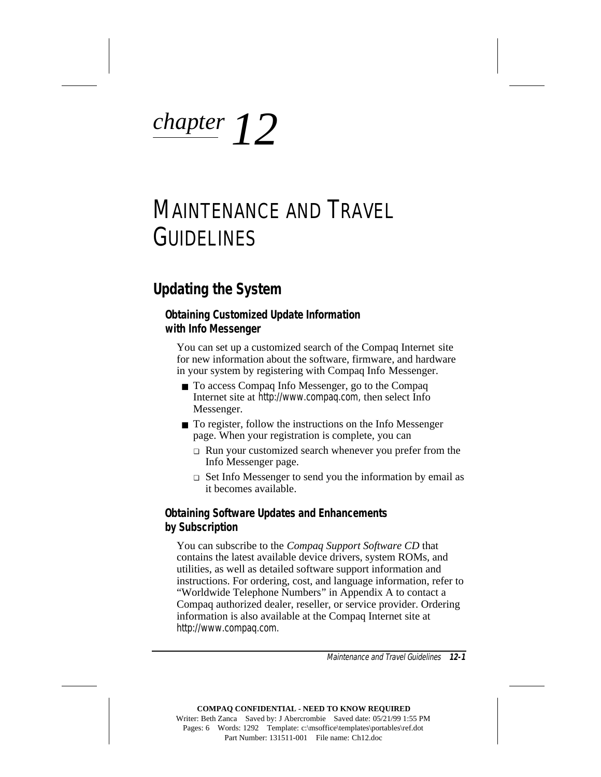# *chapter 12*

## MAINTENANCE AND TRAVEL GUIDELINES

## **Updating the System**

#### **Obtaining Customized Update Information with Info Messenger**

You can set up a customized search of the Compaq Internet site for new information about the software, firmware, and hardware in your system by registering with Compaq Info Messenger.

- To access Compaq Info Messenger, go to the Compaq Internet site at http://www.compaq.com, then select Info Messenger.
- To register, follow the instructions on the Info Messenger page. When your registration is complete, you can
	- ❏ Run your customized search whenever you prefer from the Info Messenger page.
	- ❏ Set Info Messenger to send you the information by email as it becomes available.

#### **Obtaining Software Updates and Enhancements by Subscription**

You can subscribe to the *Compaq Support Software CD* that contains the latest available device drivers, system ROMs, and utilities, as well as detailed software support information and instructions. For ordering, cost, and language information, refer to "Worldwide Telephone Numbers" in Appendix A to contact a Compaq authorized dealer, reseller, or service provider. Ordering information is also available at the Compaq Internet site at http://www.compaq.com.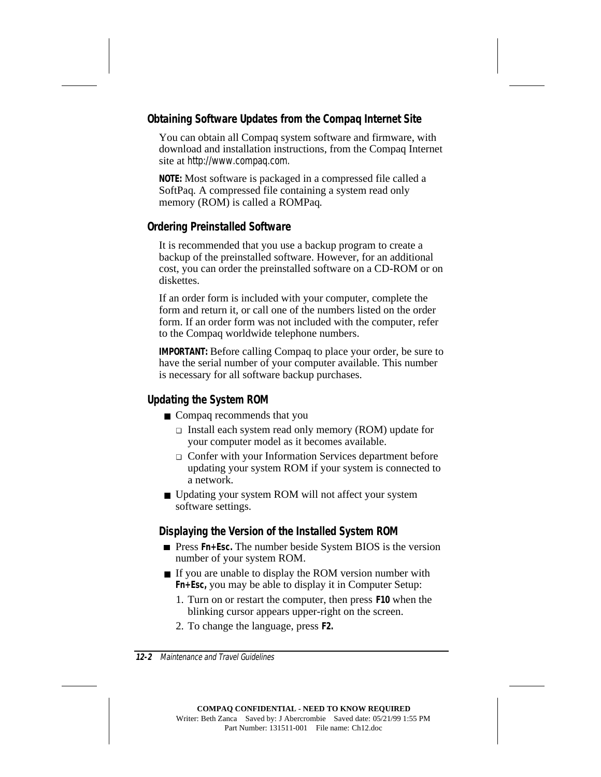#### **Obtaining Software Updates from the Compaq Internet Site**

You can obtain all Compaq system software and firmware, with download and installation instructions, from the Compaq Internet site at http://www.compaq.com.

**NOTE:** Most software is packaged in a compressed file called a SoftPaq*.* A compressed file containing a system read only memory (ROM) is called a ROMPaq*.*

#### **Ordering Preinstalled Software**

It is recommended that you use a backup program to create a backup of the preinstalled software. However, for an additional cost, you can order the preinstalled software on a CD-ROM or on diskettes.

If an order form is included with your computer, complete the form and return it, or call one of the numbers listed on the order form. If an order form was not included with the computer, refer to the Compaq worldwide telephone numbers.

**IMPORTANT:** Before calling Compaq to place your order, be sure to have the serial number of your computer available. This number is necessary for all software backup purchases.

#### **Updating the System ROM**

- Compaq recommends that you
	- ❏ Install each system read only memory (ROM) update for your computer model as it becomes available.
	- ❏ Confer with your Information Services department before updating your system ROM if your system is connected to a network.
- Updating your system ROM will not affect your system software settings.

#### **Displaying the Version of the Installed System ROM**

- Press **Fn**+Esc. The number beside System BIOS is the version number of your system ROM.
- If you are unable to display the ROM version number with **Fn+Esc,** you may be able to display it in Computer Setup:
	- 1. Turn on or restart the computer, then press **F10** when the blinking cursor appears upper-right on the screen.
	- 2. To change the language, press **F2.**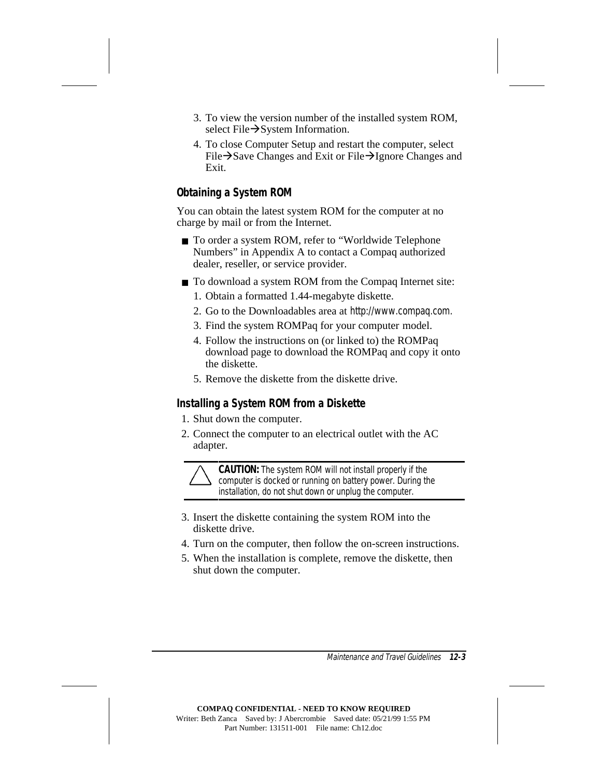- 3. To view the version number of the installed system ROM, select File $\rightarrow$ System Information.
- 4. To close Computer Setup and restart the computer, select File $\rightarrow$ Save Changes and Exit or File $\rightarrow$ Ignore Changes and Exit.

#### **Obtaining a System ROM**

You can obtain the latest system ROM for the computer at no charge by mail or from the Internet.

- To order a system ROM, refer to "Worldwide Telephone Numbers" in Appendix A to contact a Compaq authorized dealer, reseller, or service provider.
- To download a system ROM from the Compaq Internet site:
	- 1. Obtain a formatted 1.44-megabyte diskette.
	- 2. Go to the Downloadables area at http://www.compaq.com.
	- 3. Find the system ROMPaq for your computer model.
	- 4. Follow the instructions on (or linked to) the ROMPaq download page to download the ROMPaq and copy it onto the diskette.
	- 5. Remove the diskette from the diskette drive.

#### **Installing a System ROM from a Diskette**

- 1. Shut down the computer.
- 2. Connect the computer to an electrical outlet with the AC adapter.



**CAUTION:** The system ROM will not install properly if the computer is docked or running on battery power. During the installation, do not shut down or unplug the computer.

- 3. Insert the diskette containing the system ROM into the diskette drive.
- 4. Turn on the computer, then follow the on-screen instructions.
- 5. When the installation is complete, remove the diskette, then shut down the computer.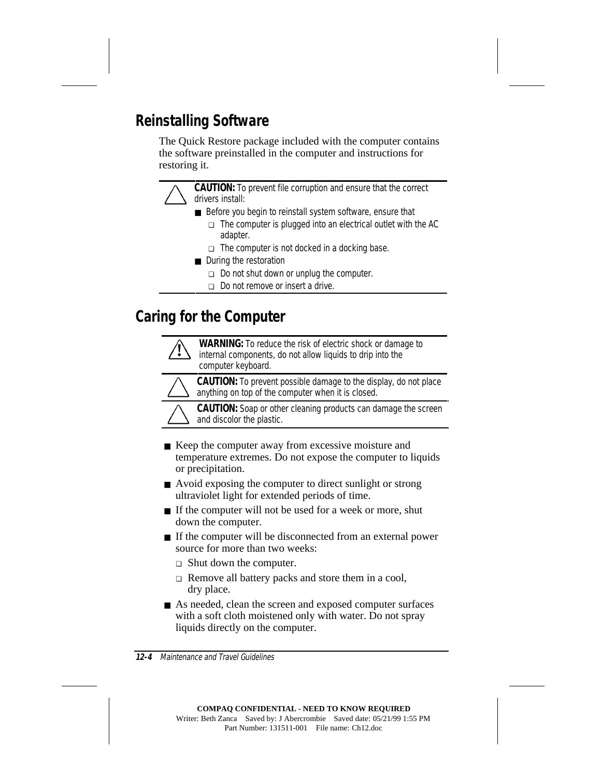## **Reinstalling Software**

The Quick Restore package included with the computer contains the software preinstalled in the computer and instructions for restoring it.

> **CAUTION:** To prevent file corruption and ensure that the correct drivers install:

- Before you begin to reinstall system software, ensure that
	- ❏ The computer is plugged into an electrical outlet with the AC adapter.
	- ❏ The computer is not docked in a docking base.
- During the restoration
	- ❏ Do not shut down or unplug the computer.
	- ❏ Do not remove or insert a drive.

## **Caring for the Computer**

**WARNING:** To reduce the risk of electric shock or damage to internal components, do not allow liquids to drip into the computer keyboard.



**CAUTION:** To prevent possible damage to the display, do not place anything on top of the computer when it is closed.



**CAUTION:** Soap or other cleaning products can damage the screen and discolor the plastic.

- Keep the computer away from excessive moisture and temperature extremes. Do not expose the computer to liquids or precipitation.
- Avoid exposing the computer to direct sunlight or strong ultraviolet light for extended periods of time.
- If the computer will not be used for a week or more, shut down the computer.
- If the computer will be disconnected from an external power source for more than two weeks:
	- ❏ Shut down the computer.
	- ❏ Remove all battery packs and store them in a cool, dry place.
- As needed, clean the screen and exposed computer surfaces with a soft cloth moistened only with water. Do not spray liquids directly on the computer.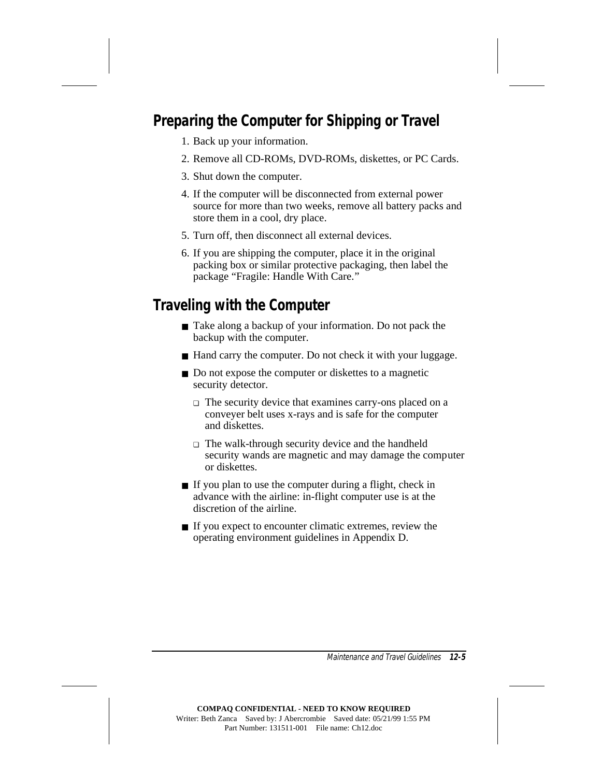## **Preparing the Computer for Shipping or Travel**

- 1. Back up your information.
- 2. Remove all CD-ROMs, DVD-ROMs, diskettes, or PC Cards.
- 3. Shut down the computer.
- 4. If the computer will be disconnected from external power source for more than two weeks, remove all battery packs and store them in a cool, dry place.
- 5. Turn off, then disconnect all external devices.
- 6. If you are shipping the computer, place it in the original packing box or similar protective packaging, then label the package "Fragile: Handle With Care."

## **Traveling with the Computer**

- Take along a backup of your information. Do not pack the backup with the computer.
- Hand carry the computer. Do not check it with your luggage.
- Do not expose the computer or diskettes to a magnetic security detector.
	- ❏ The security device that examines carry-ons placed on a conveyer belt uses x-rays and is safe for the computer and diskettes.
	- ❏ The walk-through security device and the handheld security wands are magnetic and may damage the computer or diskettes.
- If you plan to use the computer during a flight, check in advance with the airline: in-flight computer use is at the discretion of the airline.
- If you expect to encounter climatic extremes, review the operating environment guidelines in Appendix D.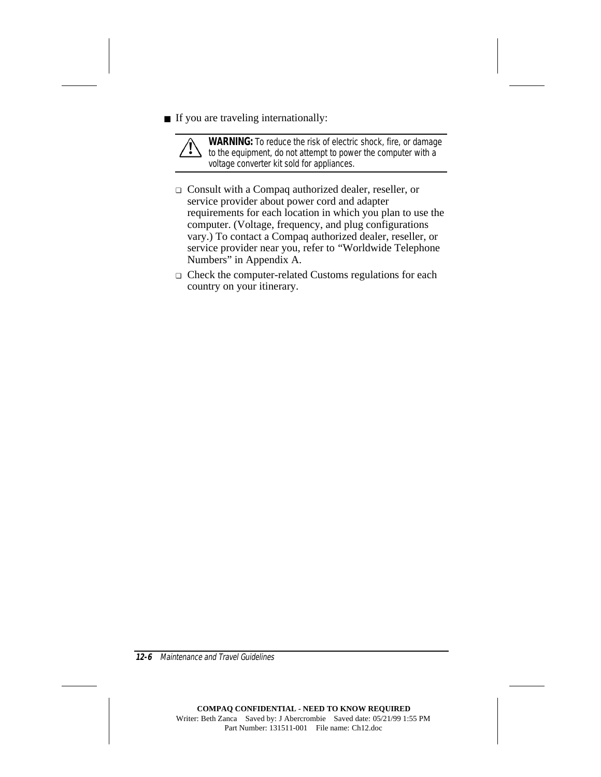■ If you are traveling internationally:



**WARNING:** To reduce the risk of electric shock, fire, or damage<br>
to the equipment, do not attempt to power the computer with a voltage converter kit sold for appliances.

- ❏ Consult with a Compaq authorized dealer, reseller, or service provider about power cord and adapter requirements for each location in which you plan to use the computer. (Voltage, frequency, and plug configurations vary.) To contact a Compaq authorized dealer, reseller, or service provider near you, refer to "Worldwide Telephone Numbers" in Appendix A.
- ❏ Check the computer-related Customs regulations for each country on your itinerary.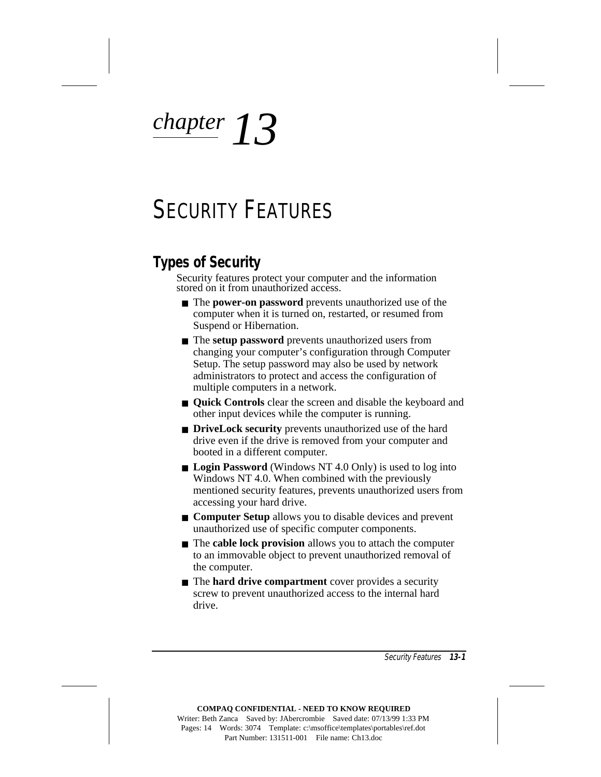*chapter 13*

# SECURITY FEATURES

## **Types of Security**

Security features protect your computer and the information stored on it from unauthorized access.

- The **power-on password** prevents unauthorized use of the computer when it is turned on, restarted, or resumed from Suspend or Hibernation.
- The **setup password** prevents unauthorized users from changing your computer's configuration through Computer Setup. The setup password may also be used by network administrators to protect and access the configuration of multiple computers in a network.
- **Quick Controls** clear the screen and disable the keyboard and other input devices while the computer is running.
- **DriveLock security** prevents unauthorized use of the hard drive even if the drive is removed from your computer and booted in a different computer.
- **Login Password** (Windows NT 4.0 Only) is used to log into Windows NT 4.0. When combined with the previously mentioned security features, prevents unauthorized users from accessing your hard drive.
- **Computer Setup** allows you to disable devices and prevent unauthorized use of specific computer components.
- The **cable lock provision** allows you to attach the computer to an immovable object to prevent unauthorized removal of the computer.
- The **hard drive compartment** cover provides a security screw to prevent unauthorized access to the internal hard drive.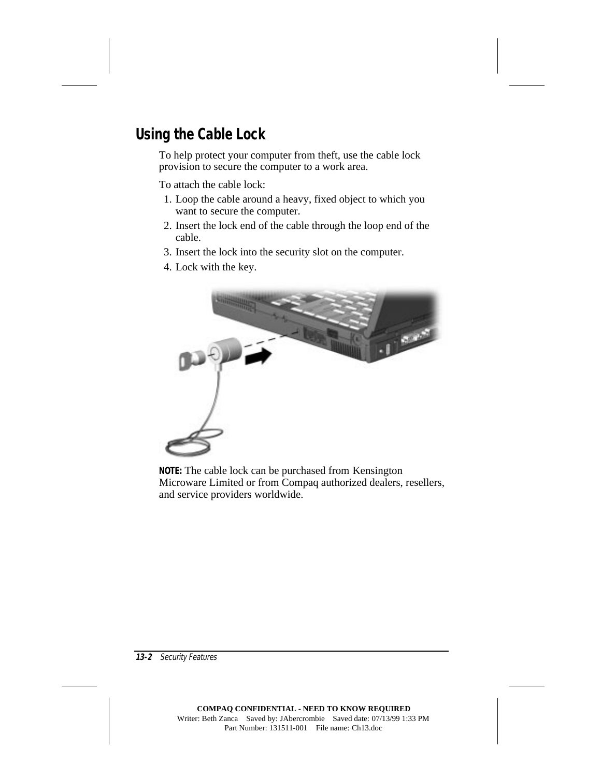## **Using the Cable Lock**

To help protect your computer from theft, use the cable lock provision to secure the computer to a work area.

To attach the cable lock:

- 1. Loop the cable around a heavy, fixed object to which you want to secure the computer.
- 2. Insert the lock end of the cable through the loop end of the cable.
- 3. Insert the lock into the security slot on the computer.
- 4. Lock with the key.



**NOTE:** The cable lock can be purchased from Kensington Microware Limited or from Compaq authorized dealers, resellers, and service providers worldwide.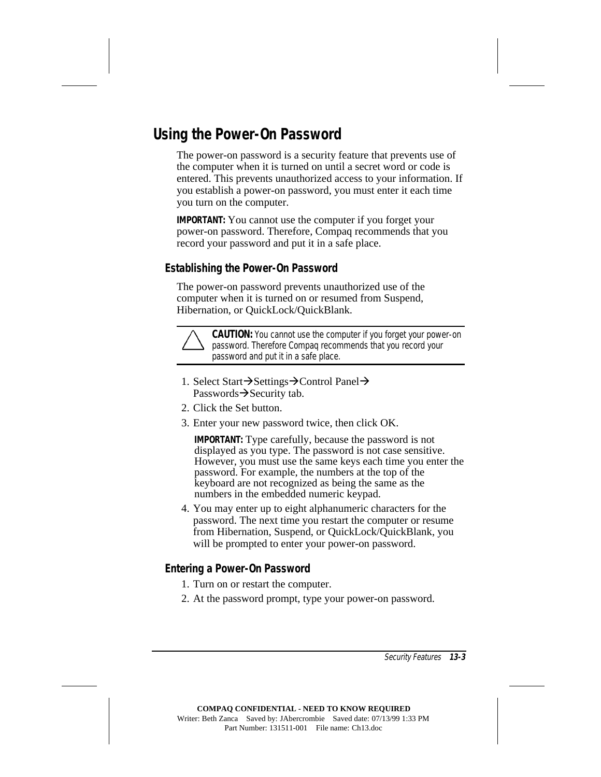## **Using the Power-On Password**

The power-on password is a security feature that prevents use of the computer when it is turned on until a secret word or code is entered. This prevents unauthorized access to your information. If you establish a power-on password, you must enter it each time you turn on the computer.

**IMPORTANT:** You cannot use the computer if you forget your power-on password. Therefore, Compaq recommends that you record your password and put it in a safe place.

#### **Establishing the Power-On Password**

The power-on password prevents unauthorized use of the computer when it is turned on or resumed from Suspend, Hibernation, or QuickLock/QuickBlank.



**CAUTION:** You cannot use the computer if you forget your power-on password. Therefore Compaq recommends that you record your password and put it in a safe place.

- 1. Select Start $\rightarrow$ Settings $\rightarrow$ Control Panel $\rightarrow$ Passwords $\rightarrow$ Security tab.
- 2. Click the Set button.
- 3. Enter your new password twice, then click OK.

**IMPORTANT:** Type carefully, because the password is not displayed as you type. The password is not case sensitive. However, you must use the same keys each time you enter the password. For example, the numbers at the top of the keyboard are not recognized as being the same as the numbers in the embedded numeric keypad.

4. You may enter up to eight alphanumeric characters for the password. The next time you restart the computer or resume from Hibernation, Suspend, or QuickLock/QuickBlank, you will be prompted to enter your power-on password.

#### **Entering a Power-On Password**

- 1. Turn on or restart the computer.
- 2. At the password prompt, type your power-on password.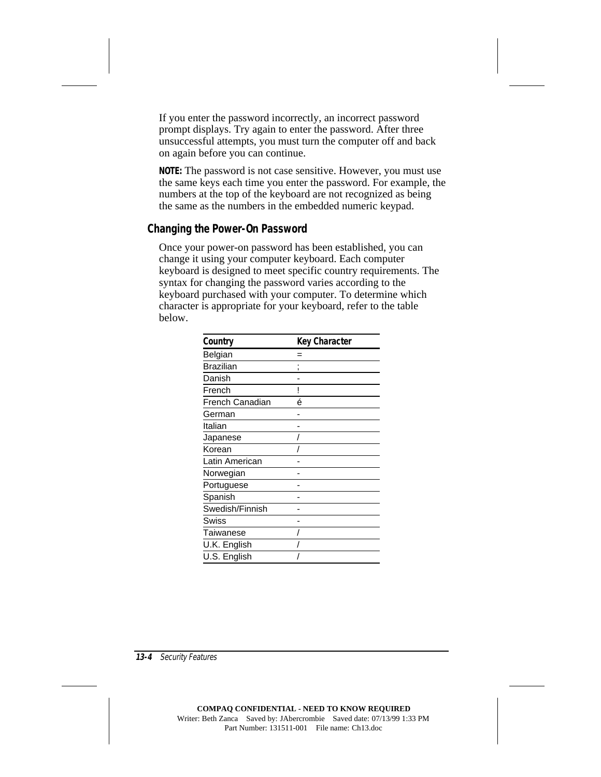If you enter the password incorrectly, an incorrect password prompt displays. Try again to enter the password. After three unsuccessful attempts, you must turn the computer off and back on again before you can continue.

**NOTE:** The password is not case sensitive. However, you must use the same keys each time you enter the password. For example, the numbers at the top of the keyboard are not recognized as being the same as the numbers in the embedded numeric keypad.

#### **Changing the Power-On Password**

Once your power-on password has been established, you can change it using your computer keyboard. Each computer keyboard is designed to meet specific country requirements. The syntax for changing the password varies according to the keyboard purchased with your computer. To determine which character is appropriate for your keyboard, refer to the table below.

| Country         | <b>Key Character</b> |
|-----------------|----------------------|
| Belgian         |                      |
| Brazilian       |                      |
| Danish          |                      |
| French          | ļ                    |
| French Canadian | é                    |
| German          |                      |
| Italian         |                      |
| Japanese        |                      |
| Korean          |                      |
| Latin American  |                      |
| Norwegian       |                      |
| Portuguese      |                      |
| Spanish         |                      |
| Swedish/Finnish |                      |
| Swiss           |                      |
| Taiwanese       |                      |
| U.K. English    |                      |
| U.S. English    |                      |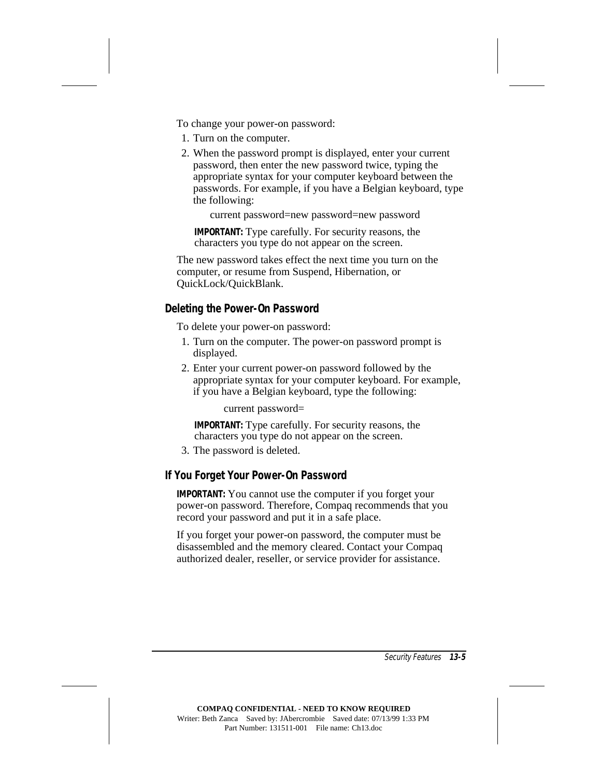To change your power-on password:

- 1. Turn on the computer.
- 2. When the password prompt is displayed, enter your current password, then enter the new password twice, typing the appropriate syntax for your computer keyboard between the passwords. For example, if you have a Belgian keyboard, type the following:

current password=new password=new password

**IMPORTANT:** Type carefully. For security reasons, the characters you type do not appear on the screen.

The new password takes effect the next time you turn on the computer, or resume from Suspend, Hibernation, or QuickLock/QuickBlank.

#### **Deleting the Power-On Password**

To delete your power-on password:

- 1. Turn on the computer. The power-on password prompt is displayed.
- 2. Enter your current power-on password followed by the appropriate syntax for your computer keyboard. For example, if you have a Belgian keyboard, type the following:

current password=

**IMPORTANT:** Type carefully. For security reasons, the characters you type do not appear on the screen.

3. The password is deleted.

#### **If You Forget Your Power-On Password**

**IMPORTANT:** You cannot use the computer if you forget your power-on password. Therefore, Compaq recommends that you record your password and put it in a safe place.

If you forget your power-on password, the computer must be disassembled and the memory cleared. Contact your Compaq authorized dealer, reseller, or service provider for assistance.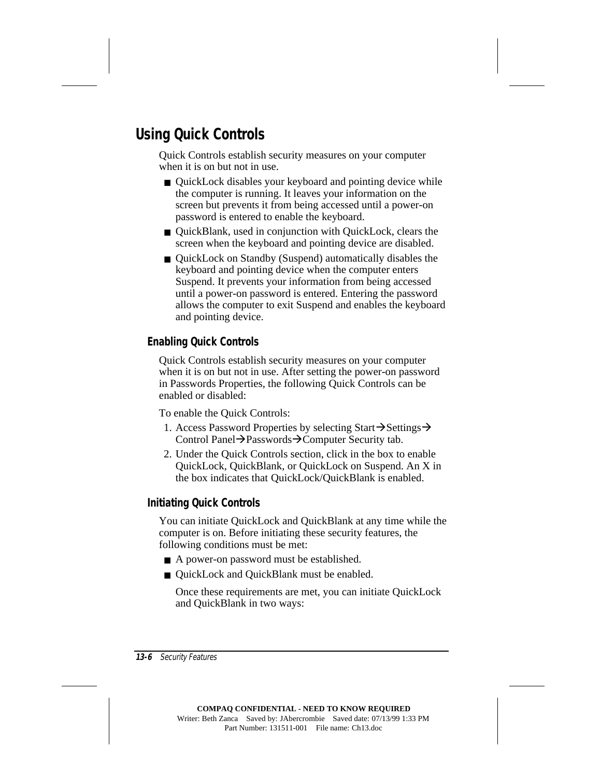## **Using Quick Controls**

Quick Controls establish security measures on your computer when it is on but not in use.

- QuickLock disables your keyboard and pointing device while the computer is running. It leaves your information on the screen but prevents it from being accessed until a power-on password is entered to enable the keyboard.
- QuickBlank, used in conjunction with QuickLock, clears the screen when the keyboard and pointing device are disabled.
- QuickLock on Standby (Suspend) automatically disables the keyboard and pointing device when the computer enters Suspend. It prevents your information from being accessed until a power-on password is entered. Entering the password allows the computer to exit Suspend and enables the keyboard and pointing device.

#### **Enabling Quick Controls**

Quick Controls establish security measures on your computer when it is on but not in use. After setting the power-on password in Passwords Properties, the following Quick Controls can be enabled or disabled:

To enable the Quick Controls:

- 1. Access Password Properties by selecting Start $\rightarrow$ Settings $\rightarrow$ Control Panel $\rightarrow$ Passwords $\rightarrow$ Computer Security tab.
- 2. Under the Quick Controls section, click in the box to enable QuickLock, QuickBlank, or QuickLock on Suspend. An X in the box indicates that QuickLock/QuickBlank is enabled.

#### **Initiating Quick Controls**

You can initiate QuickLock and QuickBlank at any time while the computer is on. Before initiating these security features, the following conditions must be met:

- A power-on password must be established.
- QuickLock and QuickBlank must be enabled.

Once these requirements are met, you can initiate QuickLock and QuickBlank in two ways: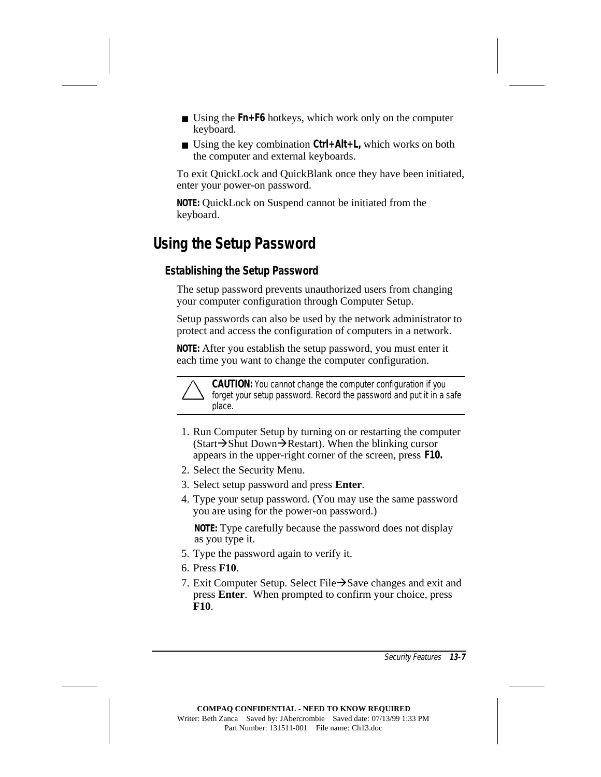- Using the **Fn+F6** hotkeys, which work only on the computer keyboard.
- Using the key combination Ctrl+Alt+L, which works on both the computer and external keyboards.

To exit QuickLock and QuickBlank once they have been initiated, enter your power-on password.

**NOTE:** QuickLock on Suspend cannot be initiated from the keyboard.

## **Using the Setup Password**

#### **Establishing the Setup Password**

The setup password prevents unauthorized users from changing your computer configuration through Computer Setup.

Setup passwords can also be used by the network administrator to protect and access the configuration of computers in a network.

**NOTE:** After you establish the setup password, you must enter it each time you want to change the computer configuration.

> **CAUTION:** You cannot change the computer configuration if you forget your setup password. Record the password and put it in a safe place.

- 1. Run Computer Setup by turning on or restarting the computer  $(Start \rightarrow Shut Down \rightarrow Restart)$ . When the blinking cursor appears in the upper-right corner of the screen, press **F10.**
- 2. Select the Security Menu.
- 3. Select setup password and press **Enter**.
- 4. Type your setup password. (You may use the same password you are using for the power-on password.)

**NOTE:** Type carefully because the password does not display as you type it.

- 5. Type the password again to verify it.
- 6. Press **F10**.
- 7. Exit Computer Setup. Select File $\rightarrow$ Save changes and exit and press **Enter**. When prompted to confirm your choice, press **F10**.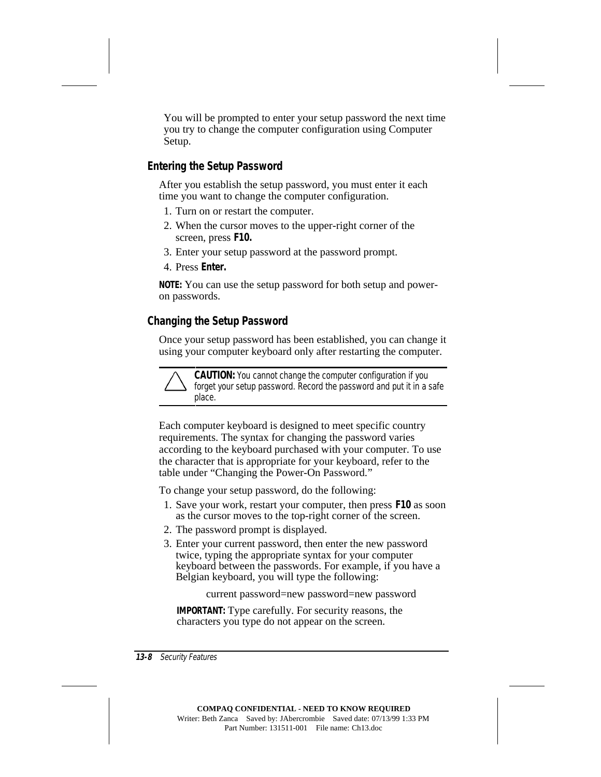You will be prompted to enter your setup password the next time you try to change the computer configuration using Computer Setup.

#### **Entering the Setup Password**

After you establish the setup password, you must enter it each time you want to change the computer configuration.

- 1. Turn on or restart the computer.
- 2. When the cursor moves to the upper-right corner of the screen, press **F10.**
- 3. Enter your setup password at the password prompt.
- 4. Press **Enter.**

**NOTE:** You can use the setup password for both setup and poweron passwords.

#### **Changing the Setup Password**

Once your setup password has been established, you can change it using your computer keyboard only after restarting the computer.

**CAUTION:** You cannot change the computer configuration if you forget your setup password. Record the password and put it in a safe place.

Each computer keyboard is designed to meet specific country requirements. The syntax for changing the password varies according to the keyboard purchased with your computer. To use the character that is appropriate for your keyboard, refer to the table under "Changing the Power-On Password."

To change your setup password, do the following:

- 1. Save your work, restart your computer, then press **F10** as soon as the cursor moves to the top-right corner of the screen.
- 2. The password prompt is displayed.
- 3. Enter your current password, then enter the new password twice, typing the appropriate syntax for your computer keyboard between the passwords. For example, if you have a Belgian keyboard, you will type the following:

```
current password=new password=new password
```
**IMPORTANT:** Type carefully. For security reasons, the characters you type do not appear on the screen.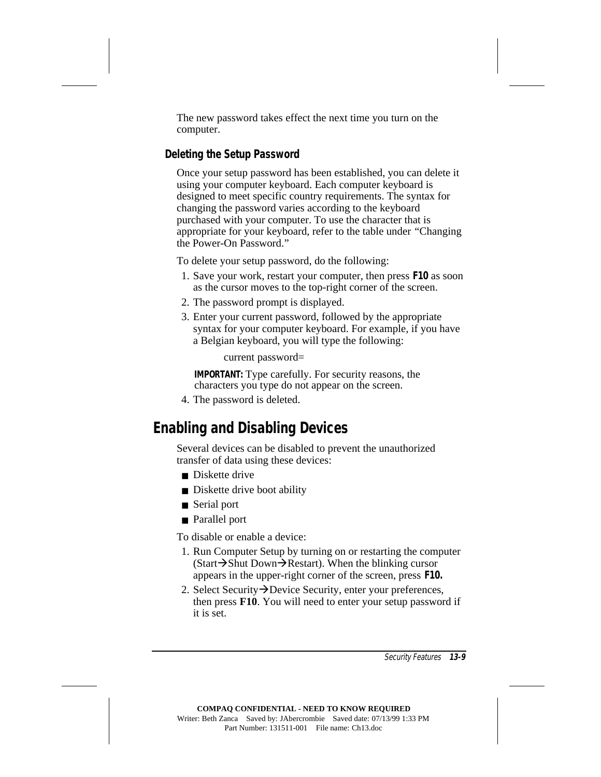The new password takes effect the next time you turn on the computer.

#### **Deleting the Setup Password**

Once your setup password has been established, you can delete it using your computer keyboard. Each computer keyboard is designed to meet specific country requirements. The syntax for changing the password varies according to the keyboard purchased with your computer. To use the character that is appropriate for your keyboard, refer to the table under "Changing the Power-On Password."

To delete your setup password, do the following:

- 1. Save your work, restart your computer, then press **F10** as soon as the cursor moves to the top-right corner of the screen.
- 2. The password prompt is displayed.
- 3. Enter your current password, followed by the appropriate syntax for your computer keyboard. For example, if you have a Belgian keyboard, you will type the following:

current password=

**IMPORTANT:** Type carefully. For security reasons, the characters you type do not appear on the screen.

4. The password is deleted.

## **Enabling and Disabling Devices**

Several devices can be disabled to prevent the unauthorized transfer of data using these devices:

- Diskette drive
- Diskette drive boot ability
- Serial port
- Parallel port

To disable or enable a device:

- 1. Run Computer Setup by turning on or restarting the computer  $(Start \rightarrow Shut Down \rightarrow Restart)$ . When the blinking cursor appears in the upper-right corner of the screen, press **F10.**
- 2. Select Security  $\rightarrow$ Device Security, enter your preferences, then press **F10**. You will need to enter your setup password if it is set.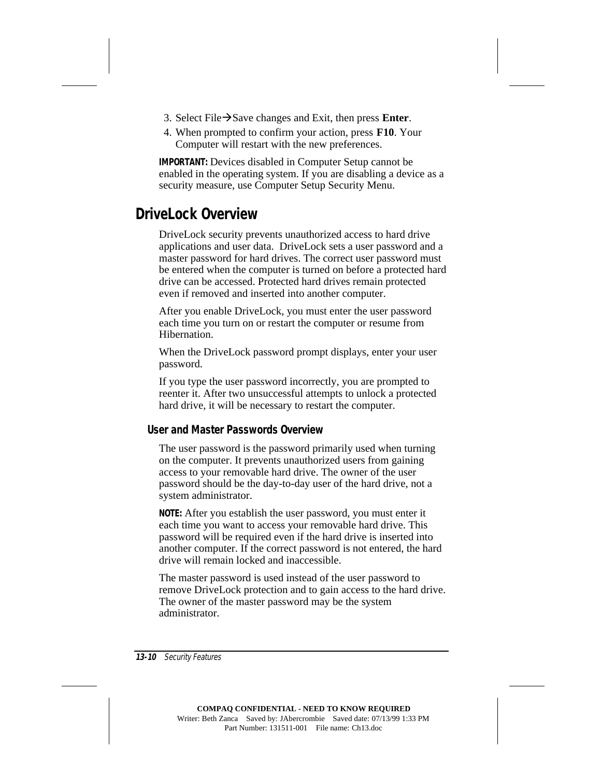- 3. Select File $\rightarrow$ Save changes and Exit, then press **Enter**.
- 4. When prompted to confirm your action, press **F10**. Your Computer will restart with the new preferences.

**IMPORTANT:** Devices disabled in Computer Setup cannot be enabled in the operating system. If you are disabling a device as a security measure, use Computer Setup Security Menu.

## **DriveLock Overview**

DriveLock security prevents unauthorized access to hard drive applications and user data. DriveLock sets a user password and a master password for hard drives. The correct user password must be entered when the computer is turned on before a protected hard drive can be accessed. Protected hard drives remain protected even if removed and inserted into another computer.

After you enable DriveLock, you must enter the user password each time you turn on or restart the computer or resume from Hibernation.

When the DriveLock password prompt displays, enter your user password.

If you type the user password incorrectly, you are prompted to reenter it. After two unsuccessful attempts to unlock a protected hard drive, it will be necessary to restart the computer.

#### **User and Master Passwords Overview**

The user password is the password primarily used when turning on the computer. It prevents unauthorized users from gaining access to your removable hard drive. The owner of the user password should be the day-to-day user of the hard drive, not a system administrator.

**NOTE:** After you establish the user password, you must enter it each time you want to access your removable hard drive. This password will be required even if the hard drive is inserted into another computer. If the correct password is not entered, the hard drive will remain locked and inaccessible.

The master password is used instead of the user password to remove DriveLock protection and to gain access to the hard drive. The owner of the master password may be the system administrator.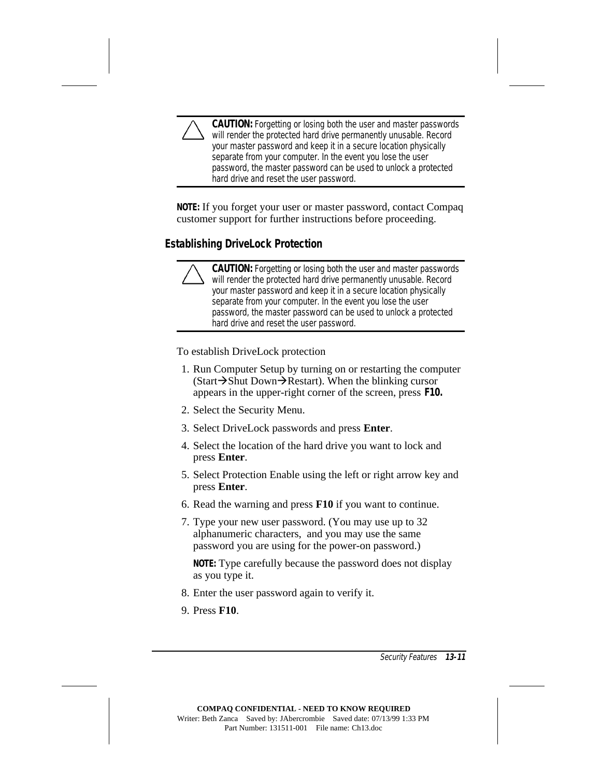**CAUTION:** Forgetting or losing both the user and master passwords will render the protected hard drive permanently unusable. Record your master password and keep it in a secure location physically separate from your computer. In the event you lose the user password, the master password can be used to unlock a protected hard drive and reset the user password.

**NOTE:** If you forget your user or master password, contact Compaq customer support for further instructions before proceeding.

#### **Establishing DriveLock Protection**

**CAUTION:** Forgetting or losing both the user and master passwords will render the protected hard drive permanently unusable. Record your master password and keep it in a secure location physically separate from your computer. In the event you lose the user password, the master password can be used to unlock a protected hard drive and reset the user password.

To establish DriveLock protection

- 1. Run Computer Setup by turning on or restarting the computer  $(Start \rightarrow Shut Down \rightarrow Restart)$ . When the blinking cursor appears in the upper-right corner of the screen, press **F10.**
- 2. Select the Security Menu.
- 3. Select DriveLock passwords and press **Enter**.
- 4. Select the location of the hard drive you want to lock and press **Enter**.
- 5. Select Protection Enable using the left or right arrow key and press **Enter**.
- 6. Read the warning and press **F10** if you want to continue.
- 7. Type your new user password. (You may use up to 32 alphanumeric characters, and you may use the same password you are using for the power-on password.)

**NOTE:** Type carefully because the password does not display as you type it.

- 8. Enter the user password again to verify it.
- 9. Press **F10**.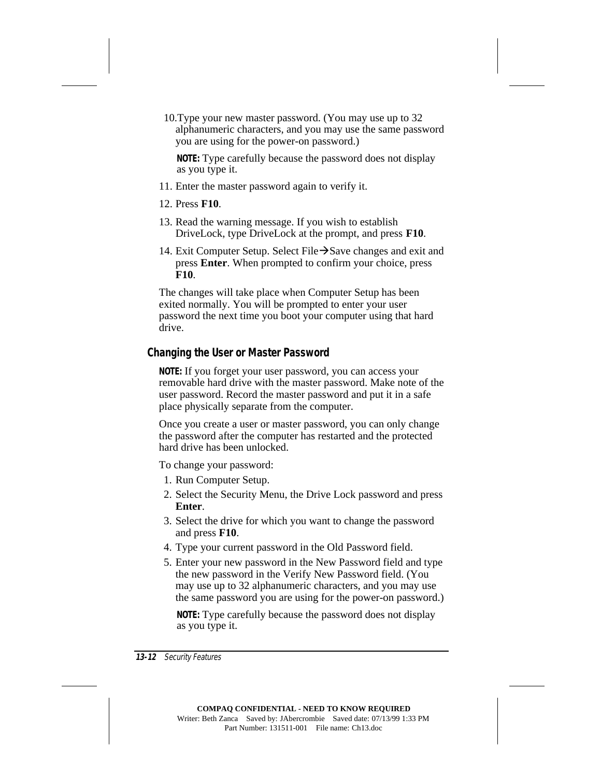10. Type your new master password. (You may use up to 32 alphanumeric characters, and you may use the same password you are using for the power-on password.)

**NOTE:** Type carefully because the password does not display as you type it.

- 11. Enter the master password again to verify it.
- 12. Press **F10**.
- 13. Read the warning message. If you wish to establish DriveLock, type DriveLock at the prompt, and press **F10**.
- 14. Exit Computer Setup. Select File $\rightarrow$ Save changes and exit and press **Enter**. When prompted to confirm your choice, press **F10**.

The changes will take place when Computer Setup has been exited normally. You will be prompted to enter your user password the next time you boot your computer using that hard drive.

#### **Changing the User or Master Password**

**NOTE:** If you forget your user password, you can access your removable hard drive with the master password. Make note of the user password. Record the master password and put it in a safe place physically separate from the computer.

Once you create a user or master password, you can only change the password after the computer has restarted and the protected hard drive has been unlocked.

To change your password:

- 1. Run Computer Setup.
- 2. Select the Security Menu, the Drive Lock password and press **Enter**.
- 3. Select the drive for which you want to change the password and press **F10**.
- 4. Type your current password in the Old Password field.
- 5. Enter your new password in the New Password field and type the new password in the Verify New Password field. (You may use up to 32 alphanumeric characters, and you may use the same password you are using for the power-on password.)

**NOTE:** Type carefully because the password does not display as you type it.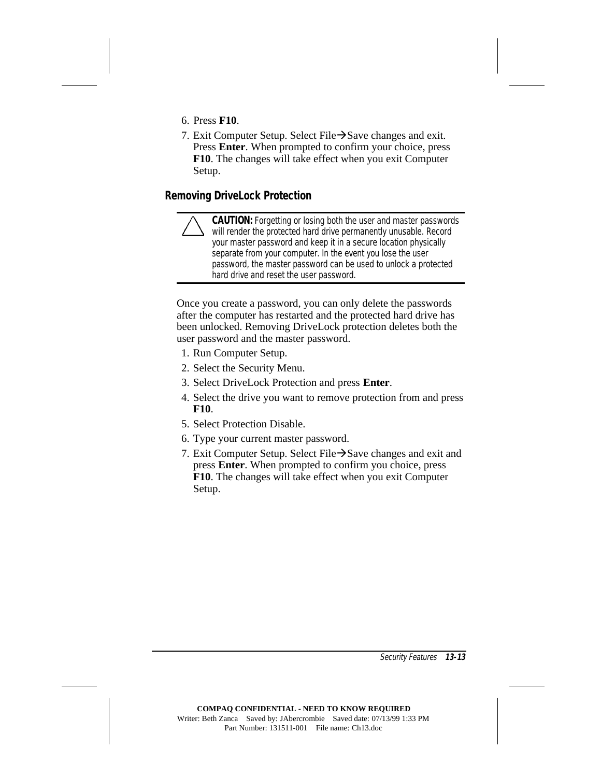- 6. Press **F10**.
- 7. Exit Computer Setup. Select File $\rightarrow$ Save changes and exit. Press **Enter**. When prompted to confirm your choice, press **F10**. The changes will take effect when you exit Computer Setup.

#### **Removing DriveLock Protection**

**CAUTION:** Forgetting or losing both the user and master passwords will render the protected hard drive permanently unusable. Record your master password and keep it in a secure location physically separate from your computer. In the event you lose the user password, the master password can be used to unlock a protected hard drive and reset the user password.

Once you create a password, you can only delete the passwords after the computer has restarted and the protected hard drive has been unlocked. Removing DriveLock protection deletes both the user password and the master password.

- 1. Run Computer Setup.
- 2. Select the Security Menu.
- 3. Select DriveLock Protection and press **Enter**.
- 4. Select the drive you want to remove protection from and press **F10**.
- 5. Select Protection Disable.
- 6. Type your current master password.
- 7. Exit Computer Setup. Select File $\rightarrow$ Save changes and exit and press **Enter**. When prompted to confirm you choice, press **F10**. The changes will take effect when you exit Computer Setup.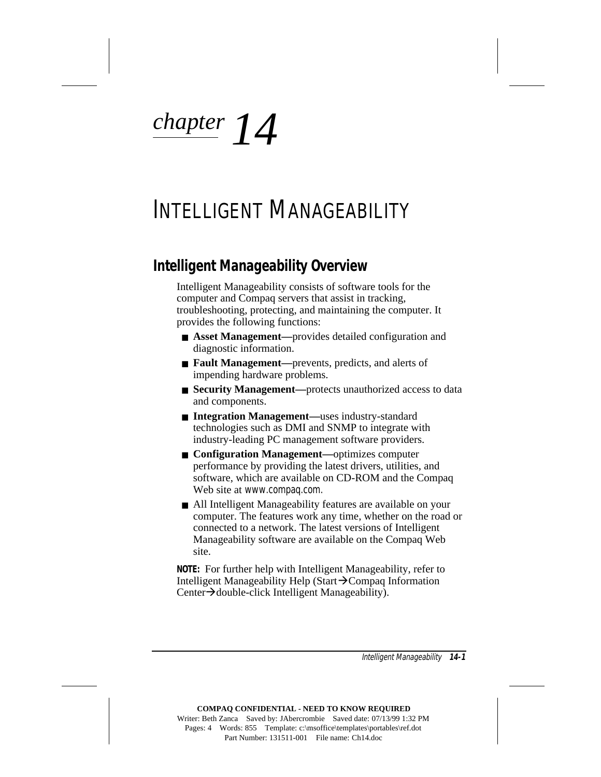*chapter 14*

## INTELLIGENT MANAGEABILITY

### **Intelligent Manageability Overview**

Intelligent Manageability consists of software tools for the computer and Compaq servers that assist in tracking, troubleshooting, protecting, and maintaining the computer. It provides the following functions:

- **Asset Management—**provides detailed configuration and diagnostic information.
- **Fault Management—**prevents, predicts, and alerts of impending hardware problems.
- **Security Management—**protects unauthorized access to data and components.
- **Integration Management**—uses industry-standard technologies such as DMI and SNMP to integrate with industry-leading PC management software providers.
- **Configuration Management—optimizes computer** performance by providing the latest drivers, utilities, and software, which are available on CD-ROM and the Compaq Web site at www.compaq.com.
- All Intelligent Manageability features are available on your computer. The features work any time, whether on the road or connected to a network. The latest versions of Intelligent Manageability software are available on the Compaq Web site.

**NOTE:** For further help with Intelligent Manageability, refer to Intelligent Manageability Help (Start $\rightarrow$ Compaq Information Center > double-click Intelligent Manageability).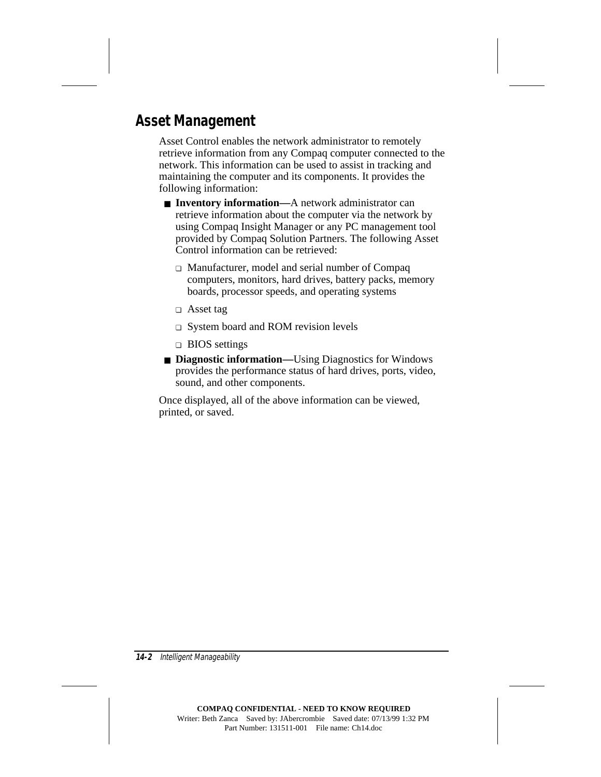## **Asset Management**

Asset Control enables the network administrator to remotely retrieve information from any Compaq computer connected to the network. This information can be used to assist in tracking and maintaining the computer and its components. It provides the following information:

- **Inventory information—**A network administrator can retrieve information about the computer via the network by using Compaq Insight Manager or any PC management tool provided by Compaq Solution Partners. The following Asset Control information can be retrieved:
	- ❏ Manufacturer, model and serial number of Compaq computers, monitors, hard drives, battery packs, memory boards, processor speeds, and operating systems
	- ❏ Asset tag
	- ❏ System board and ROM revision levels
	- ❏ BIOS settings
- **Diagnostic information—**Using Diagnostics for Windows provides the performance status of hard drives, ports, video, sound, and other components.

Once displayed, all of the above information can be viewed, printed, or saved.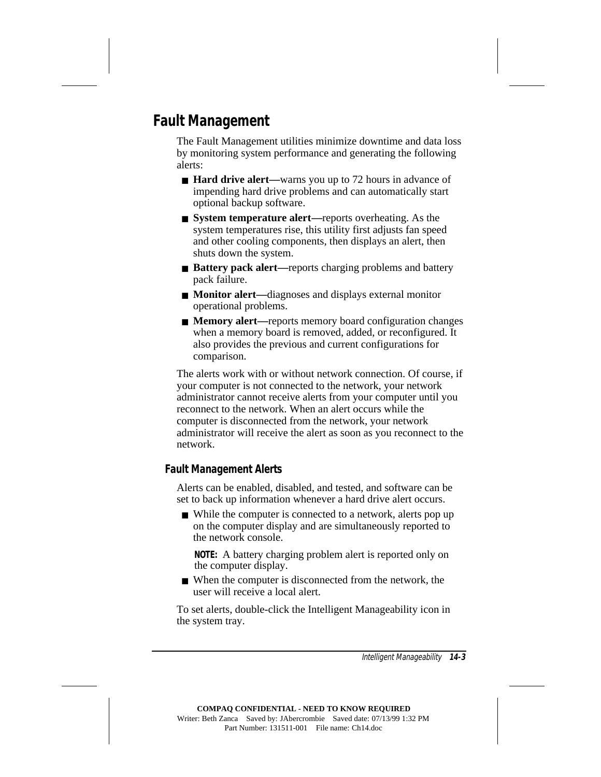## **Fault Management**

The Fault Management utilities minimize downtime and data loss by monitoring system performance and generating the following alerts:

- **Hard drive alert—**warns you up to 72 hours in advance of impending hard drive problems and can automatically start optional backup software.
- **System temperature alert—**reports overheating. As the system temperatures rise, this utility first adjusts fan speed and other cooling components, then displays an alert, then shuts down the system.
- **Battery pack alert**—reports charging problems and battery pack failure.
- **Monitor alert**—diagnoses and displays external monitor operational problems.
- **Memory alert**—reports memory board configuration changes when a memory board is removed, added, or reconfigured. It also provides the previous and current configurations for comparison.

The alerts work with or without network connection. Of course, if your computer is not connected to the network, your network administrator cannot receive alerts from your computer until you reconnect to the network. When an alert occurs while the computer is disconnected from the network, your network administrator will receive the alert as soon as you reconnect to the network.

#### **Fault Management Alerts**

Alerts can be enabled, disabled, and tested, and software can be set to back up information whenever a hard drive alert occurs.

■ While the computer is connected to a network, alerts pop up on the computer display and are simultaneously reported to the network console.

**NOTE:** A battery charging problem alert is reported only on the computer display.

■ When the computer is disconnected from the network, the user will receive a local alert.

To set alerts, double-click the Intelligent Manageability icon in the system tray.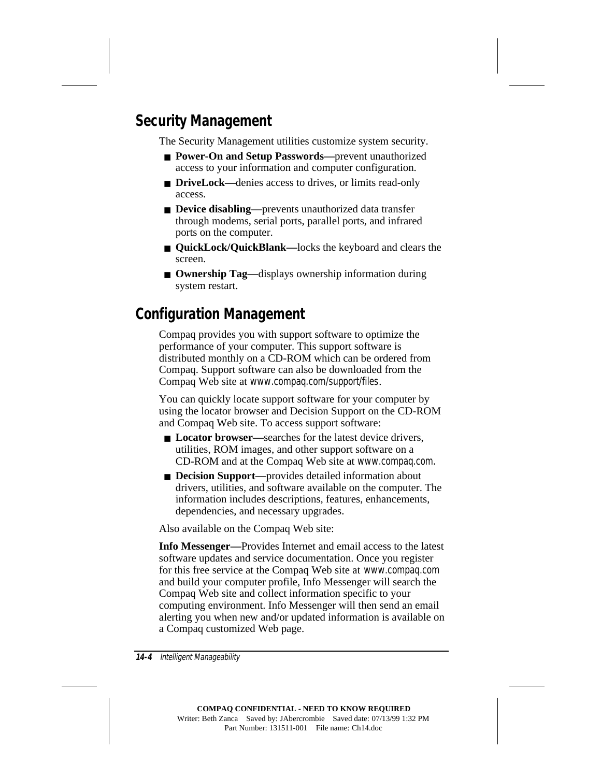## **Security Management**

The Security Management utilities customize system security.

- **Power-On and Setup Passwords—**prevent unauthorized access to your information and computer configuration.
- **DriveLock—denies access to drives, or limits read-only** access.
- **Device disabling—**prevents unauthorized data transfer through modems, serial ports, parallel ports, and infrared ports on the computer.
- **QuickLock/QuickBlank—**locks the keyboard and clears the screen.
- **Ownership Tag—displays ownership information during** system restart.

## **Configuration Management**

Compaq provides you with support software to optimize the performance of your computer. This support software is distributed monthly on a CD-ROM which can be ordered from Compaq. Support software can also be downloaded from the Compaq Web site at www.compaq.com/support/files.

You can quickly locate support software for your computer by using the locator browser and Decision Support on the CD-ROM and Compaq Web site. To access support software:

- **Locator browser**—searches for the latest device drivers, utilities, ROM images, and other support software on a CD-ROM and at the Compaq Web site at www.compaq.com.
- **Decision Support**—provides detailed information about drivers, utilities, and software available on the computer. The information includes descriptions, features, enhancements, dependencies, and necessary upgrades.

Also available on the Compaq Web site:

**Info Messenger—**Provides Internet and email access to the latest software updates and service documentation. Once you register for this free service at the Compaq Web site at www.compaq.com and build your computer profile, Info Messenger will search the Compaq Web site and collect information specific to your computing environment. Info Messenger will then send an email alerting you when new and/or updated information is available on a Compaq customized Web page.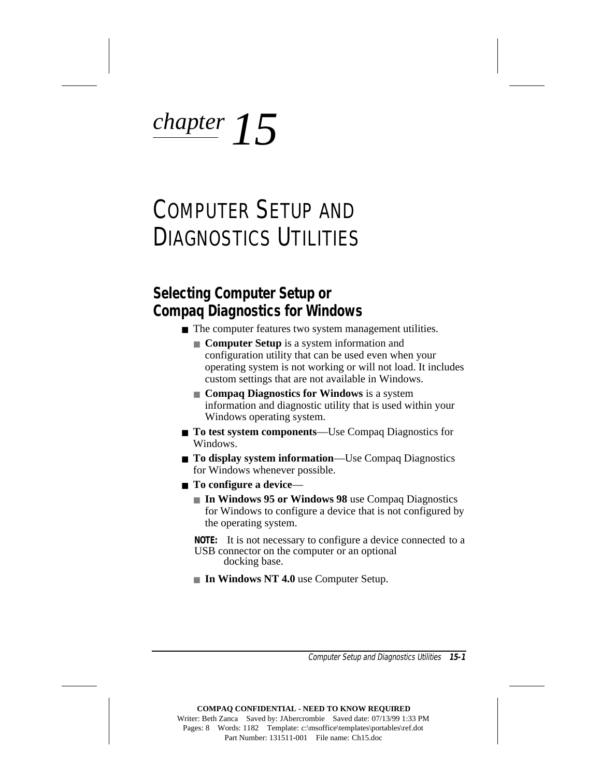# *chapter 15*

# COMPUTER SETUP AND DIAGNOSTICS UTILITIES

## **Selecting Computer Setup or Compaq Diagnostics for Windows**

- The computer features two system management utilities.
	- **Computer Setup** is a system information and configuration utility that can be used even when your operating system is not working or will not load. It includes custom settings that are not available in Windows.
	- **Compaq Diagnostics for Windows** is a system information and diagnostic utility that is used within your Windows operating system.
- **To test system components**—Use Compaq Diagnostics for Windows.
- **To display system information**—Use Compaq Diagnostics for Windows whenever possible.
- **To configure a device**
	- **In Windows 95 or Windows 98** use Compaq Diagnostics for Windows to configure a device that is not configured by the operating system.

**NOTE:** It is not necessary to configure a device connected to a USB connector on the computer or an optional docking base.

■ **In Windows NT 4.0** use Computer Setup.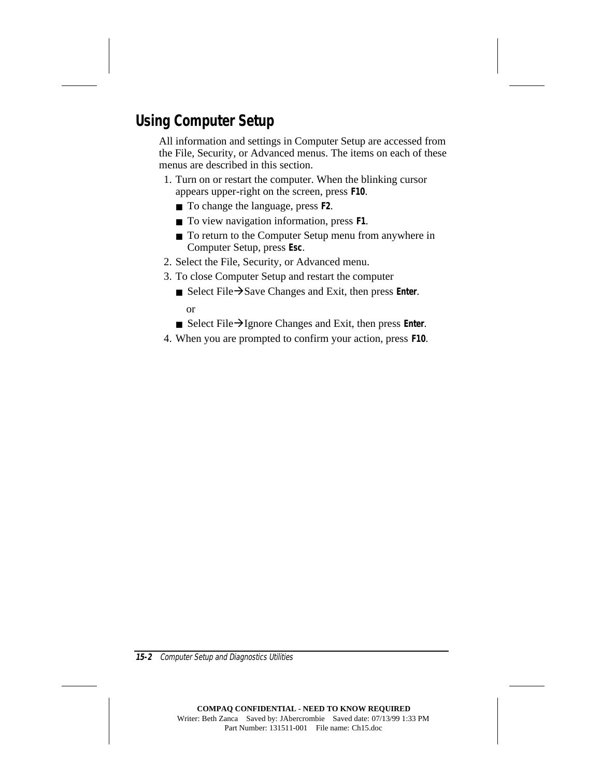## **Using Computer Setup**

All information and settings in Computer Setup are accessed from the File, Security, or Advanced menus. The items on each of these menus are described in this section.

- 1. Turn on or restart the computer. When the blinking cursor appears upper-right on the screen, press **F10**.
	- To change the language, press **F2**.
	- To view navigation information, press **F1**.
	- To return to the Computer Setup menu from anywhere in Computer Setup, press **Esc**.
- 2. Select the File, Security, or Advanced menu.
- 3. To close Computer Setup and restart the computer
	- Select File→Save Changes and Exit, then press **Enter**. or
	- Select File→Ignore Changes and Exit, then press **Enter**.
- 4. When you are prompted to confirm your action, press **F10**.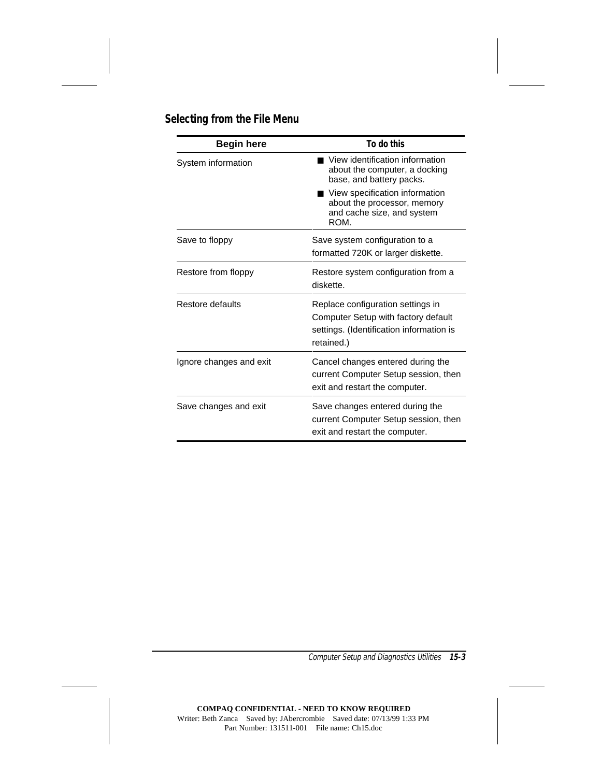#### **Selecting from the File Menu**

| <b>Begin here</b>       | To do this                                                                                                                         |  |
|-------------------------|------------------------------------------------------------------------------------------------------------------------------------|--|
| System information      | View identification information<br>about the computer, a docking<br>base, and battery packs.                                       |  |
|                         | ■ View specification information<br>about the processor, memory<br>and cache size, and system<br>ROM.                              |  |
| Save to floppy          | Save system configuration to a<br>formatted 720K or larger diskette.                                                               |  |
| Restore from floppy     | Restore system configuration from a<br>diskette.                                                                                   |  |
| Restore defaults        | Replace configuration settings in<br>Computer Setup with factory default<br>settings. (Identification information is<br>retained.) |  |
| Ignore changes and exit | Cancel changes entered during the<br>current Computer Setup session, then<br>exit and restart the computer.                        |  |
| Save changes and exit   | Save changes entered during the<br>current Computer Setup session, then<br>exit and restart the computer.                          |  |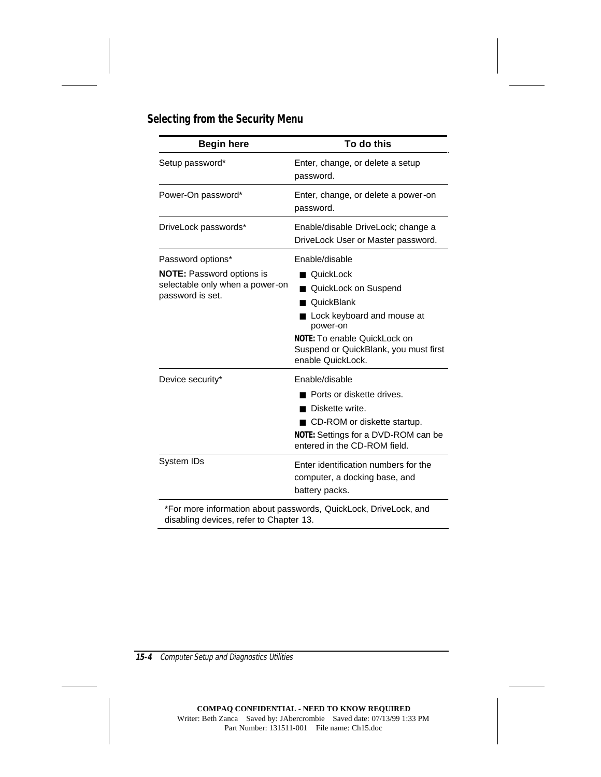| <b>Begin here</b>                                                                                            | To do this                                                                                                                                                                                                  |  |
|--------------------------------------------------------------------------------------------------------------|-------------------------------------------------------------------------------------------------------------------------------------------------------------------------------------------------------------|--|
| Setup password*                                                                                              | Enter, change, or delete a setup<br>password.                                                                                                                                                               |  |
| Power-On password*                                                                                           | Enter, change, or delete a power-on<br>password.                                                                                                                                                            |  |
| DriveLock passwords*                                                                                         | Enable/disable DriveLock; change a<br>DriveLock User or Master password.                                                                                                                                    |  |
| Password options*<br><b>NOTE:</b> Password options is<br>selectable only when a power-on<br>password is set. | Enable/disable<br>■ QuickLock<br>QuickLock on Suspend<br>QuickBlank<br>Lock keyboard and mouse at<br>power-on<br>NOTE: To enable QuickLock on<br>Suspend or QuickBlank, you must first<br>enable QuickLock. |  |
| Device security*                                                                                             | Enable/disable<br>Ports or diskette drives.<br>Diskette write.<br>CD-ROM or diskette startup.<br>NOTE: Settings for a DVD-ROM can be<br>entered in the CD-ROM field.                                        |  |
| System IDs                                                                                                   | Enter identification numbers for the<br>computer, a docking base, and<br>battery packs.                                                                                                                     |  |

\*For more information about passwords, QuickLock, DriveLock, and disabling devices, refer to Chapter 13.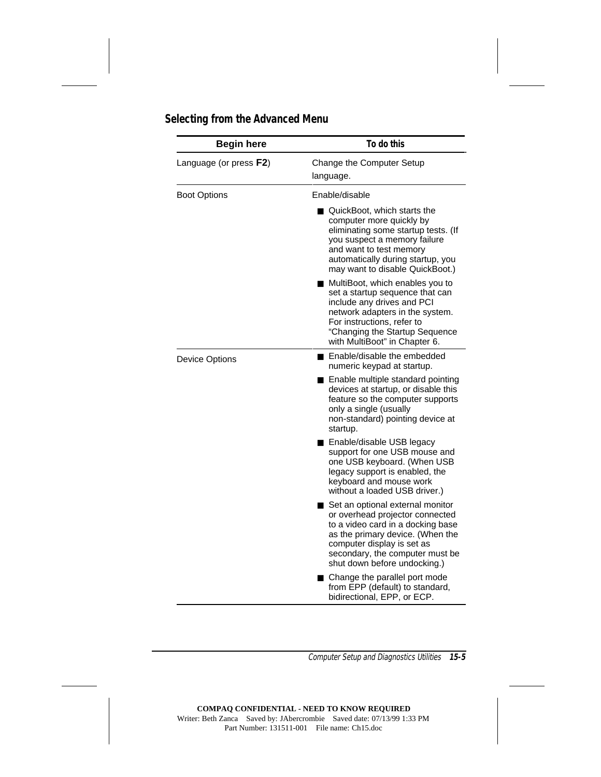| <b>Begin here</b>      | To do this                                                                                                                                                                                                                                    |  |
|------------------------|-----------------------------------------------------------------------------------------------------------------------------------------------------------------------------------------------------------------------------------------------|--|
| Language (or press F2) | Change the Computer Setup<br>language.                                                                                                                                                                                                        |  |
| <b>Boot Options</b>    | Enable/disable                                                                                                                                                                                                                                |  |
|                        | QuickBoot, which starts the<br>computer more quickly by<br>eliminating some startup tests. (If<br>you suspect a memory failure<br>and want to test memory<br>automatically during startup, you<br>may want to disable QuickBoot.)             |  |
|                        | MultiBoot, which enables you to<br>set a startup sequence that can<br>include any drives and PCI<br>network adapters in the system.<br>For instructions, refer to<br>"Changing the Startup Sequence<br>with MultiBoot" in Chapter 6.          |  |
| <b>Device Options</b>  | ■ Enable/disable the embedded<br>numeric keypad at startup.                                                                                                                                                                                   |  |
|                        | Enable multiple standard pointing<br>devices at startup, or disable this<br>feature so the computer supports<br>only a single (usually<br>non-standard) pointing device at<br>startup.                                                        |  |
|                        | Enable/disable USB legacy<br>support for one USB mouse and<br>one USB keyboard. (When USB<br>legacy support is enabled, the<br>keyboard and mouse work<br>without a loaded USB driver.)                                                       |  |
|                        | Set an optional external monitor<br>or overhead projector connected<br>to a video card in a docking base<br>as the primary device. (When the<br>computer display is set as<br>secondary, the computer must be<br>shut down before undocking.) |  |
|                        | ■ Change the parallel port mode<br>from EPP (default) to standard,<br>bidirectional, EPP, or ECP.                                                                                                                                             |  |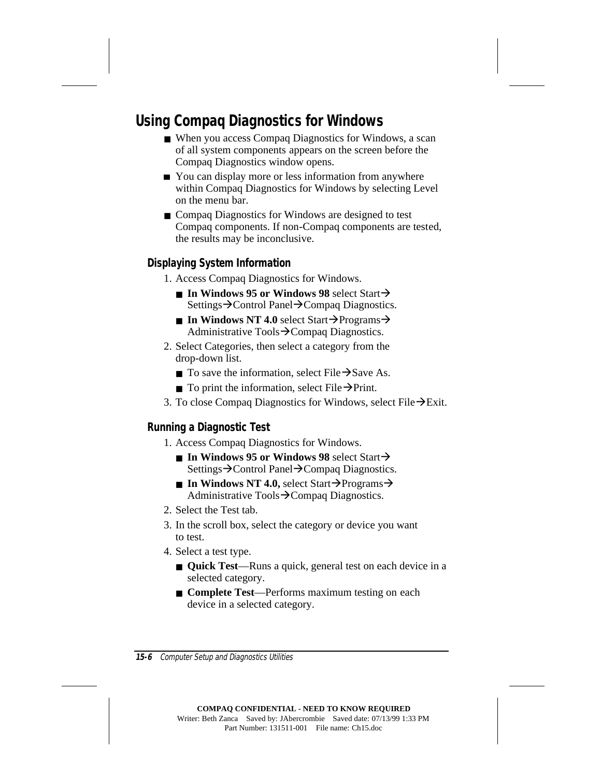## **Using Compaq Diagnostics for Windows**

- When you access Compaq Diagnostics for Windows, a scan of all system components appears on the screen before the Compaq Diagnostics window opens.
- You can display more or less information from anywhere within Compaq Diagnostics for Windows by selecting Level on the menu bar.
- Compaq Diagnostics for Windows are designed to test Compaq components. If non-Compaq components are tested, the results may be inconclusive.

#### **Displaying System Information**

- 1. Access Compaq Diagnostics for Windows.
	- $\blacksquare$  **In Windows 95 or Windows 98** select Start $\rightarrow$ Settings→Control Panel→Compaq Diagnostics.
	- **In Windows NT 4.0** select Start $\rightarrow$ Programs $\rightarrow$ Administrative Tools $\rightarrow$ Compaq Diagnostics.
- 2. Select Categories, then select a category from the drop-down list.
	- **To save the information, select File**  $\rightarrow$  **Save As.**
	- **To print the information, select File**  $\rightarrow$ **Print.**
- 3. To close Compaq Diagnostics for Windows, select File  $\rightarrow$ Exit.

#### **Running a Diagnostic Test**

- 1. Access Compaq Diagnostics for Windows.
	- $\blacksquare$  **In Windows 95 or Windows 98** select Start $\rightarrow$ Settings→Control Panel→Compaq Diagnostics.
	- **In Windows NT 4.0,** select Start $\rightarrow$ Programs $\rightarrow$ Administrative Tools $\rightarrow$ Compaq Diagnostics.
- 2. Select the Test tab.
- 3. In the scroll box, select the category or device you want to test.
- 4. Select a test type.
	- **Quick Test**—Runs a quick, general test on each device in a selected category.
	- **Complete Test**—Performs maximum testing on each device in a selected category.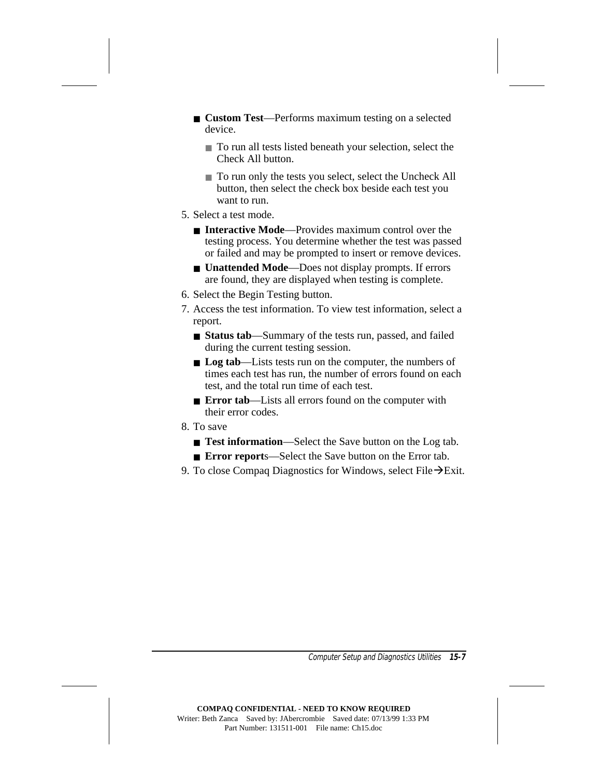- **Custom Test**—Performs maximum testing on a selected device.
	- To run all tests listed beneath your selection, select the Check All button.
	- To run only the tests you select, select the Uncheck All button, then select the check box beside each test you want to run.
- 5. Select a test mode.
	- **Interactive Mode—Provides maximum control over the** testing process. You determine whether the test was passed or failed and may be prompted to insert or remove devices.
	- **Unattended Mode—Does not display prompts. If errors** are found, they are displayed when testing is complete.
- 6. Select the Begin Testing button.
- 7. Access the test information. To view test information, select a report.
	- **Status tab**—Summary of the tests run, passed, and failed during the current testing session.
	- **Log tab**—Lists tests run on the computer, the numbers of times each test has run, the number of errors found on each test, and the total run time of each test.
	- **Error tab**—Lists all errors found on the computer with their error codes.
- 8. To save
	- **Test information**—Select the Save button on the Log tab.
	- **Error report**s—Select the Save button on the Error tab.
- 9. To close Compaq Diagnostics for Windows, select File  $\rightarrow$  Exit.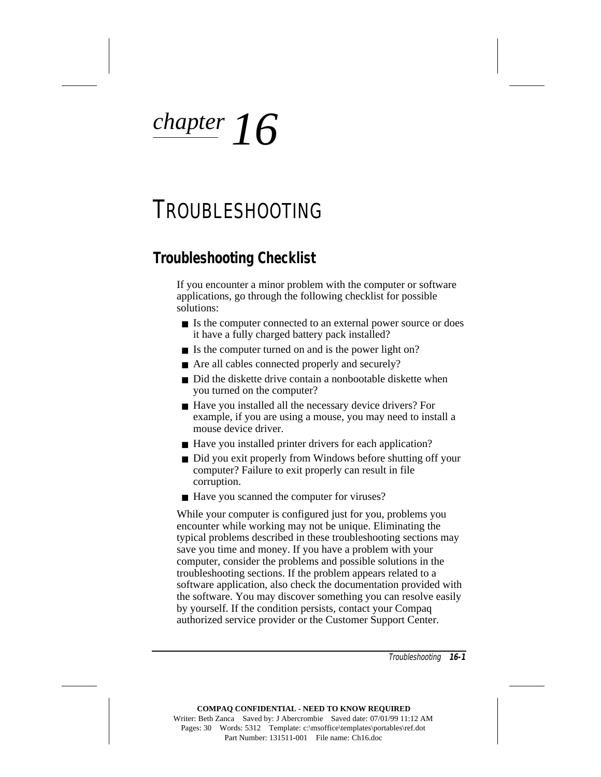# *chapter 16*

# TROUBLESHOOTING

## **Troubleshooting Checklist**

If you encounter a minor problem with the computer or software applications, go through the following checklist for possible solutions:

- Is the computer connected to an external power source or does it have a fully charged battery pack installed?
- Is the computer turned on and is the power light on?
- Are all cables connected properly and securely?
- Did the diskette drive contain a nonbootable diskette when you turned on the computer?
- Have you installed all the necessary device drivers? For example, if you are using a mouse, you may need to install a mouse device driver.
- Have you installed printer drivers for each application?
- Did you exit properly from Windows before shutting off your computer? Failure to exit properly can result in file corruption.
- Have you scanned the computer for viruses?

While your computer is configured just for you, problems you encounter while working may not be unique. Eliminating the typical problems described in these troubleshooting sections may save you time and money. If you have a problem with your computer, consider the problems and possible solutions in the troubleshooting sections. If the problem appears related to a software application, also check the documentation provided with the software. You may discover something you can resolve easily by yourself. If the condition persists, contact your Compaq authorized service provider or the Customer Support Center.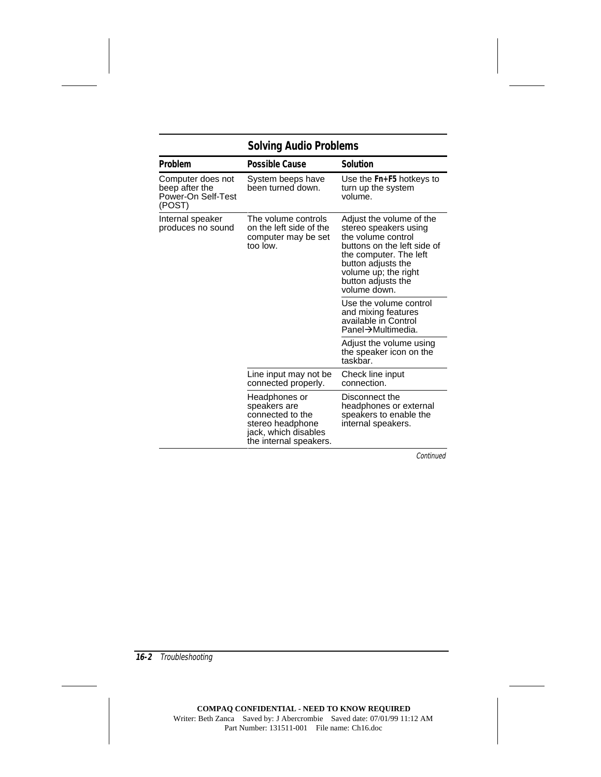## **Solving Audio Problems**

| Problem                                                                                                                    | <b>Possible Cause</b>                                                                                                                                                                                                | <b>Solution</b>                                                                            |
|----------------------------------------------------------------------------------------------------------------------------|----------------------------------------------------------------------------------------------------------------------------------------------------------------------------------------------------------------------|--------------------------------------------------------------------------------------------|
| Computer does not<br>beep after the<br>Power-On Self-Test<br>(POST)                                                        | System beeps have<br>been turned down.                                                                                                                                                                               | Use the Fn+F5 hotkeys to<br>turn up the system<br>volume.                                  |
| The volume controls<br>Internal speaker<br>on the left side of the<br>produces no sound<br>computer may be set<br>too low. | Adjust the volume of the<br>stereo speakers using<br>the volume control<br>buttons on the left side of<br>the computer. The left<br>button adjusts the<br>volume up; the right<br>button adjusts the<br>volume down. |                                                                                            |
|                                                                                                                            |                                                                                                                                                                                                                      | Use the volume control<br>and mixing features<br>available in Control<br>Panel→Multimedia. |
|                                                                                                                            |                                                                                                                                                                                                                      | Adjust the volume using<br>the speaker icon on the<br>taskbar.                             |
|                                                                                                                            | Line input may not be<br>connected properly.                                                                                                                                                                         | Check line input<br>connection.                                                            |
|                                                                                                                            | Headphones or<br>speakers are<br>connected to the<br>stereo headphone<br>jack, which disables<br>the internal speakers.                                                                                              | Disconnect the<br>headphones or external<br>speakers to enable the<br>internal speakers.   |

Continued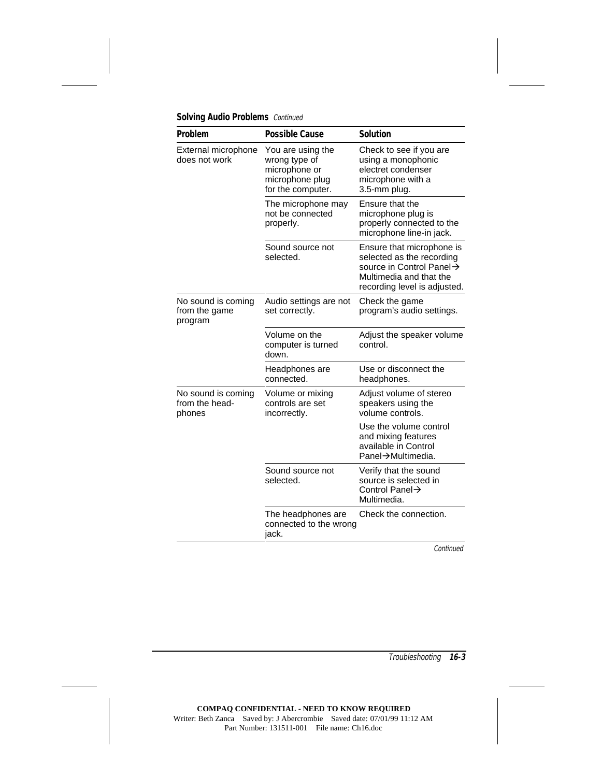| Problem                                        | <b>Possible Cause</b>                                                                       | <b>Solution</b>                                                                                                                               |
|------------------------------------------------|---------------------------------------------------------------------------------------------|-----------------------------------------------------------------------------------------------------------------------------------------------|
| External microphone<br>does not work           | You are using the<br>wrong type of<br>microphone or<br>microphone plug<br>for the computer. | Check to see if you are<br>using a monophonic<br>electret condenser<br>microphone with a<br>3.5-mm plug.                                      |
|                                                | The microphone may<br>not be connected<br>properly.                                         | Ensure that the<br>microphone plug is<br>properly connected to the<br>microphone line-in jack.                                                |
|                                                | Sound source not<br>selected.                                                               | Ensure that microphone is<br>selected as the recording<br>source in Control Panel→<br>Multimedia and that the<br>recording level is adjusted. |
| No sound is coming<br>from the game<br>program | Audio settings are not<br>set correctly.                                                    | Check the game<br>program's audio settings.                                                                                                   |
|                                                | Volume on the<br>computer is turned<br>down.                                                | Adjust the speaker volume<br>control.                                                                                                         |
|                                                | Headphones are<br>connected.                                                                | Use or disconnect the<br>headphones.                                                                                                          |
| No sound is coming<br>from the head-<br>phones | Volume or mixing<br>controls are set<br>incorrectly.                                        | Adjust volume of stereo<br>speakers using the<br>volume controls.                                                                             |
|                                                |                                                                                             | Use the volume control<br>and mixing features<br>available in Control<br>Panel→Multimedia.                                                    |
|                                                | Sound source not<br>selected.                                                               | Verify that the sound<br>source is selected in<br>Control Panel $\rightarrow$<br>Multimedia.                                                  |
|                                                | The headphones are<br>connected to the wrong<br>jack.                                       | Check the connection.                                                                                                                         |

**Solving Audio Problems** Continued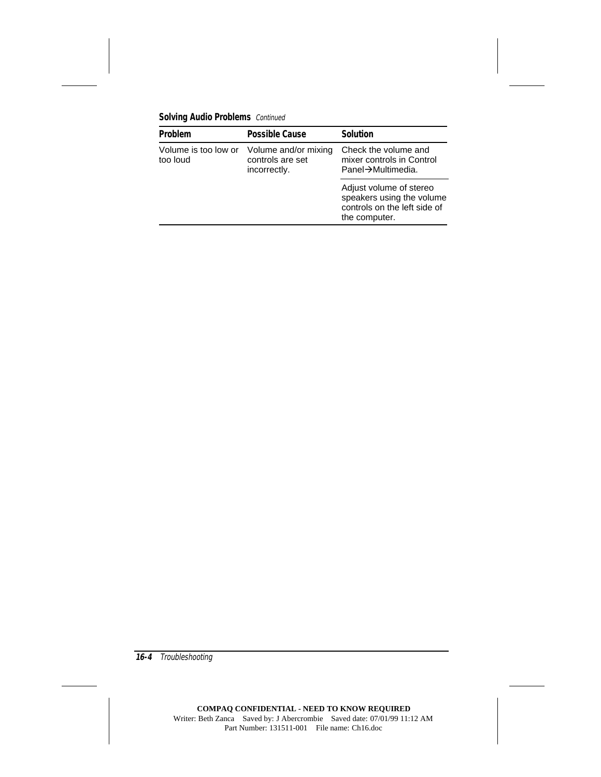**Solving Audio Problems** Continued

| Problem                          | <b>Possible Cause</b>                                    | <b>Solution</b>                                                                                       |
|----------------------------------|----------------------------------------------------------|-------------------------------------------------------------------------------------------------------|
| Volume is too low or<br>too loud | Volume and/or mixing<br>controls are set<br>incorrectly. | Check the volume and<br>mixer controls in Control<br>Panel→Multimedia.                                |
|                                  |                                                          | Adjust volume of stereo<br>speakers using the volume<br>controls on the left side of<br>the computer. |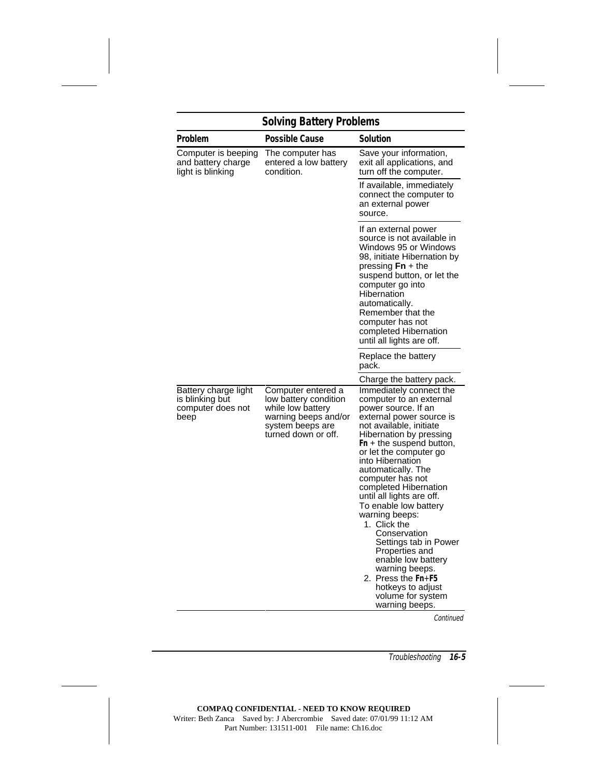# **Solving Battery Problems**

| Problem                                                              | <b>Possible Cause</b>                                                                                                               | Solution                                                                                                                                                                                                                                                                                                                                                                                                                                                                                                                                                                              |
|----------------------------------------------------------------------|-------------------------------------------------------------------------------------------------------------------------------------|---------------------------------------------------------------------------------------------------------------------------------------------------------------------------------------------------------------------------------------------------------------------------------------------------------------------------------------------------------------------------------------------------------------------------------------------------------------------------------------------------------------------------------------------------------------------------------------|
| Computer is beeping<br>and battery charge<br>light is blinking       | The computer has<br>entered a low battery<br>condition.                                                                             | Save your information,<br>exit all applications, and<br>turn off the computer.                                                                                                                                                                                                                                                                                                                                                                                                                                                                                                        |
|                                                                      |                                                                                                                                     | If available, immediately<br>connect the computer to<br>an external power<br>source.                                                                                                                                                                                                                                                                                                                                                                                                                                                                                                  |
|                                                                      |                                                                                                                                     | If an external power<br>source is not available in<br>Windows 95 or Windows<br>98, initiate Hibernation by<br>pressing $Fn + the$<br>suspend button, or let the<br>computer go into<br>Hibernation<br>automatically.<br>Remember that the<br>computer has not<br>completed Hibernation<br>until all lights are off.                                                                                                                                                                                                                                                                   |
|                                                                      |                                                                                                                                     | Replace the battery<br>pack.                                                                                                                                                                                                                                                                                                                                                                                                                                                                                                                                                          |
|                                                                      |                                                                                                                                     | Charge the battery pack.                                                                                                                                                                                                                                                                                                                                                                                                                                                                                                                                                              |
| Battery charge light<br>is blinking but<br>computer does not<br>beep | Computer entered a<br>low battery condition<br>while low battery<br>warning beeps and/or<br>system beeps are<br>turned down or off. | Immediately connect the<br>computer to an external<br>power source. If an<br>external power source is<br>not available, initiate<br>Hibernation by pressing<br>Fn + the suspend button,<br>or let the computer go<br>into Hibernation<br>automatically. The<br>computer has not<br>completed Hibernation<br>until all lights are off.<br>To enable low battery<br>warning beeps:<br>1. Click the<br>Conservation<br>Settings tab in Power<br>Properties and<br>enable low battery<br>warning beeps.<br>2. Press the Fn+F5<br>hotkeys to adjust<br>volume for system<br>warning beeps. |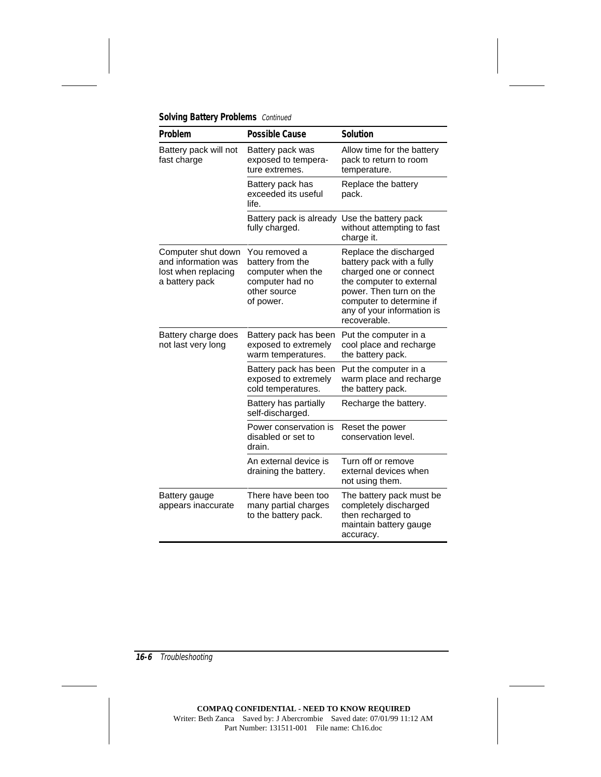|  |  | <b>Solving Battery Problems</b> Continued |  |
|--|--|-------------------------------------------|--|
|--|--|-------------------------------------------|--|

| Problem                                                                            | <b>Possible Cause</b>                                                                                  | <b>Solution</b>                                                                                                                                                                                                |
|------------------------------------------------------------------------------------|--------------------------------------------------------------------------------------------------------|----------------------------------------------------------------------------------------------------------------------------------------------------------------------------------------------------------------|
| Battery pack will not<br>fast charge                                               | Battery pack was<br>exposed to tempera-<br>ture extremes.                                              | Allow time for the battery<br>pack to return to room<br>temperature.                                                                                                                                           |
|                                                                                    | Battery pack has<br>exceeded its useful<br>life.                                                       | Replace the battery<br>pack.                                                                                                                                                                                   |
|                                                                                    | Battery pack is already<br>fully charged.                                                              | Use the battery pack<br>without attempting to fast<br>charge it.                                                                                                                                               |
| Computer shut down<br>and information was<br>lost when replacing<br>a battery pack | You removed a<br>battery from the<br>computer when the<br>computer had no<br>other source<br>of power. | Replace the discharged<br>battery pack with a fully<br>charged one or connect<br>the computer to external<br>power. Then turn on the<br>computer to determine if<br>any of your information is<br>recoverable. |
| Battery charge does<br>not last very long                                          | Battery pack has been<br>exposed to extremely<br>warm temperatures.                                    | Put the computer in a<br>cool place and recharge<br>the battery pack.                                                                                                                                          |
|                                                                                    | Battery pack has been<br>exposed to extremely<br>cold temperatures.                                    | Put the computer in a<br>warm place and recharge<br>the battery pack.                                                                                                                                          |
|                                                                                    | Battery has partially<br>self-discharged.                                                              | Recharge the battery.                                                                                                                                                                                          |
|                                                                                    | Power conservation is<br>disabled or set to<br>drain.                                                  | Reset the power<br>conservation level.                                                                                                                                                                         |
|                                                                                    | An external device is<br>draining the battery.                                                         | Turn off or remove<br>external devices when<br>not using them.                                                                                                                                                 |
| Battery gauge<br>appears inaccurate                                                | There have been too<br>many partial charges<br>to the battery pack.                                    | The battery pack must be<br>completely discharged<br>then recharged to<br>maintain battery gauge<br>accuracy.                                                                                                  |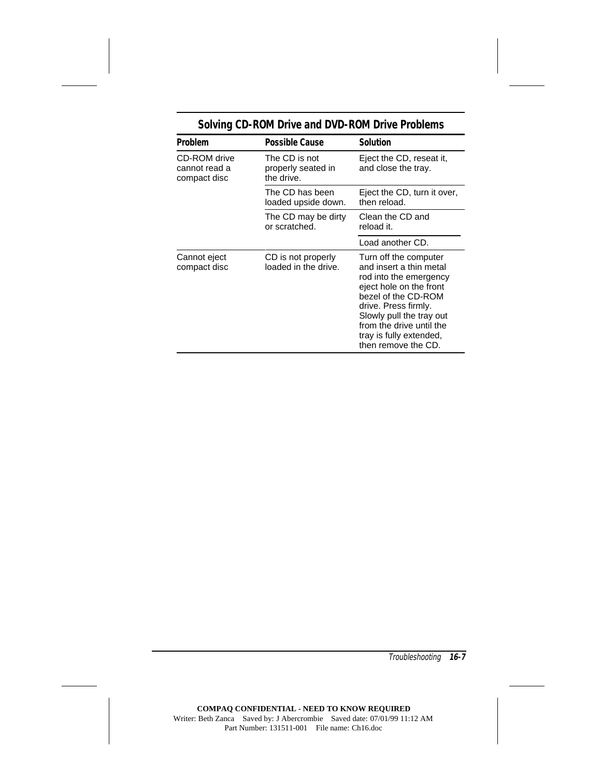| Problem                                       | <b>Possible Cause</b>                             | <b>Solution</b>                                                                                                                                                                                                                                                |
|-----------------------------------------------|---------------------------------------------------|----------------------------------------------------------------------------------------------------------------------------------------------------------------------------------------------------------------------------------------------------------------|
| CD-ROM drive<br>cannot read a<br>compact disc | The CD is not<br>properly seated in<br>the drive. | Eject the CD, reseat it,<br>and close the tray.                                                                                                                                                                                                                |
|                                               | The CD has been<br>loaded upside down.            | Eject the CD, turn it over,<br>then reload.                                                                                                                                                                                                                    |
|                                               | The CD may be dirty<br>or scratched.              | Clean the CD and<br>reload it.                                                                                                                                                                                                                                 |
|                                               |                                                   | Load another CD.                                                                                                                                                                                                                                               |
| Cannot eject<br>compact disc                  | CD is not properly<br>loaded in the drive.        | Turn off the computer<br>and insert a thin metal<br>rod into the emergency<br>eject hole on the front<br>bezel of the CD-ROM<br>drive. Press firmly.<br>Slowly pull the tray out<br>from the drive until the<br>tray is fully extended,<br>then remove the CD. |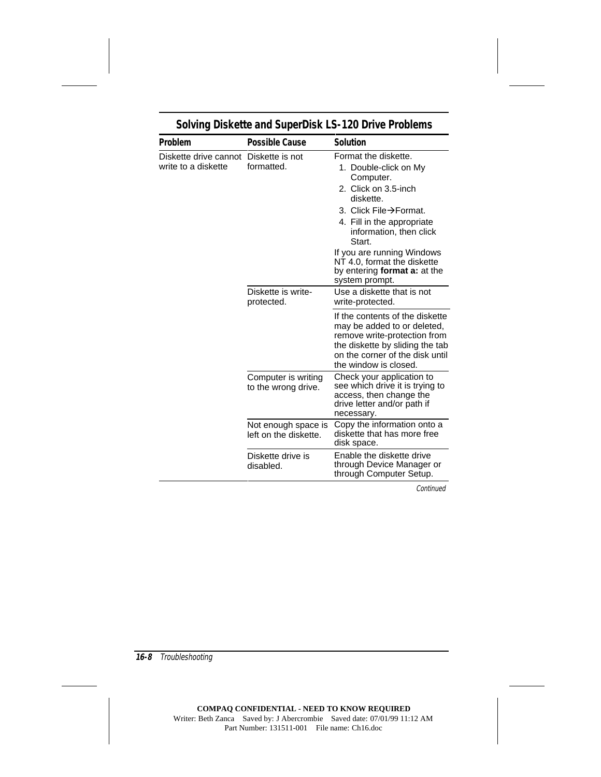| Problem                                                      | <b>Possible Cause</b>                        | <b>Solution</b>                                                                                                                                                                                                                                                                                            |
|--------------------------------------------------------------|----------------------------------------------|------------------------------------------------------------------------------------------------------------------------------------------------------------------------------------------------------------------------------------------------------------------------------------------------------------|
| Diskette drive cannot Diskette is not<br>write to a diskette | formatted.                                   | Format the diskette.<br>1. Double-click on My<br>Computer.<br>2. Click on 3.5-inch<br>diskette.<br>3. Click File→Format.<br>4. Fill in the appropriate<br>information, then click<br>Start.<br>If you are running Windows<br>NT 4.0, format the diskette<br>by entering format a: at the<br>system prompt. |
|                                                              | Diskette is write-<br>protected.             | Use a diskette that is not<br>write-protected.                                                                                                                                                                                                                                                             |
|                                                              |                                              | If the contents of the diskette<br>may be added to or deleted,<br>remove write-protection from<br>the diskette by sliding the tab<br>on the corner of the disk until<br>the window is closed.                                                                                                              |
|                                                              | Computer is writing<br>to the wrong drive.   | Check your application to<br>see which drive it is trying to<br>access, then change the<br>drive letter and/or path if<br>necessary.                                                                                                                                                                       |
|                                                              | Not enough space is<br>left on the diskette. | Copy the information onto a<br>diskette that has more free<br>disk space.                                                                                                                                                                                                                                  |
|                                                              | Diskette drive is<br>disabled.               | Enable the diskette drive<br>through Device Manager or<br>through Computer Setup.                                                                                                                                                                                                                          |

# **Solving Diskette and SuperDisk LS-120 Drive Problems**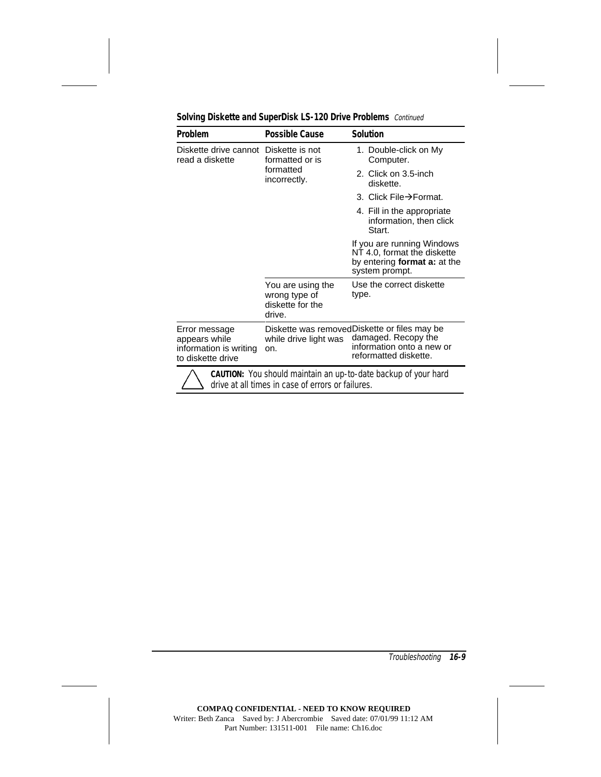| <b>Problem</b>                                                                                                             | <b>Possible Cause</b>                                            | <b>Solution</b>                                                                                                           |
|----------------------------------------------------------------------------------------------------------------------------|------------------------------------------------------------------|---------------------------------------------------------------------------------------------------------------------------|
| Diskette drive cannot Diskette is not<br>read a diskette                                                                   | formatted or is<br>formatted<br>incorrectly.                     | 1. Double-click on My<br>Computer.                                                                                        |
|                                                                                                                            |                                                                  | 2. Click on 3.5-inch<br>diskette.                                                                                         |
|                                                                                                                            |                                                                  | 3. Click File→Format.                                                                                                     |
|                                                                                                                            |                                                                  | 4. Fill in the appropriate<br>information, then click<br>Start.                                                           |
|                                                                                                                            |                                                                  | If you are running Windows<br>NT 4.0, format the diskette<br>by entering format a: at the<br>system prompt.               |
|                                                                                                                            | You are using the<br>wrong type of<br>diskette for the<br>drive. | Use the correct diskette<br>type.                                                                                         |
| Error message<br>appears while<br>information is writing<br>to diskette drive                                              | while drive light was<br>on.                                     | Diskette was removedDiskette or files may be<br>damaged. Recopy the<br>information onto a new or<br>reformatted diskette. |
| <b>CAUTION:</b> You should maintain an up-to-date backup of your hard<br>drive at all times in case of errors or failures. |                                                                  |                                                                                                                           |

**Solving Diskette and SuperDisk LS-120 Drive Problems** Continued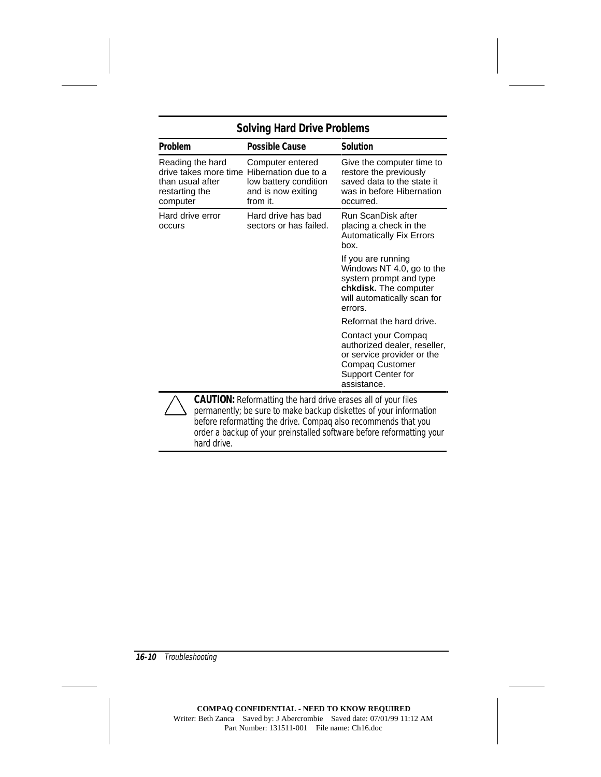| <b>Problem</b>                                                                                                   | <b>Possible Cause</b>                                                       | <b>Solution</b>                                                                                                                              |
|------------------------------------------------------------------------------------------------------------------|-----------------------------------------------------------------------------|----------------------------------------------------------------------------------------------------------------------------------------------|
| Reading the hard<br>drive takes more time Hibernation due to a<br>than usual after<br>restarting the<br>computer | Computer entered<br>low battery condition<br>and is now exiting<br>from it. | Give the computer time to<br>restore the previously<br>saved data to the state it<br>was in before Hibernation<br>occurred.                  |
| Hard drive error<br>occurs                                                                                       | Hard drive has bad<br>sectors or has failed.                                | Run ScanDisk after<br>placing a check in the<br><b>Automatically Fix Errors</b><br>hox.                                                      |
|                                                                                                                  |                                                                             | If you are running<br>Windows NT 4.0, go to the<br>system prompt and type<br>chkdisk. The computer<br>will automatically scan for<br>errors. |
|                                                                                                                  |                                                                             | Reformat the hard drive.                                                                                                                     |
|                                                                                                                  |                                                                             | Contact your Compaq<br>authorized dealer, reseller,<br>or service provider or the<br>Compaq Customer<br>Support Center for<br>assistance.    |
|                                                                                                                  | <b>CAUTION:</b> Reformatting the hard drive erases all of your files        | permanently: he sure to make haskin diskottes of your information                                                                            |

permanently; be sure to make backup diskettes of your information before reformatting the drive. Compaq also recommends that you order a backup of your preinstalled software before reformatting your hard drive.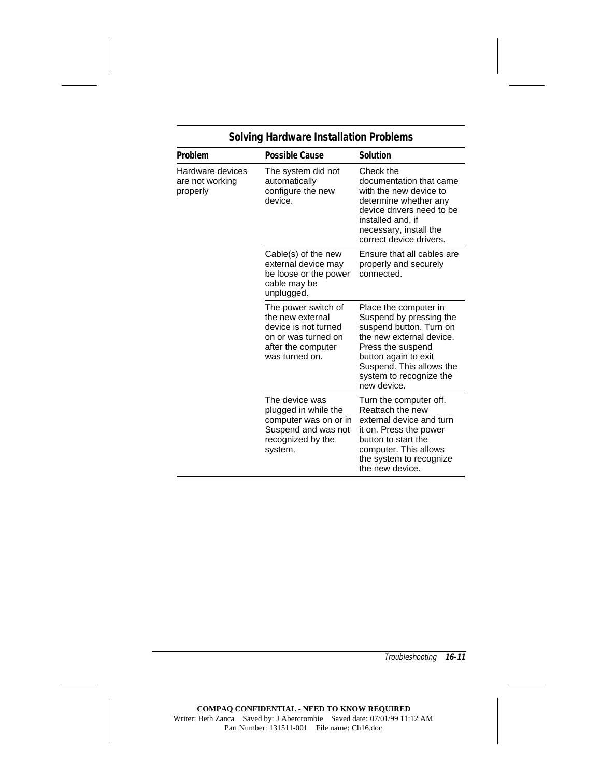| Problem                                         | <b>Possible Cause</b>                                                                                                          | <b>Solution</b>                                                                                                                                                                                                            |
|-------------------------------------------------|--------------------------------------------------------------------------------------------------------------------------------|----------------------------------------------------------------------------------------------------------------------------------------------------------------------------------------------------------------------------|
| Hardware devices<br>are not working<br>properly | The system did not<br>automatically<br>configure the new<br>device.                                                            | Check the<br>documentation that came<br>with the new device to<br>determine whether any<br>device drivers need to be<br>installed and, if<br>necessary, install the<br>correct device drivers.                             |
|                                                 | Cable(s) of the new<br>external device may<br>be loose or the power<br>cable may be<br>unplugged.                              | Ensure that all cables are<br>properly and securely<br>connected.                                                                                                                                                          |
|                                                 | The power switch of<br>the new external<br>device is not turned<br>on or was turned on<br>after the computer<br>was turned on. | Place the computer in<br>Suspend by pressing the<br>suspend button. Turn on<br>the new external device.<br>Press the suspend<br>button again to exit<br>Suspend. This allows the<br>system to recognize the<br>new device. |
|                                                 | The device was<br>plugged in while the<br>computer was on or in<br>Suspend and was not<br>recognized by the<br>system.         | Turn the computer off.<br>Reattach the new<br>external device and turn<br>it on. Press the power<br>button to start the<br>computer. This allows<br>the system to recognize<br>the new device.                             |

# **Solving Hardware Installation Problems**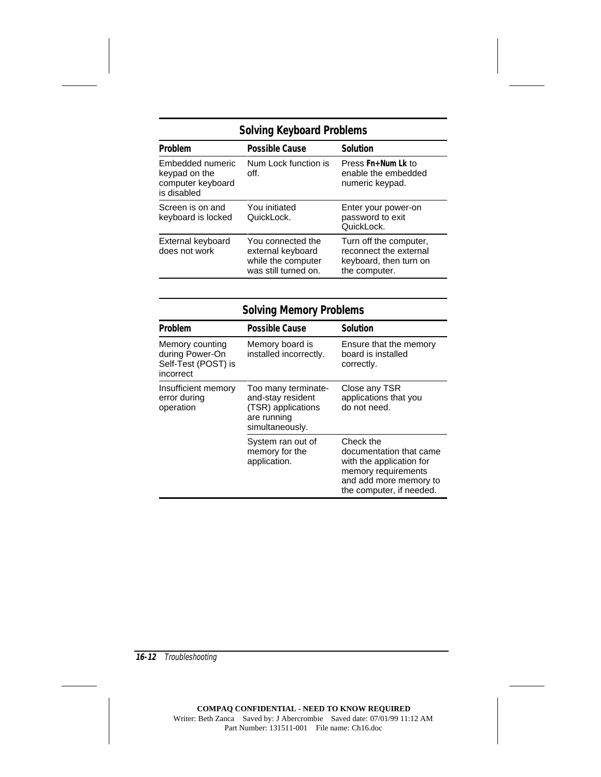# **Solving Keyboard Problems**

| Problem                                                               | <b>Possible Cause</b>                                                                | <b>Solution</b>                                                                             |
|-----------------------------------------------------------------------|--------------------------------------------------------------------------------------|---------------------------------------------------------------------------------------------|
| Embedded numeric<br>keypad on the<br>computer keyboard<br>is disabled | Num Lock function is<br>off.                                                         | Press Fn+Num Lk to<br>enable the embedded<br>numeric keypad.                                |
| Screen is on and<br>keyboard is locked                                | You initiated<br>QuickLock.                                                          | Enter your power-on<br>password to exit<br>QuickLock.                                       |
| External keyboard<br>does not work                                    | You connected the<br>external keyboard<br>while the computer<br>was still turned on. | Turn off the computer,<br>reconnect the external<br>keyboard, then turn on<br>the computer. |

| <b>Solving Memory Problems</b>                                         |                                                                                                  |                                                                                                                                               |
|------------------------------------------------------------------------|--------------------------------------------------------------------------------------------------|-----------------------------------------------------------------------------------------------------------------------------------------------|
| Problem                                                                | <b>Possible Cause</b>                                                                            | <b>Solution</b>                                                                                                                               |
| Memory counting<br>during Power-On<br>Self-Test (POST) is<br>incorrect | Memory board is<br>installed incorrectly.                                                        | Ensure that the memory<br>board is installed<br>correctly.                                                                                    |
| Insufficient memory<br>error during<br>operation                       | Too many terminate-<br>and-stay resident<br>(TSR) applications<br>are running<br>simultaneously. | Close any TSR<br>applications that you<br>do not need.                                                                                        |
|                                                                        | System ran out of<br>memory for the<br>application.                                              | Check the<br>documentation that came<br>with the application for<br>memory requirements<br>and add more memory to<br>the computer, if needed. |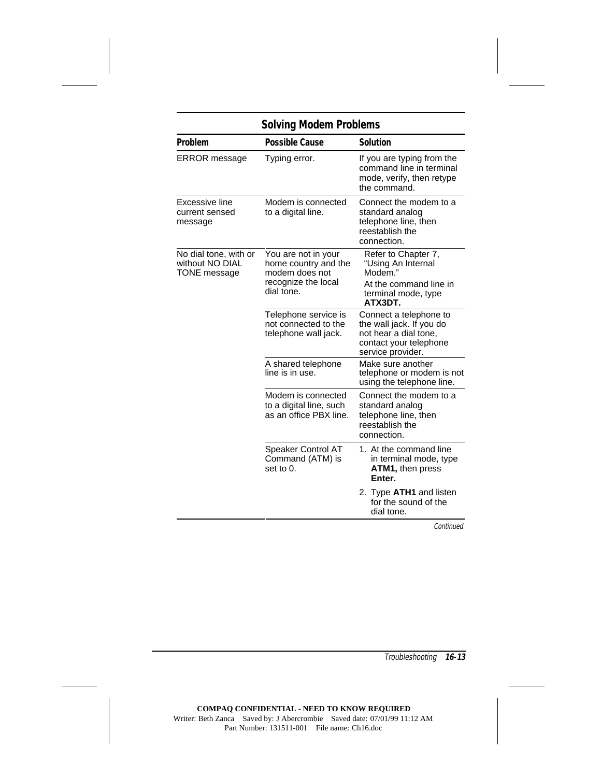| <b>Solving Modem Problems</b>                                   |                                                                         |                                                                                                                            |
|-----------------------------------------------------------------|-------------------------------------------------------------------------|----------------------------------------------------------------------------------------------------------------------------|
| Problem                                                         | <b>Possible Cause</b>                                                   | <b>Solution</b>                                                                                                            |
| <b>ERROR</b> message                                            | Typing error.                                                           | If you are typing from the<br>command line in terminal<br>mode, verify, then retype<br>the command.                        |
| Excessive line<br>current sensed<br>message                     | Modem is connected<br>to a digital line.                                | Connect the modem to a<br>standard analog<br>telephone line, then<br>reestablish the<br>connection.                        |
| No dial tone, with or<br>without NO DIAL<br><b>TONE</b> message | You are not in your<br>home country and the<br>modem does not           | Refer to Chapter 7,<br>"Using An Internal<br>Modem."                                                                       |
|                                                                 | recognize the local<br>dial tone.                                       | At the command line in<br>terminal mode, type<br>ATX3DT.                                                                   |
|                                                                 | Telephone service is<br>not connected to the<br>telephone wall jack.    | Connect a telephone to<br>the wall jack. If you do<br>not hear a dial tone,<br>contact your telephone<br>service provider. |
|                                                                 | A shared telephone<br>line is in use.                                   | Make sure another<br>telephone or modem is not<br>using the telephone line.                                                |
|                                                                 | Modem is connected<br>to a digital line, such<br>as an office PBX line. | Connect the modem to a<br>standard analog<br>telephone line, then<br>reestablish the<br>connection.                        |
|                                                                 | Speaker Control AT<br>Command (ATM) is<br>set to 0.                     | 1. At the command line<br>in terminal mode, type<br>ATM1, then press<br>Enter.                                             |
|                                                                 |                                                                         | 2. Type ATH1 and listen<br>for the sound of the<br>dial tone.                                                              |
|                                                                 |                                                                         | Continued                                                                                                                  |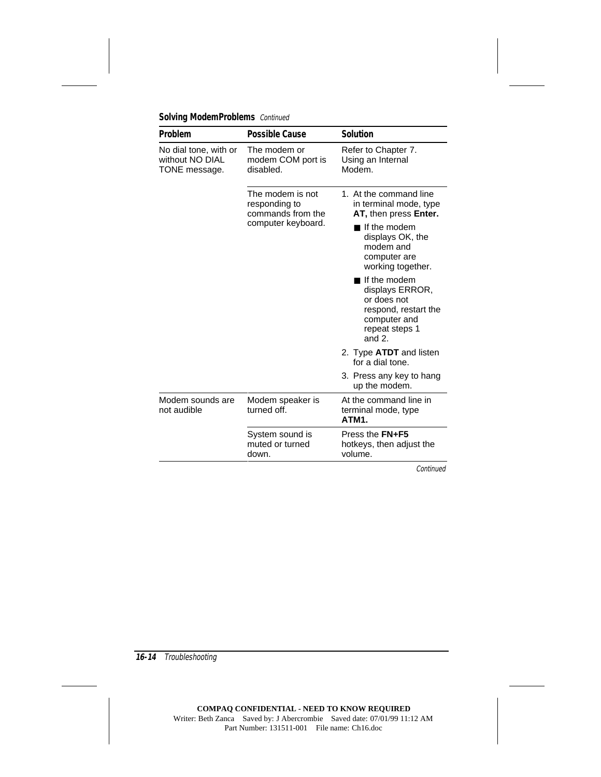| Problem                                                   | <b>Possible Cause</b>                                  | <b>Solution</b>                                                                                                       |
|-----------------------------------------------------------|--------------------------------------------------------|-----------------------------------------------------------------------------------------------------------------------|
| No dial tone, with or<br>without NO DIAL<br>TONE message. | The modem or<br>modem COM port is<br>disabled.         | Refer to Chapter 7.<br>Using an Internal<br>Modem.                                                                    |
|                                                           | The modem is not<br>responding to<br>commands from the | 1. At the command line<br>in terminal mode, type<br>AT, then press Enter.                                             |
|                                                           | computer keyboard.                                     | If the modem<br>displays OK, the<br>modem and<br>computer are<br>working together.                                    |
|                                                           |                                                        | If the modem<br>displays ERROR,<br>or does not<br>respond, restart the<br>computer and<br>repeat steps 1<br>and $2$ . |
|                                                           |                                                        | 2. Type <b>ATDT</b> and listen<br>for a dial tone.                                                                    |
|                                                           |                                                        | 3. Press any key to hang<br>up the modem.                                                                             |
| Modem sounds are<br>not audible                           | Modem speaker is<br>turned off.                        | At the command line in<br>terminal mode, type<br>ATM1.                                                                |
|                                                           | System sound is<br>muted or turned<br>down.            | Press the <b>FN+F5</b><br>hotkeys, then adjust the<br>volume.                                                         |

### **Solving ModemProblems** Continued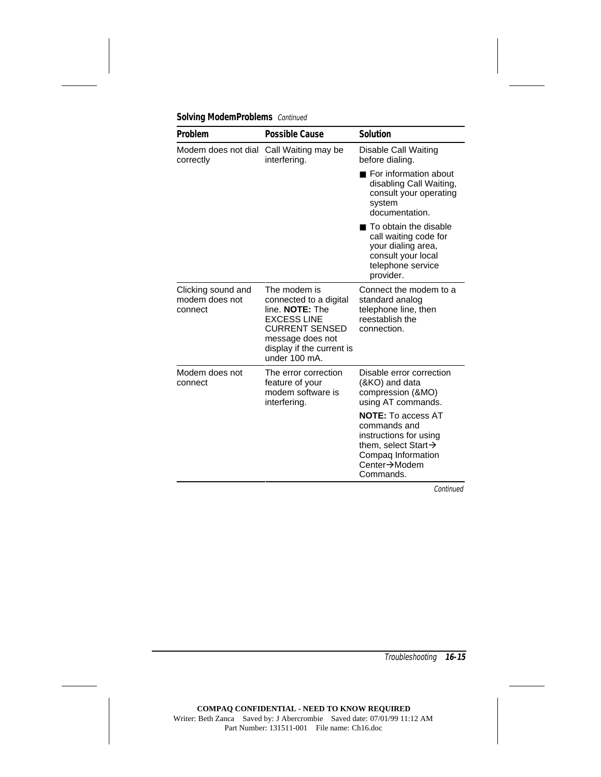| Problem                                         | <b>Possible Cause</b>                                                                                                                                                      | <b>Solution</b>                                                                                                                                            |
|-------------------------------------------------|----------------------------------------------------------------------------------------------------------------------------------------------------------------------------|------------------------------------------------------------------------------------------------------------------------------------------------------------|
| Modem does not dial<br>correctly                | Call Waiting may be<br>interfering.                                                                                                                                        | Disable Call Waiting<br>before dialing.                                                                                                                    |
|                                                 |                                                                                                                                                                            | $\blacksquare$ For information about<br>disabling Call Waiting,<br>consult your operating<br>system<br>documentation.                                      |
|                                                 |                                                                                                                                                                            | ■ To obtain the disable<br>call waiting code for<br>your dialing area,<br>consult your local<br>telephone service<br>provider.                             |
| Clicking sound and<br>modem does not<br>connect | The modem is<br>connected to a digital<br>line. NOTE: The<br><b>EXCESS LINE</b><br><b>CURRENT SENSED</b><br>message does not<br>display if the current is<br>under 100 mA. | Connect the modem to a<br>standard analog<br>telephone line, then<br>reestablish the<br>connection.                                                        |
| Modem does not<br>connect                       | The error correction<br>feature of your<br>modem software is<br>interfering.                                                                                               | Disable error correction<br>(&KO) and data<br>compression (&MO)<br>using AT commands.                                                                      |
|                                                 |                                                                                                                                                                            | <b>NOTE:</b> To access AT<br>commands and<br>instructions for using<br>them, select Start $\rightarrow$<br>Compaq Information<br>Center→Modem<br>Commands. |

### **Solving ModemProblems** Continued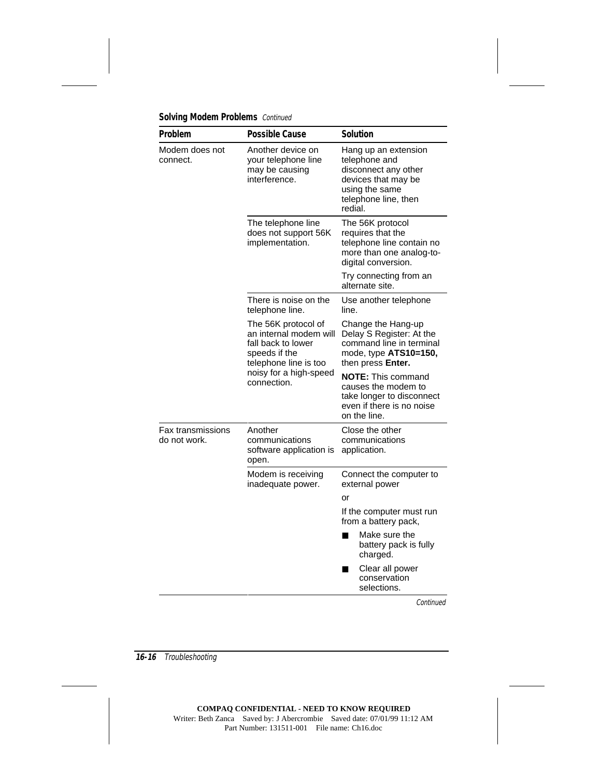| Problem                                  | <b>Possible Cause</b>                                                                                                                                  | <b>Solution</b>                                                                                                                           |
|------------------------------------------|--------------------------------------------------------------------------------------------------------------------------------------------------------|-------------------------------------------------------------------------------------------------------------------------------------------|
| Modem does not<br>connect.               | Another device on<br>your telephone line<br>may be causing<br>interference.                                                                            | Hang up an extension<br>telephone and<br>disconnect any other<br>devices that may be<br>using the same<br>telephone line, then<br>redial. |
|                                          | The telephone line<br>does not support 56K<br>implementation.                                                                                          | The 56K protocol<br>requires that the<br>telephone line contain no<br>more than one analog-to-<br>digital conversion.                     |
|                                          |                                                                                                                                                        | Try connecting from an<br>alternate site.                                                                                                 |
|                                          | There is noise on the<br>telephone line.                                                                                                               | Use another telephone<br>line.                                                                                                            |
|                                          | The 56K protocol of<br>an internal modem will<br>fall back to lower<br>speeds if the<br>telephone line is too<br>noisy for a high-speed<br>connection. | Change the Hang-up<br>Delay S Register: At the<br>command line in terminal<br>mode, type ATS10=150,<br>then press Enter.                  |
|                                          |                                                                                                                                                        | <b>NOTE:</b> This command<br>causes the modem to<br>take longer to disconnect<br>even if there is no noise<br>on the line.                |
| <b>Fax transmissions</b><br>do not work. | Another<br>communications<br>software application is<br>open.                                                                                          | Close the other<br>communications<br>application.                                                                                         |
|                                          | Modem is receiving<br>inadequate power.                                                                                                                | Connect the computer to<br>external power                                                                                                 |
|                                          |                                                                                                                                                        | or                                                                                                                                        |
|                                          |                                                                                                                                                        | If the computer must run<br>from a battery pack,                                                                                          |
|                                          |                                                                                                                                                        | Make sure the<br>п<br>battery pack is fully<br>charged.                                                                                   |
|                                          |                                                                                                                                                        | Clear all power<br>conservation<br>selections.                                                                                            |

**Solving Modem Problems** Continued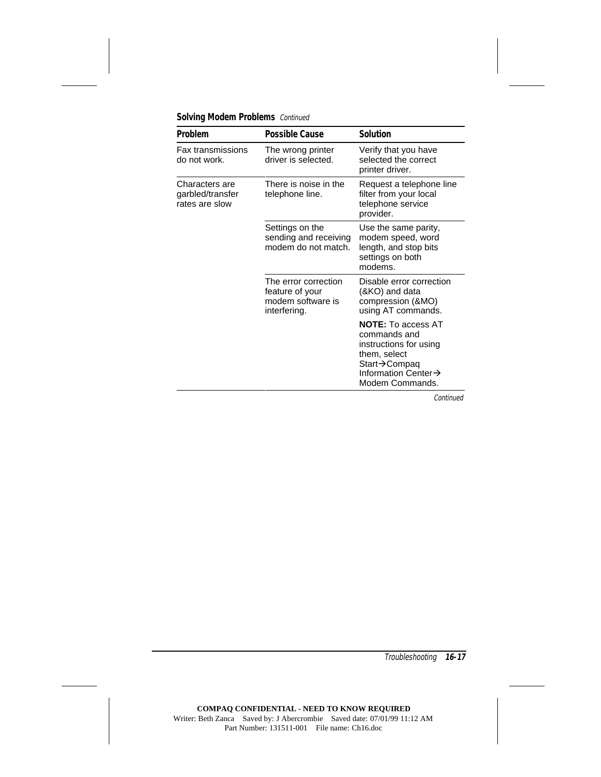|  |  | <b>Solving Modem Problems</b> Continued |  |
|--|--|-----------------------------------------|--|
|--|--|-----------------------------------------|--|

| Problem                                              | <b>Possible Cause</b>                                                        | <b>Solution</b>                                                                                                                                            |
|------------------------------------------------------|------------------------------------------------------------------------------|------------------------------------------------------------------------------------------------------------------------------------------------------------|
| <b>Fax transmissions</b><br>do not work.             | The wrong printer<br>driver is selected.                                     | Verify that you have<br>selected the correct<br>printer driver.                                                                                            |
| Characters are<br>garbled/transfer<br>rates are slow | There is noise in the<br>telephone line.                                     | Request a telephone line<br>filter from your local<br>telephone service<br>provider.                                                                       |
|                                                      | Settings on the<br>sending and receiving<br>modem do not match.              | Use the same parity,<br>modem speed, word<br>length, and stop bits<br>settings on both<br>modems.                                                          |
|                                                      | The error correction<br>feature of your<br>modem software is<br>interfering. | Disable error correction<br>(&KO) and data<br>compression (&MO)<br>using AT commands.                                                                      |
|                                                      |                                                                              | <b>NOTE:</b> To access AT<br>commands and<br>instructions for using<br>them, select<br>Start→Compaq<br>Information Center $\rightarrow$<br>Modem Commands. |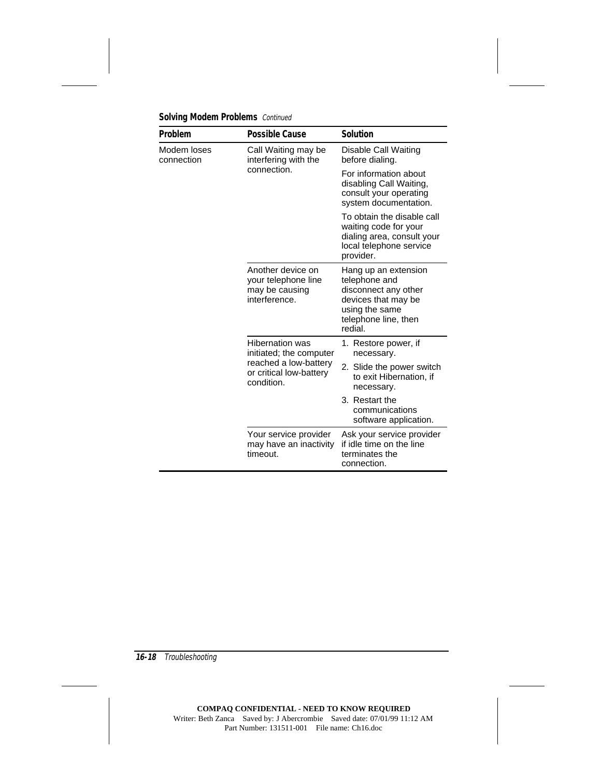| Problem                                                                                                                                                                                                                                                                                                                                                      | <b>Possible Cause</b>              | <b>Solution</b>                                                                                                                           |
|--------------------------------------------------------------------------------------------------------------------------------------------------------------------------------------------------------------------------------------------------------------------------------------------------------------------------------------------------------------|------------------------------------|-------------------------------------------------------------------------------------------------------------------------------------------|
| Modem loses<br>Call Waiting may be<br>connection<br>interfering with the<br>connection.<br>Another device on<br>your telephone line<br>may be causing<br>interference.<br><b>Hibernation was</b><br>initiated; the computer<br>reached a low-battery<br>or critical low-battery<br>condition.<br>Your service provider<br>may have an inactivity<br>timeout. |                                    | Disable Call Waiting<br>before dialing.                                                                                                   |
|                                                                                                                                                                                                                                                                                                                                                              |                                    | For information about<br>disabling Call Waiting,<br>consult your operating<br>system documentation.                                       |
|                                                                                                                                                                                                                                                                                                                                                              |                                    | To obtain the disable call<br>waiting code for your<br>dialing area, consult your<br>local telephone service<br>provider.                 |
|                                                                                                                                                                                                                                                                                                                                                              |                                    | Hang up an extension<br>telephone and<br>disconnect any other<br>devices that may be<br>using the same<br>telephone line, then<br>redial. |
|                                                                                                                                                                                                                                                                                                                                                              | 1. Restore power, if<br>necessary. |                                                                                                                                           |
|                                                                                                                                                                                                                                                                                                                                                              |                                    | 2. Slide the power switch<br>to exit Hibernation, if<br>necessary.                                                                        |
|                                                                                                                                                                                                                                                                                                                                                              |                                    | 3. Restart the<br>communications<br>software application.                                                                                 |
|                                                                                                                                                                                                                                                                                                                                                              |                                    | Ask your service provider<br>if idle time on the line<br>terminates the<br>connection.                                                    |

**Solving Modem Problems** Continued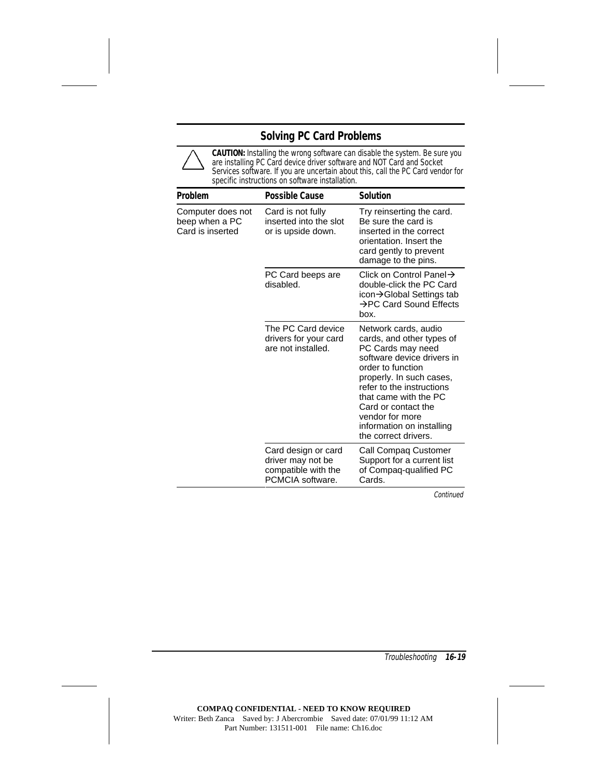## **Solving PC Card Problems**

**CAUTION:** Installing the wrong software can disable the system. Be sure you are installing PC Card device driver software and NOT Card and Socket Services software. If you are uncertain about this, call the PC Card vendor for specific instructions on software installation.

| Problem                                                 | <b>Possible Cause</b>                                                               | <b>Solution</b>                                                                                                                                                                                                                                                                                            |
|---------------------------------------------------------|-------------------------------------------------------------------------------------|------------------------------------------------------------------------------------------------------------------------------------------------------------------------------------------------------------------------------------------------------------------------------------------------------------|
| Computer does not<br>beep when a PC<br>Card is inserted | Card is not fully<br>inserted into the slot<br>or is upside down.                   | Try reinserting the card.<br>Be sure the card is<br>inserted in the correct<br>orientation. Insert the<br>card gently to prevent<br>damage to the pins.                                                                                                                                                    |
|                                                         | PC Card beeps are<br>disabled.                                                      | Click on Control Panel $\rightarrow$<br>double-click the PC Card<br>icon→Global Settings tab<br>→PC Card Sound Effects<br>box.                                                                                                                                                                             |
|                                                         | The PC Card device<br>drivers for your card<br>are not installed.                   | Network cards, audio<br>cards, and other types of<br>PC Cards may need<br>software device drivers in<br>order to function<br>properly. In such cases,<br>refer to the instructions<br>that came with the PC<br>Card or contact the<br>vendor for more<br>information on installing<br>the correct drivers. |
|                                                         | Card design or card<br>driver may not be<br>compatible with the<br>PCMCIA software. | Call Compaq Customer<br>Support for a current list<br>of Compaq-qualified PC<br>Cards.                                                                                                                                                                                                                     |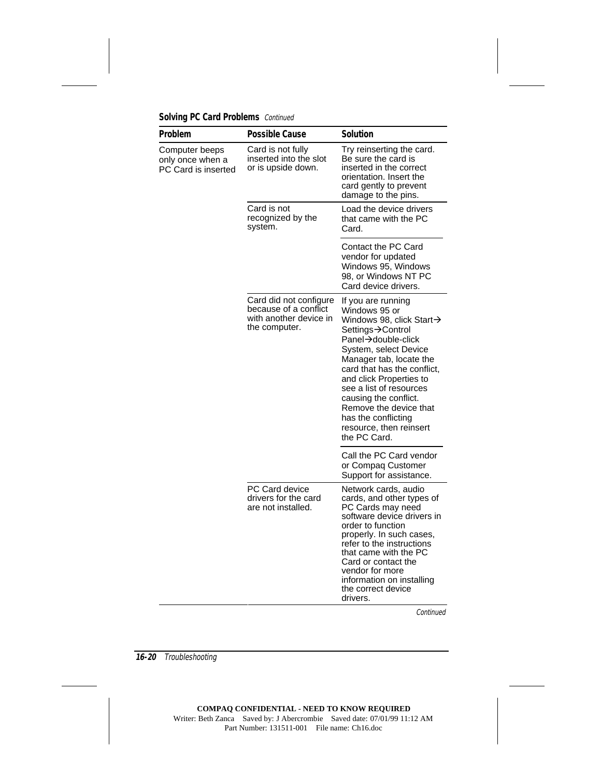| Problem                                                   | <b>Possible Cause</b>                                                                      | <b>Solution</b>                                                                                                                                                                                                                                                                                                                                                          |
|-----------------------------------------------------------|--------------------------------------------------------------------------------------------|--------------------------------------------------------------------------------------------------------------------------------------------------------------------------------------------------------------------------------------------------------------------------------------------------------------------------------------------------------------------------|
| Computer beeps<br>only once when a<br>PC Card is inserted | Card is not fully<br>inserted into the slot<br>or is upside down.                          | Try reinserting the card.<br>Be sure the card is<br>inserted in the correct<br>orientation. Insert the<br>card gently to prevent<br>damage to the pins.                                                                                                                                                                                                                  |
|                                                           | Card is not<br>recognized by the<br>system.                                                | Load the device drivers<br>that came with the PC<br>Card.                                                                                                                                                                                                                                                                                                                |
|                                                           |                                                                                            | Contact the PC Card<br>vendor for updated<br>Windows 95, Windows<br>98, or Windows NT PC<br>Card device drivers.                                                                                                                                                                                                                                                         |
|                                                           | Card did not configure<br>because of a conflict<br>with another device in<br>the computer. | If you are running<br>Windows 95 or<br>Windows 98, click Start-><br>Settings→Control<br>Panel→double-click<br>System, select Device<br>Manager tab, locate the<br>card that has the conflict,<br>and click Properties to<br>see a list of resources<br>causing the conflict.<br>Remove the device that<br>has the conflicting<br>resource, then reinsert<br>the PC Card. |
|                                                           |                                                                                            | Call the PC Card vendor<br>or Compaq Customer<br>Support for assistance.                                                                                                                                                                                                                                                                                                 |
|                                                           | PC Card device<br>drivers for the card<br>are not installed.                               | Network cards, audio<br>cards, and other types of<br>PC Cards may need<br>software device drivers in<br>order to function<br>properly. In such cases,<br>refer to the instructions<br>that came with the PC<br>Card or contact the<br>vendor for more<br>information on installing<br>the correct device<br>drivers.                                                     |

**Solving PC Card Problems** Continued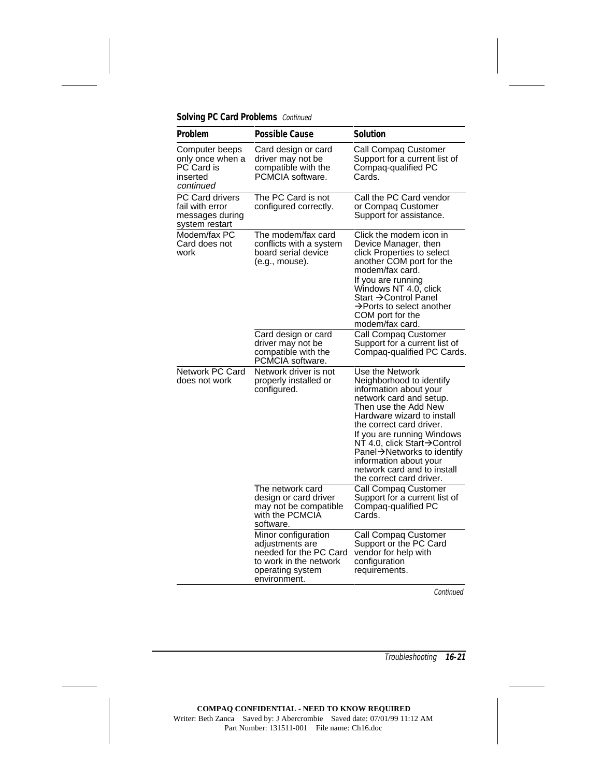### **Solving PC Card Problems** Continued

| Problem                                                                   | <b>Possible Cause</b>                                                                                                          | <b>Solution</b>                                                                                                                                                                                                                                                                                                                                                    |
|---------------------------------------------------------------------------|--------------------------------------------------------------------------------------------------------------------------------|--------------------------------------------------------------------------------------------------------------------------------------------------------------------------------------------------------------------------------------------------------------------------------------------------------------------------------------------------------------------|
| Computer beeps<br>only once when a<br>PC Card is<br>inserted<br>continued | Card design or card<br>driver may not be<br>compatible with the<br>PCMCIA software.                                            | Call Compaq Customer<br>Support for a current list of<br>Compaq-qualified PC<br>Cards.                                                                                                                                                                                                                                                                             |
| PC Card drivers<br>fail with error<br>messages during<br>system restart   | The PC Card is not<br>configured correctly.                                                                                    | Call the PC Card vendor<br>or Compaq Customer<br>Support for assistance.                                                                                                                                                                                                                                                                                           |
| Modem/fax PC<br>Card does not<br>work                                     | The modem/fax card<br>conflicts with a system<br>board serial device<br>(e.g., mouse).                                         | Click the modem icon in<br>Device Manager, then<br>click Properties to select<br>another COM port for the<br>modem/fax card.<br>If you are running<br>Windows NT 4.0, click<br>Start →Control Panel<br>$\rightarrow$ Ports to select another<br>COM port for the<br>modem/fax card.                                                                                |
|                                                                           | Card design or card<br>driver may not be<br>compatible with the<br>PCMCIA software.                                            | Call Compaq Customer<br>Support for a current list of<br>Compaq-qualified PC Cards.                                                                                                                                                                                                                                                                                |
| Network PC Card<br>does not work                                          | Network driver is not<br>properly installed or<br>configured.                                                                  | Use the Network<br>Neighborhood to identify<br>information about your<br>network card and setup.<br>Then use the Add New<br>Hardware wizard to install<br>the correct card driver.<br>If you are running Windows<br>NT 4.0, click Start→Control<br>Panel→Networks to identify<br>information about your<br>network card and to install<br>the correct card driver. |
|                                                                           | The network card<br>design or card driver<br>may not be compatible<br>with the PCMCIA<br>software.                             | Call Compaq Customer<br>Support for a current list of<br>Compaq-qualified PC<br>Cards.                                                                                                                                                                                                                                                                             |
|                                                                           | Minor configuration<br>adjustments are<br>needed for the PC Card<br>to work in the network<br>operating system<br>environment. | Call Compaq Customer<br>Support or the PC Card<br>vendor for help with<br>configuration<br>requirements.                                                                                                                                                                                                                                                           |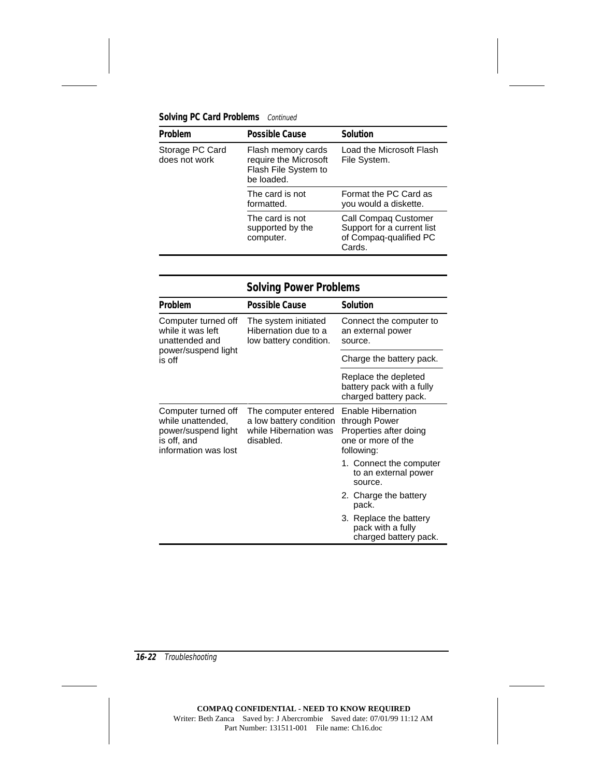### **Solving PC Card Problems** Continued

| Problem                          | <b>Possible Cause</b>                                                             | <b>Solution</b>                                                                               |
|----------------------------------|-----------------------------------------------------------------------------------|-----------------------------------------------------------------------------------------------|
| Storage PC Card<br>does not work | Flash memory cards<br>require the Microsoft<br>Flash File System to<br>be loaded. | Load the Microsoft Flash<br>File System.                                                      |
|                                  | The card is not<br>formatted.                                                     | Format the PC Card as<br>you would a diskette.                                                |
|                                  | The card is not<br>supported by the<br>computer.                                  | <b>Call Compag Customer</b><br>Support for a current list<br>of Compag-qualified PC<br>Cards. |

# **Solving Power Problems**

| <b>Problem</b>                                                                                         | <b>Possible Cause</b>                                                                 | <b>Solution</b>                                                                                   |
|--------------------------------------------------------------------------------------------------------|---------------------------------------------------------------------------------------|---------------------------------------------------------------------------------------------------|
| Computer turned off<br>while it was left<br>unattended and                                             | The system initiated<br>Hibernation due to a<br>low battery condition.                | Connect the computer to<br>an external power<br>source.                                           |
| power/suspend light<br>is off                                                                          |                                                                                       | Charge the battery pack.                                                                          |
|                                                                                                        |                                                                                       | Replace the depleted<br>battery pack with a fully<br>charged battery pack.                        |
| Computer turned off<br>while unattended,<br>power/suspend light<br>is off, and<br>information was lost | The computer entered<br>a low battery condition<br>while Hibernation was<br>disabled. | Enable Hibernation<br>through Power<br>Properties after doing<br>one or more of the<br>following: |
|                                                                                                        |                                                                                       | 1. Connect the computer<br>to an external power<br>source.                                        |
|                                                                                                        |                                                                                       | 2. Charge the battery<br>pack.                                                                    |
|                                                                                                        |                                                                                       | 3. Replace the battery<br>pack with a fully<br>charged battery pack.                              |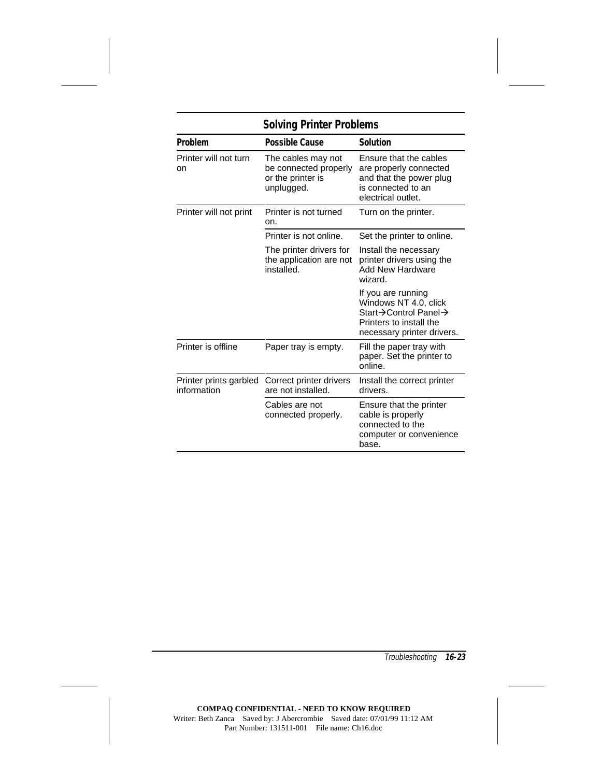| SOIVING Printer Problems              |                                                                                |                                                                                                                              |  |
|---------------------------------------|--------------------------------------------------------------------------------|------------------------------------------------------------------------------------------------------------------------------|--|
| Problem                               | <b>Possible Cause</b>                                                          | Solution                                                                                                                     |  |
| Printer will not turn<br>on           | The cables may not<br>be connected properly<br>or the printer is<br>unplugged. | Ensure that the cables<br>are properly connected<br>and that the power plug<br>is connected to an<br>electrical outlet.      |  |
| Printer will not print                | Printer is not turned<br>on.                                                   | Turn on the printer.                                                                                                         |  |
|                                       | Printer is not online.                                                         | Set the printer to online.                                                                                                   |  |
|                                       | The printer drivers for<br>the application are not<br>installed.               | Install the necessary<br>printer drivers using the<br><b>Add New Hardware</b><br>wizard.                                     |  |
|                                       |                                                                                | If you are running<br>Windows NT 4.0, click<br>Start→Control Panel→<br>Printers to install the<br>necessary printer drivers. |  |
| Printer is offline                    | Paper tray is empty.                                                           | Fill the paper tray with<br>paper. Set the printer to<br>online.                                                             |  |
| Printer prints garbled<br>information | Correct printer drivers<br>are not installed.                                  | Install the correct printer<br>drivers.                                                                                      |  |
|                                       | Cables are not<br>connected properly.                                          | Ensure that the printer<br>cable is properly<br>connected to the<br>computer or convenience<br>base.                         |  |

## **Solving Printer Problems**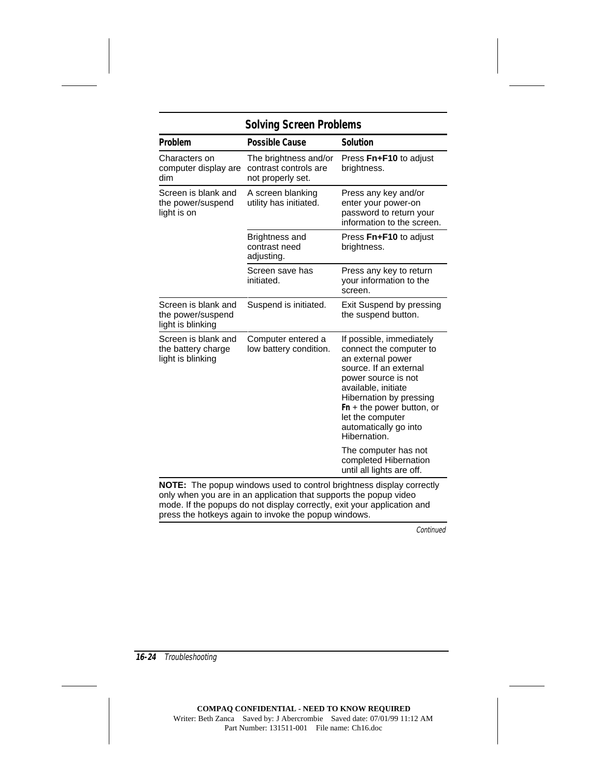| <b>Possible Cause</b>                                               | <b>Solution</b>                                                                                                                                                                                                                                                         |
|---------------------------------------------------------------------|-------------------------------------------------------------------------------------------------------------------------------------------------------------------------------------------------------------------------------------------------------------------------|
|                                                                     |                                                                                                                                                                                                                                                                         |
| The brightness and/or<br>contrast controls are<br>not properly set. | Press Fn+F10 to adjust<br>brightness.                                                                                                                                                                                                                                   |
| A screen blanking<br>utility has initiated.                         | Press any key and/or<br>enter your power-on<br>password to return your<br>information to the screen.                                                                                                                                                                    |
| Brightness and<br>contrast need<br>adjusting.                       | Press Fn+F10 to adjust<br>brightness.                                                                                                                                                                                                                                   |
| Screen save has<br>initiated.                                       | Press any key to return<br>your information to the<br>screen.                                                                                                                                                                                                           |
| Suspend is initiated.                                               | Exit Suspend by pressing<br>the suspend button.                                                                                                                                                                                                                         |
| Computer entered a<br>low battery condition.                        | If possible, immediately<br>connect the computer to<br>an external power<br>source. If an external<br>power source is not<br>available, initiate<br>Hibernation by pressing<br>$Fn + the power button, or$<br>let the computer<br>automatically go into<br>Hibernation. |
|                                                                     | The computer has not<br>completed Hibernation<br>until all lights are off.                                                                                                                                                                                              |
|                                                                     | NOTE: The popup windows used to control brightness display correctly<br>phuwbon you are in an application that aupperto the penup video                                                                                                                                 |

only when you are in an application that supports the popup video mode. If the popups do not display correctly, exit your application and press the hotkeys again to invoke the popup windows.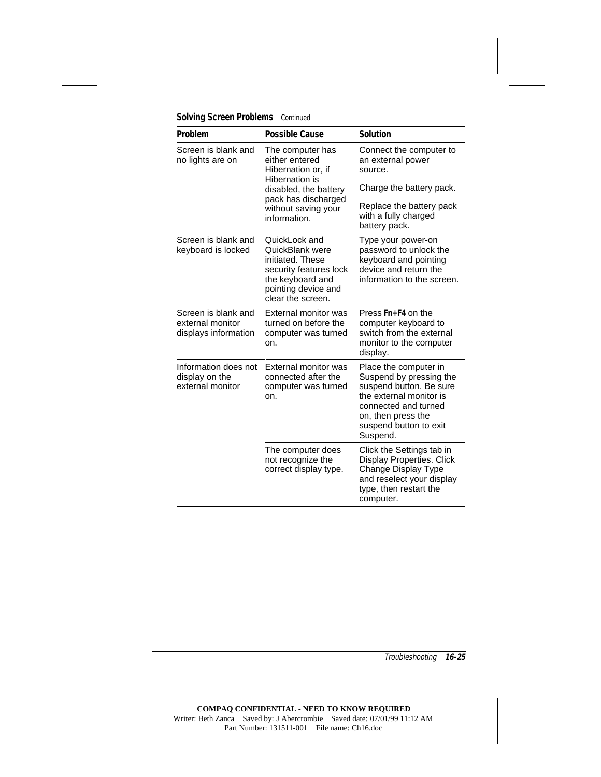| Problem                                                         | <b>Possible Cause</b>                                                                                                                          | <b>Solution</b>                                                                                                                                                                            |
|-----------------------------------------------------------------|------------------------------------------------------------------------------------------------------------------------------------------------|--------------------------------------------------------------------------------------------------------------------------------------------------------------------------------------------|
| Screen is blank and<br>no lights are on                         | The computer has<br>either entered<br>Hibernation or, if                                                                                       | Connect the computer to<br>an external power<br>source.                                                                                                                                    |
|                                                                 | Hibernation is<br>disabled, the battery                                                                                                        | Charge the battery pack.                                                                                                                                                                   |
|                                                                 | pack has discharged<br>without saving your<br>information.                                                                                     | Replace the battery pack<br>with a fully charged<br>battery pack.                                                                                                                          |
| Screen is blank and<br>keyboard is locked                       | QuickLock and<br>QuickBlank were<br>initiated. These<br>security features lock<br>the keyboard and<br>pointing device and<br>clear the screen. | Type your power-on<br>password to unlock the<br>keyboard and pointing<br>device and return the<br>information to the screen.                                                               |
| Screen is blank and<br>external monitor<br>displays information | External monitor was<br>turned on before the<br>computer was turned<br>on.                                                                     | Press Fn+F4 on the<br>computer keyboard to<br>switch from the external<br>monitor to the computer<br>display.                                                                              |
| Information does not<br>display on the<br>external monitor      | External monitor was<br>connected after the<br>computer was turned<br>on.                                                                      | Place the computer in<br>Suspend by pressing the<br>suspend button. Be sure<br>the external monitor is<br>connected and turned<br>on, then press the<br>suspend button to exit<br>Suspend. |
|                                                                 | The computer does<br>not recognize the<br>correct display type.                                                                                | Click the Settings tab in<br>Display Properties. Click<br>Change Display Type<br>and reselect your display<br>type, then restart the<br>computer.                                          |

**Solving Screen Problems** Continued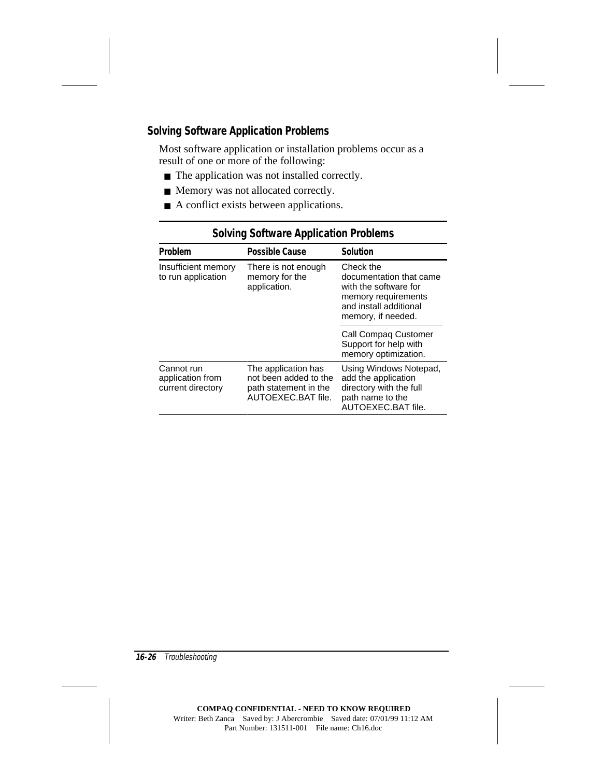## **Solving Software Application Problems**

Most software application or installation problems occur as a result of one or more of the following:

- The application was not installed correctly.
- Memory was not allocated correctly.
- A conflict exists between applications.

| Problem                                             | <b>Possible Cause</b>                                                                       | <b>Solution</b>                                                                                                                      |
|-----------------------------------------------------|---------------------------------------------------------------------------------------------|--------------------------------------------------------------------------------------------------------------------------------------|
| Insufficient memory<br>to run application           | There is not enough<br>memory for the<br>application.                                       | Check the<br>documentation that came<br>with the software for<br>memory requirements<br>and install additional<br>memory, if needed. |
|                                                     |                                                                                             | Call Compag Customer<br>Support for help with<br>memory optimization.                                                                |
| Cannot run<br>application from<br>current directory | The application has<br>not been added to the<br>path statement in the<br>AUTOEXEC.BAT file. | Using Windows Notepad,<br>add the application<br>directory with the full<br>path name to the<br>AUTOEXEC.BAT file.                   |

## **Solving Software Application Problems**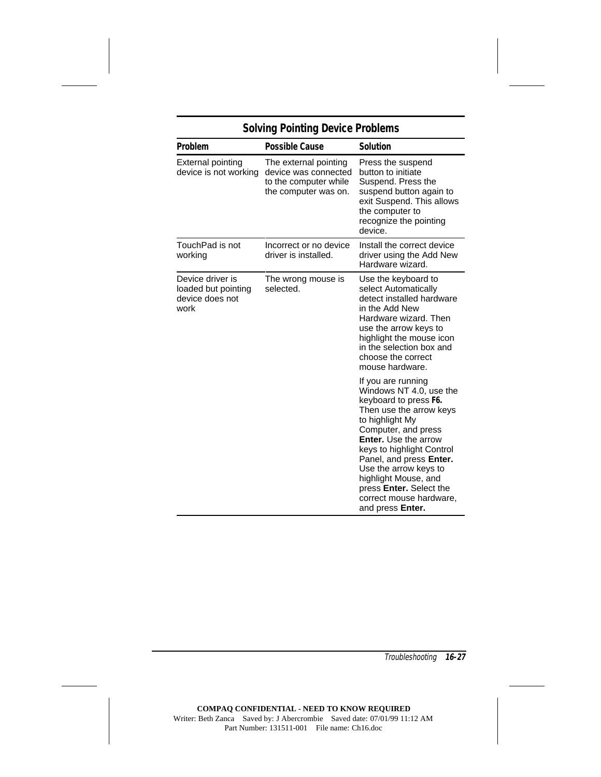| Problem                                                            | Possible Cause                                                                                 | <b>Solution</b>                                                                                                                                                                                                                                                                                                                                                      |  |
|--------------------------------------------------------------------|------------------------------------------------------------------------------------------------|----------------------------------------------------------------------------------------------------------------------------------------------------------------------------------------------------------------------------------------------------------------------------------------------------------------------------------------------------------------------|--|
| <b>External pointing</b><br>device is not working                  | The external pointing<br>device was connected<br>to the computer while<br>the computer was on. | Press the suspend<br>button to initiate<br>Suspend. Press the<br>suspend button again to<br>exit Suspend. This allows<br>the computer to<br>recognize the pointing<br>device.                                                                                                                                                                                        |  |
| TouchPad is not<br>working                                         | Incorrect or no device<br>driver is installed.                                                 | Install the correct device<br>driver using the Add New<br>Hardware wizard.                                                                                                                                                                                                                                                                                           |  |
| Device driver is<br>loaded but pointing<br>device does not<br>work | The wrong mouse is<br>selected.                                                                | Use the keyboard to<br>select Automatically<br>detect installed hardware<br>in the Add New<br>Hardware wizard. Then<br>use the arrow keys to<br>highlight the mouse icon<br>in the selection box and<br>choose the correct<br>mouse hardware.                                                                                                                        |  |
|                                                                    |                                                                                                | If you are running<br>Windows NT 4.0, use the<br>keyboard to press F6.<br>Then use the arrow keys<br>to highlight My<br>Computer, and press<br><b>Enter.</b> Use the arrow<br>keys to highlight Control<br>Panel, and press Enter.<br>Use the arrow keys to<br>highlight Mouse, and<br>press <b>Enter.</b> Select the<br>correct mouse hardware,<br>and press Enter. |  |

# **Solving Pointing Device Problems**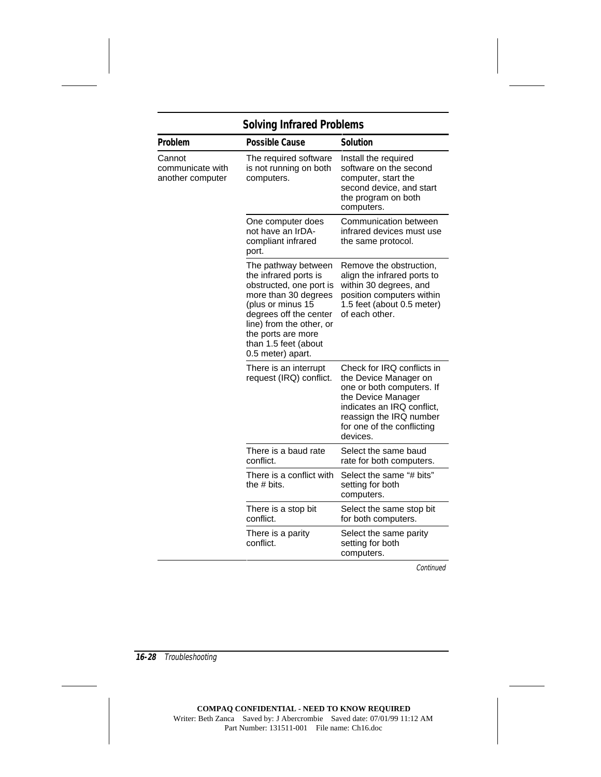# **Solving Infrared Problems**

| Problem                                        | <b>Possible Cause</b>                                                                                                                                                                                                                         | <b>Solution</b>                                                                                                                                                                                           |
|------------------------------------------------|-----------------------------------------------------------------------------------------------------------------------------------------------------------------------------------------------------------------------------------------------|-----------------------------------------------------------------------------------------------------------------------------------------------------------------------------------------------------------|
| Cannot<br>communicate with<br>another computer | The required software<br>is not running on both<br>computers.                                                                                                                                                                                 | Install the required<br>software on the second<br>computer, start the<br>second device, and start<br>the program on both<br>computers.                                                                    |
|                                                | One computer does<br>not have an IrDA-<br>compliant infrared<br>port.                                                                                                                                                                         | Communication between<br>infrared devices must use<br>the same protocol.                                                                                                                                  |
|                                                | The pathway between<br>the infrared ports is<br>obstructed, one port is<br>more than 30 degrees<br>(plus or minus 15<br>degrees off the center<br>line) from the other, or<br>the ports are more<br>than 1.5 feet (about<br>0.5 meter) apart. | Remove the obstruction,<br>align the infrared ports to<br>within 30 degrees, and<br>position computers within<br>1.5 feet (about 0.5 meter)<br>of each other.                                             |
|                                                | There is an interrupt<br>request (IRQ) conflict.                                                                                                                                                                                              | Check for IRQ conflicts in<br>the Device Manager on<br>one or both computers. If<br>the Device Manager<br>indicates an IRQ conflict,<br>reassign the IRQ number<br>for one of the conflicting<br>devices. |
|                                                | There is a baud rate<br>conflict.                                                                                                                                                                                                             | Select the same baud<br>rate for both computers.                                                                                                                                                          |
|                                                | There is a conflict with<br>the $# \text{ bits.}$                                                                                                                                                                                             | Select the same "# bits"<br>setting for both<br>computers.                                                                                                                                                |
|                                                | There is a stop bit<br>conflict.                                                                                                                                                                                                              | Select the same stop bit<br>for both computers.                                                                                                                                                           |
|                                                | There is a parity<br>conflict.                                                                                                                                                                                                                | Select the same parity<br>setting for both<br>computers.                                                                                                                                                  |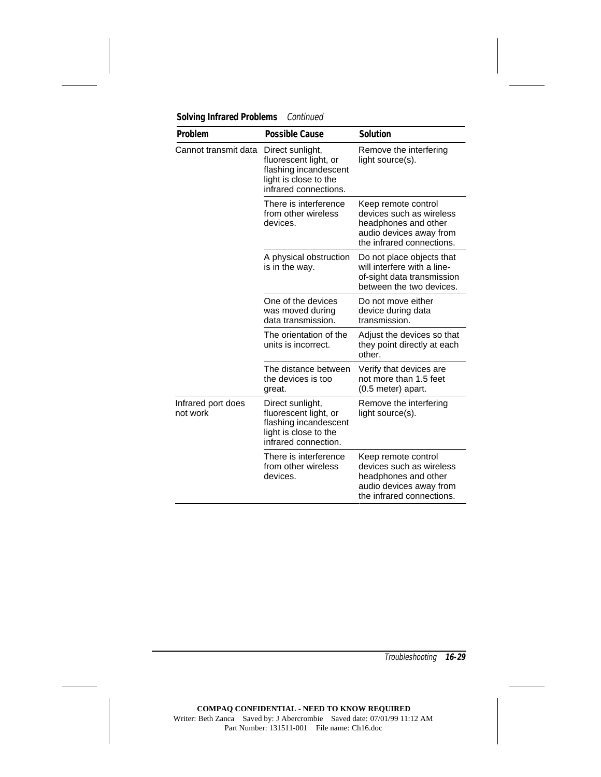|  |  | <b>Solving Infrared Problems</b> | Continued |
|--|--|----------------------------------|-----------|
|--|--|----------------------------------|-----------|

| Problem                        | <b>Possible Cause</b>                                                                                                | Solution                                                                                                                        |
|--------------------------------|----------------------------------------------------------------------------------------------------------------------|---------------------------------------------------------------------------------------------------------------------------------|
| Cannot transmit data           | Direct sunlight,<br>fluorescent light, or<br>flashing incandescent<br>light is close to the<br>infrared connections. | Remove the interfering<br>light source(s).                                                                                      |
|                                | There is interference<br>from other wireless<br>devices.                                                             | Keep remote control<br>devices such as wireless<br>headphones and other<br>audio devices away from<br>the infrared connections. |
|                                | A physical obstruction<br>is in the way.                                                                             | Do not place objects that<br>will interfere with a line-<br>of-sight data transmission<br>between the two devices.              |
|                                | One of the devices<br>was moved during<br>data transmission.                                                         | Do not move either<br>device during data<br>transmission.                                                                       |
|                                | The orientation of the<br>units is incorrect.                                                                        | Adjust the devices so that<br>they point directly at each<br>other.                                                             |
|                                | The distance between<br>the devices is too<br>great.                                                                 | Verify that devices are<br>not more than 1.5 feet<br>(0.5 meter) apart.                                                         |
| Infrared port does<br>not work | Direct sunlight,<br>fluorescent light, or<br>flashing incandescent<br>light is close to the<br>infrared connection.  | Remove the interfering<br>light source(s).                                                                                      |
|                                | There is interference<br>from other wireless<br>devices.                                                             | Keep remote control<br>devices such as wireless<br>headphones and other<br>audio devices away from<br>the infrared connections. |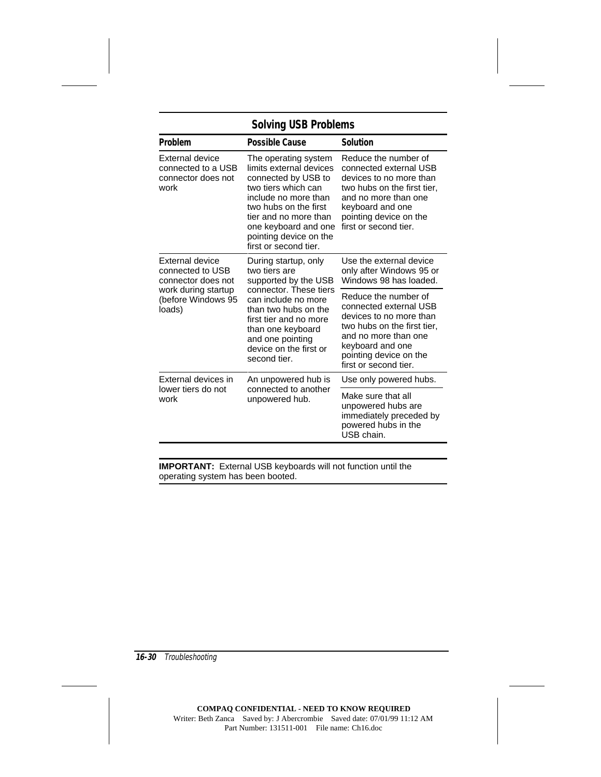## **Solving USB Problems**

| Problem                                                              | Possible Cause                                                                                                                                                                                                                                     | <b>Solution</b>                                                                                                                                                                                         |
|----------------------------------------------------------------------|----------------------------------------------------------------------------------------------------------------------------------------------------------------------------------------------------------------------------------------------------|---------------------------------------------------------------------------------------------------------------------------------------------------------------------------------------------------------|
| External device<br>connected to a USB<br>connector does not<br>work  | The operating system<br>limits external devices<br>connected by USB to<br>two tiers which can<br>include no more than<br>two hubs on the first<br>tier and no more than<br>one keyboard and one<br>pointing device on the<br>first or second tier. | Reduce the number of<br>connected external USB<br>devices to no more than<br>two hubs on the first tier.<br>and no more than one<br>keyboard and one<br>pointing device on the<br>first or second tier. |
| External device<br>connected to USB<br>connector does not            | During startup, only<br>two tiers are<br>supported by the USB                                                                                                                                                                                      | Use the external device<br>only after Windows 95 or<br>Windows 98 has loaded.                                                                                                                           |
| (before Windows 95<br>loads)                                         | connector. These tiers<br>work during startup<br>can include no more<br>than two hubs on the<br>first tier and no more<br>than one keyboard<br>and one pointing<br>device on the first or<br>second tier.                                          |                                                                                                                                                                                                         |
| External devices in                                                  | An unpowered hub is                                                                                                                                                                                                                                | Use only powered hubs.                                                                                                                                                                                  |
| lower tiers do not<br>connected to another<br>work<br>unpowered hub. |                                                                                                                                                                                                                                                    | Make sure that all<br>unpowered hubs are<br>immediately preceded by<br>powered hubs in the<br>USB chain.                                                                                                |

**IMPORTANT:** External USB keyboards will not function until the operating system has been booted.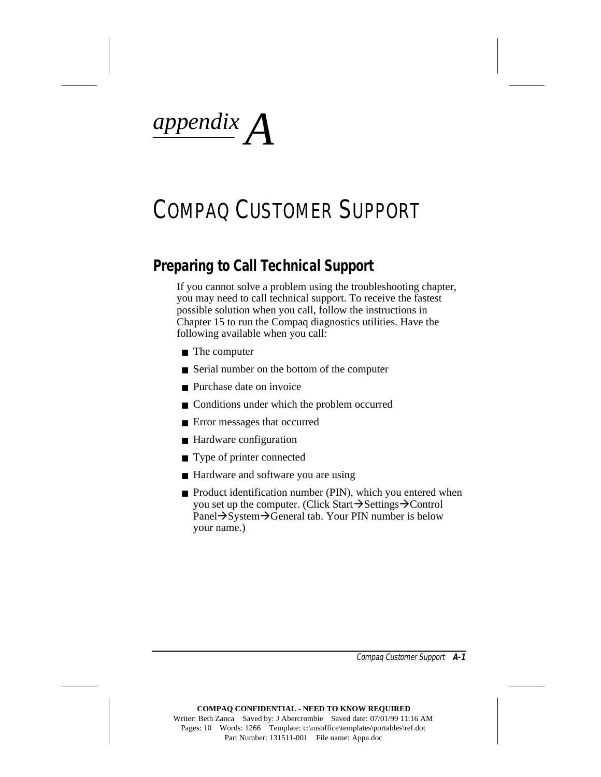*appendix A*

# COMPAQ CUSTOMER SUPPORT

# **Preparing to Call Technical Support**

If you cannot solve a problem using the troubleshooting chapter, you may need to call technical support. To receive the fastest possible solution when you call, follow the instructions in Chapter 15 to run the Compaq diagnostics utilities. Have the following available when you call:

- The computer
- Serial number on the bottom of the computer
- Purchase date on invoice
- Conditions under which the problem occurred
- Error messages that occurred
- Hardware configuration
- Type of printer connected
- Hardware and software you are using
- Product identification number (PIN), which you entered when you set up the computer. (Click Start $\rightarrow$ Settings $\rightarrow$ Control Panel→System→General tab. Your PIN number is below your name.)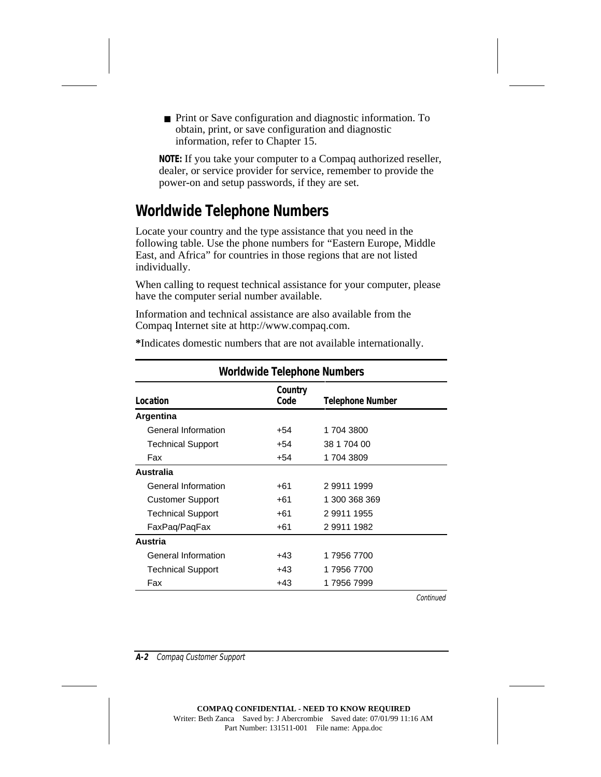■ Print or Save configuration and diagnostic information. To obtain, print, or save configuration and diagnostic information, refer to Chapter 15.

**NOTE:** If you take your computer to a Compaq authorized reseller, dealer, or service provider for service, remember to provide the power-on and setup passwords, if they are set.

# **Worldwide Telephone Numbers**

Locate your country and the type assistance that you need in the following table. Use the phone numbers for "Eastern Europe, Middle East, and Africa" for countries in those regions that are not listed individually.

When calling to request technical assistance for your computer, please have the computer serial number available.

Information and technical assistance are also available from the Compaq Internet site at http://www.compaq.com.

| <b>Worldwide Telephone Numbers</b> |                 |                  |  |
|------------------------------------|-----------------|------------------|--|
| Location                           | Country<br>Code | Telephone Number |  |
| Argentina                          |                 |                  |  |
| General Information                | +54             | 1 704 3800       |  |
| <b>Technical Support</b>           | +54             | 38 1 704 00      |  |
| Fax                                | +54             | 1 704 3809       |  |
| <b>Australia</b>                   |                 |                  |  |
| General Information                | +61             | 299111999        |  |
| <b>Customer Support</b>            | +61             | 1 300 368 369    |  |
| <b>Technical Support</b>           | +61             | 299111955        |  |
| FaxPaq/PaqFax                      | $+61$           | 299111982        |  |
| Austria                            |                 |                  |  |
| General Information                | +43             | 179567700        |  |
| <b>Technical Support</b>           | +43             | 179567700        |  |
| Fax                                | +43             | 1 7956 7999      |  |

**\***Indicates domestic numbers that are not available internationally.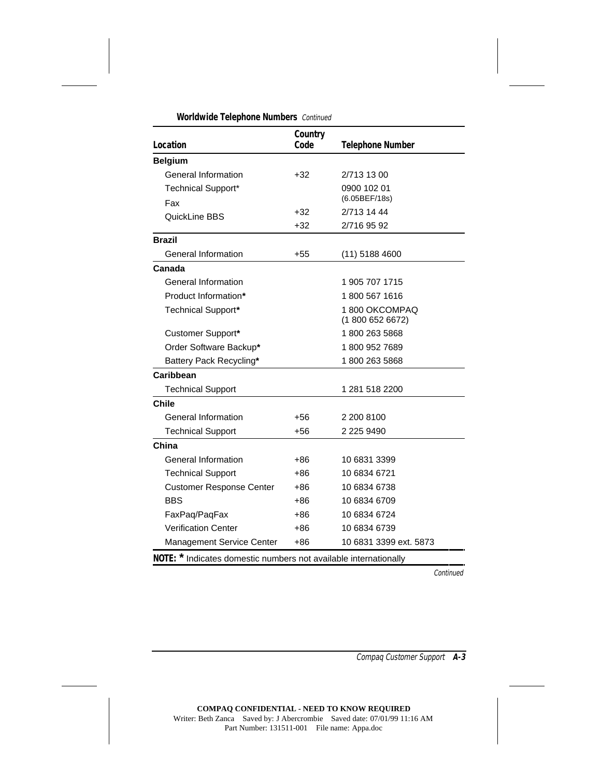| Location                                                         | Country<br>Code | <b>Telephone Number</b>           |
|------------------------------------------------------------------|-----------------|-----------------------------------|
| <b>Belgium</b>                                                   |                 |                                   |
| General Information                                              | $+32$           | 2/713 13 00                       |
| <b>Technical Support*</b>                                        |                 | 0900 102 01                       |
| Fax                                                              |                 | (6.05BEF/18s)                     |
| QuickLine BBS                                                    | +32             | 2/713 14 44                       |
|                                                                  | +32             | 2/716 95 92                       |
| <b>Brazil</b>                                                    |                 |                                   |
| General Information                                              | $+55$           | $(11)$ 5188 4600                  |
| Canada                                                           |                 |                                   |
| General Information                                              |                 | 1 905 707 1715                    |
| Product Information*                                             |                 | 1 800 567 1616                    |
| Technical Support*                                               |                 | 1800 OKCOMPAQ<br>(1 800 652 6672) |
| Customer Support*                                                |                 | 1800 263 5868                     |
| Order Software Backup*                                           |                 | 18009527689                       |
| Battery Pack Recycling*                                          |                 | 1800 263 5868                     |
| Caribbean                                                        |                 |                                   |
| <b>Technical Support</b>                                         |                 | 1 281 518 2200                    |
| <b>Chile</b>                                                     |                 |                                   |
| General Information                                              | +56             | 2 200 8100                        |
| <b>Technical Support</b>                                         | $+56$           | 2 225 9490                        |
| China                                                            |                 |                                   |
| General Information                                              | +86             | 10 6831 3399                      |
| <b>Technical Support</b>                                         | +86             | 10 6834 6721                      |
| <b>Customer Response Center</b>                                  | +86             | 10 6834 6738                      |
| <b>BBS</b>                                                       | +86             | 10 6834 6709                      |
| FaxPaq/PaqFax                                                    | +86             | 10 6834 6724                      |
| <b>Verification Center</b>                                       | +86             | 10 6834 6739                      |
| Management Service Center                                        | $+86$           | 10 6831 3399 ext. 5873            |
| NOTE: * Indicates domestic numbers not available internationally |                 |                                   |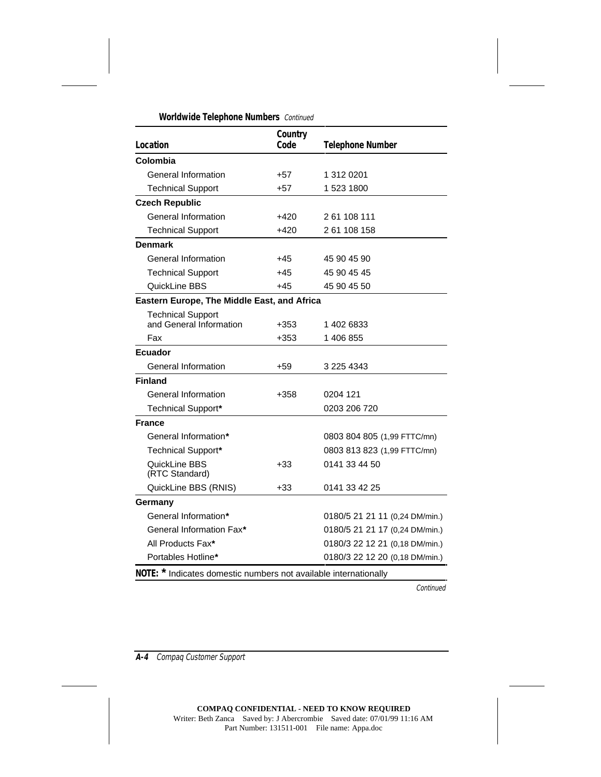| Location                                                         | Country<br>Code | <b>Telephone Number</b>        |
|------------------------------------------------------------------|-----------------|--------------------------------|
| Colombia                                                         |                 |                                |
| General Information                                              | $+57$           | 1 312 0201                     |
| <b>Technical Support</b>                                         | $+57$           | 1 523 1800                     |
| <b>Czech Republic</b>                                            |                 |                                |
| General Information                                              | $+420$          | 2 61 108 111                   |
| <b>Technical Support</b>                                         | $+420$          | 2 61 108 158                   |
| Denmark                                                          |                 |                                |
| General Information                                              | $+45$           | 45 90 45 90                    |
| <b>Technical Support</b>                                         | $+45$           | 45 90 45 45                    |
| QuickLine BBS                                                    | $+45$           | 45 90 45 50                    |
| Eastern Europe, The Middle East, and Africa                      |                 |                                |
| <b>Technical Support</b><br>and General Information              | $+353$          | 14026833                       |
| Fax                                                              | $+353$          | 1 406 855                      |
| <b>Ecuador</b>                                                   |                 |                                |
| General Information                                              | $+59$           | 3 225 4343                     |
| <b>Finland</b>                                                   |                 |                                |
| General Information                                              | $+358$          | 0204 121                       |
| <b>Technical Support*</b>                                        |                 | 0203 206 720                   |
| France                                                           |                 |                                |
| General Information*                                             |                 | 0803 804 805 (1,99 FTTC/mn)    |
| Technical Support*                                               |                 | 0803 813 823 (1,99 FTTC/mn)    |
| QuickLine BBS<br>(RTC Standard)                                  | $+33$           | 0141 33 44 50                  |
| QuickLine BBS (RNIS)                                             | $+33$           | 0141 33 42 25                  |
| Germany                                                          |                 |                                |
| General Information*                                             |                 | 0180/5 21 21 11 (0,24 DM/min.) |
| General Information Fax*                                         |                 | 0180/5 21 21 17 (0,24 DM/min.) |
| All Products Fax*                                                |                 | 0180/3 22 12 21 (0,18 DM/min.) |
| Portables Hotline*                                               |                 | 0180/3 22 12 20 (0,18 DM/min.) |
| NOTE: * Indicates domestic numbers not available internationally |                 |                                |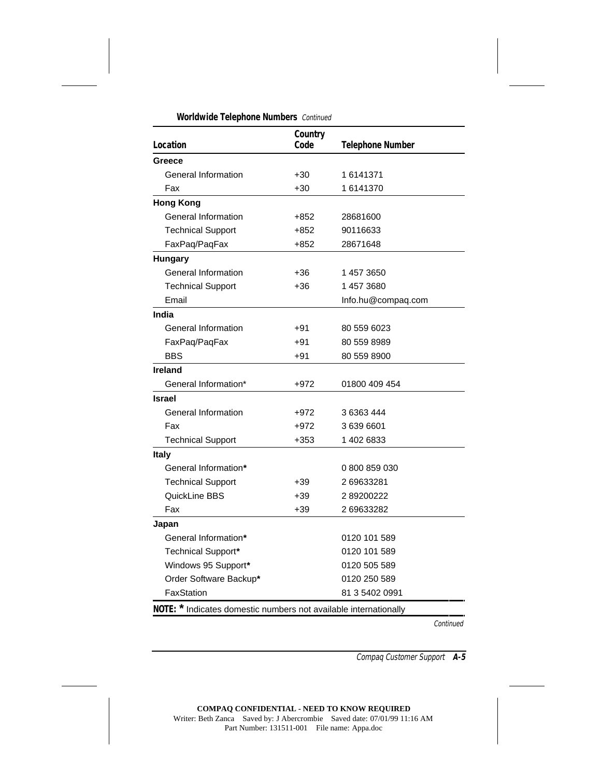| Location                                                         | Country<br>Code | <b>Telephone Number</b> |
|------------------------------------------------------------------|-----------------|-------------------------|
| Greece                                                           |                 |                         |
| General Information                                              | $+30$           | 16141371                |
| Fax                                                              | $+30$           | 16141370                |
| <b>Hong Kong</b>                                                 |                 |                         |
| General Information                                              | +852            | 28681600                |
| <b>Technical Support</b>                                         | +852            | 90116633                |
| FaxPaq/PaqFax                                                    | $+852$          | 28671648                |
| <b>Hungary</b>                                                   |                 |                         |
| General Information                                              | $+36$           | 1 457 3650              |
| <b>Technical Support</b>                                         | +36             | 14573680                |
| Email                                                            |                 | Info.hu@compaq.com      |
| India                                                            |                 |                         |
| <b>General Information</b>                                       | $+91$           | 80 559 6023             |
| FaxPaq/PaqFax                                                    | +91             | 80 559 8989             |
| BBS                                                              | $+91$           | 80 559 8900             |
| <b>Ireland</b>                                                   |                 |                         |
| General Information*                                             | $+972$          | 01800 409 454           |
| <b>Israel</b>                                                    |                 |                         |
| General Information                                              | +972            | 36363444                |
| Fax                                                              | $+972$          | 3 639 6601              |
| <b>Technical Support</b>                                         | $+353$          | 1 402 6833              |
| <b>Italy</b>                                                     |                 |                         |
| General Information*                                             |                 | 0800859030              |
| <b>Technical Support</b>                                         | $+39$           | 2 69633281              |
| QuickLine BBS                                                    | $+39$           | 289200222               |
| Fax                                                              | $+39$           | 2 69633282              |
| Japan                                                            |                 |                         |
| General Information*                                             |                 | 0120 101 589            |
| <b>Technical Support*</b>                                        |                 | 0120 101 589            |
| Windows 95 Support*                                              |                 | 0120 505 589            |
| Order Software Backup*                                           |                 | 0120 250 589            |
| FaxStation                                                       |                 | 81 3 5402 0991          |
| NOTE: * Indicates domestic numbers not available internationally |                 |                         |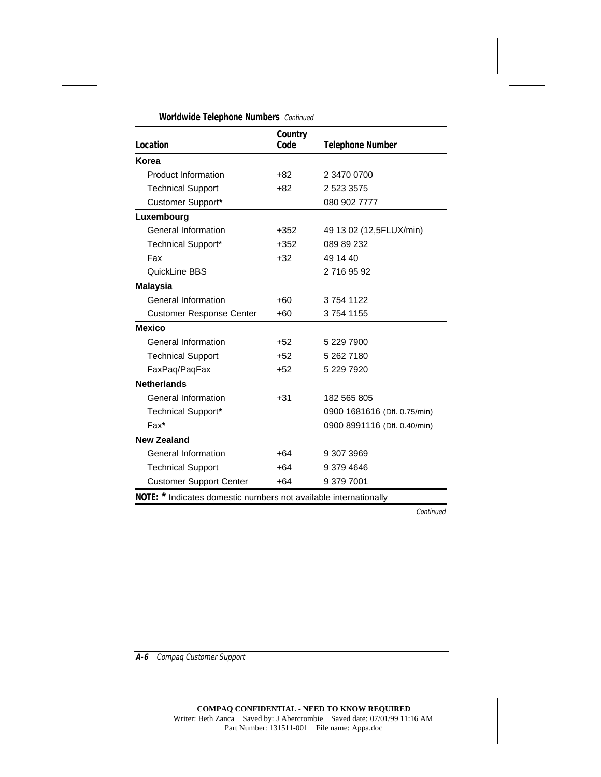| Location                        | Country<br>Code | <b>Telephone Number</b>      |
|---------------------------------|-----------------|------------------------------|
| Korea                           |                 |                              |
| Product Information             | $+82$           | 2 3470 0700                  |
| <b>Technical Support</b>        | $+82$           | 2 523 3575                   |
| Customer Support*               |                 | 080 902 7777                 |
| Luxembourg                      |                 |                              |
| General Information             | $+352$          | 49 13 02 (12,5FLUX/min)      |
| <b>Technical Support*</b>       | $+352$          | 089 89 232                   |
| Fax                             | $+32$           | 49 14 40                     |
| QuickLine BBS                   |                 | 27169592                     |
| <b>Malaysia</b>                 |                 |                              |
| General Information             | $+60$           | 37541122                     |
| <b>Customer Response Center</b> | $+60$           | 37541155                     |
| <b>Mexico</b>                   |                 |                              |
| General Information             | $+52$           | 5 229 7900                   |
| <b>Technical Support</b>        | $+52$           | 5 262 7180                   |
| FaxPaq/PaqFax                   | $+52$           | 5 229 7920                   |
| <b>Netherlands</b>              |                 |                              |
| <b>General Information</b>      | $+31$           | 182 565 805                  |
| <b>Technical Support*</b>       |                 | 0900 1681616 (Dfl. 0.75/min) |
| Fax*                            |                 | 0900 8991116 (Dfl. 0.40/min) |
| <b>New Zealand</b>              |                 |                              |
| General Information             | $+64$           | 9 307 3969                   |
| <b>Technical Support</b>        | $+64$           | 9 379 4646                   |
| <b>Customer Support Center</b>  | $+64$           | 9 379 7001                   |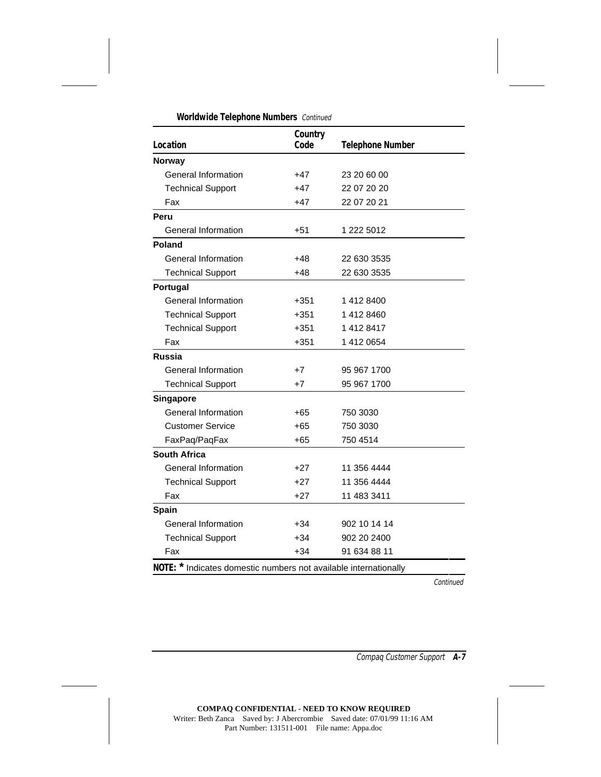| Location                                                         | Country<br>Code | <b>Telephone Number</b> |
|------------------------------------------------------------------|-----------------|-------------------------|
| <b>Norway</b>                                                    |                 |                         |
| General Information                                              | +47             | 23 20 60 00             |
| <b>Technical Support</b>                                         | $+47$           | 22 07 20 20             |
| Fax                                                              | +47             | 22 07 20 21             |
| Peru                                                             |                 |                         |
| General Information                                              | $+51$           | 1 222 5012              |
| Poland                                                           |                 |                         |
| General Information                                              | +48             | 22 630 3535             |
| <b>Technical Support</b>                                         | $+48$           | 22 630 3535             |
| Portugal                                                         |                 |                         |
| General Information                                              | $+351$          | 14128400                |
| <b>Technical Support</b>                                         | $+351$          | 1 412 8460              |
| <b>Technical Support</b>                                         | $+351$          | 14128417                |
| Fax                                                              | $+351$          | 1 412 0654              |
| <b>Russia</b>                                                    |                 |                         |
| General Information                                              | $+7$            | 95 967 1700             |
| <b>Technical Support</b>                                         | +7              | 95 967 1700             |
| <b>Singapore</b>                                                 |                 |                         |
| General Information                                              | +65             | 750 3030                |
| <b>Customer Service</b>                                          | $+65$           | 750 3030                |
| FaxPaq/PaqFax                                                    | $+65$           | 750 4514                |
| South Africa                                                     |                 |                         |
| General Information                                              | $+27$           | 11 356 4444             |
| <b>Technical Support</b>                                         | $+27$           | 11 356 4444             |
| Fax                                                              | $+27$           | 11 483 3411             |
| <b>Spain</b>                                                     |                 |                         |
| General Information                                              | $+34$           | 902 10 14 14            |
| <b>Technical Support</b>                                         | $+34$           | 902 20 2400             |
| Fax                                                              | $+34$           | 91 634 88 11            |
| NOTE: * Indicates domestic numbers not available internationally |                 |                         |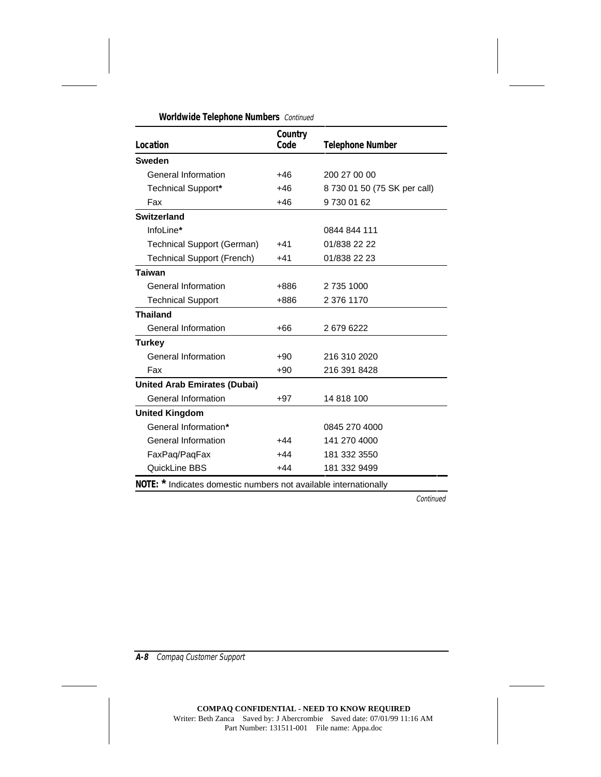| Location                            | Country<br>Code | <b>Telephone Number</b>      |
|-------------------------------------|-----------------|------------------------------|
| <b>Sweden</b>                       |                 |                              |
| General Information                 | +46             | 200 27 00 00                 |
| <b>Technical Support*</b>           | $+46$           | 8 730 01 50 (75 SK per call) |
| Fax                                 | $+46$           | 97300162                     |
| <b>Switzerland</b>                  |                 |                              |
| InfoLine*                           |                 | 0844 844 111                 |
| Technical Support (German)          | $+41$           | 01/838 22 22                 |
| <b>Technical Support (French)</b>   | $+41$           | 01/838 22 23                 |
| <b>Taiwan</b>                       |                 |                              |
| General Information                 | +886            | 2 735 1000                   |
| <b>Technical Support</b>            | +886            | 2 376 1170                   |
| <b>Thailand</b>                     |                 |                              |
| General Information                 | $+66$           | 26796222                     |
| <b>Turkey</b>                       |                 |                              |
| General Information                 | $+90$           | 216 310 2020                 |
| Fax                                 | $+90$           | 216 391 8428                 |
| <b>United Arab Emirates (Dubai)</b> |                 |                              |
| <b>General Information</b>          | $+97$           | 14 818 100                   |
| <b>United Kingdom</b>               |                 |                              |
| General Information*                |                 | 0845 270 4000                |
| General Information                 | +44             | 141 270 4000                 |
| FaxPaq/PaqFax                       | $+44$           | 181 332 3550                 |
| QuickLine BBS                       | $+44$           | 181 332 9499                 |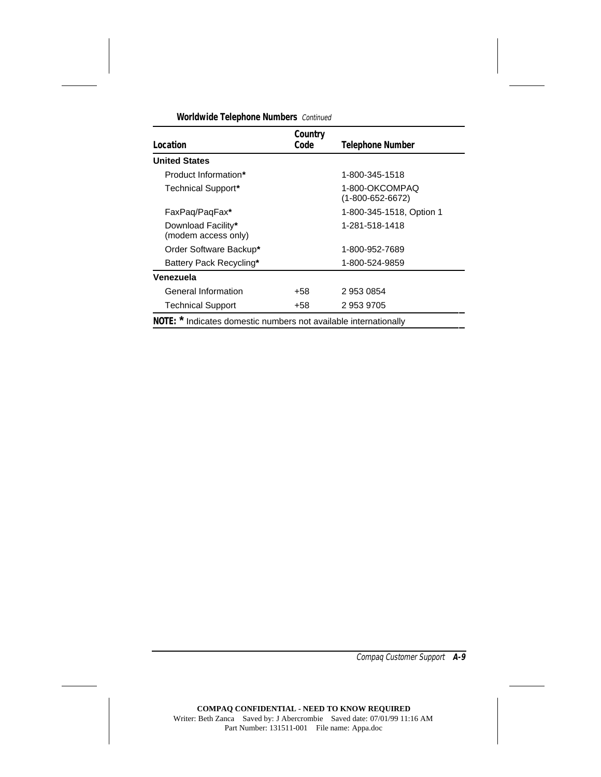| Location                                                         | Country<br>Code | <b>Telephone Number</b>                    |
|------------------------------------------------------------------|-----------------|--------------------------------------------|
| <b>United States</b>                                             |                 |                                            |
| Product Information*                                             |                 | 1-800-345-1518                             |
| Technical Support*                                               |                 | 1-800-OKCOMPAQ<br>$(1 - 800 - 652 - 6672)$ |
| FaxPaq/PaqFax*                                                   |                 | 1-800-345-1518, Option 1                   |
| Download Facility*<br>(modem access only)                        |                 | 1-281-518-1418                             |
| Order Software Backup*                                           |                 | 1-800-952-7689                             |
| Battery Pack Recycling*                                          |                 | 1-800-524-9859                             |
| Venezuela                                                        |                 |                                            |
| General Information                                              | +58             | 2 953 0854                                 |
| <b>Technical Support</b>                                         | +58             | 29539705                                   |
| NOTE: * Indicates domestic numbers not available internationally |                 |                                            |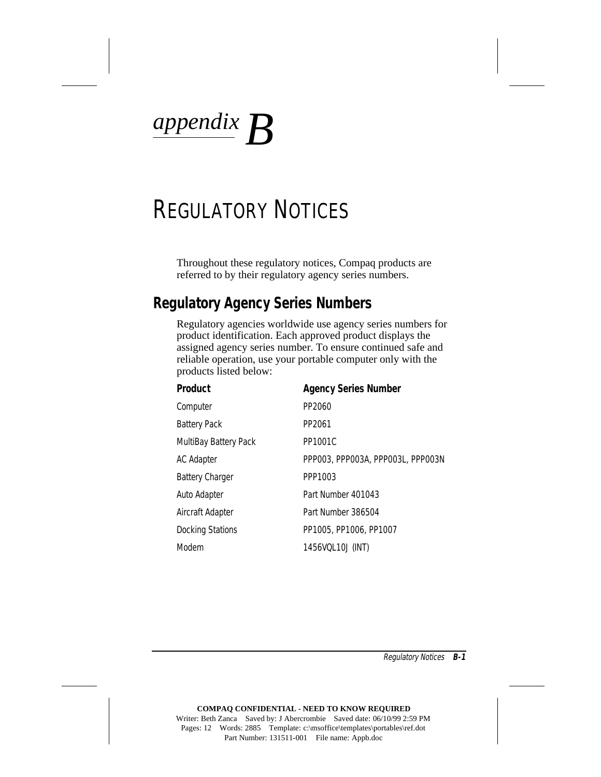*appendix B*

# REGULATORY NOTICES

Throughout these regulatory notices, Compaq products are referred to by their regulatory agency series numbers.

### **Regulatory Agency Series Numbers**

Regulatory agencies worldwide use agency series numbers for product identification. Each approved product displays the assigned agency series number. To ensure continued safe and reliable operation, use your portable computer only with the products listed below:

| <b>Product</b>               | <b>Agency Series Number</b>       |
|------------------------------|-----------------------------------|
| Computer                     | PP2060                            |
| <b>Battery Pack</b>          | PP2061                            |
| <b>MultiBay Battery Pack</b> | PP1001C                           |
| AC Adapter                   | PPP003, PPP003A, PPP003L, PPP003N |
| <b>Battery Charger</b>       | PPP1003                           |
| Auto Adapter                 | Part Number 401043                |
| Aircraft Adapter             | Part Number 386504                |
| <b>Docking Stations</b>      | PP1005, PP1006, PP1007            |
| Modem                        | 1456VQL10J (INT)                  |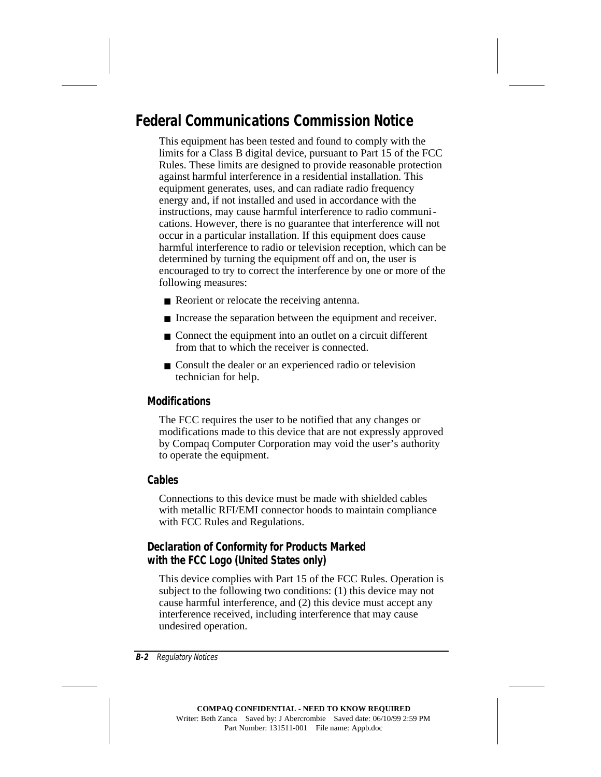### **Federal Communications Commission Notice**

This equipment has been tested and found to comply with the limits for a Class B digital device, pursuant to Part 15 of the FCC Rules. These limits are designed to provide reasonable protection against harmful interference in a residential installation. This equipment generates, uses, and can radiate radio frequency energy and, if not installed and used in accordance with the instructions, may cause harmful interference to radio communications. However, there is no guarantee that interference will not occur in a particular installation. If this equipment does cause harmful interference to radio or television reception, which can be determined by turning the equipment off and on, the user is encouraged to try to correct the interference by one or more of the following measures:

- Reorient or relocate the receiving antenna.
- Increase the separation between the equipment and receiver.
- Connect the equipment into an outlet on a circuit different from that to which the receiver is connected.
- Consult the dealer or an experienced radio or television technician for help.

#### **Modifications**

The FCC requires the user to be notified that any changes or modifications made to this device that are not expressly approved by Compaq Computer Corporation may void the user's authority to operate the equipment.

#### **Cables**

Connections to this device must be made with shielded cables with metallic RFI/EMI connector hoods to maintain compliance with FCC Rules and Regulations.

#### **Declaration of Conformity for Products Marked with the FCC Logo (United States only)**

This device complies with Part 15 of the FCC Rules. Operation is subject to the following two conditions: (1) this device may not cause harmful interference, and (2) this device must accept any interference received, including interference that may cause undesired operation.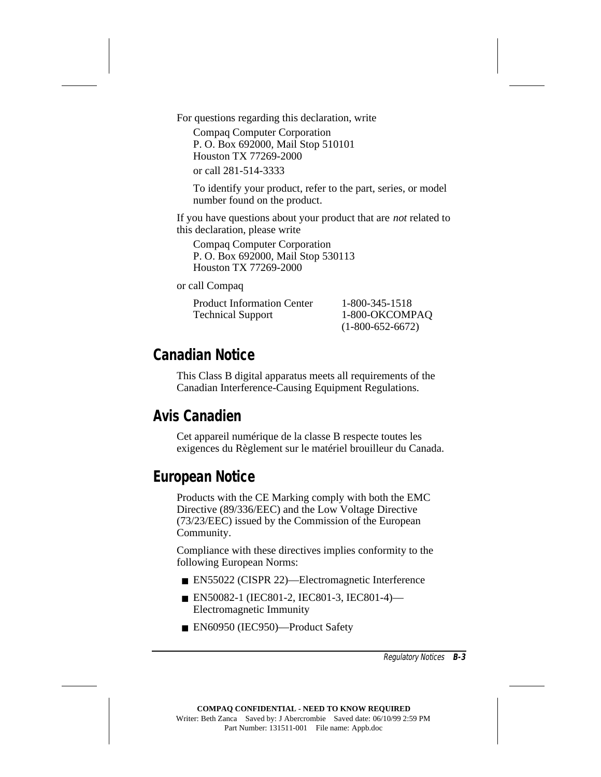For questions regarding this declaration, write

Compaq Computer Corporation P. O. Box 692000, Mail Stop 510101 Houston TX 77269-2000 or call 281-514-3333

To identify your product, refer to the part, series, or model number found on the product.

If you have questions about your product that are *not* related to this declaration, please write

Compaq Computer Corporation P. O. Box 692000, Mail Stop 530113 Houston TX 77269-2000

or call Compaq

Product Information Center 1-800-345-1518 Technical Support 1-800-OKCOMPAQ

(1-800-652-6672)

### **Canadian Notice**

This Class B digital apparatus meets all requirements of the Canadian Interference-Causing Equipment Regulations.

### **Avis Canadien**

Cet appareil numérique de la classe B respecte toutes les exigences du Règlement sur le matériel brouilleur du Canada.

### **European Notice**

Products with the CE Marking comply with both the EMC Directive (89/336/EEC) and the Low Voltage Directive (73/23/EEC) issued by the Commission of the European Community.

Compliance with these directives implies conformity to the following European Norms:

- EN55022 (CISPR 22)—Electromagnetic Interference
- EN50082-1 (IEC801-2, IEC801-3, IEC801-4)— Electromagnetic Immunity
- EN60950 (IEC950)—Product Safety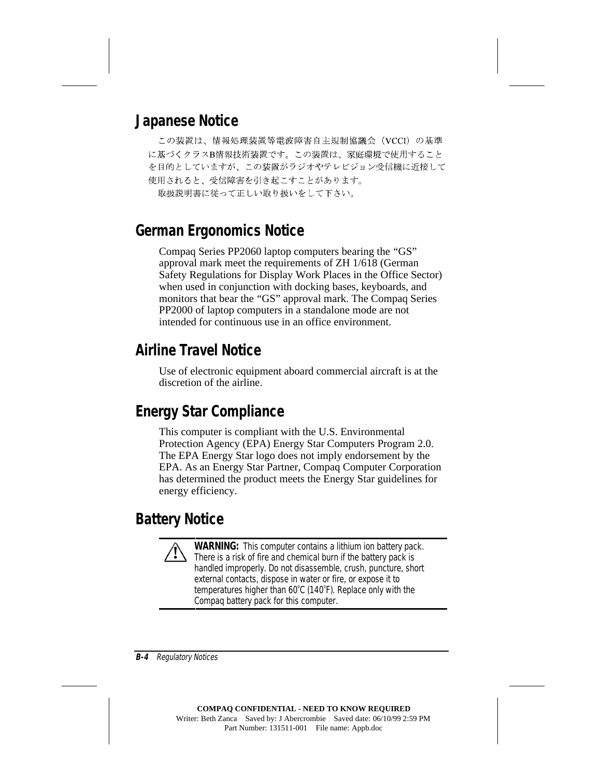### **Japanese Notice**

この装置は、情報処理装置等電波障害自主規制協議会 (VCCI) の基準 に基づくクラスB情報技術装置です。この装置は、家庭環境で使用すること を目的としていますが、この装置がラジオやテレビジョン受信機に近接して 使用されると、受信障害を引き起こすことがあります。 取扱説明書に従って正しい取り扱いをして下さい。

### **German Ergonomics Notice**

Compaq Series PP2060 laptop computers bearing the "GS" approval mark meet the requirements of ZH 1/618 (German Safety Regulations for Display Work Places in the Office Sector) when used in conjunction with docking bases, keyboards, and monitors that bear the "GS" approval mark. The Compaq Series PP2000 of laptop computers in a standalone mode are not intended for continuous use in an office environment.

### **Airline Travel Notice**

Use of electronic equipment aboard commercial aircraft is at the discretion of the airline.

### **Energy Star Compliance**

This computer is compliant with the U.S. Environmental Protection Agency (EPA) Energy Star Computers Program 2.0. The EPA Energy Star logo does not imply endorsement by the EPA. As an Energy Star Partner, Compaq Computer Corporation has determined the product meets the Energy Star guidelines for energy efficiency.

### **Battery Notice**

**! WARNING:** This computer contains a lithium ion battery pack. There is a risk of fire and chemical burn if the battery pack is handled improperly. Do not disassemble, crush, puncture, short external contacts, dispose in water or fire, or expose it to temperatures higher than 60°C (140°F). Replace only with the Compaq battery pack for this computer.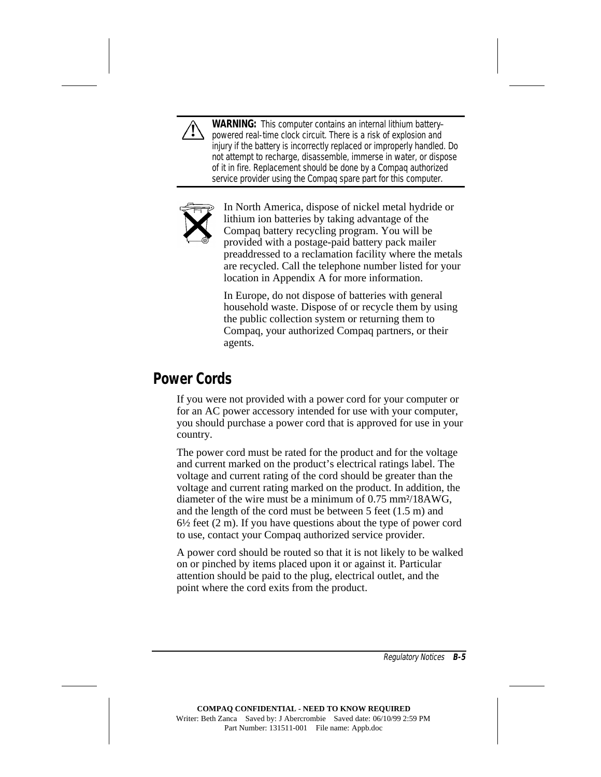

**! WARNING:** This computer contains an internal lithium battery– powered real-time clock circuit. There is a risk of explosion and injury if the battery is incorrectly replaced or improperly handled. Do not attempt to recharge, disassemble, immerse in water, or dispose of it in fire. Replacement should be done by a Compaq authorized service provider using the Compaq spare part for this computer.



In North America, dispose of nickel metal hydride or lithium ion batteries by taking advantage of the Compaq battery recycling program. You will be provided with a postage-paid battery pack mailer preaddressed to a reclamation facility where the metals are recycled. Call the telephone number listed for your location in Appendix A for more information.

In Europe, do not dispose of batteries with general household waste. Dispose of or recycle them by using the public collection system or returning them to Compaq, your authorized Compaq partners, or their agents.

### **Power Cords**

If you were not provided with a power cord for your computer or for an AC power accessory intended for use with your computer, you should purchase a power cord that is approved for use in your country.

The power cord must be rated for the product and for the voltage and current marked on the product's electrical ratings label. The voltage and current rating of the cord should be greater than the voltage and current rating marked on the product. In addition, the diameter of the wire must be a minimum of 0.75 mm<sup>2</sup>/18AWG. and the length of the cord must be between 5 feet (1.5 m) and  $6\frac{1}{2}$  feet (2 m). If you have questions about the type of power cord to use, contact your Compaq authorized service provider.

A power cord should be routed so that it is not likely to be walked on or pinched by items placed upon it or against it. Particular attention should be paid to the plug, electrical outlet, and the point where the cord exits from the product.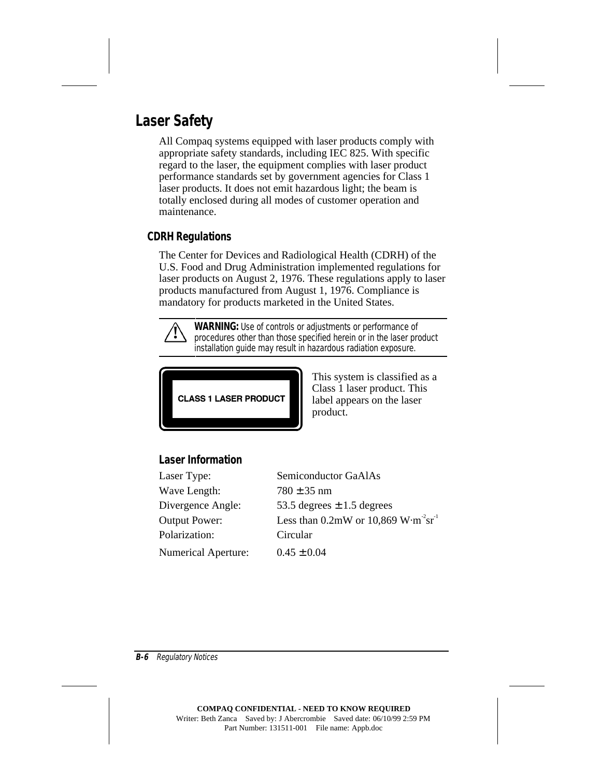### **Laser Safety**

All Compaq systems equipped with laser products comply with appropriate safety standards, including IEC 825. With specific regard to the laser, the equipment complies with laser product performance standards set by government agencies for Class 1 laser products. It does not emit hazardous light; the beam is totally enclosed during all modes of customer operation and maintenance.

#### **CDRH Regulations**

The Center for Devices and Radiological Health (CDRH) of the U.S. Food and Drug Administration implemented regulations for laser products on August 2, 1976. These regulations apply to laser products manufactured from August 1, 1976. Compliance is mandatory for products marketed in the United States.



**WARNING:** Use of controls or adjustments or performance of procedures other than those specified herein or in the laser product installation guide may result in hazardous radiation exposure.



This system is classified as a Class 1 laser product. This label appears on the laser product.

#### **Laser Information**

Wave Length:  $780 \pm 35$  nm Polarization: Circular Numerical Aperture:  $0.45 \pm 0.04$ 

Laser Type: Semiconductor GaAlAs Divergence Angle:  $53.5$  degrees  $\pm 1.5$  degrees Output Power: Less than  $0.2 \text{mW}$  or  $10,869 \text{ W} \cdot \text{m}^2 \text{sr}^1$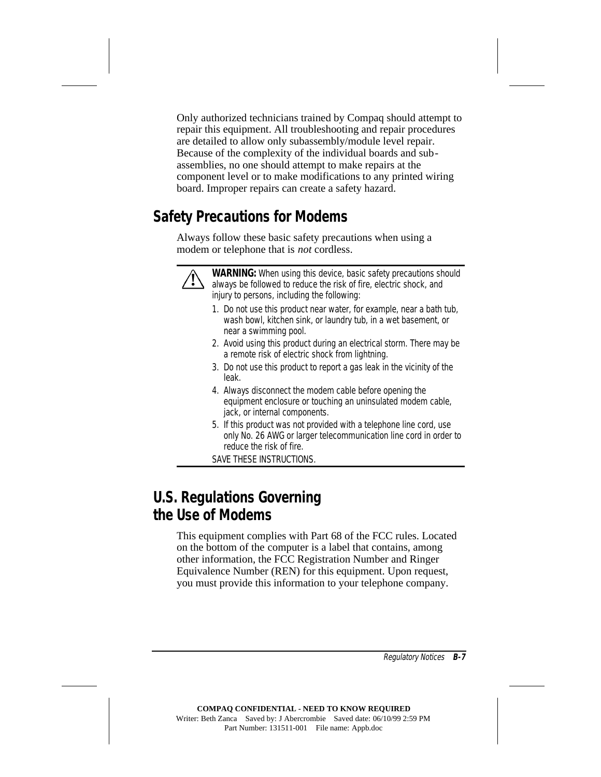Only authorized technicians trained by Compaq should attempt to repair this equipment. All troubleshooting and repair procedures are detailed to allow only subassembly/module level repair. Because of the complexity of the individual boards and subassemblies, no one should attempt to make repairs at the component level or to make modifications to any printed wiring board. Improper repairs can create a safety hazard.

### **Safety Precautions for Modems**

Always follow these basic safety precautions when using a modem or telephone that is *not* cordless.



**WARNING:** When using this device, basic safety precautions should always be followed to reduce the risk of fire, electric shock, and injury to persons, including the following:

- 1. Do not use this product near water, for example, near a bath tub, wash bowl, kitchen sink, or laundry tub, in a wet basement, or near a swimming pool.
- 2. Avoid using this product during an electrical storm. There may be a remote risk of electric shock from lightning.
- 3. Do not use this product to report a gas leak in the vicinity of the leak.
- 4. Always disconnect the modem cable before opening the equipment enclosure or touching an uninsulated modem cable, jack, or internal components.
- 5. If this product was not provided with a telephone line cord, use only No. 26 AWG or larger telecommunication line cord in order to reduce the risk of fire.

SAVE THESE INSTRUCTIONS.

### **U.S. Regulations Governing the Use of Modems**

This equipment complies with Part 68 of the FCC rules. Located on the bottom of the computer is a label that contains, among other information, the FCC Registration Number and Ringer Equivalence Number (REN) for this equipment. Upon request, you must provide this information to your telephone company.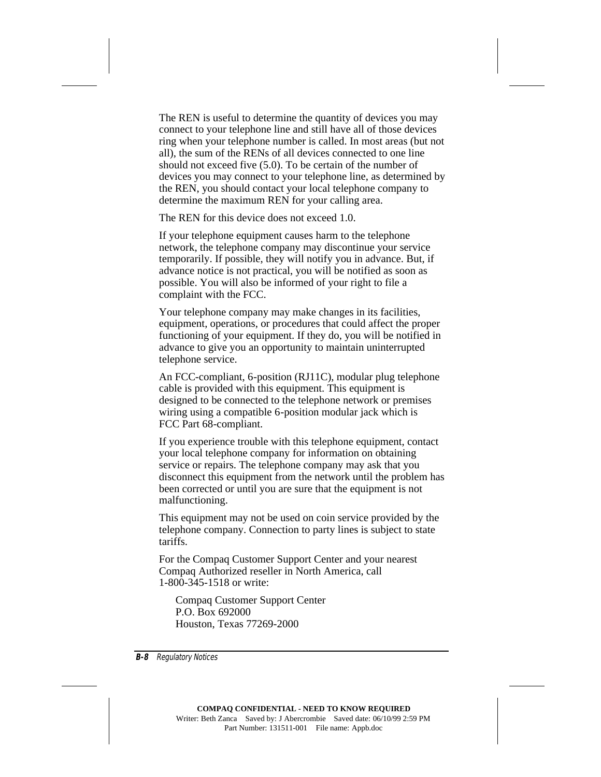The REN is useful to determine the quantity of devices you may connect to your telephone line and still have all of those devices ring when your telephone number is called. In most areas (but not all), the sum of the RENs of all devices connected to one line should not exceed five (5.0). To be certain of the number of devices you may connect to your telephone line, as determined by the REN, you should contact your local telephone company to determine the maximum REN for your calling area.

The REN for this device does not exceed 1.0.

If your telephone equipment causes harm to the telephone network, the telephone company may discontinue your service temporarily. If possible, they will notify you in advance. But, if advance notice is not practical, you will be notified as soon as possible. You will also be informed of your right to file a complaint with the FCC.

Your telephone company may make changes in its facilities, equipment, operations, or procedures that could affect the proper functioning of your equipment. If they do, you will be notified in advance to give you an opportunity to maintain uninterrupted telephone service.

An FCC-compliant, 6-position (RJ11C), modular plug telephone cable is provided with this equipment. This equipment is designed to be connected to the telephone network or premises wiring using a compatible 6-position modular jack which is FCC Part 68-compliant.

If you experience trouble with this telephone equipment, contact your local telephone company for information on obtaining service or repairs. The telephone company may ask that you disconnect this equipment from the network until the problem has been corrected or until you are sure that the equipment is not malfunctioning.

This equipment may not be used on coin service provided by the telephone company. Connection to party lines is subject to state tariffs.

For the Compaq Customer Support Center and your nearest Compaq Authorized reseller in North America, call 1-800-345-1518 or write:

Compaq Customer Support Center P.O. Box 692000 Houston, Texas 77269-2000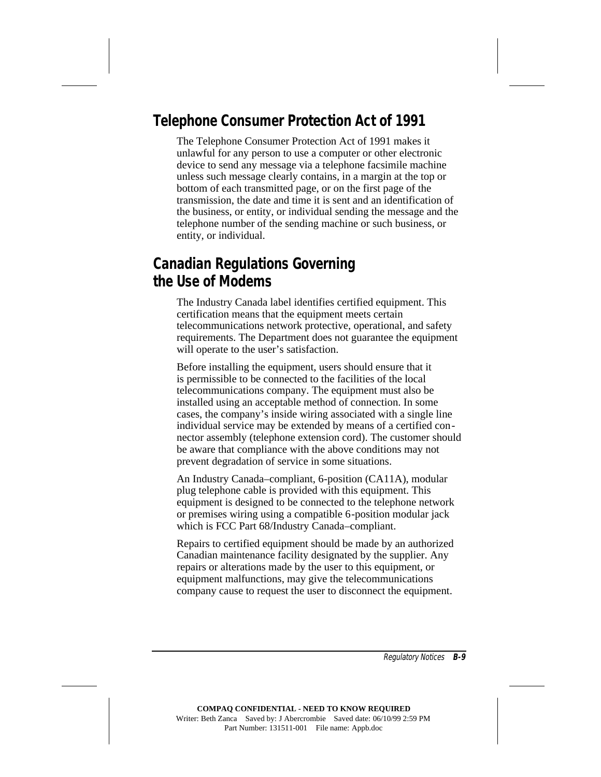### **Telephone Consumer Protection Act of 1991**

The Telephone Consumer Protection Act of 1991 makes it unlawful for any person to use a computer or other electronic device to send any message via a telephone facsimile machine unless such message clearly contains, in a margin at the top or bottom of each transmitted page, or on the first page of the transmission, the date and time it is sent and an identification of the business, or entity, or individual sending the message and the telephone number of the sending machine or such business, or entity, or individual.

### **Canadian Regulations Governing the Use of Modems**

The Industry Canada label identifies certified equipment. This certification means that the equipment meets certain telecommunications network protective, operational, and safety requirements. The Department does not guarantee the equipment will operate to the user's satisfaction.

Before installing the equipment, users should ensure that it is permissible to be connected to the facilities of the local telecommunications company. The equipment must also be installed using an acceptable method of connection. In some cases, the company's inside wiring associated with a single line individual service may be extended by means of a certified connector assembly (telephone extension cord). The customer should be aware that compliance with the above conditions may not prevent degradation of service in some situations.

An Industry Canada–compliant, 6-position (CA11A), modular plug telephone cable is provided with this equipment. This equipment is designed to be connected to the telephone network or premises wiring using a compatible 6-position modular jack which is FCC Part 68/Industry Canada–compliant.

Repairs to certified equipment should be made by an authorized Canadian maintenance facility designated by the supplier. Any repairs or alterations made by the user to this equipment, or equipment malfunctions, may give the telecommunications company cause to request the user to disconnect the equipment.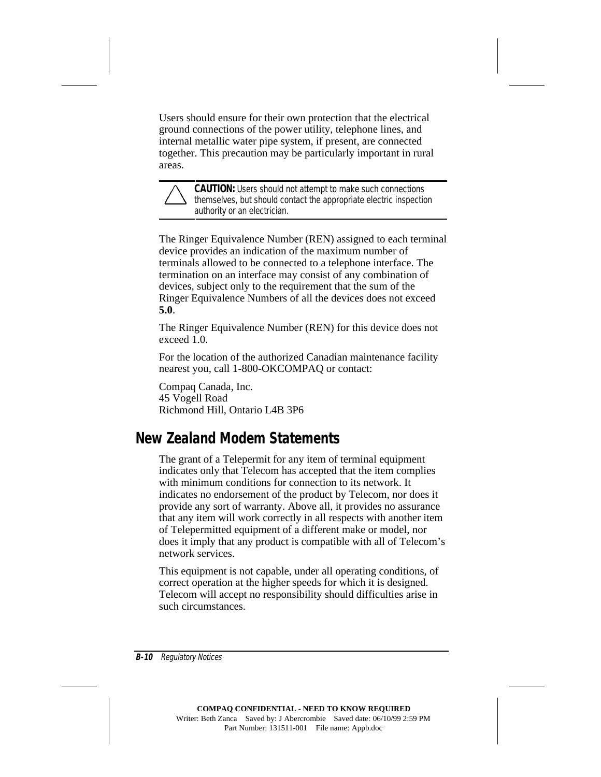Users should ensure for their own protection that the electrical ground connections of the power utility, telephone lines, and internal metallic water pipe system, if present, are connected together. This precaution may be particularly important in rural areas.



**CAUTION:** Users should not attempt to make such connections themselves, but should contact the appropriate electric inspection authority or an electrician.

The Ringer Equivalence Number (REN) assigned to each terminal device provides an indication of the maximum number of terminals allowed to be connected to a telephone interface. The termination on an interface may consist of any combination of devices, subject only to the requirement that the sum of the Ringer Equivalence Numbers of all the devices does not exceed **5.0**.

The Ringer Equivalence Number (REN) for this device does not exceed 1.0

For the location of the authorized Canadian maintenance facility nearest you, call 1-800-OKCOMPAQ or contact:

Compaq Canada, Inc. 45 Vogell Road Richmond Hill, Ontario L4B 3P6

### **New Zealand Modem Statements**

The grant of a Telepermit for any item of terminal equipment indicates only that Telecom has accepted that the item complies with minimum conditions for connection to its network. It indicates no endorsement of the product by Telecom, nor does it provide any sort of warranty. Above all, it provides no assurance that any item will work correctly in all respects with another item of Telepermitted equipment of a different make or model, nor does it imply that any product is compatible with all of Telecom's network services.

This equipment is not capable, under all operating conditions, of correct operation at the higher speeds for which it is designed. Telecom will accept no responsibility should difficulties arise in such circumstances.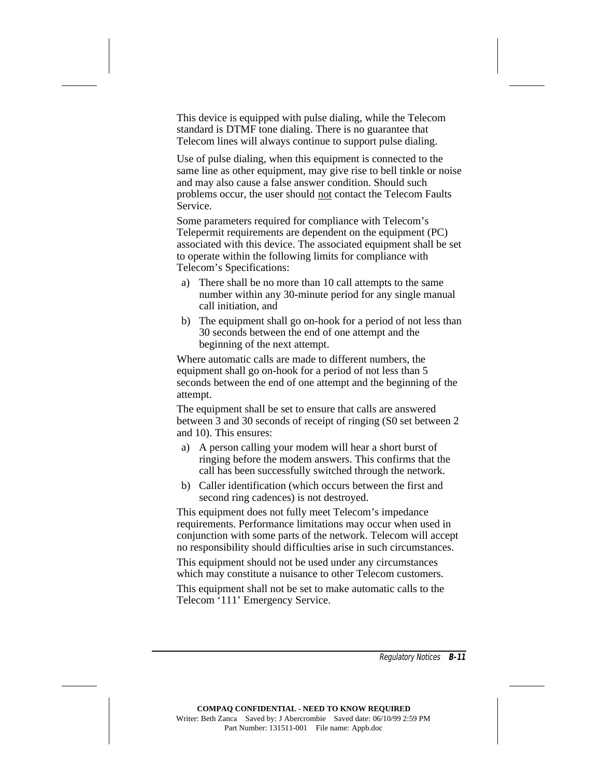This device is equipped with pulse dialing, while the Telecom standard is DTMF tone dialing. There is no guarantee that Telecom lines will always continue to support pulse dialing.

Use of pulse dialing, when this equipment is connected to the same line as other equipment, may give rise to bell tinkle or noise and may also cause a false answer condition. Should such problems occur, the user should not contact the Telecom Faults Service.

Some parameters required for compliance with Telecom's Telepermit requirements are dependent on the equipment (PC) associated with this device. The associated equipment shall be set to operate within the following limits for compliance with Telecom's Specifications:

- a) There shall be no more than 10 call attempts to the same number within any 30-minute period for any single manual call initiation, and
- b) The equipment shall go on-hook for a period of not less than 30 seconds between the end of one attempt and the beginning of the next attempt.

Where automatic calls are made to different numbers, the equipment shall go on-hook for a period of not less than 5 seconds between the end of one attempt and the beginning of the attempt.

The equipment shall be set to ensure that calls are answered between 3 and 30 seconds of receipt of ringing (S0 set between 2 and 10). This ensures:

- a) A person calling your modem will hear a short burst of ringing before the modem answers. This confirms that the call has been successfully switched through the network.
- b) Caller identification (which occurs between the first and second ring cadences) is not destroyed.

This equipment does not fully meet Telecom's impedance requirements. Performance limitations may occur when used in conjunction with some parts of the network. Telecom will accept no responsibility should difficulties arise in such circumstances.

This equipment should not be used under any circumstances which may constitute a nuisance to other Telecom customers.

This equipment shall not be set to make automatic calls to the Telecom '111' Emergency Service.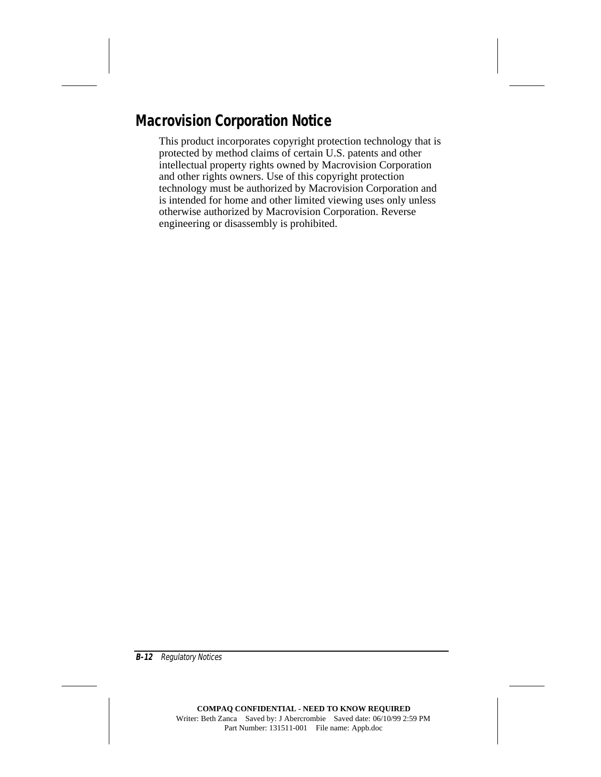### **Macrovision Corporation Notice**

This product incorporates copyright protection technology that is protected by method claims of certain U.S. patents and other intellectual property rights owned by Macrovision Corporation and other rights owners. Use of this copyright protection technology must be authorized by Macrovision Corporation and is intended for home and other limited viewing uses only unless otherwise authorized by Macrovision Corporation. Reverse engineering or disassembly is prohibited.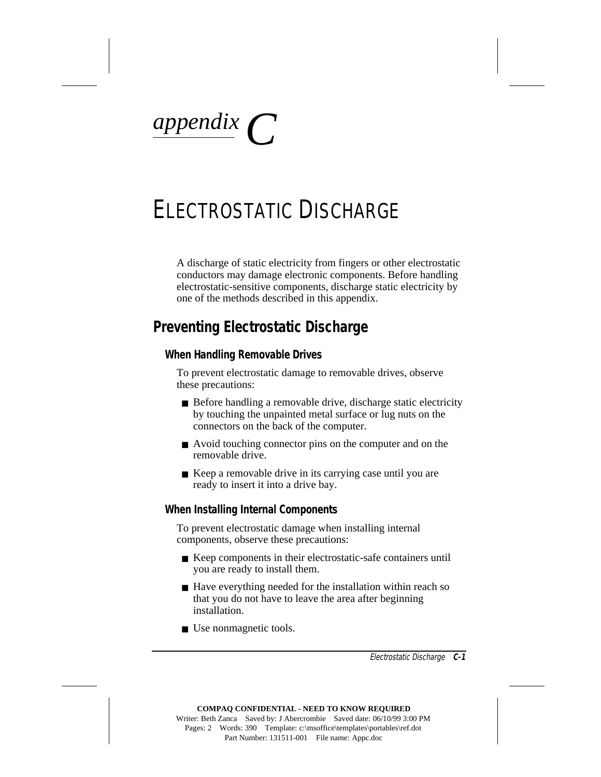*appendix C*

# ELECTROSTATIC DISCHARGE

A discharge of static electricity from fingers or other electrostatic conductors may damage electronic components. Before handling electrostatic-sensitive components, discharge static electricity by one of the methods described in this appendix.

### **Preventing Electrostatic Discharge**

#### **When Handling Removable Drives**

To prevent electrostatic damage to removable drives, observe these precautions:

- Before handling a removable drive, discharge static electricity by touching the unpainted metal surface or lug nuts on the connectors on the back of the computer.
- Avoid touching connector pins on the computer and on the removable drive.
- Keep a removable drive in its carrying case until you are ready to insert it into a drive bay.

#### **When Installing Internal Components**

To prevent electrostatic damage when installing internal components, observe these precautions:

- Keep components in their electrostatic-safe containers until you are ready to install them.
- Have everything needed for the installation within reach so that you do not have to leave the area after beginning installation.
- Use nonmagnetic tools.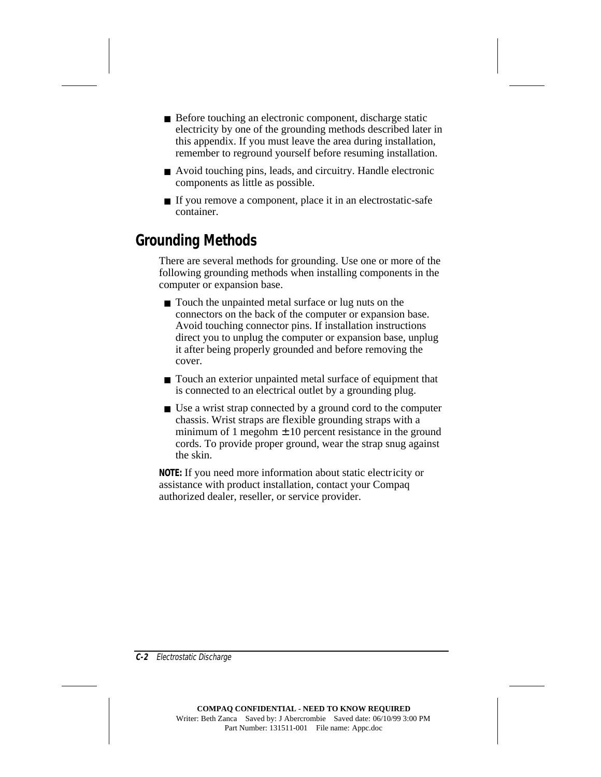- Before touching an electronic component, discharge static electricity by one of the grounding methods described later in this appendix. If you must leave the area during installation, remember to reground yourself before resuming installation.
- Avoid touching pins, leads, and circuitry. Handle electronic components as little as possible.
- If you remove a component, place it in an electrostatic-safe container.

### **Grounding Methods**

There are several methods for grounding. Use one or more of the following grounding methods when installing components in the computer or expansion base.

- Touch the unpainted metal surface or lug nuts on the connectors on the back of the computer or expansion base. Avoid touching connector pins. If installation instructions direct you to unplug the computer or expansion base, unplug it after being properly grounded and before removing the cover.
- Touch an exterior unpainted metal surface of equipment that is connected to an electrical outlet by a grounding plug.
- Use a wrist strap connected by a ground cord to the computer chassis. Wrist straps are flexible grounding straps with a minimum of 1 megohm  $\pm$  10 percent resistance in the ground cords. To provide proper ground, wear the strap snug against the skin.

**NOTE:** If you need more information about static electricity or assistance with product installation, contact your Compaq authorized dealer, reseller, or service provider.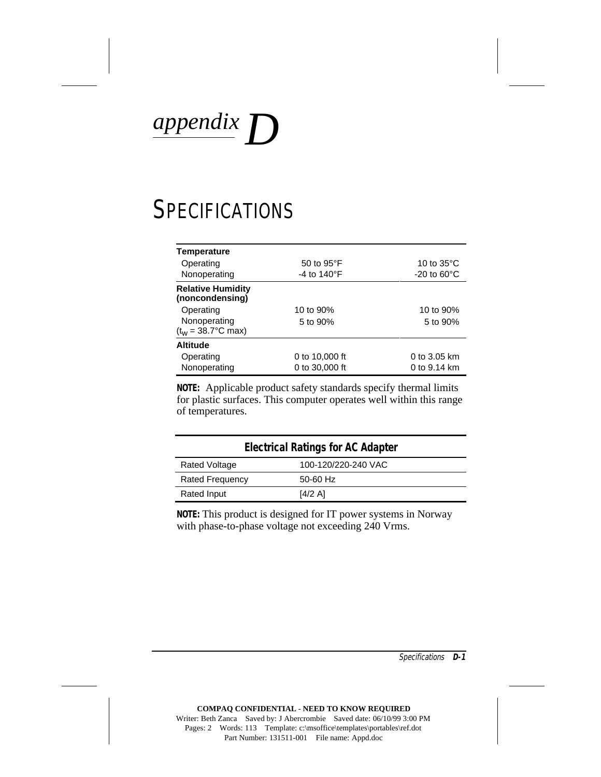*appendix D*

# **SPECIFICATIONS**

| <b>Temperature</b>                          |                                |                         |
|---------------------------------------------|--------------------------------|-------------------------|
| Operating                                   | 50 to 95°F                     | 10 to $35^{\circ}$ C    |
| Nonoperating                                | -4 to 140 $\mathrm{^{\circ}F}$ | $-20$ to $60^{\circ}$ C |
| <b>Relative Humidity</b><br>(noncondensing) |                                |                         |
| Operating                                   | 10 to 90%                      | 10 to 90%               |
| Nonoperating                                | 5 to 90%                       | 5 to 90%                |
| $(t_w = 38.7^{\circ}C \text{ max})$         |                                |                         |
| <b>Altitude</b>                             |                                |                         |
| Operating                                   | 0 to 10,000 ft                 | $0$ to 3.05 km          |
| Nonoperating                                | 0 to 30,000 ft                 | 0 to 9.14 km            |

**NOTE:** Applicable product safety standards specify thermal limits for plastic surfaces. This computer operates well within this range of temperatures.

| <b>Electrical Ratings for AC Adapter</b> |                     |  |
|------------------------------------------|---------------------|--|
| <b>Rated Voltage</b>                     | 100-120/220-240 VAC |  |
| <b>Rated Frequency</b>                   | 50-60 Hz            |  |
| Rated Input                              | [4/2 A]             |  |

**NOTE:** This product is designed for IT power systems in Norway with phase-to-phase voltage not exceeding 240 Vrms.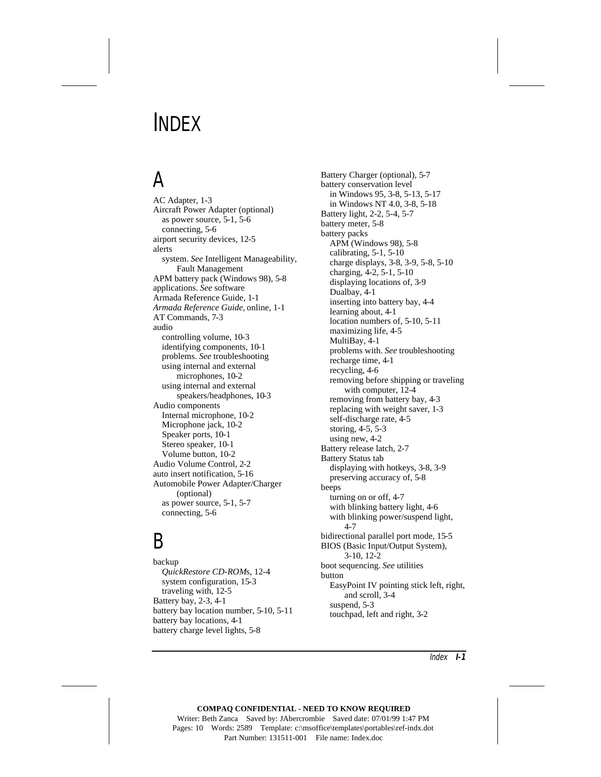# INDEX

# A

AC Adapter, 1-3 Aircraft Power Adapter (optional) as power source, 5-1, 5-6 connecting, 5-6 airport security devices, 12-5 alerts system. *See* Intelligent Manageability, Fault Management APM battery pack (Windows 98), 5-8 applications. *See* software Armada Reference Guide, 1-1 *Armada Reference Guide,* online, 1-1 AT Commands, 7-3 audio controlling volume, 10-3 identifying components, 10-1 problems. *See* troubleshooting using internal and external microphones, 10-2 using internal and external speakers/headphones, 10-3 Audio components Internal microphone, 10-2 Microphone jack, 10-2 Speaker ports, 10-1 Stereo speaker, 10-1 Volume button, 10-2 Audio Volume Control, 2-2 auto insert notification, 5-16 Automobile Power Adapter/Charger (optional) as power source, 5-1, 5-7 connecting, 5-6

## $\mathsf B$

backup *QuickRestore CD-ROM*s, 12-4 system configuration, 15-3 traveling with, 12-5 Battery bay, 2-3, 4-1 battery bay location number, 5-10, 5-11 battery bay locations, 4-1 battery charge level lights, 5-8

Battery Charger (optional), 5-7 battery conservation level in Windows 95, 3-8, 5-13, 5-17 in Windows NT 4.0, 3-8, 5-18 Battery light, 2-2, 5-4, 5-7 battery meter, 5-8 battery packs APM (Windows 98), 5-8 calibrating, 5-1, 5-10 charge displays, 3-8, 3-9, 5-8, 5-10 charging, 4-2, 5-1, 5-10 displaying locations of, 3-9 Dualbay, 4-1 inserting into battery bay, 4-4 learning about, 4-1 location numbers of, 5-10, 5-11 maximizing life, 4-5 MultiBay, 4-1 problems with. *See* troubleshooting recharge time, 4-1 recycling, 4-6 removing before shipping or traveling with computer, 12-4 removing from battery bay, 4-3 replacing with weight saver, 1-3 self-discharge rate, 4-5 storing, 4-5, 5-3 using new, 4-2 Battery release latch, 2-7 Battery Status tab displaying with hotkeys, 3-8, 3-9 preserving accuracy of, 5-8 beeps turning on or off, 4-7 with blinking battery light, 4-6 with blinking power/suspend light, 4-7 bidirectional parallel port mode, 15-5 BIOS (Basic Input/Output System), 3-10, 12-2 boot sequencing. *See* utilities button EasyPoint IV pointing stick left, right, and scroll, 3-4 suspend, 5-3 touchpad, left and right, 3-2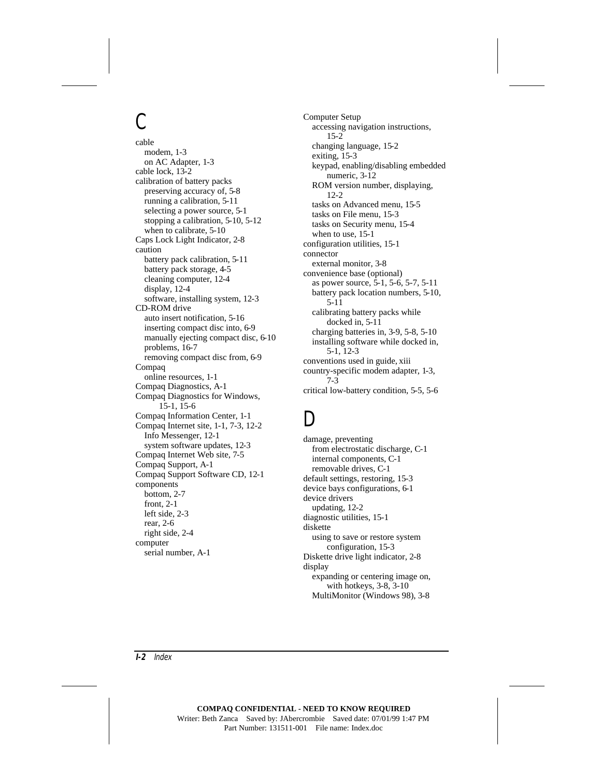## $\mathcal{C}$

cable modem, 1-3 on AC Adapter, 1-3 cable lock, 13-2 calibration of battery packs preserving accuracy of, 5-8 running a calibration, 5-11 selecting a power source, 5-1 stopping a calibration, 5-10, 5-12 when to calibrate, 5-10 Caps Lock Light Indicator, 2-8 caution battery pack calibration, 5-11 battery pack storage, 4-5 cleaning computer, 12-4 display, 12-4 software, installing system, 12-3 CD-ROM drive auto insert notification, 5-16 inserting compact disc into, 6-9 manually ejecting compact disc, 6-10 problems, 16-7 removing compact disc from, 6-9 Compaq online resources, 1-1 Compaq Diagnostics, A-1 Compaq Diagnostics for Windows, 15-1, 15-6 Compaq Information Center, 1-1 Compaq Internet site, 1-1, 7-3, 12-2 Info Messenger, 12-1 system software updates, 12-3 Compaq Internet Web site, 7-5 Compaq Support, A-1 Compaq Support Software CD, 12-1 components bottom, 2-7 front, 2-1 left side, 2-3 rear, 2-6 right side, 2-4 computer serial number, A-1

Computer Setup accessing navigation instructions, 15-2 changing language, 15-2 exiting, 15-3 keypad, enabling/disabling embedded numeric, 3-12 ROM version number, displaying, 12-2 tasks on Advanced menu, 15-5 tasks on File menu, 15-3 tasks on Security menu, 15-4 when to use, 15-1 configuration utilities, 15-1 connector external monitor, 3-8 convenience base (optional) as power source, 5-1, 5-6, 5-7, 5-11 battery pack location numbers, 5-10, 5-11 calibrating battery packs while docked in, 5-11 charging batteries in, 3-9, 5-8, 5-10 installing software while docked in, 5-1, 12-3 conventions used in guide, xiii country-specific modem adapter, 1-3, 7-3 critical low-battery condition, 5-5, 5-6

## D

damage, preventing from electrostatic discharge, C-1 internal components, C-1 removable drives, C-1 default settings, restoring, 15-3 device bays configurations, 6-1 device drivers updating, 12-2 diagnostic utilities, 15-1 diskette using to save or restore system configuration, 15-3 Diskette drive light indicator, 2-8 display expanding or centering image on, with hotkeys, 3-8, 3-10 MultiMonitor (Windows 98), 3-8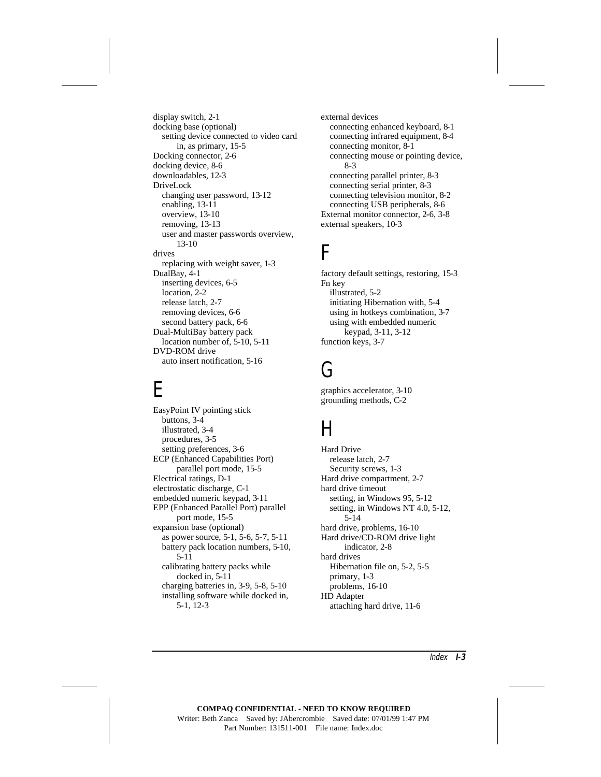display switch, 2-1 docking base (optional) setting device connected to video card in, as primary, 15-5 Docking connector, 2-6 docking device, 8-6 downloadables, 12-3 DriveLock changing user password, 13-12 enabling, 13-11 overview, 13-10 removing, 13-13 user and master passwords overview, 13-10 drives replacing with weight saver, 1-3 DualBay, 4-1 inserting devices, 6-5 location, 2-2 release latch, 2-7 removing devices, 6-6 second battery pack, 6-6 Dual-MultiBay battery pack location number of, 5-10, 5-11 DVD-ROM drive auto insert notification, 5-16

## E

EasyPoint IV pointing stick buttons, 3-4 illustrated, 3-4 procedures, 3-5 setting preferences, 3-6 ECP (Enhanced Capabilities Port) parallel port mode, 15-5 Electrical ratings, D-1 electrostatic discharge, C-1 embedded numeric keypad, 3-11 EPP (Enhanced Parallel Port) parallel port mode, 15-5 expansion base (optional) as power source, 5-1, 5-6, 5-7, 5-11 battery pack location numbers, 5-10, 5-11 calibrating battery packs while docked in, 5-11 charging batteries in, 3-9, 5-8, 5-10 installing software while docked in, 5-1, 12-3

external devices connecting enhanced keyboard, 8-1 connecting infrared equipment, 8-4 connecting monitor, 8-1 connecting mouse or pointing device, 8-3 connecting parallel printer, 8-3 connecting serial printer, 8-3 connecting television monitor, 8-2 connecting USB peripherals, 8-6 External monitor connector, 2-6, 3-8 external speakers, 10-3

## F

factory default settings, restoring, 15-3 Fn key illustrated, 5-2 initiating Hibernation with, 5-4 using in hotkeys combination, 3-7 using with embedded numeric keypad, 3-11, 3-12 function keys, 3-7

## G

graphics accelerator, 3-10 grounding methods, C-2

## H

Hard Drive release latch, 2-7 Security screws, 1-3 Hard drive compartment, 2-7 hard drive timeout setting, in Windows 95, 5-12 setting, in Windows NT 4.0, 5-12, 5-14 hard drive, problems, 16-10 Hard drive/CD-ROM drive light indicator, 2-8 hard drives Hibernation file on, 5-2, 5-5 primary, 1-3 problems, 16-10 HD Adapter attaching hard drive, 11-6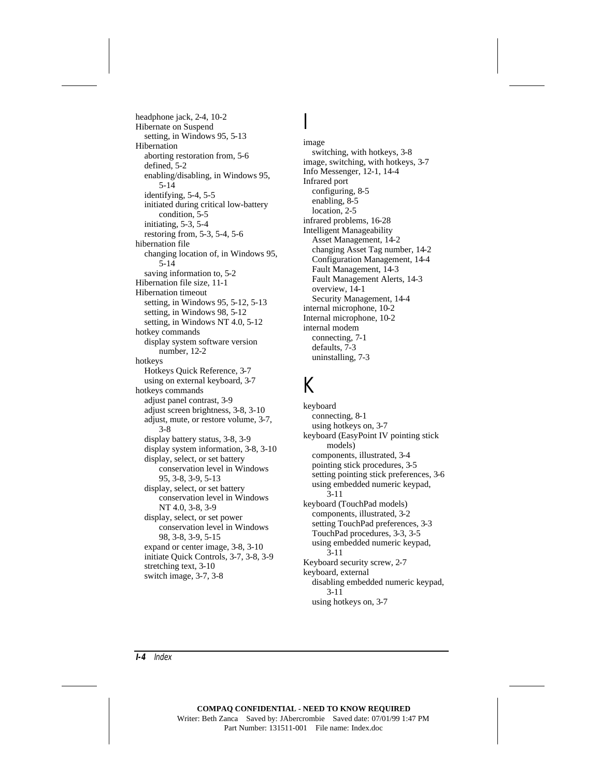headphone jack, 2-4, 10-2 Hibernate on Suspend setting, in Windows 95, 5-13 Hibernation aborting restoration from, 5-6 defined, 5-2 enabling/disabling, in Windows 95, 5-14 identifying, 5-4, 5-5 initiated during critical low-battery condition, 5-5 initiating, 5-3, 5-4 restoring from, 5-3, 5-4, 5-6 hibernation file changing location of, in Windows 95, 5-14 saving information to, 5-2 Hibernation file size, 11-1 Hibernation timeout setting, in Windows 95, 5-12, 5-13 setting, in Windows 98, 5-12 setting, in Windows NT 4.0, 5-12 hotkey commands display system software version number, 12-2 hotkeys Hotkeys Quick Reference, 3-7 using on external keyboard, 3-7 hotkeys commands adjust panel contrast, 3-9 adjust screen brightness, 3-8, 3-10 adjust, mute, or restore volume, 3-7, 3-8 display battery status, 3-8, 3-9 display system information, 3-8, 3-10 display, select, or set battery conservation level in Windows 95, 3-8, 3-9, 5-13 display, select, or set battery conservation level in Windows NT 4.0, 3-8, 3-9 display, select, or set power conservation level in Windows 98, 3-8, 3-9, 5-15 expand or center image, 3-8, 3-10 initiate Quick Controls, 3-7, 3-8, 3-9 stretching text, 3-10 switch image, 3-7, 3-8

I image switching, with hotkeys, 3-8 image, switching, with hotkeys, 3-7 Info Messenger, 12-1, 14-4 Infrared port configuring, 8-5 enabling, 8-5 location, 2-5 infrared problems, 16-28 Intelligent Manageability Asset Management, 14-2 changing Asset Tag number, 14-2 Configuration Management, 14-4 Fault Management, 14-3 Fault Management Alerts, 14-3 overview, 14-1 Security Management, 14-4 internal microphone, 10-2 Internal microphone, 10-2 internal modem connecting, 7-1 defaults, 7-3 uninstalling, 7-3

### K

keyboard connecting, 8-1 using hotkeys on, 3-7 keyboard (EasyPoint IV pointing stick models) components, illustrated, 3-4 pointing stick procedures, 3-5 setting pointing stick preferences, 3-6 using embedded numeric keypad, 3-11 keyboard (TouchPad models) components, illustrated, 3-2 setting TouchPad preferences, 3-3 TouchPad procedures, 3-3, 3-5 using embedded numeric keypad, 3-11 Keyboard security screw, 2-7 keyboard, external disabling embedded numeric keypad, 3-11 using hotkeys on, 3-7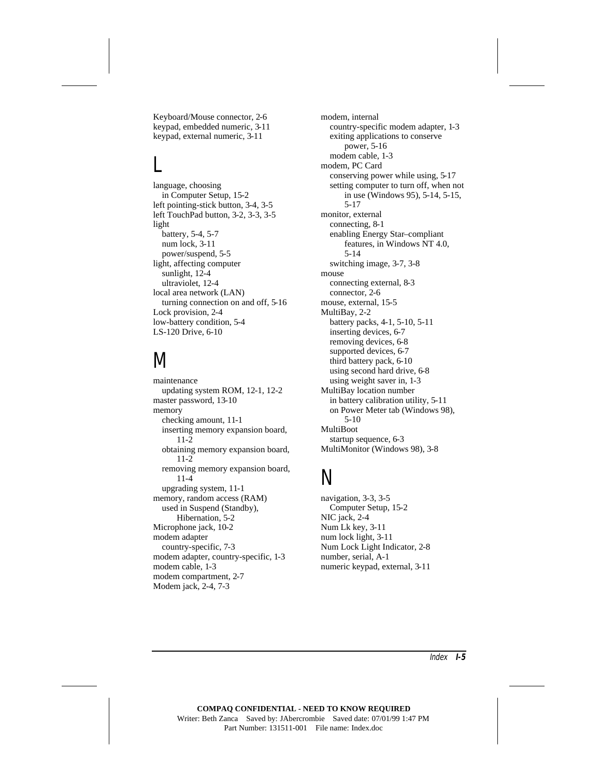Keyboard/Mouse connector, 2-6 keypad, embedded numeric, 3-11 keypad, external numeric, 3-11

## L

language, choosing in Computer Setup, 15-2 left pointing-stick button, 3-4, 3-5 left TouchPad button, 3-2, 3-3, 3-5 light battery, 5-4, 5-7 num lock, 3-11 power/suspend, 5-5 light, affecting computer sunlight, 12-4 ultraviolet, 12-4 local area network (LAN) turning connection on and off, 5-16 Lock provision, 2-4 low-battery condition, 5-4 LS-120 Drive, 6-10

## M

maintenance updating system ROM, 12-1, 12-2 master password, 13-10 memory checking amount, 11-1 inserting memory expansion board, 11-2 obtaining memory expansion board, 11-2 removing memory expansion board, 11-4 upgrading system, 11-1 memory, random access (RAM) used in Suspend (Standby), Hibernation, 5-2 Microphone jack, 10-2 modem adapter country-specific, 7-3 modem adapter, country-specific, 1-3 modem cable, 1-3 modem compartment, 2-7 Modem jack, 2-4, 7-3

modem, internal country-specific modem adapter, 1-3 exiting applications to conserve power, 5-16 modem cable, 1-3 modem, PC Card conserving power while using, 5-17 setting computer to turn off, when not in use (Windows 95), 5-14, 5-15, 5-17 monitor, external connecting, 8-1 enabling Energy Star–compliant features, in Windows NT 4.0, 5-14 switching image, 3-7, 3-8 mouse connecting external, 8-3 connector, 2-6 mouse, external, 15-5 MultiBay, 2-2 battery packs, 4-1, 5-10, 5-11 inserting devices, 6-7 removing devices, 6-8 supported devices, 6-7 third battery pack, 6-10 using second hard drive, 6-8 using weight saver in, 1-3 MultiBay location number in battery calibration utility, 5-11 on Power Meter tab (Windows 98), 5-10 MultiBoot startup sequence, 6-3 MultiMonitor (Windows 98), 3-8

## N

navigation, 3-3, 3-5 Computer Setup, 15-2 NIC jack, 2-4 Num Lk key, 3-11 num lock light, 3-11 Num Lock Light Indicator, 2-8 number, serial, A-1 numeric keypad, external, 3-11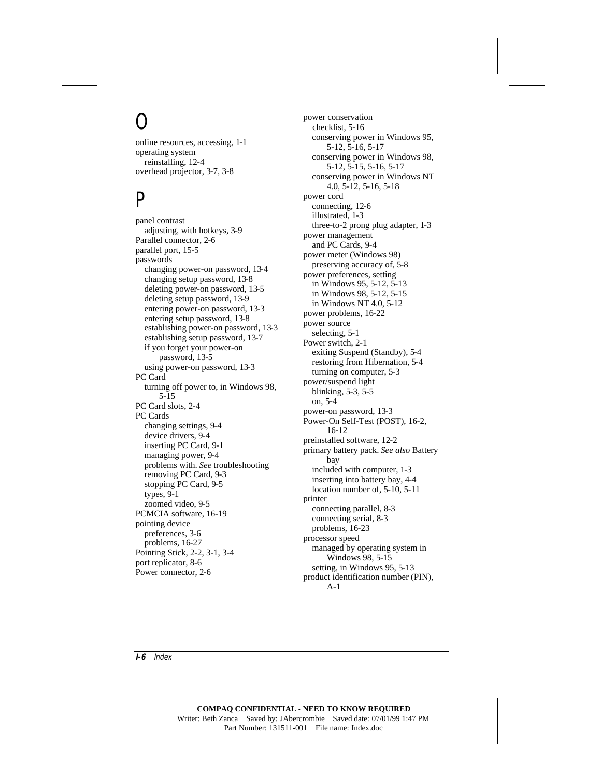# $\overline{O}$

online resources, accessing, 1-1 operating system reinstalling, 12-4 overhead projector, 3-7, 3-8

## P

panel contrast adjusting, with hotkeys, 3-9 Parallel connector, 2-6 parallel port, 15-5 passwords changing power-on password, 13-4 changing setup password, 13-8 deleting power-on password, 13-5 deleting setup password, 13-9 entering power-on password, 13-3 entering setup password, 13-8 establishing power-on password, 13-3 establishing setup password, 13-7 if you forget your power-on password, 13-5 using power-on password, 13-3 PC Card turning off power to, in Windows 98, 5-15 PC Card slots, 2-4 PC Cards changing settings, 9-4 device drivers, 9-4 inserting PC Card, 9-1 managing power, 9-4 problems with. *See* troubleshooting removing PC Card, 9-3 stopping PC Card, 9-5 types, 9-1 zoomed video, 9-5 PCMCIA software, 16-19 pointing device preferences, 3-6 problems, 16-27 Pointing Stick, 2-2, 3-1, 3-4 port replicator, 8-6 Power connector, 2-6

power conservation checklist, 5-16 conserving power in Windows 95, 5-12, 5-16, 5-17 conserving power in Windows 98, 5-12, 5-15, 5-16, 5-17 conserving power in Windows NT 4.0, 5-12, 5-16, 5-18 power cord connecting, 12-6 illustrated, 1-3 three-to-2 prong plug adapter, 1-3 power management and PC Cards, 9-4 power meter (Windows 98) preserving accuracy of, 5-8 power preferences, setting in Windows 95, 5-12, 5-13 in Windows 98, 5-12, 5-15 in Windows NT 4.0, 5-12 power problems, 16-22 power source selecting, 5-1 Power switch, 2-1 exiting Suspend (Standby), 5-4 restoring from Hibernation, 5-4 turning on computer, 5-3 power/suspend light blinking, 5-3, 5-5 on, 5-4 power-on password, 13-3 Power-On Self-Test (POST), 16-2, 16-12 preinstalled software, 12-2 primary battery pack. *See also* Battery bay included with computer, 1-3 inserting into battery bay, 4-4 location number of, 5-10, 5-11 printer connecting parallel, 8-3 connecting serial, 8-3 problems, 16-23 processor speed managed by operating system in Windows 98, 5-15 setting, in Windows 95, 5-13 product identification number (PIN), A-1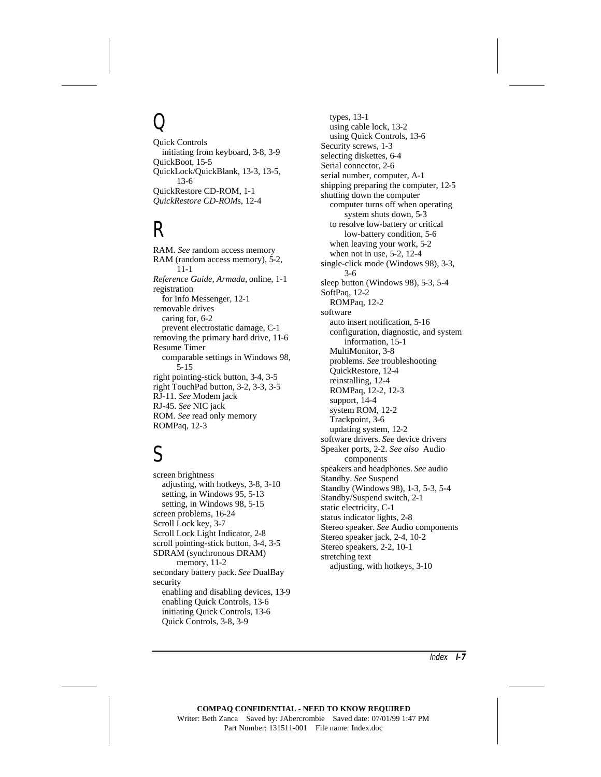# $\overline{O}$

Quick Controls initiating from keyboard, 3-8, 3-9 QuickBoot, 15-5 QuickLock/QuickBlank, 13-3, 13-5, 13-6 QuickRestore CD-ROM, 1-1 *QuickRestore CD-ROM*s, 12-4

## R

RAM. *See* random access memory RAM (random access memory), 5-2, 11-1 *Reference Guide, Armada,* online, 1-1 registration for Info Messenger, 12-1 removable drives caring for, 6-2 prevent electrostatic damage, C-1 removing the primary hard drive, 11-6 Resume Timer comparable settings in Windows 98, 5-15 right pointing-stick button, 3-4, 3-5 right TouchPad button, 3-2, 3-3, 3-5 RJ-11. *See* Modem jack RJ-45. *See* NIC jack ROM. *See* read only memory ROMPaq, 12-3

## S

screen brightness adjusting, with hotkeys, 3-8, 3-10 setting, in Windows 95, 5-13 setting, in Windows 98, 5-15 screen problems, 16-24 Scroll Lock key, 3-7 Scroll Lock Light Indicator, 2-8 scroll pointing-stick button, 3-4, 3-5 SDRAM (synchronous DRAM) memory, 11-2 secondary battery pack. *See* DualBay security enabling and disabling devices, 13-9 enabling Quick Controls, 13-6 initiating Quick Controls, 13-6 Quick Controls, 3-8, 3-9

types, 13-1 using cable lock, 13-2 using Quick Controls, 13-6 Security screws, 1-3 selecting diskettes, 6-4 Serial connector, 2-6 serial number, computer, A-1 shipping preparing the computer, 12-5 shutting down the computer computer turns off when operating system shuts down, 5-3 to resolve low-battery or critical low-battery condition, 5-6 when leaving your work, 5-2 when not in use, 5-2, 12-4 single-click mode (Windows 98), 3-3, 3-6 sleep button (Windows 98), 5-3, 5-4 SoftPaq, 12-2 ROMPaq, 12-2 software auto insert notification, 5-16 configuration, diagnostic, and system information, 15-1 MultiMonitor, 3-8 problems. *See* troubleshooting QuickRestore, 12-4 reinstalling, 12-4 ROMPaq, 12-2, 12-3 support, 14-4 system ROM, 12-2 Trackpoint, 3-6 updating system, 12-2 software drivers. *See* device drivers Speaker ports, 2-2. *See also* Audio components speakers and headphones. *See* audio Standby. *See* Suspend Standby (Windows 98), 1-3, 5-3, 5-4 Standby/Suspend switch, 2-1 static electricity, C-1 status indicator lights, 2-8 Stereo speaker. *See* Audio components Stereo speaker jack, 2-4, 10-2 Stereo speakers, 2-2, 10-1 stretching text adjusting, with hotkeys, 3-10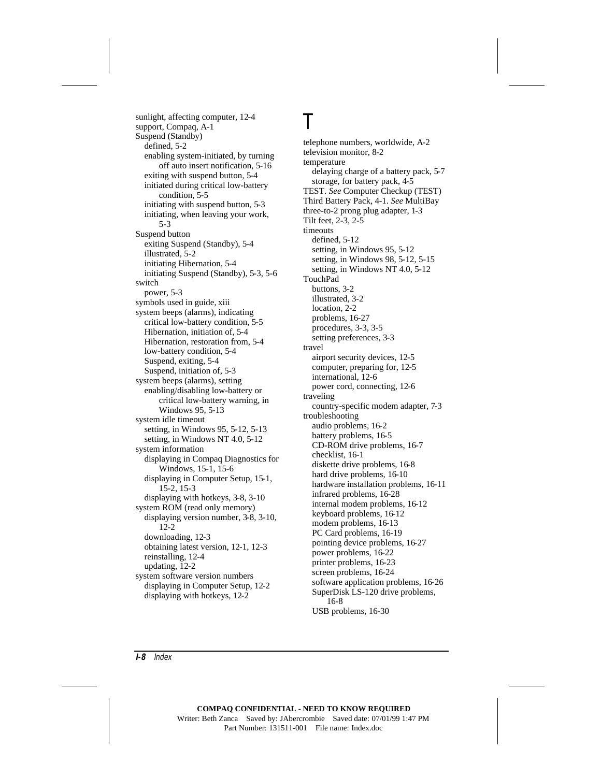sunlight, affecting computer, 12-4 support, Compaq, A-1 Suspend (Standby) defined, 5-2 enabling system-initiated, by turning off auto insert notification, 5-16 exiting with suspend button, 5-4 initiated during critical low-battery condition, 5-5 initiating with suspend button, 5-3 initiating, when leaving your work, 5-3 Suspend button exiting Suspend (Standby), 5-4 illustrated, 5-2 initiating Hibernation, 5-4 initiating Suspend (Standby), 5-3, 5-6 switch power, 5-3 symbols used in guide, xiii system beeps (alarms), indicating critical low-battery condition, 5-5 Hibernation, initiation of, 5-4 Hibernation, restoration from, 5-4 low-battery condition, 5-4 Suspend, exiting, 5-4 Suspend, initiation of, 5-3 system beeps (alarms), setting enabling/disabling low-battery or critical low-battery warning, in Windows 95, 5-13 system idle timeout setting, in Windows 95, 5-12, 5-13 setting, in Windows NT 4.0, 5-12 system information displaying in Compaq Diagnostics for Windows, 15-1, 15-6 displaying in Computer Setup, 15-1, 15-2, 15-3 displaying with hotkeys, 3-8, 3-10 system ROM (read only memory) displaying version number, 3-8, 3-10, 12-2 downloading, 12-3 obtaining latest version, 12-1, 12-3 reinstalling, 12-4 updating, 12-2 system software version numbers displaying in Computer Setup, 12-2 displaying with hotkeys, 12-2

#### telephone numbers, worldwide, A-2 television monitor, 8-2 temperature delaying charge of a battery pack, 5-7 storage, for battery pack, 4-5 TEST. *See* Computer Checkup (TEST) Third Battery Pack, 4-1. *See* MultiBay three-to-2 prong plug adapter, 1-3 Tilt feet, 2-3, 2-5 timeouts defined, 5-12 setting, in Windows 95, 5-12 setting, in Windows 98, 5-12, 5-15 setting, in Windows NT 4.0, 5-12 TouchPad buttons, 3-2 illustrated, 3-2 location, 2-2 problems, 16-27 procedures, 3-3, 3-5 setting preferences, 3-3 travel airport security devices, 12-5 computer, preparing for, 12-5 international, 12-6 power cord, connecting, 12-6 traveling country-specific modem adapter, 7-3 troubleshooting audio problems, 16-2 battery problems, 16-5 CD-ROM drive problems, 16-7 checklist, 16-1 diskette drive problems, 16-8 hard drive problems, 16-10 hardware installation problems, 16-11 infrared problems, 16-28 internal modem problems, 16-12 keyboard problems, 16-12 modem problems, 16-13 PC Card problems, 16-19 pointing device problems, 16-27 power problems, 16-22 printer problems, 16-23

T

screen problems, 16-24 software application problems, 16-26

SuperDisk LS-120 drive problems, 16-8

USB problems, 16-30